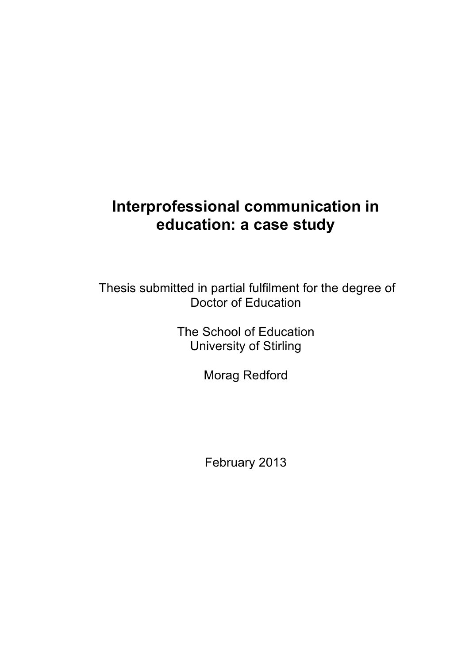# **Interprofessional communication in education: a case study**

Thesis submitted in partial fulfilment for the degree of Doctor of Education

> The School of Education University of Stirling

> > Morag Redford

February 2013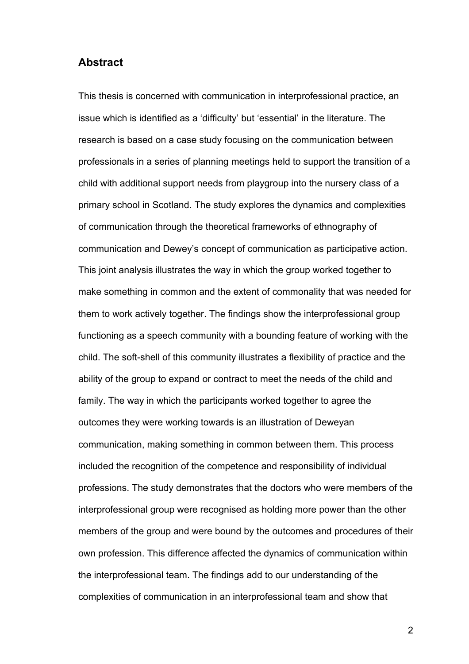#### **Abstract**

This thesis is concerned with communication in interprofessional practice, an issue which is identified as a 'difficulty' but 'essential' in the literature. The research is based on a case study focusing on the communication between professionals in a series of planning meetings held to support the transition of a child with additional support needs from playgroup into the nursery class of a primary school in Scotland. The study explores the dynamics and complexities of communication through the theoretical frameworks of ethnography of communication and Dewey's concept of communication as participative action. This joint analysis illustrates the way in which the group worked together to make something in common and the extent of commonality that was needed for them to work actively together. The findings show the interprofessional group functioning as a speech community with a bounding feature of working with the child. The soft-shell of this community illustrates a flexibility of practice and the ability of the group to expand or contract to meet the needs of the child and family. The way in which the participants worked together to agree the outcomes they were working towards is an illustration of Deweyan communication, making something in common between them. This process included the recognition of the competence and responsibility of individual professions. The study demonstrates that the doctors who were members of the interprofessional group were recognised as holding more power than the other members of the group and were bound by the outcomes and procedures of their own profession. This difference affected the dynamics of communication within the interprofessional team. The findings add to our understanding of the complexities of communication in an interprofessional team and show that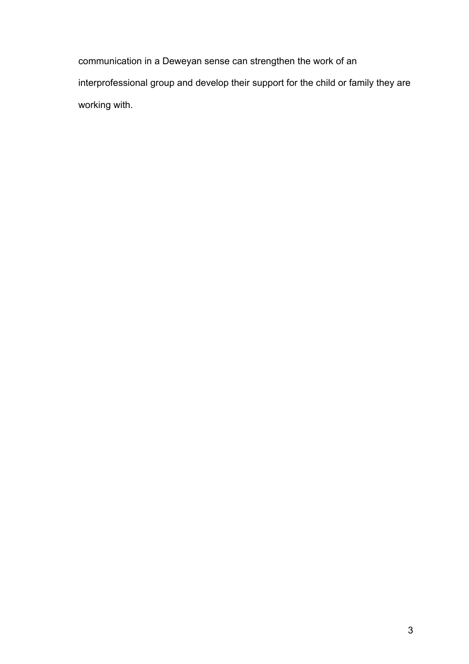communication in a Deweyan sense can strengthen the work of an interprofessional group and develop their support for the child or family they are working with.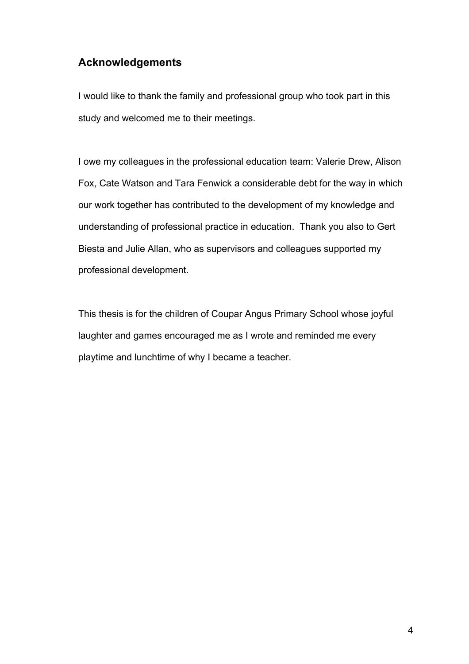## **Acknowledgements**

I would like to thank the family and professional group who took part in this study and welcomed me to their meetings.

I owe my colleagues in the professional education team: Valerie Drew, Alison Fox, Cate Watson and Tara Fenwick a considerable debt for the way in which our work together has contributed to the development of my knowledge and understanding of professional practice in education. Thank you also to Gert Biesta and Julie Allan, who as supervisors and colleagues supported my professional development.

This thesis is for the children of Coupar Angus Primary School whose joyful laughter and games encouraged me as I wrote and reminded me every playtime and lunchtime of why I became a teacher.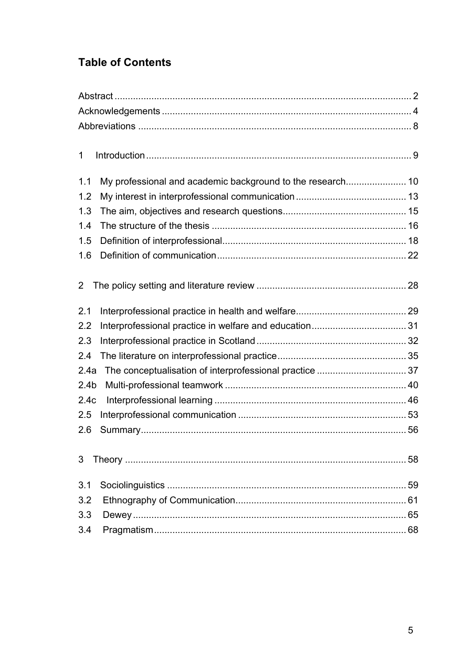## **Table of Contents**

| $\mathbf 1$      |  |    |  |  |
|------------------|--|----|--|--|
| 1.1              |  |    |  |  |
| 1.2              |  |    |  |  |
|                  |  |    |  |  |
| 1.3              |  |    |  |  |
| 1.4              |  |    |  |  |
| 1.5              |  |    |  |  |
| 1.6              |  |    |  |  |
| $\overline{2}$   |  |    |  |  |
| 2.1              |  |    |  |  |
| 2.2              |  |    |  |  |
| 2.3              |  |    |  |  |
| 2.4              |  |    |  |  |
| 2.4a             |  |    |  |  |
| 2.4 <sub>b</sub> |  |    |  |  |
| 2.4c             |  |    |  |  |
| 2.5              |  |    |  |  |
| 2.6              |  |    |  |  |
| 3                |  | 58 |  |  |
| 3.1              |  |    |  |  |
| 3.2              |  |    |  |  |
| 3.3              |  |    |  |  |
| 3.4              |  |    |  |  |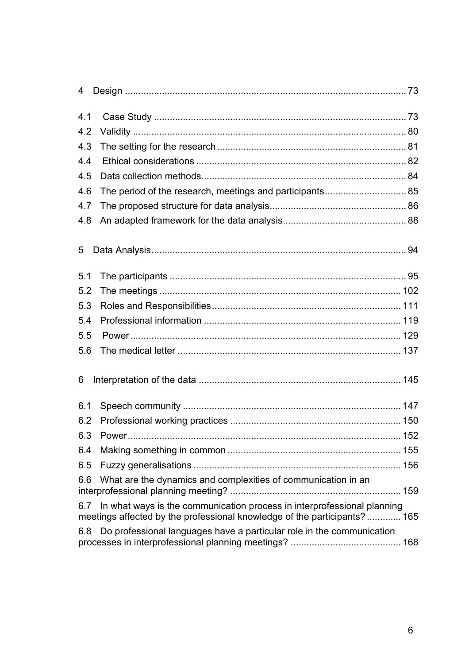| 4   |                                                                                                                                                     |  |
|-----|-----------------------------------------------------------------------------------------------------------------------------------------------------|--|
| 4.1 |                                                                                                                                                     |  |
| 4.2 |                                                                                                                                                     |  |
| 4.3 |                                                                                                                                                     |  |
| 4.4 |                                                                                                                                                     |  |
| 4.5 |                                                                                                                                                     |  |
| 4.6 |                                                                                                                                                     |  |
| 4.7 |                                                                                                                                                     |  |
| 4.8 |                                                                                                                                                     |  |
| 5   |                                                                                                                                                     |  |
| 5.1 |                                                                                                                                                     |  |
| 5.2 |                                                                                                                                                     |  |
| 5.3 |                                                                                                                                                     |  |
| 5.4 |                                                                                                                                                     |  |
| 5.5 |                                                                                                                                                     |  |
| 5.6 |                                                                                                                                                     |  |
| 6   |                                                                                                                                                     |  |
| 6.1 |                                                                                                                                                     |  |
| 6.2 |                                                                                                                                                     |  |
|     | 152                                                                                                                                                 |  |
| 6.4 |                                                                                                                                                     |  |
| 6.5 |                                                                                                                                                     |  |
| 6.6 | What are the dynamics and complexities of communication in an                                                                                       |  |
| 6.7 | In what ways is the communication process in interprofessional planning<br>meetings affected by the professional knowledge of the participants? 165 |  |
|     | 6.8 Do professional languages have a particular role in the communication                                                                           |  |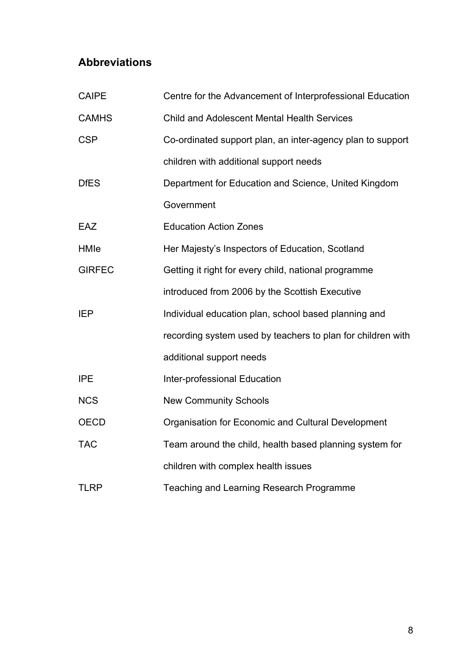## **Abbreviations**

| <b>CAIPE</b>  | Centre for the Advancement of Interprofessional Education   |
|---------------|-------------------------------------------------------------|
| <b>CAMHS</b>  | <b>Child and Adolescent Mental Health Services</b>          |
| <b>CSP</b>    | Co-ordinated support plan, an inter-agency plan to support  |
|               | children with additional support needs                      |
| <b>DfES</b>   | Department for Education and Science, United Kingdom        |
|               | Government                                                  |
| EAZ           | <b>Education Action Zones</b>                               |
| HMIe          | Her Majesty's Inspectors of Education, Scotland             |
| <b>GIRFEC</b> | Getting it right for every child, national programme        |
|               | introduced from 2006 by the Scottish Executive              |
| <b>IEP</b>    | Individual education plan, school based planning and        |
|               | recording system used by teachers to plan for children with |
|               | additional support needs                                    |
| <b>IPE</b>    | <b>Inter-professional Education</b>                         |
| <b>NCS</b>    | <b>New Community Schools</b>                                |
| <b>OECD</b>   | Organisation for Economic and Cultural Development          |
| <b>TAC</b>    | Team around the child, health based planning system for     |
|               | children with complex health issues                         |
| <b>TLRP</b>   | Teaching and Learning Research Programme                    |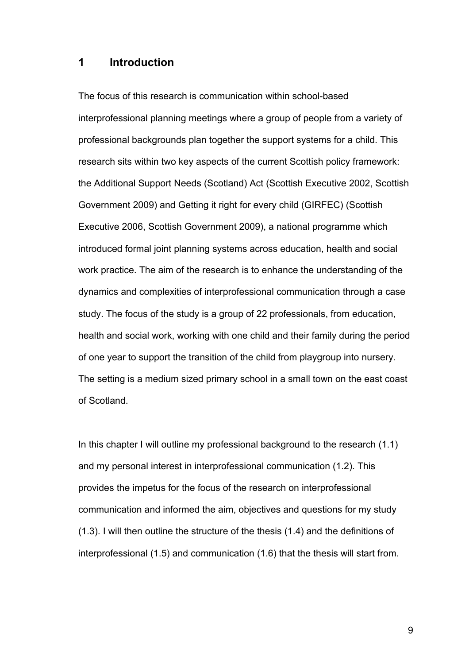#### **1 Introduction**

The focus of this research is communication within school-based interprofessional planning meetings where a group of people from a variety of professional backgrounds plan together the support systems for a child. This research sits within two key aspects of the current Scottish policy framework: the Additional Support Needs (Scotland) Act (Scottish Executive 2002, Scottish Government 2009) and Getting it right for every child (GIRFEC) (Scottish Executive 2006, Scottish Government 2009), a national programme which introduced formal joint planning systems across education, health and social work practice. The aim of the research is to enhance the understanding of the dynamics and complexities of interprofessional communication through a case study. The focus of the study is a group of 22 professionals, from education, health and social work, working with one child and their family during the period of one year to support the transition of the child from playgroup into nursery. The setting is a medium sized primary school in a small town on the east coast of Scotland.

In this chapter I will outline my professional background to the research (1.1) and my personal interest in interprofessional communication (1.2). This provides the impetus for the focus of the research on interprofessional communication and informed the aim, objectives and questions for my study (1.3). I will then outline the structure of the thesis (1.4) and the definitions of interprofessional (1.5) and communication (1.6) that the thesis will start from.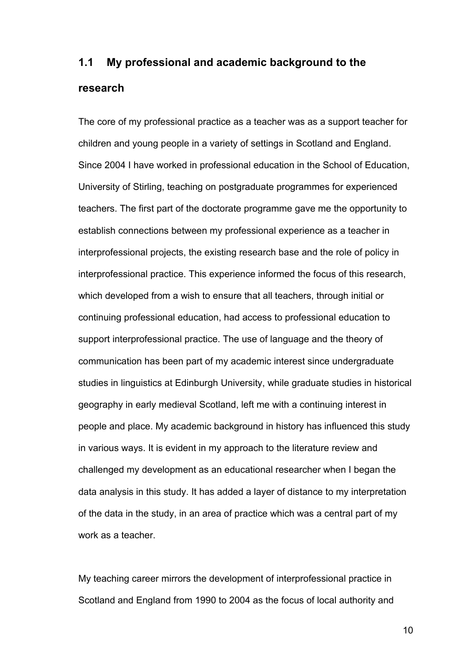# **1.1 My professional and academic background to the research**

The core of my professional practice as a teacher was as a support teacher for children and young people in a variety of settings in Scotland and England. Since 2004 I have worked in professional education in the School of Education, University of Stirling, teaching on postgraduate programmes for experienced teachers. The first part of the doctorate programme gave me the opportunity to establish connections between my professional experience as a teacher in interprofessional projects, the existing research base and the role of policy in interprofessional practice. This experience informed the focus of this research, which developed from a wish to ensure that all teachers, through initial or continuing professional education, had access to professional education to support interprofessional practice. The use of language and the theory of communication has been part of my academic interest since undergraduate studies in linguistics at Edinburgh University, while graduate studies in historical geography in early medieval Scotland, left me with a continuing interest in people and place. My academic background in history has influenced this study in various ways. It is evident in my approach to the literature review and challenged my development as an educational researcher when I began the data analysis in this study. It has added a layer of distance to my interpretation of the data in the study, in an area of practice which was a central part of my work as a teacher.

My teaching career mirrors the development of interprofessional practice in Scotland and England from 1990 to 2004 as the focus of local authority and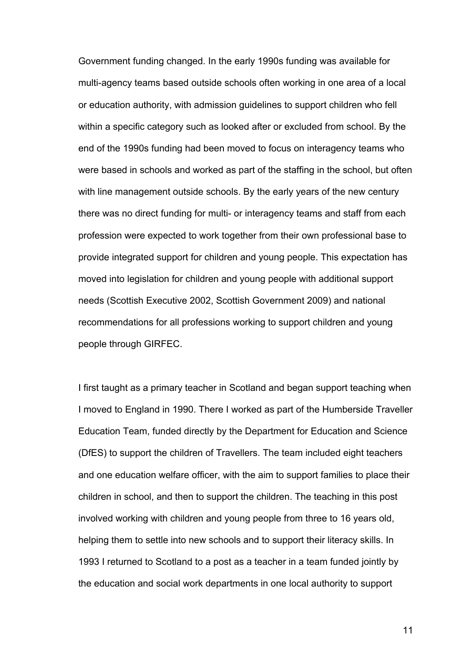Government funding changed. In the early 1990s funding was available for multi-agency teams based outside schools often working in one area of a local or education authority, with admission guidelines to support children who fell within a specific category such as looked after or excluded from school. By the end of the 1990s funding had been moved to focus on interagency teams who were based in schools and worked as part of the staffing in the school, but often with line management outside schools. By the early years of the new century there was no direct funding for multi- or interagency teams and staff from each profession were expected to work together from their own professional base to provide integrated support for children and young people. This expectation has moved into legislation for children and young people with additional support needs (Scottish Executive 2002, Scottish Government 2009) and national recommendations for all professions working to support children and young people through GIRFEC.

I first taught as a primary teacher in Scotland and began support teaching when I moved to England in 1990. There I worked as part of the Humberside Traveller Education Team, funded directly by the Department for Education and Science (DfES) to support the children of Travellers. The team included eight teachers and one education welfare officer, with the aim to support families to place their children in school, and then to support the children. The teaching in this post involved working with children and young people from three to 16 years old, helping them to settle into new schools and to support their literacy skills. In 1993 I returned to Scotland to a post as a teacher in a team funded jointly by the education and social work departments in one local authority to support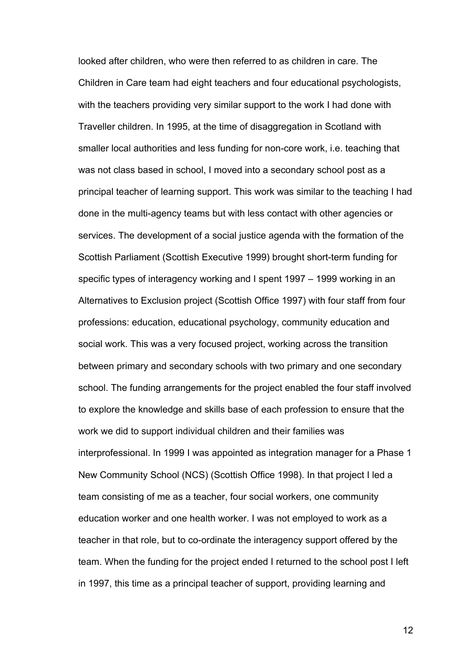looked after children, who were then referred to as children in care. The Children in Care team had eight teachers and four educational psychologists, with the teachers providing very similar support to the work I had done with Traveller children. In 1995, at the time of disaggregation in Scotland with smaller local authorities and less funding for non-core work, i.e. teaching that was not class based in school, I moved into a secondary school post as a principal teacher of learning support. This work was similar to the teaching I had done in the multi-agency teams but with less contact with other agencies or services. The development of a social justice agenda with the formation of the Scottish Parliament (Scottish Executive 1999) brought short-term funding for specific types of interagency working and I spent 1997 – 1999 working in an Alternatives to Exclusion project (Scottish Office 1997) with four staff from four professions: education, educational psychology, community education and social work. This was a very focused project, working across the transition between primary and secondary schools with two primary and one secondary school. The funding arrangements for the project enabled the four staff involved to explore the knowledge and skills base of each profession to ensure that the work we did to support individual children and their families was interprofessional. In 1999 I was appointed as integration manager for a Phase 1 New Community School (NCS) (Scottish Office 1998). In that project I led a team consisting of me as a teacher, four social workers, one community education worker and one health worker. I was not employed to work as a teacher in that role, but to co-ordinate the interagency support offered by the team. When the funding for the project ended I returned to the school post I left in 1997, this time as a principal teacher of support, providing learning and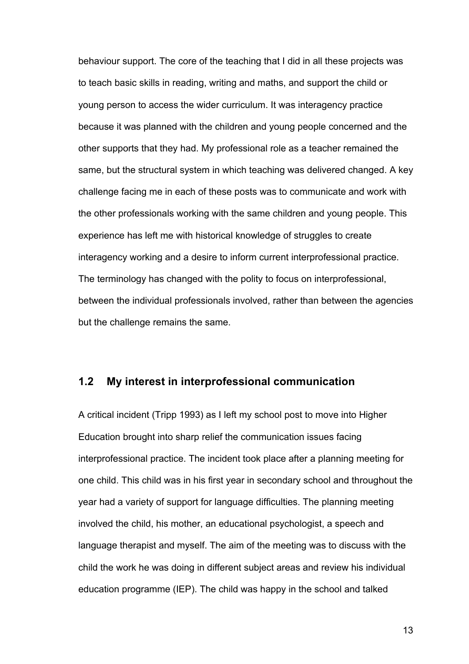behaviour support. The core of the teaching that I did in all these projects was to teach basic skills in reading, writing and maths, and support the child or young person to access the wider curriculum. It was interagency practice because it was planned with the children and young people concerned and the other supports that they had. My professional role as a teacher remained the same, but the structural system in which teaching was delivered changed. A key challenge facing me in each of these posts was to communicate and work with the other professionals working with the same children and young people. This experience has left me with historical knowledge of struggles to create interagency working and a desire to inform current interprofessional practice. The terminology has changed with the polity to focus on interprofessional, between the individual professionals involved, rather than between the agencies but the challenge remains the same.

## **1.2 My interest in interprofessional communication**

A critical incident (Tripp 1993) as I left my school post to move into Higher Education brought into sharp relief the communication issues facing interprofessional practice. The incident took place after a planning meeting for one child. This child was in his first year in secondary school and throughout the year had a variety of support for language difficulties. The planning meeting involved the child, his mother, an educational psychologist, a speech and language therapist and myself. The aim of the meeting was to discuss with the child the work he was doing in different subject areas and review his individual education programme (IEP). The child was happy in the school and talked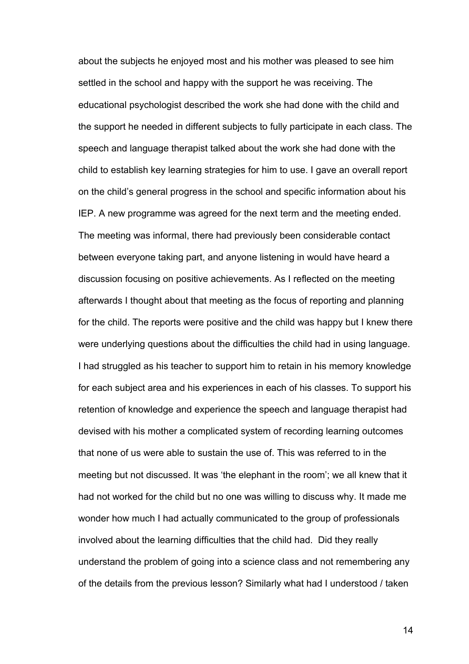about the subjects he enjoyed most and his mother was pleased to see him settled in the school and happy with the support he was receiving. The educational psychologist described the work she had done with the child and the support he needed in different subjects to fully participate in each class. The speech and language therapist talked about the work she had done with the child to establish key learning strategies for him to use. I gave an overall report on the child's general progress in the school and specific information about his IEP. A new programme was agreed for the next term and the meeting ended. The meeting was informal, there had previously been considerable contact between everyone taking part, and anyone listening in would have heard a discussion focusing on positive achievements. As I reflected on the meeting afterwards I thought about that meeting as the focus of reporting and planning for the child. The reports were positive and the child was happy but I knew there were underlying questions about the difficulties the child had in using language. I had struggled as his teacher to support him to retain in his memory knowledge for each subject area and his experiences in each of his classes. To support his retention of knowledge and experience the speech and language therapist had devised with his mother a complicated system of recording learning outcomes that none of us were able to sustain the use of. This was referred to in the meeting but not discussed. It was 'the elephant in the room'; we all knew that it had not worked for the child but no one was willing to discuss why. It made me wonder how much I had actually communicated to the group of professionals involved about the learning difficulties that the child had. Did they really understand the problem of going into a science class and not remembering any of the details from the previous lesson? Similarly what had I understood / taken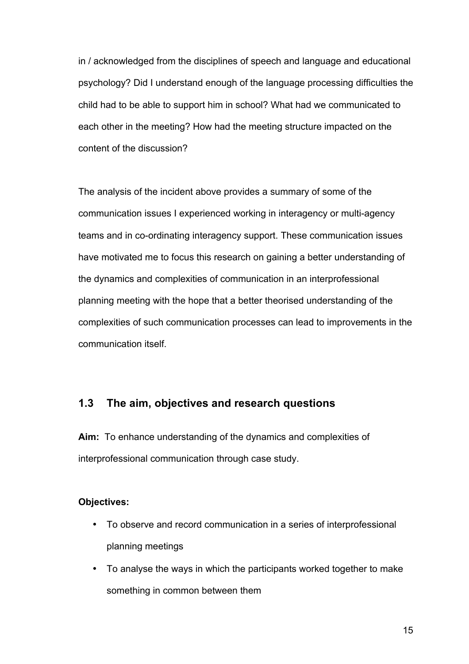in / acknowledged from the disciplines of speech and language and educational psychology? Did I understand enough of the language processing difficulties the child had to be able to support him in school? What had we communicated to each other in the meeting? How had the meeting structure impacted on the content of the discussion?

The analysis of the incident above provides a summary of some of the communication issues I experienced working in interagency or multi-agency teams and in co-ordinating interagency support. These communication issues have motivated me to focus this research on gaining a better understanding of the dynamics and complexities of communication in an interprofessional planning meeting with the hope that a better theorised understanding of the complexities of such communication processes can lead to improvements in the communication itself.

## **1.3 The aim, objectives and research questions**

**Aim:** To enhance understanding of the dynamics and complexities of interprofessional communication through case study.

#### **Objectives:**

- To observe and record communication in a series of interprofessional planning meetings
- To analyse the ways in which the participants worked together to make something in common between them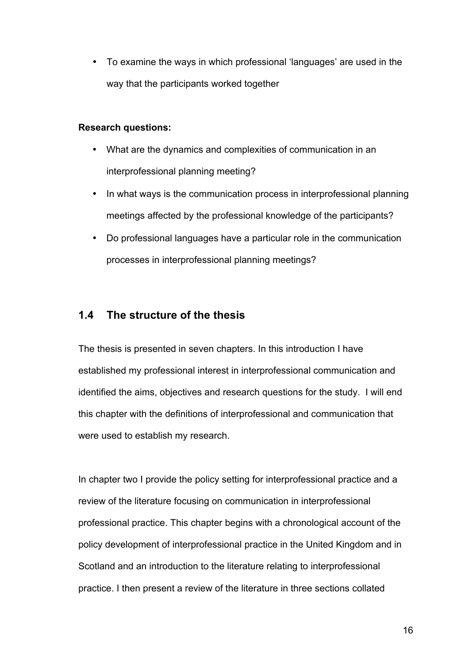• To examine the ways in which professional 'languages' are used in the way that the participants worked together

#### **Research questions:**

- What are the dynamics and complexities of communication in an interprofessional planning meeting?
- In what ways is the communication process in interprofessional planning meetings affected by the professional knowledge of the participants?
- Do professional languages have a particular role in the communication processes in interprofessional planning meetings?

## **1.4 The structure of the thesis**

The thesis is presented in seven chapters. In this introduction I have established my professional interest in interprofessional communication and identified the aims, objectives and research questions for the study. I will end this chapter with the definitions of interprofessional and communication that were used to establish my research.

In chapter two I provide the policy setting for interprofessional practice and a review of the literature focusing on communication in interprofessional professional practice. This chapter begins with a chronological account of the policy development of interprofessional practice in the United Kingdom and in Scotland and an introduction to the literature relating to interprofessional practice. I then present a review of the literature in three sections collated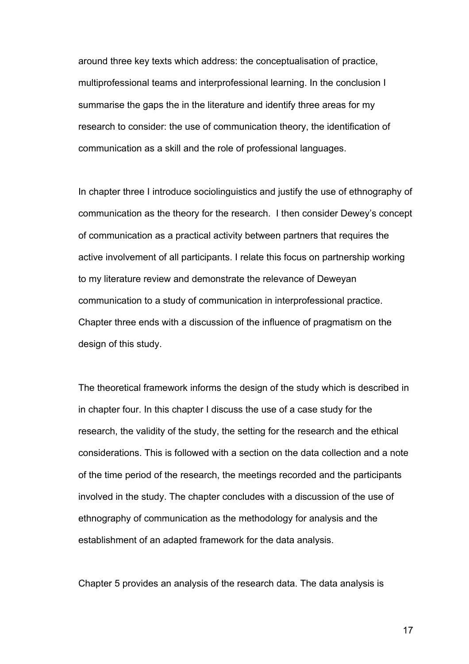around three key texts which address: the conceptualisation of practice, multiprofessional teams and interprofessional learning. In the conclusion I summarise the gaps the in the literature and identify three areas for my research to consider: the use of communication theory, the identification of communication as a skill and the role of professional languages.

In chapter three I introduce sociolinguistics and justify the use of ethnography of communication as the theory for the research. I then consider Dewey's concept of communication as a practical activity between partners that requires the active involvement of all participants. I relate this focus on partnership working to my literature review and demonstrate the relevance of Deweyan communication to a study of communication in interprofessional practice. Chapter three ends with a discussion of the influence of pragmatism on the design of this study.

The theoretical framework informs the design of the study which is described in in chapter four. In this chapter I discuss the use of a case study for the research, the validity of the study, the setting for the research and the ethical considerations. This is followed with a section on the data collection and a note of the time period of the research, the meetings recorded and the participants involved in the study. The chapter concludes with a discussion of the use of ethnography of communication as the methodology for analysis and the establishment of an adapted framework for the data analysis.

Chapter 5 provides an analysis of the research data. The data analysis is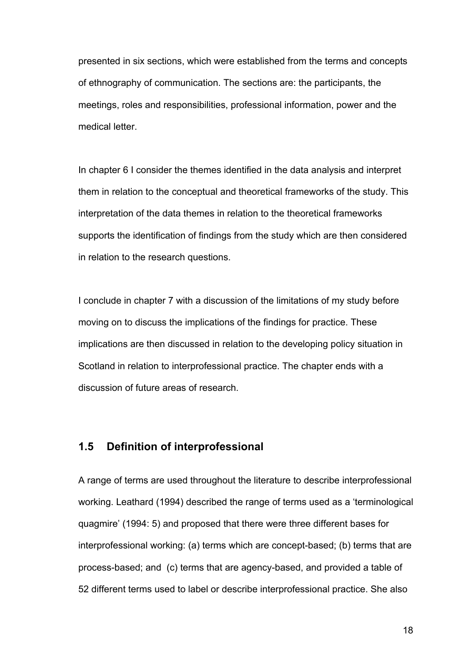presented in six sections, which were established from the terms and concepts of ethnography of communication. The sections are: the participants, the meetings, roles and responsibilities, professional information, power and the medical letter.

In chapter 6 I consider the themes identified in the data analysis and interpret them in relation to the conceptual and theoretical frameworks of the study. This interpretation of the data themes in relation to the theoretical frameworks supports the identification of findings from the study which are then considered in relation to the research questions.

I conclude in chapter 7 with a discussion of the limitations of my study before moving on to discuss the implications of the findings for practice. These implications are then discussed in relation to the developing policy situation in Scotland in relation to interprofessional practice. The chapter ends with a discussion of future areas of research.

## **1.5 Definition of interprofessional**

A range of terms are used throughout the literature to describe interprofessional working. Leathard (1994) described the range of terms used as a 'terminological quagmire' (1994: 5) and proposed that there were three different bases for interprofessional working: (a) terms which are concept-based; (b) terms that are process-based; and (c) terms that are agency-based, and provided a table of 52 different terms used to label or describe interprofessional practice. She also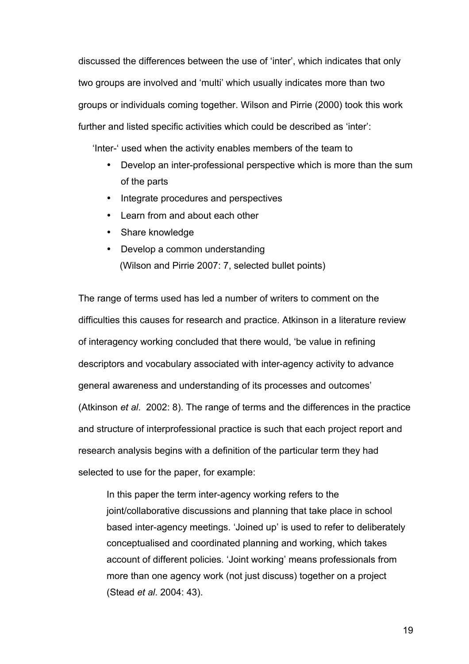discussed the differences between the use of 'inter', which indicates that only two groups are involved and 'multi' which usually indicates more than two groups or individuals coming together. Wilson and Pirrie (2000) took this work further and listed specific activities which could be described as 'inter':

'Inter-' used when the activity enables members of the team to

- Develop an inter-professional perspective which is more than the sum of the parts
- Integrate procedures and perspectives
- Learn from and about each other
- Share knowledge
- Develop a common understanding (Wilson and Pirrie 2007: 7, selected bullet points)

The range of terms used has led a number of writers to comment on the difficulties this causes for research and practice. Atkinson in a literature review of interagency working concluded that there would, 'be value in refining descriptors and vocabulary associated with inter-agency activity to advance general awareness and understanding of its processes and outcomes' (Atkinson *et al*. 2002: 8). The range of terms and the differences in the practice and structure of interprofessional practice is such that each project report and research analysis begins with a definition of the particular term they had selected to use for the paper, for example:

In this paper the term inter-agency working refers to the joint/collaborative discussions and planning that take place in school based inter-agency meetings. 'Joined up' is used to refer to deliberately conceptualised and coordinated planning and working, which takes account of different policies. 'Joint working' means professionals from more than one agency work (not just discuss) together on a project (Stead *et al*. 2004: 43).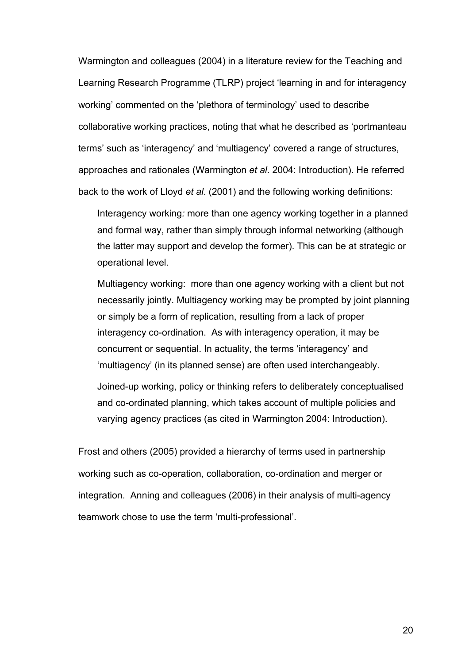Warmington and colleagues (2004) in a literature review for the Teaching and Learning Research Programme (TLRP) project 'learning in and for interagency working' commented on the 'plethora of terminology' used to describe collaborative working practices, noting that what he described as 'portmanteau terms' such as 'interagency' and 'multiagency' covered a range of structures, approaches and rationales (Warmington *et al*. 2004: Introduction). He referred back to the work of Lloyd *et al*. (2001) and the following working definitions:

Interagency working*:* more than one agency working together in a planned and formal way, rather than simply through informal networking (although the latter may support and develop the former). This can be at strategic or operational level.

Multiagency working:more than one agency working with a client but not necessarily jointly. Multiagency working may be prompted by joint planning or simply be a form of replication, resulting from a lack of proper interagency co-ordination. As with interagency operation, it may be concurrent or sequential. In actuality, the terms 'interagency' and 'multiagency' (in its planned sense) are often used interchangeably. Joined-up working, policy or thinking refers to deliberately conceptualised and co-ordinated planning, which takes account of multiple policies and varying agency practices (as cited in Warmington 2004: Introduction).

Frost and others (2005) provided a hierarchy of terms used in partnership working such as co-operation, collaboration, co-ordination and merger or integration. Anning and colleagues (2006) in their analysis of multi-agency teamwork chose to use the term 'multi-professional'.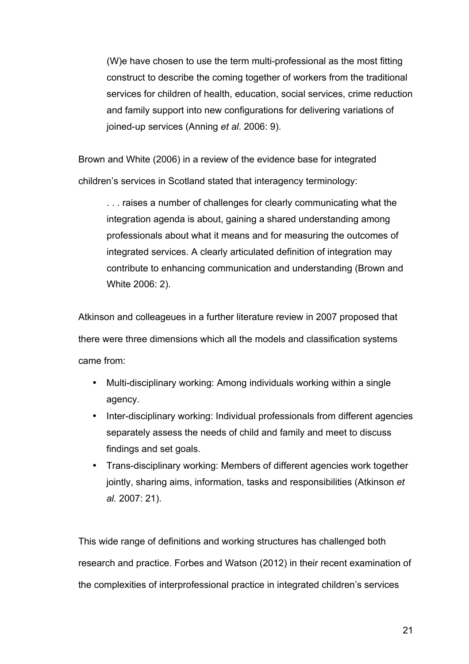(W)e have chosen to use the term multi-professional as the most fitting construct to describe the coming together of workers from the traditional services for children of health, education, social services, crime reduction and family support into new configurations for delivering variations of joined-up services (Anning *et al*. 2006: 9).

Brown and White (2006) in a review of the evidence base for integrated children's services in Scotland stated that interagency terminology:

. . . raises a number of challenges for clearly communicating what the integration agenda is about, gaining a shared understanding among professionals about what it means and for measuring the outcomes of integrated services. A clearly articulated definition of integration may contribute to enhancing communication and understanding (Brown and White 2006: 2).

Atkinson and colleageues in a further literature review in 2007 proposed that there were three dimensions which all the models and classification systems came from:

- Multi-disciplinary working: Among individuals working within a single agency.
- Inter-disciplinary working: Individual professionals from different agencies separately assess the needs of child and family and meet to discuss findings and set goals.
- Trans-disciplinary working: Members of different agencies work together jointly, sharing aims, information, tasks and responsibilities (Atkinson *et al.* 2007: 21).

This wide range of definitions and working structures has challenged both research and practice. Forbes and Watson (2012) in their recent examination of the complexities of interprofessional practice in integrated children's services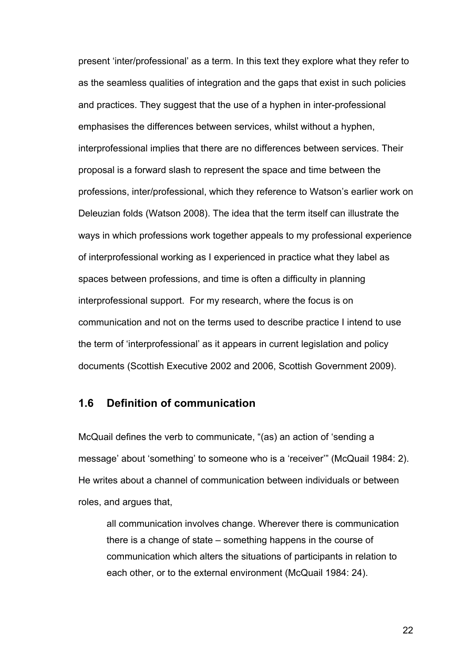present 'inter/professional' as a term. In this text they explore what they refer to as the seamless qualities of integration and the gaps that exist in such policies and practices. They suggest that the use of a hyphen in inter-professional emphasises the differences between services, whilst without a hyphen, interprofessional implies that there are no differences between services. Their proposal is a forward slash to represent the space and time between the professions, inter/professional, which they reference to Watson's earlier work on Deleuzian folds (Watson 2008). The idea that the term itself can illustrate the ways in which professions work together appeals to my professional experience of interprofessional working as I experienced in practice what they label as spaces between professions, and time is often a difficulty in planning interprofessional support. For my research, where the focus is on communication and not on the terms used to describe practice I intend to use the term of 'interprofessional' as it appears in current legislation and policy documents (Scottish Executive 2002 and 2006, Scottish Government 2009).

## **1.6 Definition of communication**

McQuail defines the verb to communicate, "(as) an action of 'sending a message' about 'something' to someone who is a 'receiver'" (McQuail 1984: 2). He writes about a channel of communication between individuals or between roles, and argues that,

all communication involves change. Wherever there is communication there is a change of state – something happens in the course of communication which alters the situations of participants in relation to each other, or to the external environment (McQuail 1984: 24).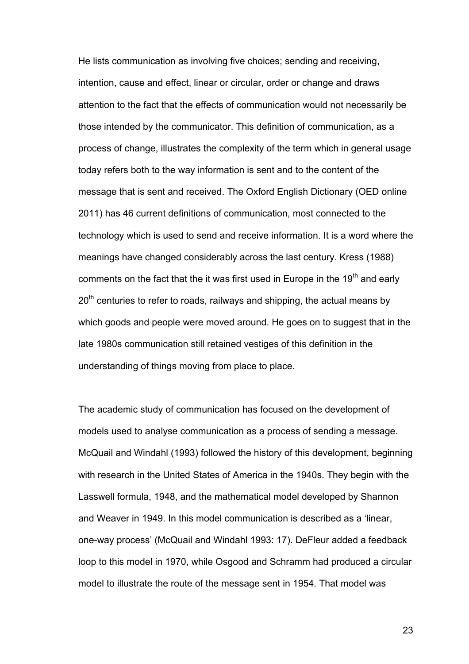He lists communication as involving five choices; sending and receiving, intention, cause and effect, linear or circular, order or change and draws attention to the fact that the effects of communication would not necessarily be those intended by the communicator. This definition of communication, as a process of change, illustrates the complexity of the term which in general usage today refers both to the way information is sent and to the content of the message that is sent and received. The Oxford English Dictionary (OED online 2011) has 46 current definitions of communication, most connected to the technology which is used to send and receive information. It is a word where the meanings have changed considerably across the last century. Kress (1988) comments on the fact that the it was first used in Europe in the 19<sup>th</sup> and early  $20<sup>th</sup>$  centuries to refer to roads, railways and shipping, the actual means by which goods and people were moved around. He goes on to suggest that in the late 1980s communication still retained vestiges of this definition in the understanding of things moving from place to place.

The academic study of communication has focused on the development of models used to analyse communication as a process of sending a message. McQuail and Windahl (1993) followed the history of this development, beginning with research in the United States of America in the 1940s. They begin with the Lasswell formula, 1948, and the mathematical model developed by Shannon and Weaver in 1949. In this model communication is described as a 'linear, one-way process' (McQuail and Windahl 1993: 17). DeFleur added a feedback loop to this model in 1970, while Osgood and Schramm had produced a circular model to illustrate the route of the message sent in 1954. That model was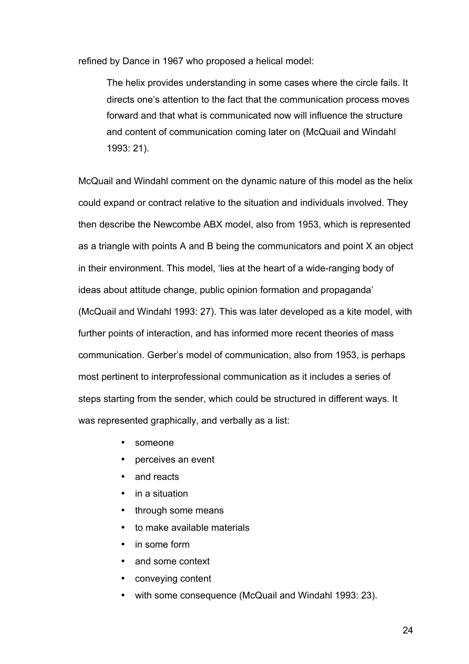refined by Dance in 1967 who proposed a helical model:

The helix provides understanding in some cases where the circle fails. It directs one's attention to the fact that the communication process moves forward and that what is communicated now will influence the structure and content of communication coming later on (McQuail and Windahl 1993: 21).

McQuail and Windahl comment on the dynamic nature of this model as the helix could expand or contract relative to the situation and individuals involved. They then describe the Newcombe ABX model, also from 1953, which is represented as a triangle with points A and B being the communicators and point X an object in their environment. This model, 'lies at the heart of a wide-ranging body of ideas about attitude change, public opinion formation and propaganda' (McQuail and Windahl 1993: 27). This was later developed as a kite model, with further points of interaction, and has informed more recent theories of mass communication. Gerber's model of communication, also from 1953, is perhaps most pertinent to interprofessional communication as it includes a series of steps starting from the sender, which could be structured in different ways. It was represented graphically, and verbally as a list:

- someone
- perceives an event
- and reacts
- in a situation
- through some means
- to make available materials
- in some form
- and some context
- conveying content
- with some consequence (McQuail and Windahl 1993: 23).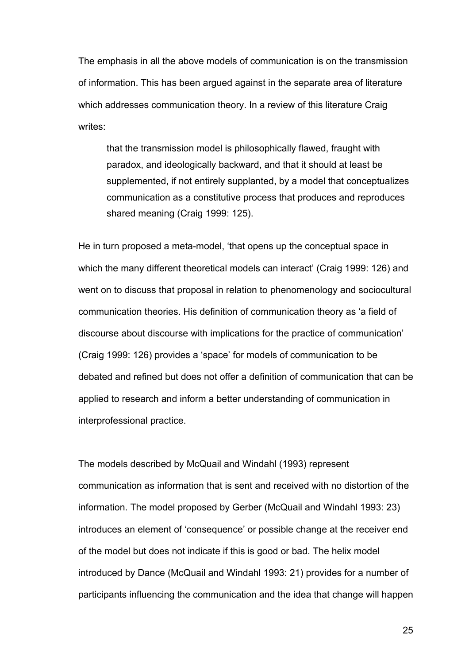The emphasis in all the above models of communication is on the transmission of information. This has been argued against in the separate area of literature which addresses communication theory. In a review of this literature Craig writes:

that the transmission model is philosophically flawed, fraught with paradox, and ideologically backward, and that it should at least be supplemented, if not entirely supplanted, by a model that conceptualizes communication as a constitutive process that produces and reproduces shared meaning (Craig 1999: 125).

He in turn proposed a meta-model, 'that opens up the conceptual space in which the many different theoretical models can interact' (Craig 1999: 126) and went on to discuss that proposal in relation to phenomenology and sociocultural communication theories. His definition of communication theory as 'a field of discourse about discourse with implications for the practice of communication' (Craig 1999: 126) provides a 'space' for models of communication to be debated and refined but does not offer a definition of communication that can be applied to research and inform a better understanding of communication in interprofessional practice.

The models described by McQuail and Windahl (1993) represent communication as information that is sent and received with no distortion of the information. The model proposed by Gerber (McQuail and Windahl 1993: 23) introduces an element of 'consequence' or possible change at the receiver end of the model but does not indicate if this is good or bad. The helix model introduced by Dance (McQuail and Windahl 1993: 21) provides for a number of participants influencing the communication and the idea that change will happen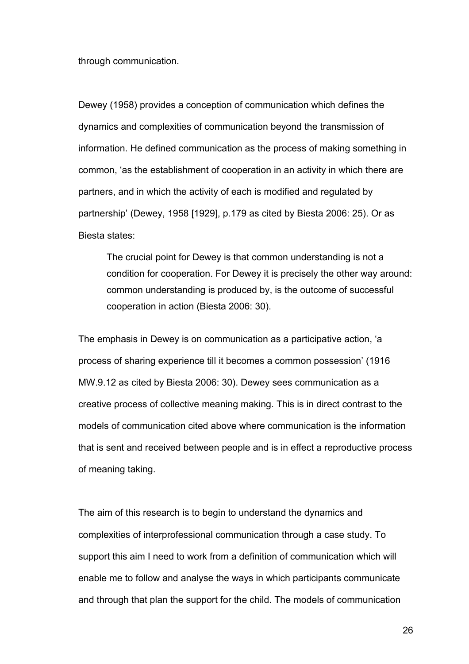through communication.

Dewey (1958) provides a conception of communication which defines the dynamics and complexities of communication beyond the transmission of information. He defined communication as the process of making something in common, 'as the establishment of cooperation in an activity in which there are partners, and in which the activity of each is modified and regulated by partnership' (Dewey, 1958 [1929], p.179 as cited by Biesta 2006: 25). Or as Biesta states:

The crucial point for Dewey is that common understanding is not a condition for cooperation. For Dewey it is precisely the other way around: common understanding is produced by, is the outcome of successful cooperation in action (Biesta 2006: 30).

The emphasis in Dewey is on communication as a participative action, 'a process of sharing experience till it becomes a common possession' (1916 MW.9.12 as cited by Biesta 2006: 30). Dewey sees communication as a creative process of collective meaning making. This is in direct contrast to the models of communication cited above where communication is the information that is sent and received between people and is in effect a reproductive process of meaning taking.

The aim of this research is to begin to understand the dynamics and complexities of interprofessional communication through a case study. To support this aim I need to work from a definition of communication which will enable me to follow and analyse the ways in which participants communicate and through that plan the support for the child. The models of communication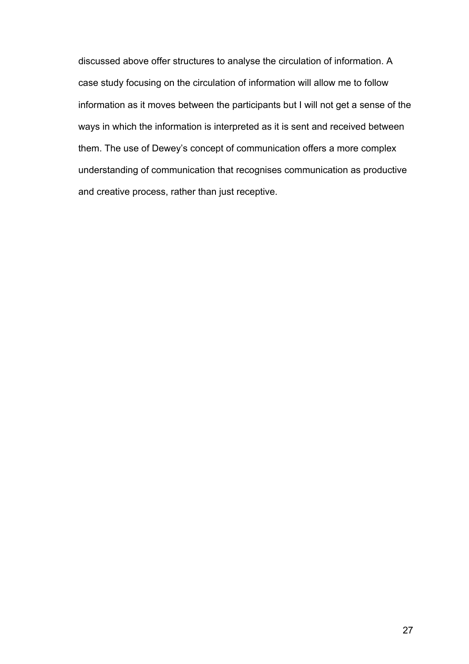discussed above offer structures to analyse the circulation of information. A case study focusing on the circulation of information will allow me to follow information as it moves between the participants but I will not get a sense of the ways in which the information is interpreted as it is sent and received between them. The use of Dewey's concept of communication offers a more complex understanding of communication that recognises communication as productive and creative process, rather than just receptive.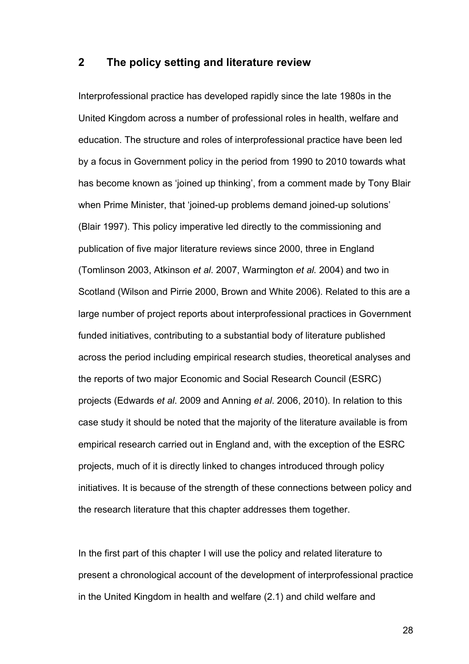#### **2 The policy setting and literature review**

Interprofessional practice has developed rapidly since the late 1980s in the United Kingdom across a number of professional roles in health, welfare and education. The structure and roles of interprofessional practice have been led by a focus in Government policy in the period from 1990 to 2010 towards what has become known as 'joined up thinking', from a comment made by Tony Blair when Prime Minister, that 'joined-up problems demand joined-up solutions' (Blair 1997). This policy imperative led directly to the commissioning and publication of five major literature reviews since 2000, three in England (Tomlinson 2003, Atkinson *et al*. 2007, Warmington *et al.* 2004) and two in Scotland (Wilson and Pirrie 2000, Brown and White 2006). Related to this are a large number of project reports about interprofessional practices in Government funded initiatives, contributing to a substantial body of literature published across the period including empirical research studies, theoretical analyses and the reports of two major Economic and Social Research Council (ESRC) projects (Edwards *et al*. 2009 and Anning *et al*. 2006, 2010). In relation to this case study it should be noted that the majority of the literature available is from empirical research carried out in England and, with the exception of the ESRC projects, much of it is directly linked to changes introduced through policy initiatives. It is because of the strength of these connections between policy and the research literature that this chapter addresses them together.

In the first part of this chapter I will use the policy and related literature to present a chronological account of the development of interprofessional practice in the United Kingdom in health and welfare (2.1) and child welfare and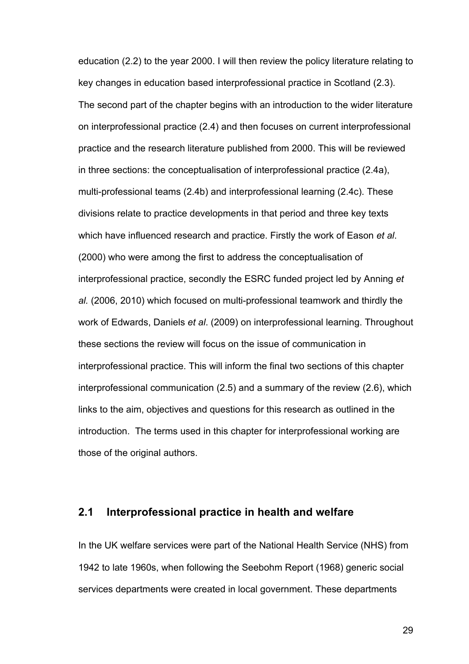education (2.2) to the year 2000. I will then review the policy literature relating to key changes in education based interprofessional practice in Scotland (2.3). The second part of the chapter begins with an introduction to the wider literature on interprofessional practice (2.4) and then focuses on current interprofessional practice and the research literature published from 2000. This will be reviewed in three sections: the conceptualisation of interprofessional practice (2.4a), multi-professional teams (2.4b) and interprofessional learning (2.4c). These divisions relate to practice developments in that period and three key texts which have influenced research and practice. Firstly the work of Eason *et al*. (2000) who were among the first to address the conceptualisation of interprofessional practice, secondly the ESRC funded project led by Anning *et al.* (2006, 2010) which focused on multi-professional teamwork and thirdly the work of Edwards, Daniels *et al*. (2009) on interprofessional learning. Throughout these sections the review will focus on the issue of communication in interprofessional practice. This will inform the final two sections of this chapter interprofessional communication (2.5) and a summary of the review (2.6), which links to the aim, objectives and questions for this research as outlined in the introduction. The terms used in this chapter for interprofessional working are those of the original authors.

#### **2.1 Interprofessional practice in health and welfare**

In the UK welfare services were part of the National Health Service (NHS) from 1942 to late 1960s, when following the Seebohm Report (1968) generic social services departments were created in local government. These departments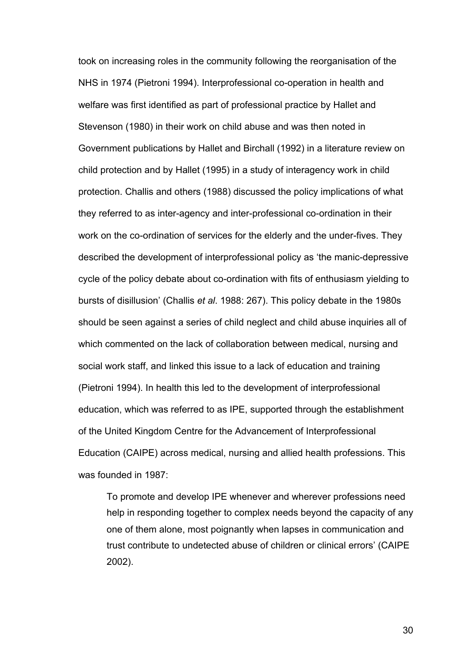took on increasing roles in the community following the reorganisation of the NHS in 1974 (Pietroni 1994). Interprofessional co-operation in health and welfare was first identified as part of professional practice by Hallet and Stevenson (1980) in their work on child abuse and was then noted in Government publications by Hallet and Birchall (1992) in a literature review on child protection and by Hallet (1995) in a study of interagency work in child protection. Challis and others (1988) discussed the policy implications of what they referred to as inter-agency and inter-professional co-ordination in their work on the co-ordination of services for the elderly and the under-fives. They described the development of interprofessional policy as 'the manic-depressive cycle of the policy debate about co-ordination with fits of enthusiasm yielding to bursts of disillusion' (Challis *et al*. 1988: 267). This policy debate in the 1980s should be seen against a series of child neglect and child abuse inquiries all of which commented on the lack of collaboration between medical, nursing and social work staff, and linked this issue to a lack of education and training (Pietroni 1994). In health this led to the development of interprofessional education, which was referred to as IPE, supported through the establishment of the United Kingdom Centre for the Advancement of Interprofessional Education (CAIPE) across medical, nursing and allied health professions. This was founded in 1987:

To promote and develop IPE whenever and wherever professions need help in responding together to complex needs beyond the capacity of any one of them alone, most poignantly when lapses in communication and trust contribute to undetected abuse of children or clinical errors' (CAIPE 2002).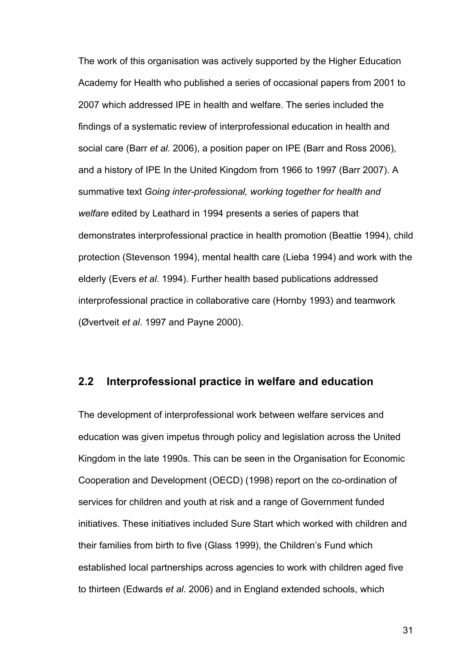The work of this organisation was actively supported by the Higher Education Academy for Health who published a series of occasional papers from 2001 to 2007 which addressed IPE in health and welfare. The series included the findings of a systematic review of interprofessional education in health and social care (Barr *et al.* 2006), a position paper on IPE (Barr and Ross 2006), and a history of IPE In the United Kingdom from 1966 to 1997 (Barr 2007). A summative text *Going inter-professional, working together for health and welfare* edited by Leathard in 1994 presents a series of papers that demonstrates interprofessional practice in health promotion (Beattie 1994), child protection (Stevenson 1994), mental health care (Lieba 1994) and work with the elderly (Evers *et al*. 1994). Further health based publications addressed interprofessional practice in collaborative care (Hornby 1993) and teamwork (Øvertveit *et al*. 1997 and Payne 2000).

## **2.2 Interprofessional practice in welfare and education**

The development of interprofessional work between welfare services and education was given impetus through policy and legislation across the United Kingdom in the late 1990s. This can be seen in the Organisation for Economic Cooperation and Development (OECD) (1998) report on the co-ordination of services for children and youth at risk and a range of Government funded initiatives. These initiatives included Sure Start which worked with children and their families from birth to five (Glass 1999), the Children's Fund which established local partnerships across agencies to work with children aged five to thirteen (Edwards *et al*. 2006) and in England extended schools, which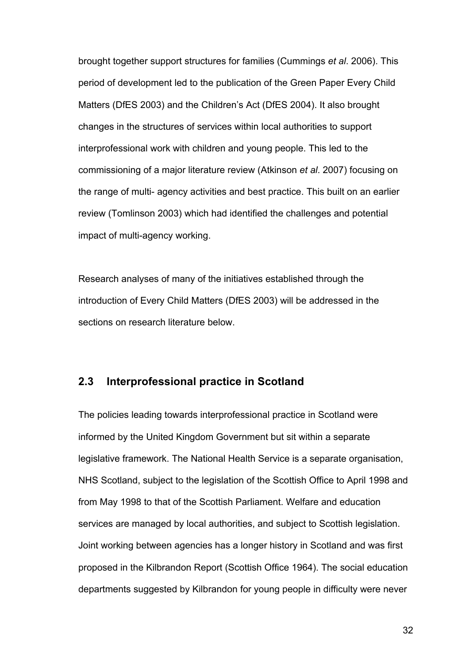brought together support structures for families (Cummings *et al*. 2006). This period of development led to the publication of the Green Paper Every Child Matters (DfES 2003) and the Children's Act (DfES 2004). It also brought changes in the structures of services within local authorities to support interprofessional work with children and young people. This led to the commissioning of a major literature review (Atkinson *et al*. 2007) focusing on the range of multi- agency activities and best practice. This built on an earlier review (Tomlinson 2003) which had identified the challenges and potential impact of multi-agency working.

Research analyses of many of the initiatives established through the introduction of Every Child Matters (DfES 2003) will be addressed in the sections on research literature below.

## **2.3 Interprofessional practice in Scotland**

The policies leading towards interprofessional practice in Scotland were informed by the United Kingdom Government but sit within a separate legislative framework. The National Health Service is a separate organisation, NHS Scotland, subject to the legislation of the Scottish Office to April 1998 and from May 1998 to that of the Scottish Parliament. Welfare and education services are managed by local authorities, and subject to Scottish legislation. Joint working between agencies has a longer history in Scotland and was first proposed in the Kilbrandon Report (Scottish Office 1964). The social education departments suggested by Kilbrandon for young people in difficulty were never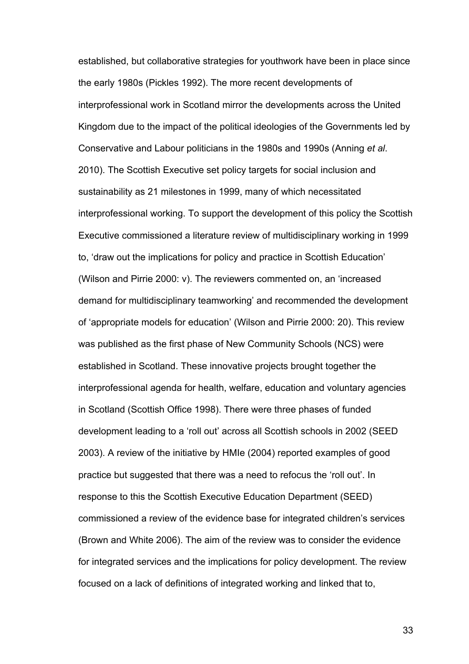established, but collaborative strategies for youthwork have been in place since the early 1980s (Pickles 1992). The more recent developments of interprofessional work in Scotland mirror the developments across the United Kingdom due to the impact of the political ideologies of the Governments led by Conservative and Labour politicians in the 1980s and 1990s (Anning *et al*. 2010). The Scottish Executive set policy targets for social inclusion and sustainability as 21 milestones in 1999, many of which necessitated interprofessional working. To support the development of this policy the Scottish Executive commissioned a literature review of multidisciplinary working in 1999 to, 'draw out the implications for policy and practice in Scottish Education' (Wilson and Pirrie 2000: v). The reviewers commented on, an 'increased demand for multidisciplinary teamworking' and recommended the development of 'appropriate models for education' (Wilson and Pirrie 2000: 20). This review was published as the first phase of New Community Schools (NCS) were established in Scotland. These innovative projects brought together the interprofessional agenda for health, welfare, education and voluntary agencies in Scotland (Scottish Office 1998). There were three phases of funded development leading to a 'roll out' across all Scottish schools in 2002 (SEED 2003). A review of the initiative by HMIe (2004) reported examples of good practice but suggested that there was a need to refocus the 'roll out'. In response to this the Scottish Executive Education Department (SEED) commissioned a review of the evidence base for integrated children's services (Brown and White 2006). The aim of the review was to consider the evidence for integrated services and the implications for policy development. The review focused on a lack of definitions of integrated working and linked that to,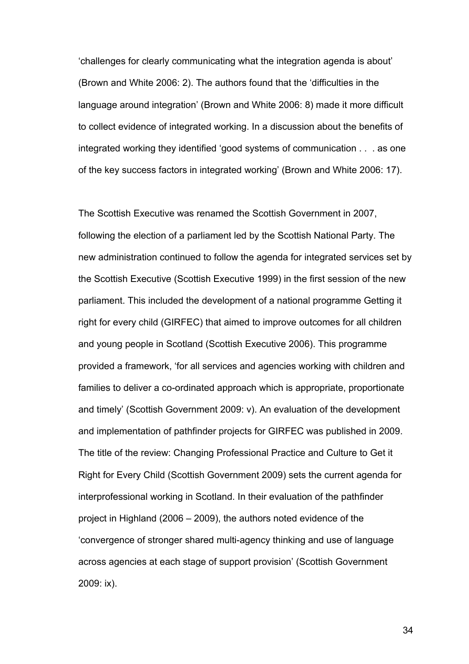'challenges for clearly communicating what the integration agenda is about' (Brown and White 2006: 2). The authors found that the 'difficulties in the language around integration' (Brown and White 2006: 8) made it more difficult to collect evidence of integrated working. In a discussion about the benefits of integrated working they identified 'good systems of communication . . . as one of the key success factors in integrated working' (Brown and White 2006: 17).

The Scottish Executive was renamed the Scottish Government in 2007, following the election of a parliament led by the Scottish National Party. The new administration continued to follow the agenda for integrated services set by the Scottish Executive (Scottish Executive 1999) in the first session of the new parliament. This included the development of a national programme Getting it right for every child (GIRFEC) that aimed to improve outcomes for all children and young people in Scotland (Scottish Executive 2006). This programme provided a framework, 'for all services and agencies working with children and families to deliver a co-ordinated approach which is appropriate, proportionate and timely' (Scottish Government 2009: v). An evaluation of the development and implementation of pathfinder projects for GIRFEC was published in 2009. The title of the review: Changing Professional Practice and Culture to Get it Right for Every Child (Scottish Government 2009) sets the current agenda for interprofessional working in Scotland. In their evaluation of the pathfinder project in Highland (2006 – 2009), the authors noted evidence of the 'convergence of stronger shared multi-agency thinking and use of language across agencies at each stage of support provision' (Scottish Government 2009: ix).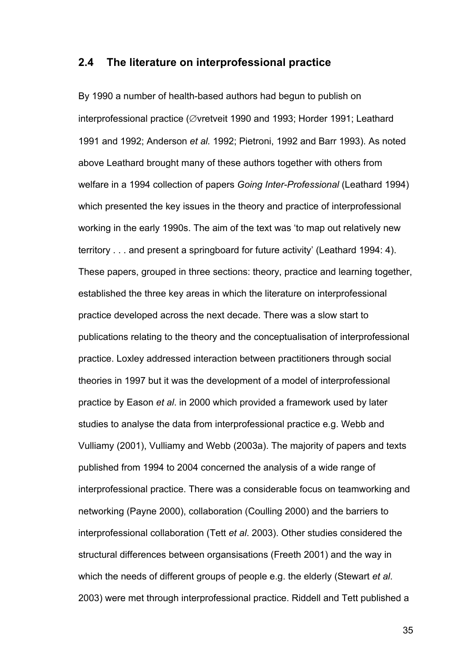## **2.4 The literature on interprofessional practice**

By 1990 a number of health-based authors had begun to publish on interprofessional practice (∅vretveit 1990 and 1993; Horder 1991; Leathard 1991 and 1992; Anderson *et al.* 1992; Pietroni, 1992 and Barr 1993). As noted above Leathard brought many of these authors together with others from welfare in a 1994 collection of papers *Going Inter-Professional* (Leathard 1994) which presented the key issues in the theory and practice of interprofessional working in the early 1990s. The aim of the text was 'to map out relatively new territory . . . and present a springboard for future activity' (Leathard 1994: 4). These papers, grouped in three sections: theory, practice and learning together, established the three key areas in which the literature on interprofessional practice developed across the next decade. There was a slow start to publications relating to the theory and the conceptualisation of interprofessional practice. Loxley addressed interaction between practitioners through social theories in 1997 but it was the development of a model of interprofessional practice by Eason *et al*. in 2000 which provided a framework used by later studies to analyse the data from interprofessional practice e.g. Webb and Vulliamy (2001), Vulliamy and Webb (2003a). The majority of papers and texts published from 1994 to 2004 concerned the analysis of a wide range of interprofessional practice. There was a considerable focus on teamworking and networking (Payne 2000), collaboration (Coulling 2000) and the barriers to interprofessional collaboration (Tett *et al*. 2003). Other studies considered the structural differences between organsisations (Freeth 2001) and the way in which the needs of different groups of people e.g. the elderly (Stewart *et al*. 2003) were met through interprofessional practice. Riddell and Tett published a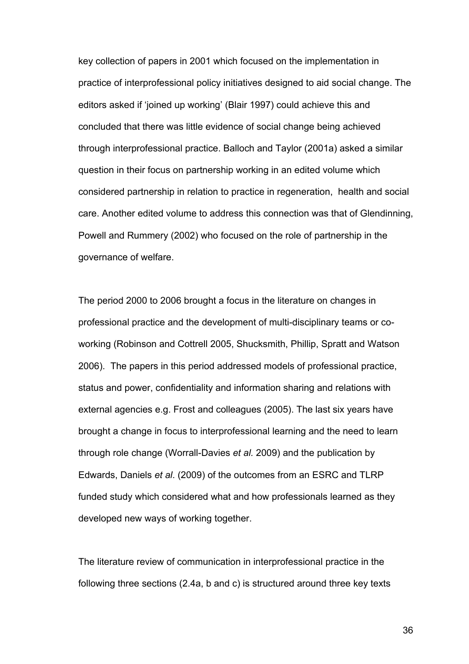key collection of papers in 2001 which focused on the implementation in practice of interprofessional policy initiatives designed to aid social change. The editors asked if 'joined up working' (Blair 1997) could achieve this and concluded that there was little evidence of social change being achieved through interprofessional practice. Balloch and Taylor (2001a) asked a similar question in their focus on partnership working in an edited volume which considered partnership in relation to practice in regeneration, health and social care. Another edited volume to address this connection was that of Glendinning, Powell and Rummery (2002) who focused on the role of partnership in the governance of welfare.

The period 2000 to 2006 brought a focus in the literature on changes in professional practice and the development of multi-disciplinary teams or coworking (Robinson and Cottrell 2005, Shucksmith, Phillip, Spratt and Watson 2006). The papers in this period addressed models of professional practice, status and power, confidentiality and information sharing and relations with external agencies e.g. Frost and colleagues (2005). The last six years have brought a change in focus to interprofessional learning and the need to learn through role change (Worrall-Davies *et al.* 2009) and the publication by Edwards, Daniels *et al*. (2009) of the outcomes from an ESRC and TLRP funded study which considered what and how professionals learned as they developed new ways of working together.

The literature review of communication in interprofessional practice in the following three sections (2.4a, b and c) is structured around three key texts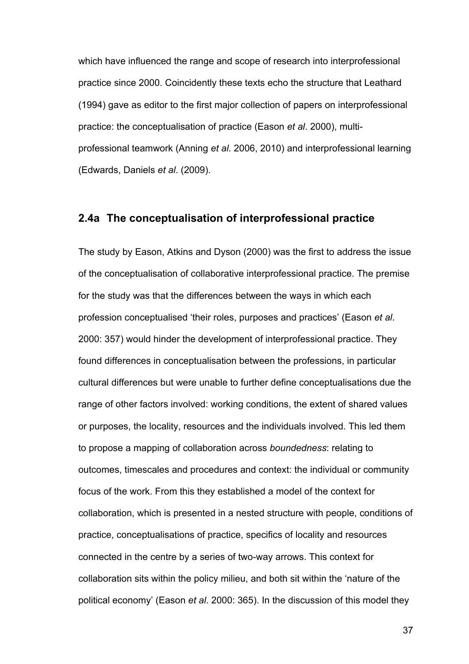which have influenced the range and scope of research into interprofessional practice since 2000. Coincidently these texts echo the structure that Leathard (1994) gave as editor to the first major collection of papers on interprofessional practice: the conceptualisation of practice (Eason *et al*. 2000), multiprofessional teamwork (Anning *et al.* 2006, 2010) and interprofessional learning (Edwards, Daniels *et al*. (2009).

#### **2.4a The conceptualisation of interprofessional practice**

The study by Eason, Atkins and Dyson (2000) was the first to address the issue of the conceptualisation of collaborative interprofessional practice. The premise for the study was that the differences between the ways in which each profession conceptualised 'their roles, purposes and practices' (Eason *et al*. 2000: 357) would hinder the development of interprofessional practice. They found differences in conceptualisation between the professions, in particular cultural differences but were unable to further define conceptualisations due the range of other factors involved: working conditions, the extent of shared values or purposes, the locality, resources and the individuals involved. This led them to propose a mapping of collaboration across *boundedness*: relating to outcomes, timescales and procedures and context: the individual or community focus of the work. From this they established a model of the context for collaboration, which is presented in a nested structure with people, conditions of practice, conceptualisations of practice, specifics of locality and resources connected in the centre by a series of two-way arrows. This context for collaboration sits within the policy milieu, and both sit within the 'nature of the political economy' (Eason *et al*. 2000: 365). In the discussion of this model they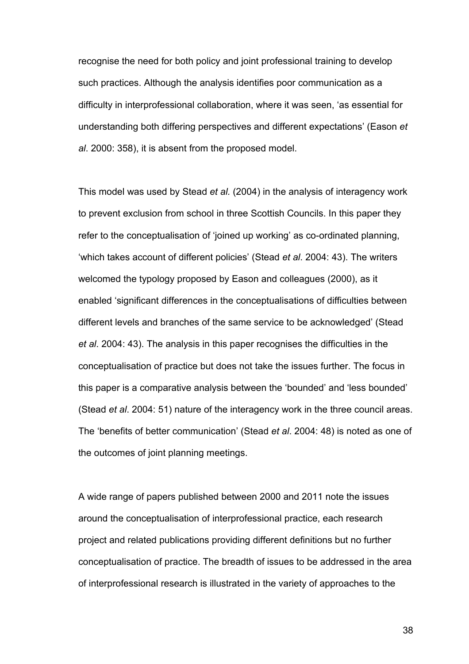recognise the need for both policy and joint professional training to develop such practices. Although the analysis identifies poor communication as a difficulty in interprofessional collaboration, where it was seen, 'as essential for understanding both differing perspectives and different expectations' (Eason *et al*. 2000: 358), it is absent from the proposed model.

This model was used by Stead *et al.* (2004) in the analysis of interagency work to prevent exclusion from school in three Scottish Councils. In this paper they refer to the conceptualisation of 'joined up working' as co-ordinated planning, 'which takes account of different policies' (Stead *et al*. 2004: 43). The writers welcomed the typology proposed by Eason and colleagues (2000), as it enabled 'significant differences in the conceptualisations of difficulties between different levels and branches of the same service to be acknowledged' (Stead *et al*. 2004: 43). The analysis in this paper recognises the difficulties in the conceptualisation of practice but does not take the issues further. The focus in this paper is a comparative analysis between the 'bounded' and 'less bounded' (Stead *et al*. 2004: 51) nature of the interagency work in the three council areas. The 'benefits of better communication' (Stead *et al*. 2004: 48) is noted as one of the outcomes of joint planning meetings.

A wide range of papers published between 2000 and 2011 note the issues around the conceptualisation of interprofessional practice, each research project and related publications providing different definitions but no further conceptualisation of practice. The breadth of issues to be addressed in the area of interprofessional research is illustrated in the variety of approaches to the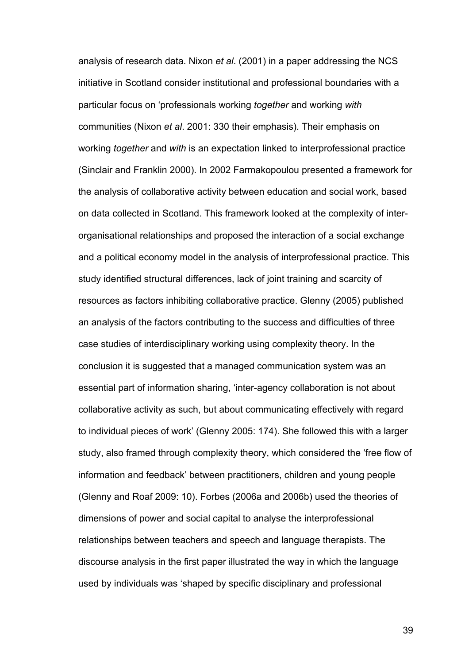analysis of research data. Nixon *et al*. (2001) in a paper addressing the NCS initiative in Scotland consider institutional and professional boundaries with a particular focus on 'professionals working *together* and working *with* communities (Nixon *et al*. 2001: 330 their emphasis). Their emphasis on working *together* and *with* is an expectation linked to interprofessional practice (Sinclair and Franklin 2000). In 2002 Farmakopoulou presented a framework for the analysis of collaborative activity between education and social work, based on data collected in Scotland. This framework looked at the complexity of interorganisational relationships and proposed the interaction of a social exchange and a political economy model in the analysis of interprofessional practice. This study identified structural differences, lack of joint training and scarcity of resources as factors inhibiting collaborative practice. Glenny (2005) published an analysis of the factors contributing to the success and difficulties of three case studies of interdisciplinary working using complexity theory. In the conclusion it is suggested that a managed communication system was an essential part of information sharing, 'inter-agency collaboration is not about collaborative activity as such, but about communicating effectively with regard to individual pieces of work' (Glenny 2005: 174). She followed this with a larger study, also framed through complexity theory, which considered the 'free flow of information and feedback' between practitioners, children and young people (Glenny and Roaf 2009: 10). Forbes (2006a and 2006b) used the theories of dimensions of power and social capital to analyse the interprofessional relationships between teachers and speech and language therapists. The discourse analysis in the first paper illustrated the way in which the language used by individuals was 'shaped by specific disciplinary and professional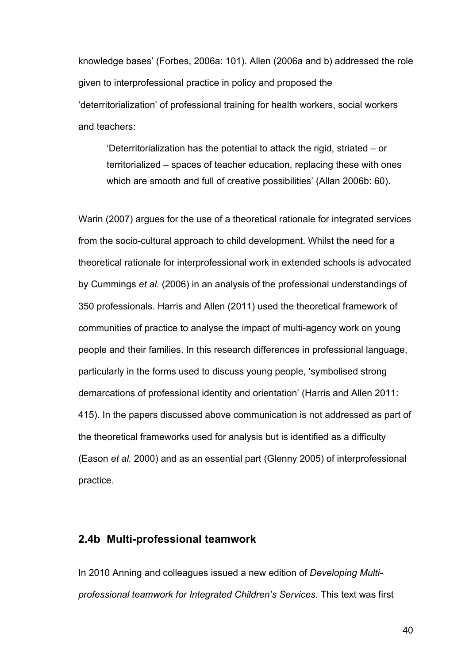knowledge bases' (Forbes, 2006a: 101). Allen (2006a and b) addressed the role given to interprofessional practice in policy and proposed the 'deterritorialization' of professional training for health workers, social workers and teachers:

'Deterritorialization has the potential to attack the rigid, striated – or territorialized – spaces of teacher education, replacing these with ones which are smooth and full of creative possibilities' (Allan 2006b: 60).

Warin (2007) argues for the use of a theoretical rationale for integrated services from the socio-cultural approach to child development. Whilst the need for a theoretical rationale for interprofessional work in extended schools is advocated by Cummings *et al.* (2006) in an analysis of the professional understandings of 350 professionals. Harris and Allen (2011) used the theoretical framework of communities of practice to analyse the impact of multi-agency work on young people and their families. In this research differences in professional language, particularly in the forms used to discuss young people, 'symbolised strong demarcations of professional identity and orientation' (Harris and Allen 2011: 415). In the papers discussed above communication is not addressed as part of the theoretical frameworks used for analysis but is identified as a difficulty (Eason *et al.* 2000) and as an essential part (Glenny 2005) of interprofessional practice.

#### **2.4b Multi-professional teamwork**

In 2010 Anning and colleagues issued a new edition of *Developing Multiprofessional teamwork for Integrated Children's Services*. This text was first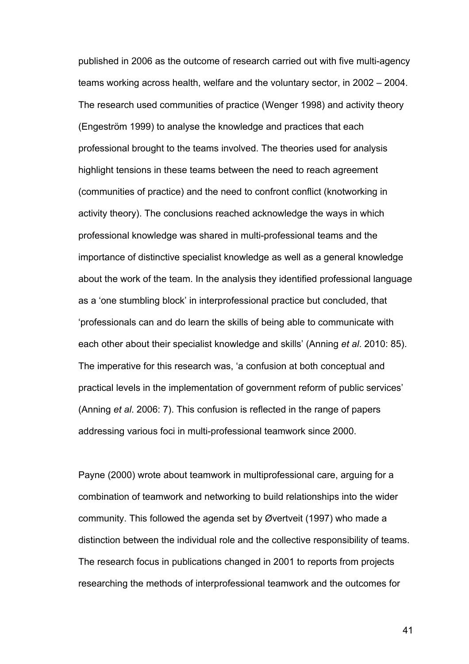published in 2006 as the outcome of research carried out with five multi-agency teams working across health, welfare and the voluntary sector, in 2002 – 2004. The research used communities of practice (Wenger 1998) and activity theory (Engeström 1999) to analyse the knowledge and practices that each professional brought to the teams involved. The theories used for analysis highlight tensions in these teams between the need to reach agreement (communities of practice) and the need to confront conflict (knotworking in activity theory). The conclusions reached acknowledge the ways in which professional knowledge was shared in multi-professional teams and the importance of distinctive specialist knowledge as well as a general knowledge about the work of the team. In the analysis they identified professional language as a 'one stumbling block' in interprofessional practice but concluded, that 'professionals can and do learn the skills of being able to communicate with each other about their specialist knowledge and skills' (Anning *et al*. 2010: 85). The imperative for this research was, 'a confusion at both conceptual and practical levels in the implementation of government reform of public services' (Anning *et al*. 2006: 7). This confusion is reflected in the range of papers addressing various foci in multi-professional teamwork since 2000.

Payne (2000) wrote about teamwork in multiprofessional care, arguing for a combination of teamwork and networking to build relationships into the wider community. This followed the agenda set by Øvertveit (1997) who made a distinction between the individual role and the collective responsibility of teams. The research focus in publications changed in 2001 to reports from projects researching the methods of interprofessional teamwork and the outcomes for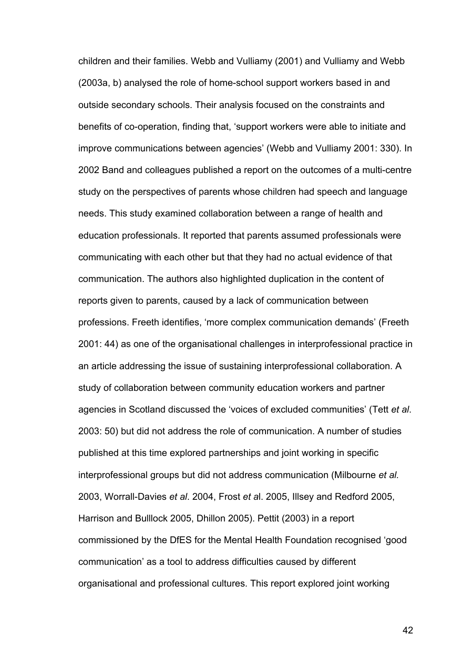children and their families. Webb and Vulliamy (2001) and Vulliamy and Webb (2003a, b) analysed the role of home-school support workers based in and outside secondary schools. Their analysis focused on the constraints and benefits of co-operation, finding that, 'support workers were able to initiate and improve communications between agencies' (Webb and Vulliamy 2001: 330). In 2002 Band and colleagues published a report on the outcomes of a multi-centre study on the perspectives of parents whose children had speech and language needs. This study examined collaboration between a range of health and education professionals. It reported that parents assumed professionals were communicating with each other but that they had no actual evidence of that communication. The authors also highlighted duplication in the content of reports given to parents, caused by a lack of communication between professions. Freeth identifies, 'more complex communication demands' (Freeth 2001: 44) as one of the organisational challenges in interprofessional practice in an article addressing the issue of sustaining interprofessional collaboration. A study of collaboration between community education workers and partner agencies in Scotland discussed the 'voices of excluded communities' (Tett *et al*. 2003: 50) but did not address the role of communication. A number of studies published at this time explored partnerships and joint working in specific interprofessional groups but did not address communication (Milbourne *et al.* 2003, Worrall-Davies *et al*. 2004, Frost *et a*l. 2005, Illsey and Redford 2005, Harrison and Bulllock 2005, Dhillon 2005). Pettit (2003) in a report commissioned by the DfES for the Mental Health Foundation recognised 'good communication' as a tool to address difficulties caused by different organisational and professional cultures. This report explored joint working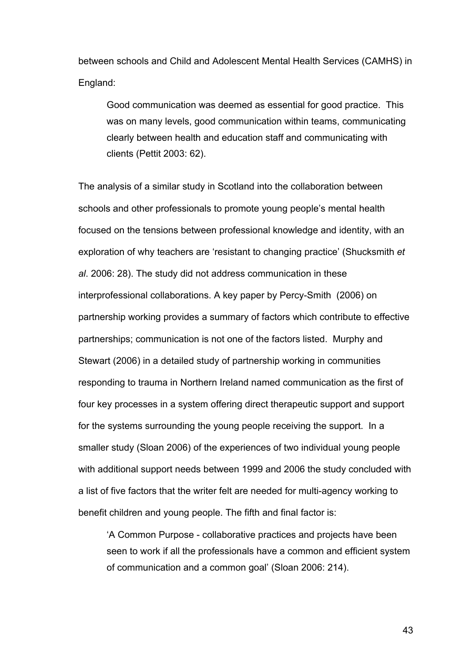between schools and Child and Adolescent Mental Health Services (CAMHS) in England:

Good communication was deemed as essential for good practice. This was on many levels, good communication within teams, communicating clearly between health and education staff and communicating with clients (Pettit 2003: 62).

The analysis of a similar study in Scotland into the collaboration between schools and other professionals to promote young people's mental health focused on the tensions between professional knowledge and identity, with an exploration of why teachers are 'resistant to changing practice' (Shucksmith *et al*. 2006: 28). The study did not address communication in these interprofessional collaborations. A key paper by Percy-Smith (2006) on partnership working provides a summary of factors which contribute to effective partnerships; communication is not one of the factors listed. Murphy and Stewart (2006) in a detailed study of partnership working in communities responding to trauma in Northern Ireland named communication as the first of four key processes in a system offering direct therapeutic support and support for the systems surrounding the young people receiving the support. In a smaller study (Sloan 2006) of the experiences of two individual young people with additional support needs between 1999 and 2006 the study concluded with a list of five factors that the writer felt are needed for multi-agency working to benefit children and young people. The fifth and final factor is:

'A Common Purpose - collaborative practices and projects have been seen to work if all the professionals have a common and efficient system of communication and a common goal' (Sloan 2006: 214).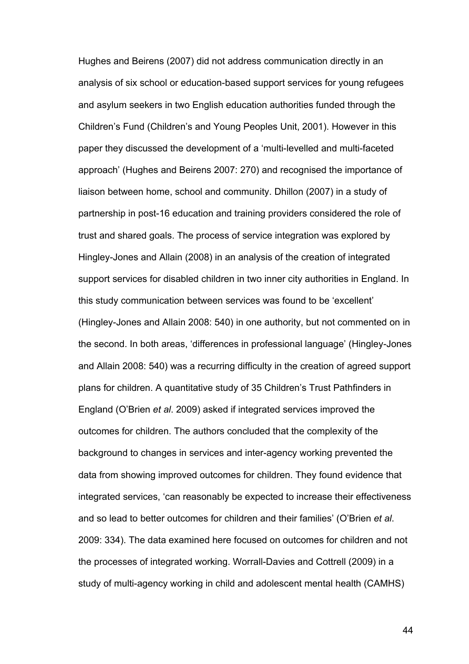Hughes and Beirens (2007) did not address communication directly in an analysis of six school or education-based support services for young refugees and asylum seekers in two English education authorities funded through the Children's Fund (Children's and Young Peoples Unit, 2001). However in this paper they discussed the development of a 'multi-levelled and multi-faceted approach' (Hughes and Beirens 2007: 270) and recognised the importance of liaison between home, school and community. Dhillon (2007) in a study of partnership in post-16 education and training providers considered the role of trust and shared goals. The process of service integration was explored by Hingley-Jones and Allain (2008) in an analysis of the creation of integrated support services for disabled children in two inner city authorities in England. In this study communication between services was found to be 'excellent' (Hingley-Jones and Allain 2008: 540) in one authority, but not commented on in the second. In both areas, 'differences in professional language' (Hingley-Jones and Allain 2008: 540) was a recurring difficulty in the creation of agreed support plans for children. A quantitative study of 35 Children's Trust Pathfinders in England (O'Brien *et al*. 2009) asked if integrated services improved the outcomes for children. The authors concluded that the complexity of the background to changes in services and inter-agency working prevented the data from showing improved outcomes for children. They found evidence that integrated services, 'can reasonably be expected to increase their effectiveness and so lead to better outcomes for children and their families' (O'Brien *et al*. 2009: 334). The data examined here focused on outcomes for children and not the processes of integrated working. Worrall-Davies and Cottrell (2009) in a study of multi-agency working in child and adolescent mental health (CAMHS)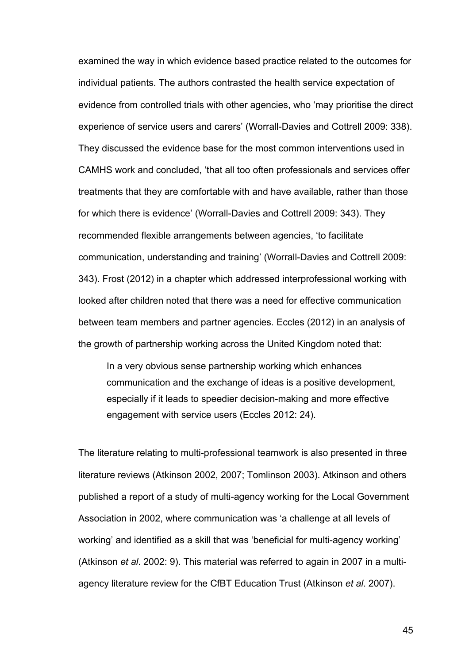examined the way in which evidence based practice related to the outcomes for individual patients. The authors contrasted the health service expectation of evidence from controlled trials with other agencies, who 'may prioritise the direct experience of service users and carers' (Worrall-Davies and Cottrell 2009: 338). They discussed the evidence base for the most common interventions used in CAMHS work and concluded, 'that all too often professionals and services offer treatments that they are comfortable with and have available, rather than those for which there is evidence' (Worrall-Davies and Cottrell 2009: 343). They recommended flexible arrangements between agencies, 'to facilitate communication, understanding and training' (Worrall-Davies and Cottrell 2009: 343). Frost (2012) in a chapter which addressed interprofessional working with looked after children noted that there was a need for effective communication between team members and partner agencies. Eccles (2012) in an analysis of the growth of partnership working across the United Kingdom noted that:

In a very obvious sense partnership working which enhances communication and the exchange of ideas is a positive development, especially if it leads to speedier decision-making and more effective engagement with service users (Eccles 2012: 24).

The literature relating to multi-professional teamwork is also presented in three literature reviews (Atkinson 2002, 2007; Tomlinson 2003). Atkinson and others published a report of a study of multi-agency working for the Local Government Association in 2002, where communication was 'a challenge at all levels of working' and identified as a skill that was 'beneficial for multi-agency working' (Atkinson *et al*. 2002: 9). This material was referred to again in 2007 in a multiagency literature review for the CfBT Education Trust (Atkinson *et al*. 2007).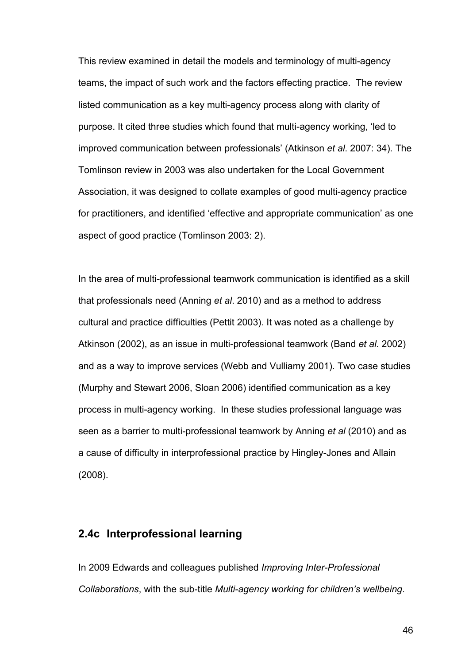This review examined in detail the models and terminology of multi-agency teams, the impact of such work and the factors effecting practice. The review listed communication as a key multi-agency process along with clarity of purpose. It cited three studies which found that multi-agency working, 'led to improved communication between professionals' (Atkinson *et al*. 2007: 34). The Tomlinson review in 2003 was also undertaken for the Local Government Association, it was designed to collate examples of good multi-agency practice for practitioners, and identified 'effective and appropriate communication' as one aspect of good practice (Tomlinson 2003: 2).

In the area of multi-professional teamwork communication is identified as a skill that professionals need (Anning *et al*. 2010) and as a method to address cultural and practice difficulties (Pettit 2003). It was noted as a challenge by Atkinson (2002), as an issue in multi-professional teamwork (Band *et al*. 2002) and as a way to improve services (Webb and Vulliamy 2001). Two case studies (Murphy and Stewart 2006, Sloan 2006) identified communication as a key process in multi-agency working. In these studies professional language was seen as a barrier to multi-professional teamwork by Anning *et al* (2010) and as a cause of difficulty in interprofessional practice by Hingley-Jones and Allain (2008).

## **2.4c Interprofessional learning**

In 2009 Edwards and colleagues published *Improving Inter-Professional Collaborations*, with the sub-title *Multi-agency working for children's wellbeing*.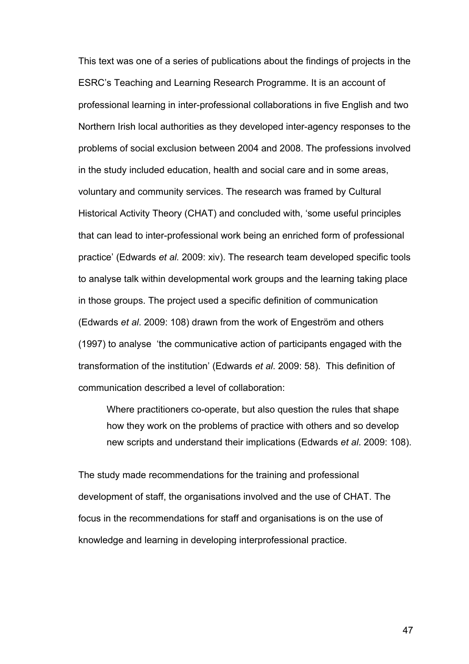This text was one of a series of publications about the findings of projects in the ESRC's Teaching and Learning Research Programme. It is an account of professional learning in inter-professional collaborations in five English and two Northern Irish local authorities as they developed inter-agency responses to the problems of social exclusion between 2004 and 2008. The professions involved in the study included education, health and social care and in some areas, voluntary and community services. The research was framed by Cultural Historical Activity Theory (CHAT) and concluded with, 'some useful principles that can lead to inter-professional work being an enriched form of professional practice' (Edwards *et al.* 2009: xiv). The research team developed specific tools to analyse talk within developmental work groups and the learning taking place in those groups. The project used a specific definition of communication (Edwards *et al*. 2009: 108) drawn from the work of Engeström and others (1997) to analyse 'the communicative action of participants engaged with the transformation of the institution' (Edwards *et al*. 2009: 58). This definition of communication described a level of collaboration:

Where practitioners co-operate, but also question the rules that shape how they work on the problems of practice with others and so develop new scripts and understand their implications (Edwards *et al*. 2009: 108).

The study made recommendations for the training and professional development of staff, the organisations involved and the use of CHAT. The focus in the recommendations for staff and organisations is on the use of knowledge and learning in developing interprofessional practice.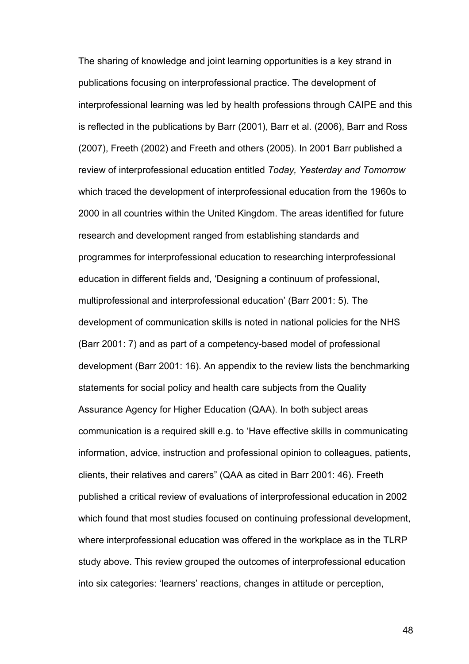The sharing of knowledge and joint learning opportunities is a key strand in publications focusing on interprofessional practice. The development of interprofessional learning was led by health professions through CAIPE and this is reflected in the publications by Barr (2001), Barr et al. (2006), Barr and Ross (2007), Freeth (2002) and Freeth and others (2005). In 2001 Barr published a review of interprofessional education entitled *Today, Yesterday and Tomorrow* which traced the development of interprofessional education from the 1960s to 2000 in all countries within the United Kingdom. The areas identified for future research and development ranged from establishing standards and programmes for interprofessional education to researching interprofessional education in different fields and, 'Designing a continuum of professional, multiprofessional and interprofessional education' (Barr 2001: 5). The development of communication skills is noted in national policies for the NHS (Barr 2001: 7) and as part of a competency-based model of professional development (Barr 2001: 16). An appendix to the review lists the benchmarking statements for social policy and health care subjects from the Quality Assurance Agency for Higher Education (QAA). In both subject areas communication is a required skill e.g. to 'Have effective skills in communicating information, advice, instruction and professional opinion to colleagues, patients, clients, their relatives and carers" (QAA as cited in Barr 2001: 46). Freeth published a critical review of evaluations of interprofessional education in 2002 which found that most studies focused on continuing professional development, where interprofessional education was offered in the workplace as in the TLRP study above. This review grouped the outcomes of interprofessional education into six categories: 'learners' reactions, changes in attitude or perception,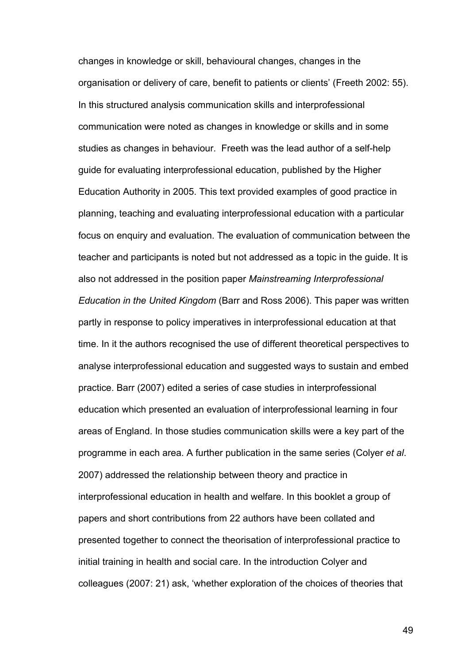changes in knowledge or skill, behavioural changes, changes in the organisation or delivery of care, benefit to patients or clients' (Freeth 2002: 55). In this structured analysis communication skills and interprofessional communication were noted as changes in knowledge or skills and in some studies as changes in behaviour. Freeth was the lead author of a self-help guide for evaluating interprofessional education, published by the Higher Education Authority in 2005. This text provided examples of good practice in planning, teaching and evaluating interprofessional education with a particular focus on enquiry and evaluation. The evaluation of communication between the teacher and participants is noted but not addressed as a topic in the guide. It is also not addressed in the position paper *Mainstreaming Interprofessional Education in the United Kingdom* (Barr and Ross 2006). This paper was written partly in response to policy imperatives in interprofessional education at that time. In it the authors recognised the use of different theoretical perspectives to analyse interprofessional education and suggested ways to sustain and embed practice. Barr (2007) edited a series of case studies in interprofessional education which presented an evaluation of interprofessional learning in four areas of England. In those studies communication skills were a key part of the programme in each area. A further publication in the same series (Colyer *et al*. 2007) addressed the relationship between theory and practice in interprofessional education in health and welfare. In this booklet a group of papers and short contributions from 22 authors have been collated and presented together to connect the theorisation of interprofessional practice to initial training in health and social care. In the introduction Colyer and colleagues (2007: 21) ask, 'whether exploration of the choices of theories that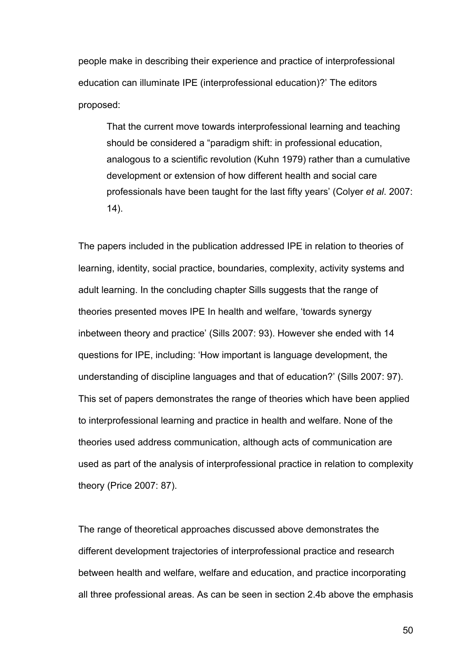people make in describing their experience and practice of interprofessional education can illuminate IPE (interprofessional education)?' The editors proposed:

That the current move towards interprofessional learning and teaching should be considered a "paradigm shift: in professional education, analogous to a scientific revolution (Kuhn 1979) rather than a cumulative development or extension of how different health and social care professionals have been taught for the last fifty years' (Colyer *et al*. 2007:  $(14)$ .

The papers included in the publication addressed IPE in relation to theories of learning, identity, social practice, boundaries, complexity, activity systems and adult learning. In the concluding chapter Sills suggests that the range of theories presented moves IPE In health and welfare, 'towards synergy inbetween theory and practice' (Sills 2007: 93). However she ended with 14 questions for IPE, including: 'How important is language development, the understanding of discipline languages and that of education?' (Sills 2007: 97). This set of papers demonstrates the range of theories which have been applied to interprofessional learning and practice in health and welfare. None of the theories used address communication, although acts of communication are used as part of the analysis of interprofessional practice in relation to complexity theory (Price 2007: 87).

The range of theoretical approaches discussed above demonstrates the different development trajectories of interprofessional practice and research between health and welfare, welfare and education, and practice incorporating all three professional areas. As can be seen in section 2.4b above the emphasis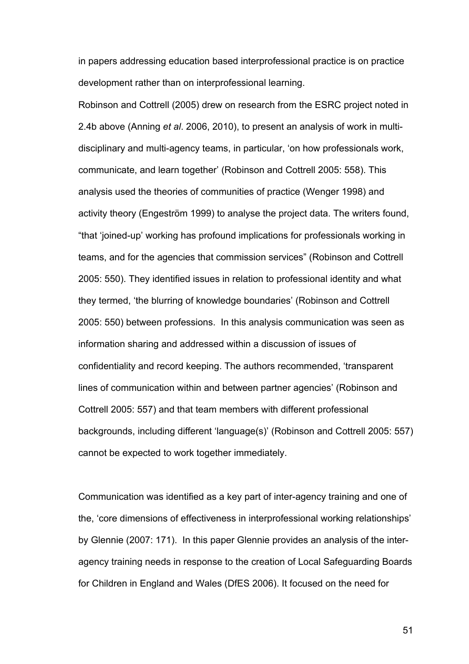in papers addressing education based interprofessional practice is on practice development rather than on interprofessional learning.

Robinson and Cottrell (2005) drew on research from the ESRC project noted in 2.4b above (Anning *et al*. 2006, 2010), to present an analysis of work in multidisciplinary and multi-agency teams, in particular, 'on how professionals work, communicate, and learn together' (Robinson and Cottrell 2005: 558). This analysis used the theories of communities of practice (Wenger 1998) and activity theory (Engeström 1999) to analyse the project data. The writers found, "that 'joined-up' working has profound implications for professionals working in teams, and for the agencies that commission services" (Robinson and Cottrell 2005: 550). They identified issues in relation to professional identity and what they termed, 'the blurring of knowledge boundaries' (Robinson and Cottrell 2005: 550) between professions. In this analysis communication was seen as information sharing and addressed within a discussion of issues of confidentiality and record keeping. The authors recommended, 'transparent lines of communication within and between partner agencies' (Robinson and Cottrell 2005: 557) and that team members with different professional backgrounds, including different 'language(s)' (Robinson and Cottrell 2005: 557) cannot be expected to work together immediately.

Communication was identified as a key part of inter-agency training and one of the, 'core dimensions of effectiveness in interprofessional working relationships' by Glennie (2007: 171). In this paper Glennie provides an analysis of the interagency training needs in response to the creation of Local Safeguarding Boards for Children in England and Wales (DfES 2006). It focused on the need for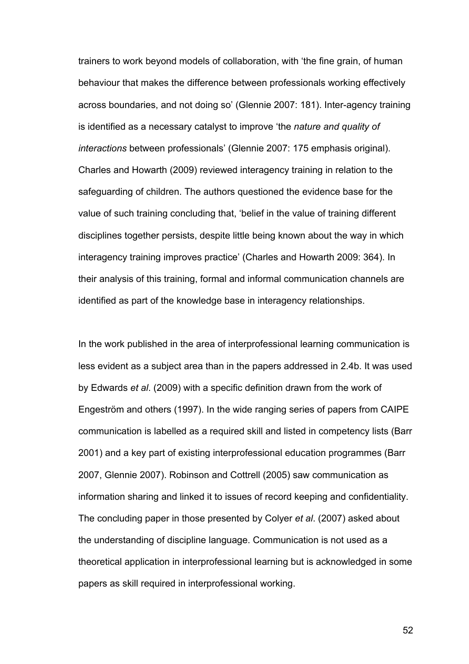trainers to work beyond models of collaboration, with 'the fine grain, of human behaviour that makes the difference between professionals working effectively across boundaries, and not doing so' (Glennie 2007: 181). Inter-agency training is identified as a necessary catalyst to improve 'the *nature and quality of interactions* between professionals' (Glennie 2007: 175 emphasis original). Charles and Howarth (2009) reviewed interagency training in relation to the safeguarding of children. The authors questioned the evidence base for the value of such training concluding that, 'belief in the value of training different disciplines together persists, despite little being known about the way in which interagency training improves practice' (Charles and Howarth 2009: 364). In their analysis of this training, formal and informal communication channels are identified as part of the knowledge base in interagency relationships.

In the work published in the area of interprofessional learning communication is less evident as a subject area than in the papers addressed in 2.4b. It was used by Edwards *et al*. (2009) with a specific definition drawn from the work of Engeström and others (1997). In the wide ranging series of papers from CAIPE communication is labelled as a required skill and listed in competency lists (Barr 2001) and a key part of existing interprofessional education programmes (Barr 2007, Glennie 2007). Robinson and Cottrell (2005) saw communication as information sharing and linked it to issues of record keeping and confidentiality. The concluding paper in those presented by Colyer *et al*. (2007) asked about the understanding of discipline language. Communication is not used as a theoretical application in interprofessional learning but is acknowledged in some papers as skill required in interprofessional working.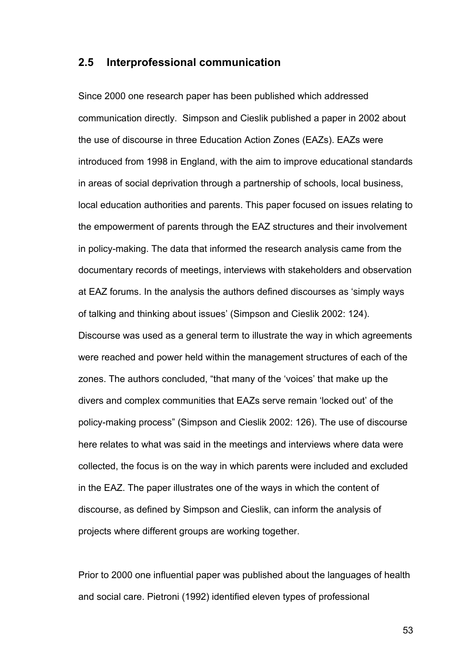### **2.5 Interprofessional communication**

Since 2000 one research paper has been published which addressed communication directly. Simpson and Cieslik published a paper in 2002 about the use of discourse in three Education Action Zones (EAZs). EAZs were introduced from 1998 in England, with the aim to improve educational standards in areas of social deprivation through a partnership of schools, local business, local education authorities and parents. This paper focused on issues relating to the empowerment of parents through the EAZ structures and their involvement in policy-making. The data that informed the research analysis came from the documentary records of meetings, interviews with stakeholders and observation at EAZ forums. In the analysis the authors defined discourses as 'simply ways of talking and thinking about issues' (Simpson and Cieslik 2002: 124). Discourse was used as a general term to illustrate the way in which agreements were reached and power held within the management structures of each of the zones. The authors concluded, "that many of the 'voices' that make up the divers and complex communities that EAZs serve remain 'locked out' of the policy-making process" (Simpson and Cieslik 2002: 126). The use of discourse here relates to what was said in the meetings and interviews where data were collected, the focus is on the way in which parents were included and excluded in the EAZ. The paper illustrates one of the ways in which the content of discourse, as defined by Simpson and Cieslik, can inform the analysis of projects where different groups are working together.

Prior to 2000 one influential paper was published about the languages of health and social care. Pietroni (1992) identified eleven types of professional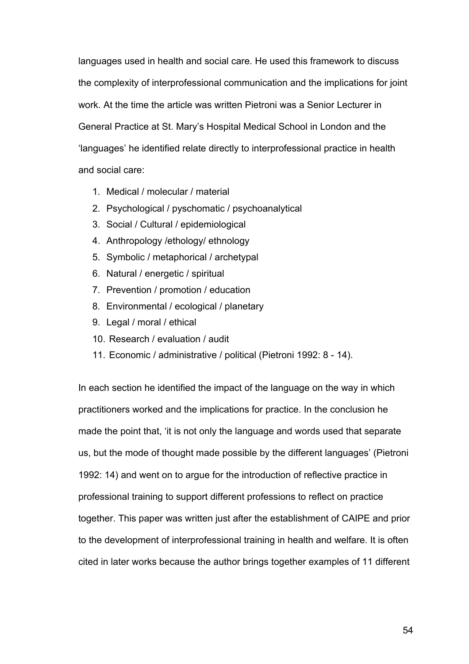languages used in health and social care. He used this framework to discuss the complexity of interprofessional communication and the implications for joint work. At the time the article was written Pietroni was a Senior Lecturer in General Practice at St. Mary's Hospital Medical School in London and the 'languages' he identified relate directly to interprofessional practice in health and social care:

- 1. Medical / molecular / material
- 2. Psychological / pyschomatic / psychoanalytical
- 3. Social / Cultural / epidemiological
- 4. Anthropology /ethology/ ethnology
- 5. Symbolic / metaphorical / archetypal
- 6. Natural / energetic / spiritual
- 7. Prevention / promotion / education
- 8. Environmental / ecological / planetary
- 9. Legal / moral / ethical
- 10. Research / evaluation / audit
- 11. Economic / administrative / political (Pietroni 1992: 8 14).

In each section he identified the impact of the language on the way in which practitioners worked and the implications for practice. In the conclusion he made the point that, 'it is not only the language and words used that separate us, but the mode of thought made possible by the different languages' (Pietroni 1992: 14) and went on to argue for the introduction of reflective practice in professional training to support different professions to reflect on practice together. This paper was written just after the establishment of CAIPE and prior to the development of interprofessional training in health and welfare. It is often cited in later works because the author brings together examples of 11 different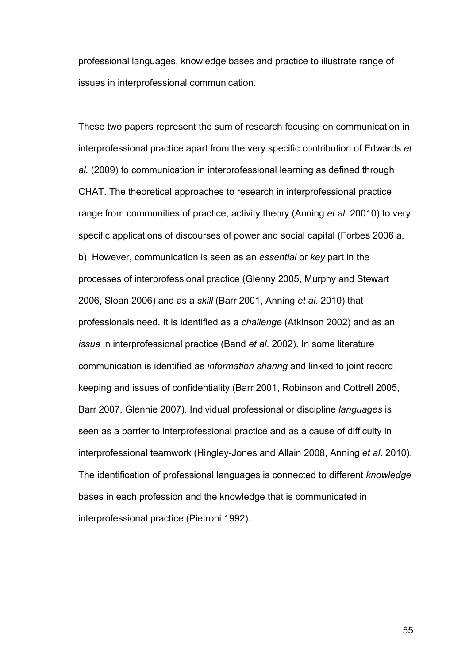professional languages, knowledge bases and practice to illustrate range of issues in interprofessional communication.

These two papers represent the sum of research focusing on communication in interprofessional practice apart from the very specific contribution of Edwards *et al.* (2009) to communication in interprofessional learning as defined through CHAT. The theoretical approaches to research in interprofessional practice range from communities of practice, activity theory (Anning *et al*. 20010) to very specific applications of discourses of power and social capital (Forbes 2006 a, b). However, communication is seen as an *essential* or *key* part in the processes of interprofessional practice (Glenny 2005, Murphy and Stewart 2006, Sloan 2006) and as a *skill* (Barr 2001, Anning *et al*. 2010) that professionals need. It is identified as a *challenge* (Atkinson 2002) and as an *issue* in interprofessional practice (Band *et al*. 2002). In some literature communication is identified as *information sharing* and linked to joint record keeping and issues of confidentiality (Barr 2001, Robinson and Cottrell 2005, Barr 2007, Glennie 2007). Individual professional or discipline *languages* is seen as a barrier to interprofessional practice and as a cause of difficulty in interprofessional teamwork (Hingley-Jones and Allain 2008, Anning *et al*. 2010). The identification of professional languages is connected to different *knowledge* bases in each profession and the knowledge that is communicated in interprofessional practice (Pietroni 1992).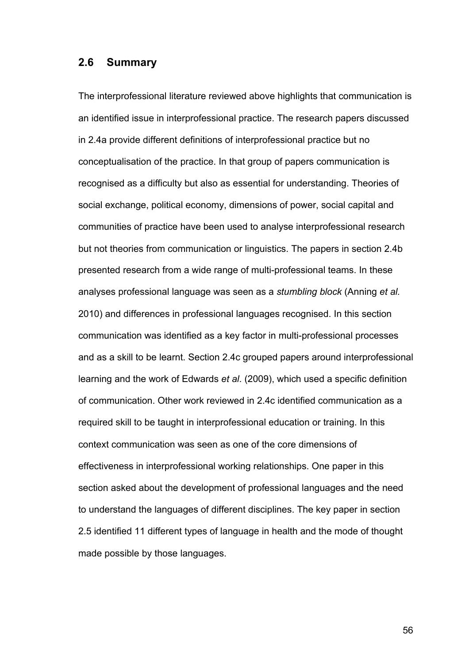#### **2.6 Summary**

The interprofessional literature reviewed above highlights that communication is an identified issue in interprofessional practice. The research papers discussed in 2.4a provide different definitions of interprofessional practice but no conceptualisation of the practice. In that group of papers communication is recognised as a difficulty but also as essential for understanding. Theories of social exchange, political economy, dimensions of power, social capital and communities of practice have been used to analyse interprofessional research but not theories from communication or linguistics. The papers in section 2.4b presented research from a wide range of multi-professional teams. In these analyses professional language was seen as a *stumbling block* (Anning *et al.*  2010) and differences in professional languages recognised. In this section communication was identified as a key factor in multi-professional processes and as a skill to be learnt. Section 2.4c grouped papers around interprofessional learning and the work of Edwards *et al*. (2009), which used a specific definition of communication. Other work reviewed in 2.4c identified communication as a required skill to be taught in interprofessional education or training. In this context communication was seen as one of the core dimensions of effectiveness in interprofessional working relationships. One paper in this section asked about the development of professional languages and the need to understand the languages of different disciplines. The key paper in section 2.5 identified 11 different types of language in health and the mode of thought made possible by those languages.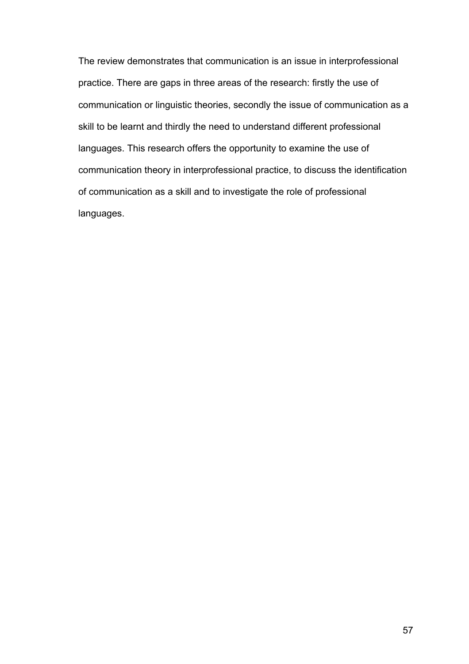The review demonstrates that communication is an issue in interprofessional practice. There are gaps in three areas of the research: firstly the use of communication or linguistic theories, secondly the issue of communication as a skill to be learnt and thirdly the need to understand different professional languages. This research offers the opportunity to examine the use of communication theory in interprofessional practice, to discuss the identification of communication as a skill and to investigate the role of professional languages.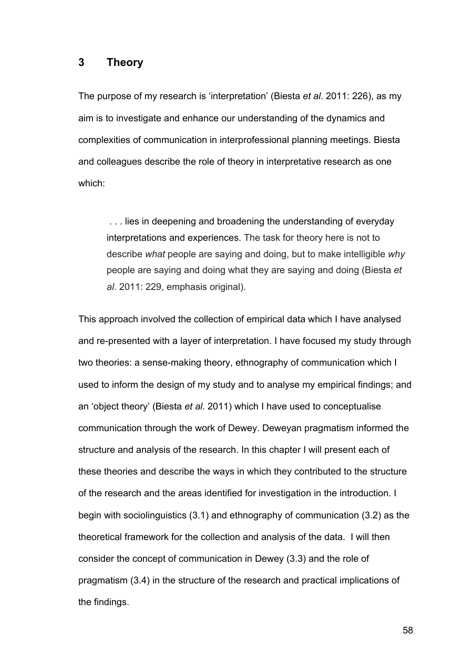#### **3 Theory**

The purpose of my research is 'interpretation' (Biesta *et al*. 2011: 226), as my aim is to investigate and enhance our understanding of the dynamics and complexities of communication in interprofessional planning meetings. Biesta and colleagues describe the role of theory in interpretative research as one which:

. . . lies in deepening and broadening the understanding of everyday interpretations and experiences. The task for theory here is not to describe *what* people are saying and doing, but to make intelligible *why*  people are saying and doing what they are saying and doing (Biesta *et al*. 2011: 229, emphasis original).

This approach involved the collection of empirical data which I have analysed and re-presented with a layer of interpretation. I have focused my study through two theories: a sense-making theory, ethnography of communication which I used to inform the design of my study and to analyse my empirical findings; and an 'object theory' (Biesta *et al*. 2011) which I have used to conceptualise communication through the work of Dewey. Deweyan pragmatism informed the structure and analysis of the research. In this chapter I will present each of these theories and describe the ways in which they contributed to the structure of the research and the areas identified for investigation in the introduction. I begin with sociolinguistics (3.1) and ethnography of communication (3.2) as the theoretical framework for the collection and analysis of the data. I will then consider the concept of communication in Dewey (3.3) and the role of pragmatism (3.4) in the structure of the research and practical implications of the findings.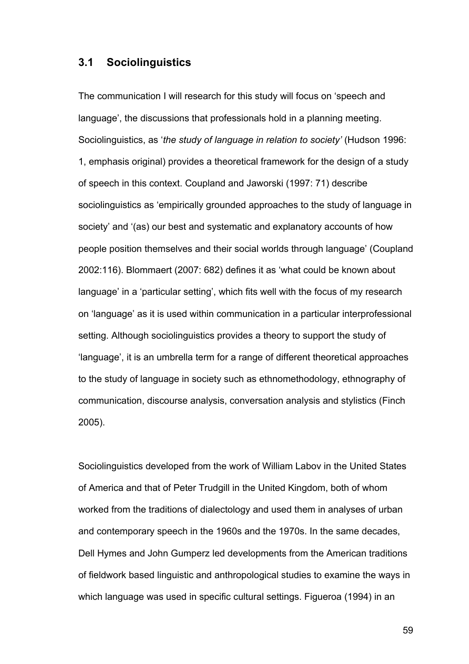#### **3.1 Sociolinguistics**

The communication I will research for this study will focus on 'speech and language', the discussions that professionals hold in a planning meeting. Sociolinguistics, as '*the study of language in relation to society'* (Hudson 1996: 1, emphasis original) provides a theoretical framework for the design of a study of speech in this context. Coupland and Jaworski (1997: 71) describe sociolinguistics as 'empirically grounded approaches to the study of language in society' and '(as) our best and systematic and explanatory accounts of how people position themselves and their social worlds through language' (Coupland 2002:116). Blommaert (2007: 682) defines it as 'what could be known about language' in a 'particular setting', which fits well with the focus of my research on 'language' as it is used within communication in a particular interprofessional setting. Although sociolinguistics provides a theory to support the study of 'language', it is an umbrella term for a range of different theoretical approaches to the study of language in society such as ethnomethodology, ethnography of communication, discourse analysis, conversation analysis and stylistics (Finch 2005).

Sociolinguistics developed from the work of William Labov in the United States of America and that of Peter Trudgill in the United Kingdom, both of whom worked from the traditions of dialectology and used them in analyses of urban and contemporary speech in the 1960s and the 1970s. In the same decades, Dell Hymes and John Gumperz led developments from the American traditions of fieldwork based linguistic and anthropological studies to examine the ways in which language was used in specific cultural settings. Figueroa (1994) in an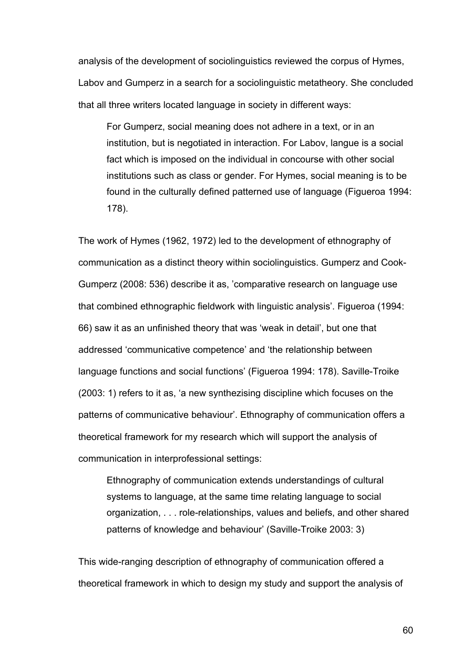analysis of the development of sociolinguistics reviewed the corpus of Hymes, Labov and Gumperz in a search for a sociolinguistic metatheory. She concluded that all three writers located language in society in different ways:

For Gumperz, social meaning does not adhere in a text, or in an institution, but is negotiated in interaction. For Labov, langue is a social fact which is imposed on the individual in concourse with other social institutions such as class or gender. For Hymes, social meaning is to be found in the culturally defined patterned use of language (Figueroa 1994: 178).

The work of Hymes (1962, 1972) led to the development of ethnography of communication as a distinct theory within sociolinguistics. Gumperz and Cook-Gumperz (2008: 536) describe it as, 'comparative research on language use that combined ethnographic fieldwork with linguistic analysis'. Figueroa (1994: 66) saw it as an unfinished theory that was 'weak in detail', but one that addressed 'communicative competence' and 'the relationship between language functions and social functions' (Figueroa 1994: 178). Saville-Troike (2003: 1) refers to it as, 'a new synthezising discipline which focuses on the patterns of communicative behaviour'. Ethnography of communication offers a theoretical framework for my research which will support the analysis of communication in interprofessional settings:

Ethnography of communication extends understandings of cultural systems to language, at the same time relating language to social organization, . . . role-relationships, values and beliefs, and other shared patterns of knowledge and behaviour' (Saville-Troike 2003: 3)

This wide-ranging description of ethnography of communication offered a theoretical framework in which to design my study and support the analysis of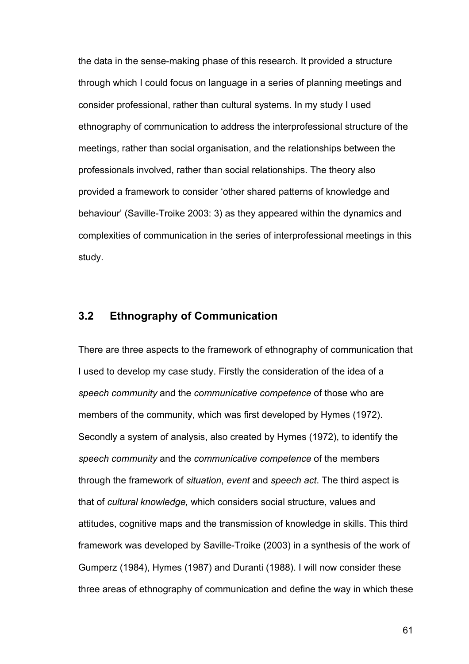the data in the sense-making phase of this research. It provided a structure through which I could focus on language in a series of planning meetings and consider professional, rather than cultural systems. In my study I used ethnography of communication to address the interprofessional structure of the meetings, rather than social organisation, and the relationships between the professionals involved, rather than social relationships. The theory also provided a framework to consider 'other shared patterns of knowledge and behaviour' (Saville-Troike 2003: 3) as they appeared within the dynamics and complexities of communication in the series of interprofessional meetings in this study.

# **3.2 Ethnography of Communication**

There are three aspects to the framework of ethnography of communication that I used to develop my case study. Firstly the consideration of the idea of a *speech community* and the *communicative competence* of those who are members of the community, which was first developed by Hymes (1972). Secondly a system of analysis, also created by Hymes (1972), to identify the *speech community* and the *communicative competence* of the members through the framework of *situation*, *event* and *speech act*. The third aspect is that of *cultural knowledge,* which considers social structure, values and attitudes, cognitive maps and the transmission of knowledge in skills. This third framework was developed by Saville-Troike (2003) in a synthesis of the work of Gumperz (1984), Hymes (1987) and Duranti (1988). I will now consider these three areas of ethnography of communication and define the way in which these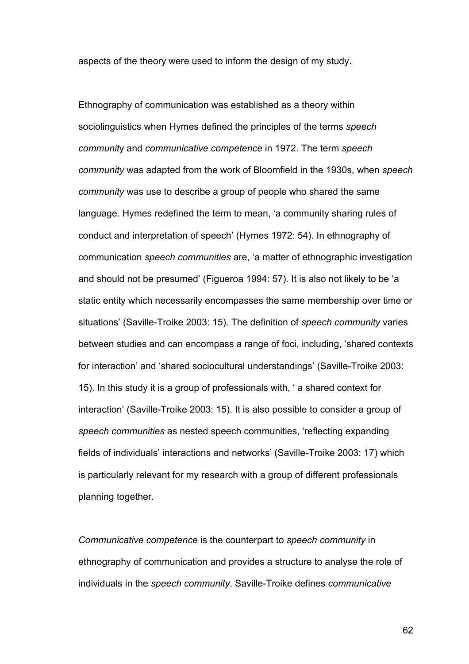aspects of the theory were used to inform the design of my study.

Ethnography of communication was established as a theory within sociolinguistics when Hymes defined the principles of the terms *speech communit*y and *communicative competence* in 1972. The term *speech community* was adapted from the work of Bloomfield in the 1930s, when *speech community* was use to describe a group of people who shared the same language. Hymes redefined the term to mean, 'a community sharing rules of conduct and interpretation of speech' (Hymes 1972: 54). In ethnography of communication *speech communities* are, 'a matter of ethnographic investigation and should not be presumed' (Figueroa 1994: 57). It is also not likely to be 'a static entity which necessarily encompasses the same membership over time or situations' (Saville-Troike 2003: 15). The definition of *speech community* varies between studies and can encompass a range of foci, including, 'shared contexts for interaction' and 'shared sociocultural understandings' (Saville-Troike 2003: 15). In this study it is a group of professionals with, ' a shared context for interaction' (Saville-Troike 2003: 15). It is also possible to consider a group of *speech communities* as nested speech communities, 'reflecting expanding fields of individuals' interactions and networks' (Saville-Troike 2003: 17) which is particularly relevant for my research with a group of different professionals planning together.

*Communicative competence* is the counterpart to *speech community* in ethnography of communication and provides a structure to analyse the role of individuals in the *speech community*. Saville-Troike defines *communicative*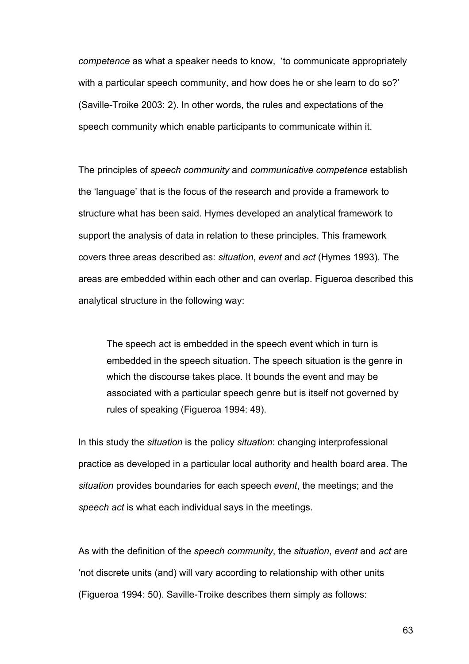*competence* as what a speaker needs to know, 'to communicate appropriately with a particular speech community, and how does he or she learn to do so?' (Saville-Troike 2003: 2). In other words, the rules and expectations of the speech community which enable participants to communicate within it.

The principles of *speech community* and *communicative competence* establish the 'language' that is the focus of the research and provide a framework to structure what has been said. Hymes developed an analytical framework to support the analysis of data in relation to these principles. This framework covers three areas described as: *situation*, *event* and *act* (Hymes 1993). The areas are embedded within each other and can overlap. Figueroa described this analytical structure in the following way:

The speech act is embedded in the speech event which in turn is embedded in the speech situation. The speech situation is the genre in which the discourse takes place. It bounds the event and may be associated with a particular speech genre but is itself not governed by rules of speaking (Figueroa 1994: 49).

In this study the *situation* is the policy *situation*: changing interprofessional practice as developed in a particular local authority and health board area. The *situation* provides boundaries for each speech *event*, the meetings; and the *speech act* is what each individual says in the meetings.

As with the definition of the *speech community*, the *situation*, *event* and *act* are 'not discrete units (and) will vary according to relationship with other units (Figueroa 1994: 50). Saville-Troike describes them simply as follows: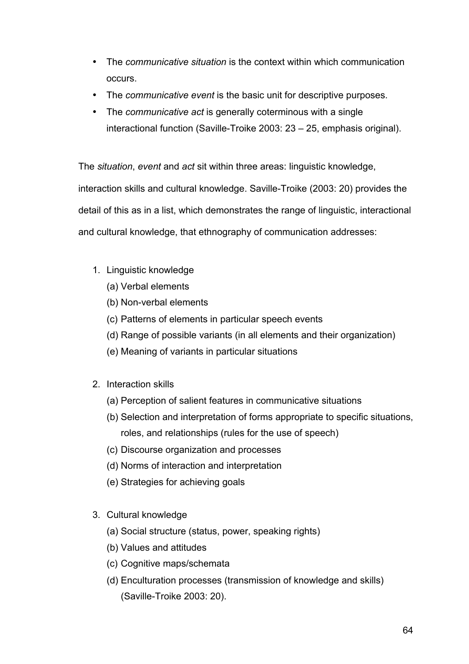- The *communicative situation* is the context within which communication occurs.
- The *communicative event* is the basic unit for descriptive purposes.
- The *communicative act* is generally coterminous with a single interactional function (Saville-Troike 2003: 23 – 25, emphasis original).

The *situation*, *event* and *act* sit within three areas: linguistic knowledge,

interaction skills and cultural knowledge. Saville-Troike (2003: 20) provides the detail of this as in a list, which demonstrates the range of linguistic, interactional and cultural knowledge, that ethnography of communication addresses:

- 1. Linguistic knowledge
	- (a) Verbal elements
	- (b) Non-verbal elements
	- (c) Patterns of elements in particular speech events
	- (d) Range of possible variants (in all elements and their organization)
	- (e) Meaning of variants in particular situations
- 2. Interaction skills
	- (a) Perception of salient features in communicative situations
	- (b) Selection and interpretation of forms appropriate to specific situations, roles, and relationships (rules for the use of speech)
	- (c) Discourse organization and processes
	- (d) Norms of interaction and interpretation
	- (e) Strategies for achieving goals
- 3. Cultural knowledge
	- (a) Social structure (status, power, speaking rights)
	- (b) Values and attitudes
	- (c) Cognitive maps/schemata
	- (d) Enculturation processes (transmission of knowledge and skills) (Saville-Troike 2003: 20).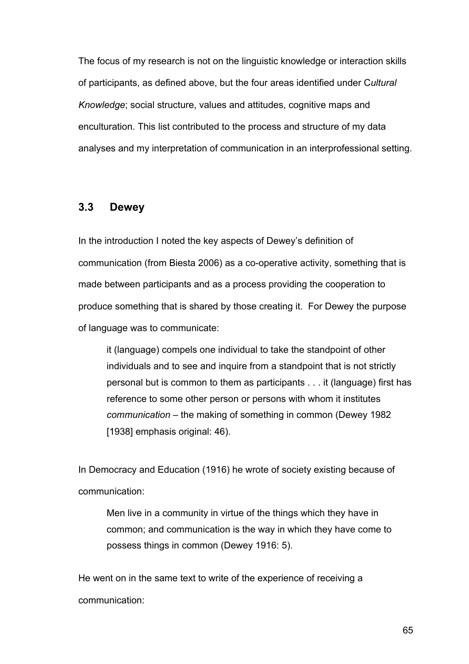The focus of my research is not on the linguistic knowledge or interaction skills of participants, as defined above, but the four areas identified under C*ultural Knowledge*; social structure, values and attitudes, cognitive maps and enculturation. This list contributed to the process and structure of my data analyses and my interpretation of communication in an interprofessional setting.

## **3.3 Dewey**

In the introduction I noted the key aspects of Dewey's definition of communication (from Biesta 2006) as a co-operative activity, something that is made between participants and as a process providing the cooperation to produce something that is shared by those creating it. For Dewey the purpose of language was to communicate:

it (language) compels one individual to take the standpoint of other individuals and to see and inquire from a standpoint that is not strictly personal but is common to them as participants . . . it (language) first has reference to some other person or persons with whom it institutes *communication* – the making of something in common (Dewey 1982 [1938] emphasis original: 46).

In Democracy and Education (1916) he wrote of society existing because of communication:

Men live in a community in virtue of the things which they have in common; and communication is the way in which they have come to possess things in common (Dewey 1916: 5).

He went on in the same text to write of the experience of receiving a communication: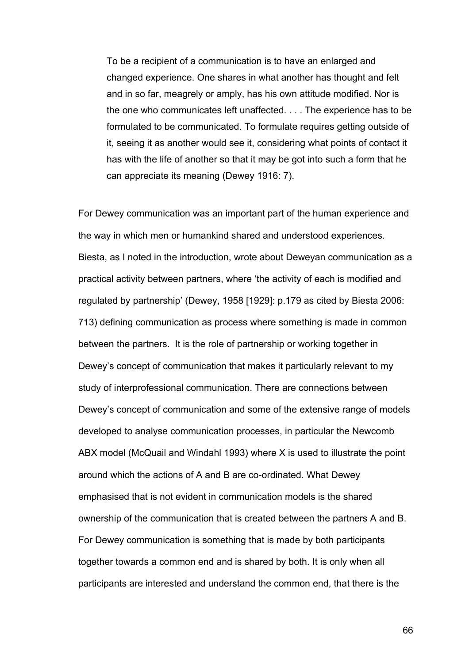To be a recipient of a communication is to have an enlarged and changed experience. One shares in what another has thought and felt and in so far, meagrely or amply, has his own attitude modified. Nor is the one who communicates left unaffected. . . . The experience has to be formulated to be communicated. To formulate requires getting outside of it, seeing it as another would see it, considering what points of contact it has with the life of another so that it may be got into such a form that he can appreciate its meaning (Dewey 1916: 7).

For Dewey communication was an important part of the human experience and the way in which men or humankind shared and understood experiences. Biesta, as I noted in the introduction, wrote about Deweyan communication as a practical activity between partners, where 'the activity of each is modified and regulated by partnership' (Dewey, 1958 [1929]: p.179 as cited by Biesta 2006: 713) defining communication as process where something is made in common between the partners. It is the role of partnership or working together in Dewey's concept of communication that makes it particularly relevant to my study of interprofessional communication. There are connections between Dewey's concept of communication and some of the extensive range of models developed to analyse communication processes, in particular the Newcomb ABX model (McQuail and Windahl 1993) where X is used to illustrate the point around which the actions of A and B are co-ordinated. What Dewey emphasised that is not evident in communication models is the shared ownership of the communication that is created between the partners A and B. For Dewey communication is something that is made by both participants together towards a common end and is shared by both. It is only when all participants are interested and understand the common end, that there is the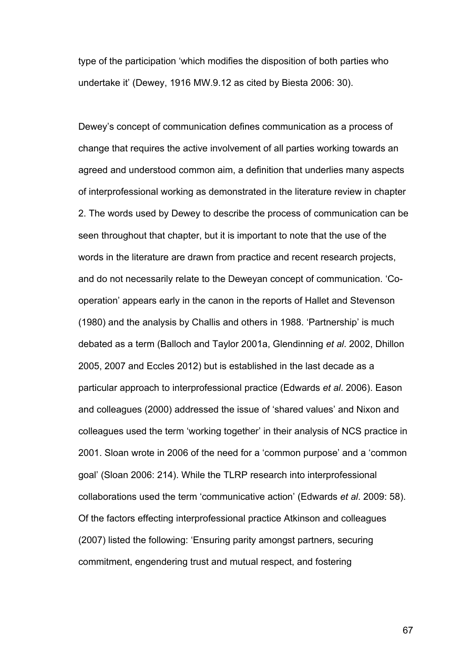type of the participation 'which modifies the disposition of both parties who undertake it' (Dewey, 1916 MW.9.12 as cited by Biesta 2006: 30).

Dewey's concept of communication defines communication as a process of change that requires the active involvement of all parties working towards an agreed and understood common aim, a definition that underlies many aspects of interprofessional working as demonstrated in the literature review in chapter 2. The words used by Dewey to describe the process of communication can be seen throughout that chapter, but it is important to note that the use of the words in the literature are drawn from practice and recent research projects, and do not necessarily relate to the Deweyan concept of communication. 'Cooperation' appears early in the canon in the reports of Hallet and Stevenson (1980) and the analysis by Challis and others in 1988. 'Partnership' is much debated as a term (Balloch and Taylor 2001a, Glendinning *et al*. 2002, Dhillon 2005, 2007 and Eccles 2012) but is established in the last decade as a particular approach to interprofessional practice (Edwards *et al*. 2006). Eason and colleagues (2000) addressed the issue of 'shared values' and Nixon and colleagues used the term 'working together' in their analysis of NCS practice in 2001. Sloan wrote in 2006 of the need for a 'common purpose' and a 'common goal' (Sloan 2006: 214). While the TLRP research into interprofessional collaborations used the term 'communicative action' (Edwards *et al*. 2009: 58). Of the factors effecting interprofessional practice Atkinson and colleagues (2007) listed the following: 'Ensuring parity amongst partners, securing commitment, engendering trust and mutual respect, and fostering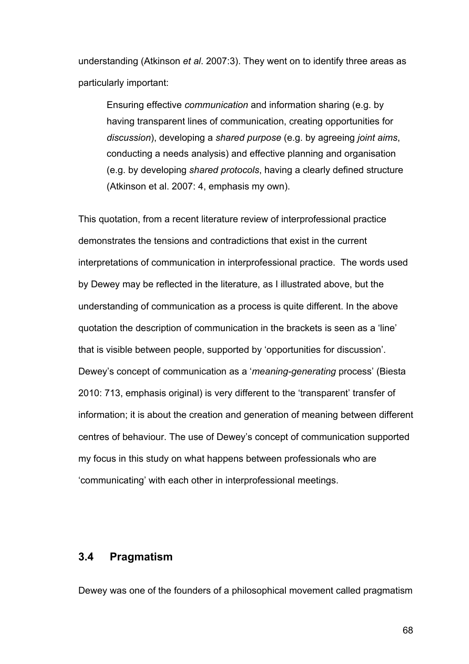understanding (Atkinson *et al*. 2007:3). They went on to identify three areas as particularly important:

Ensuring effective *communication* and information sharing (e.g. by having transparent lines of communication, creating opportunities for *discussion*), developing a *shared purpose* (e.g. by agreeing *joint aims*, conducting a needs analysis) and effective planning and organisation (e.g. by developing *shared protocols*, having a clearly defined structure (Atkinson et al. 2007: 4, emphasis my own).

This quotation, from a recent literature review of interprofessional practice demonstrates the tensions and contradictions that exist in the current interpretations of communication in interprofessional practice. The words used by Dewey may be reflected in the literature, as I illustrated above, but the understanding of communication as a process is quite different. In the above quotation the description of communication in the brackets is seen as a 'line' that is visible between people, supported by 'opportunities for discussion'. Dewey's concept of communication as a '*meaning-generating* process' (Biesta 2010: 713, emphasis original) is very different to the 'transparent' transfer of information; it is about the creation and generation of meaning between different centres of behaviour. The use of Dewey's concept of communication supported my focus in this study on what happens between professionals who are 'communicating' with each other in interprofessional meetings.

## **3.4 Pragmatism**

Dewey was one of the founders of a philosophical movement called pragmatism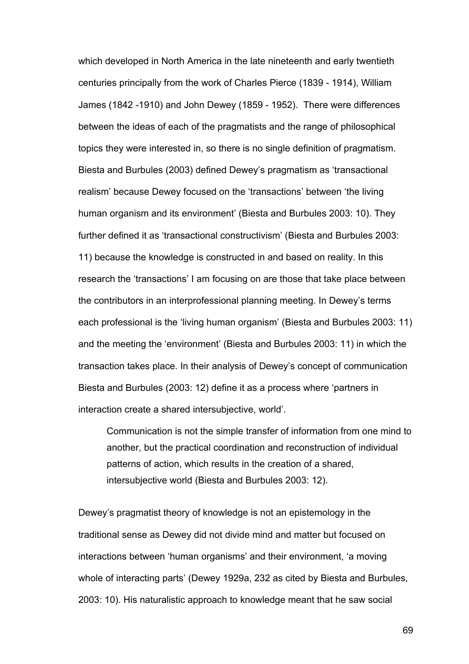which developed in North America in the late nineteenth and early twentieth centuries principally from the work of Charles Pierce (1839 - 1914), William James (1842 -1910) and John Dewey (1859 - 1952). There were differences between the ideas of each of the pragmatists and the range of philosophical topics they were interested in, so there is no single definition of pragmatism. Biesta and Burbules (2003) defined Dewey's pragmatism as 'transactional realism' because Dewey focused on the 'transactions' between 'the living human organism and its environment' (Biesta and Burbules 2003: 10). They further defined it as 'transactional constructivism' (Biesta and Burbules 2003: 11) because the knowledge is constructed in and based on reality. In this research the 'transactions' I am focusing on are those that take place between the contributors in an interprofessional planning meeting. In Dewey's terms each professional is the 'living human organism' (Biesta and Burbules 2003: 11) and the meeting the 'environment' (Biesta and Burbules 2003: 11) in which the transaction takes place. In their analysis of Dewey's concept of communication Biesta and Burbules (2003: 12) define it as a process where 'partners in interaction create a shared intersubjective, world'.

Communication is not the simple transfer of information from one mind to another, but the practical coordination and reconstruction of individual patterns of action, which results in the creation of a shared, intersubjective world (Biesta and Burbules 2003: 12).

Dewey's pragmatist theory of knowledge is not an epistemology in the traditional sense as Dewey did not divide mind and matter but focused on interactions between 'human organisms' and their environment, 'a moving whole of interacting parts' (Dewey 1929a, 232 as cited by Biesta and Burbules, 2003: 10). His naturalistic approach to knowledge meant that he saw social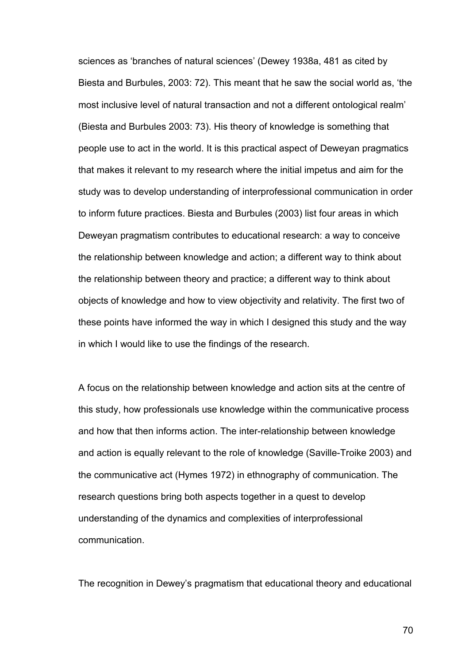sciences as 'branches of natural sciences' (Dewey 1938a, 481 as cited by Biesta and Burbules, 2003: 72). This meant that he saw the social world as, 'the most inclusive level of natural transaction and not a different ontological realm' (Biesta and Burbules 2003: 73). His theory of knowledge is something that people use to act in the world. It is this practical aspect of Deweyan pragmatics that makes it relevant to my research where the initial impetus and aim for the study was to develop understanding of interprofessional communication in order to inform future practices. Biesta and Burbules (2003) list four areas in which Deweyan pragmatism contributes to educational research: a way to conceive the relationship between knowledge and action; a different way to think about the relationship between theory and practice; a different way to think about objects of knowledge and how to view objectivity and relativity. The first two of these points have informed the way in which I designed this study and the way in which I would like to use the findings of the research.

A focus on the relationship between knowledge and action sits at the centre of this study, how professionals use knowledge within the communicative process and how that then informs action. The inter-relationship between knowledge and action is equally relevant to the role of knowledge (Saville-Troike 2003) and the communicative act (Hymes 1972) in ethnography of communication. The research questions bring both aspects together in a quest to develop understanding of the dynamics and complexities of interprofessional communication.

The recognition in Dewey's pragmatism that educational theory and educational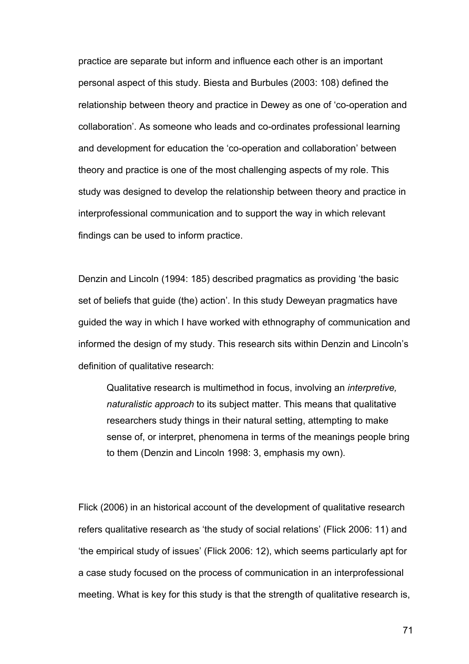practice are separate but inform and influence each other is an important personal aspect of this study. Biesta and Burbules (2003: 108) defined the relationship between theory and practice in Dewey as one of 'co-operation and collaboration'. As someone who leads and co-ordinates professional learning and development for education the 'co-operation and collaboration' between theory and practice is one of the most challenging aspects of my role. This study was designed to develop the relationship between theory and practice in interprofessional communication and to support the way in which relevant findings can be used to inform practice.

Denzin and Lincoln (1994: 185) described pragmatics as providing 'the basic set of beliefs that guide (the) action'. In this study Deweyan pragmatics have guided the way in which I have worked with ethnography of communication and informed the design of my study. This research sits within Denzin and Lincoln's definition of qualitative research:

Qualitative research is multimethod in focus, involving an *interpretive, naturalistic approach* to its subject matter. This means that qualitative researchers study things in their natural setting, attempting to make sense of, or interpret, phenomena in terms of the meanings people bring to them (Denzin and Lincoln 1998: 3, emphasis my own).

Flick (2006) in an historical account of the development of qualitative research refers qualitative research as 'the study of social relations' (Flick 2006: 11) and 'the empirical study of issues' (Flick 2006: 12), which seems particularly apt for a case study focused on the process of communication in an interprofessional meeting. What is key for this study is that the strength of qualitative research is,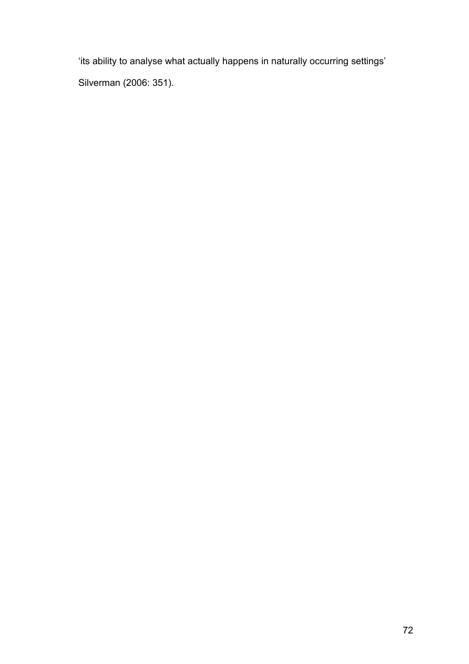'its ability to analyse what actually happens in naturally occurring settings' Silverman (2006: 351).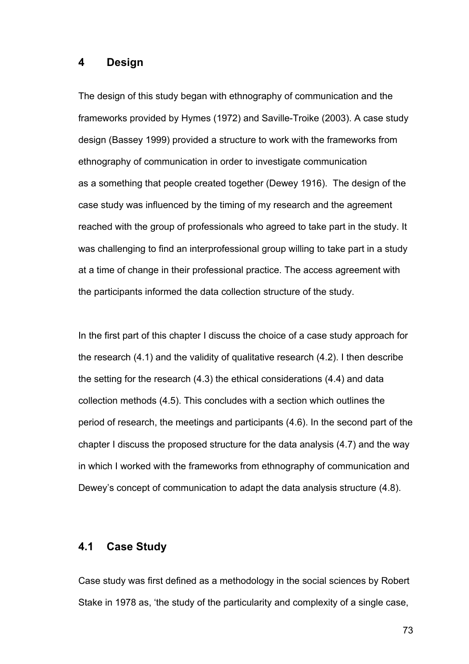#### **4 Design**

The design of this study began with ethnography of communication and the frameworks provided by Hymes (1972) and Saville-Troike (2003). A case study design (Bassey 1999) provided a structure to work with the frameworks from ethnography of communication in order to investigate communication as a something that people created together (Dewey 1916). The design of the case study was influenced by the timing of my research and the agreement reached with the group of professionals who agreed to take part in the study. It was challenging to find an interprofessional group willing to take part in a study at a time of change in their professional practice. The access agreement with the participants informed the data collection structure of the study.

In the first part of this chapter I discuss the choice of a case study approach for the research (4.1) and the validity of qualitative research (4.2). I then describe the setting for the research (4.3) the ethical considerations (4.4) and data collection methods (4.5). This concludes with a section which outlines the period of research, the meetings and participants (4.6). In the second part of the chapter I discuss the proposed structure for the data analysis (4.7) and the way in which I worked with the frameworks from ethnography of communication and Dewey's concept of communication to adapt the data analysis structure (4.8).

### **4.1 Case Study**

Case study was first defined as a methodology in the social sciences by Robert Stake in 1978 as, 'the study of the particularity and complexity of a single case,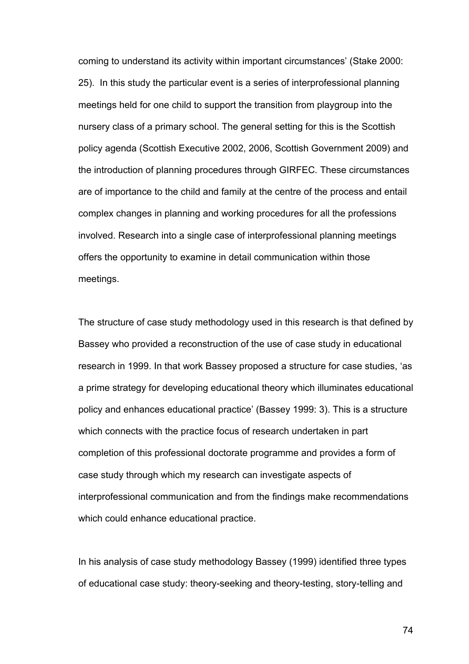coming to understand its activity within important circumstances' (Stake 2000: 25). In this study the particular event is a series of interprofessional planning meetings held for one child to support the transition from playgroup into the nursery class of a primary school. The general setting for this is the Scottish policy agenda (Scottish Executive 2002, 2006, Scottish Government 2009) and the introduction of planning procedures through GIRFEC*.* These circumstances are of importance to the child and family at the centre of the process and entail complex changes in planning and working procedures for all the professions involved. Research into a single case of interprofessional planning meetings offers the opportunity to examine in detail communication within those meetings.

The structure of case study methodology used in this research is that defined by Bassey who provided a reconstruction of the use of case study in educational research in 1999. In that work Bassey proposed a structure for case studies, 'as a prime strategy for developing educational theory which illuminates educational policy and enhances educational practice' (Bassey 1999: 3). This is a structure which connects with the practice focus of research undertaken in part completion of this professional doctorate programme and provides a form of case study through which my research can investigate aspects of interprofessional communication and from the findings make recommendations which could enhance educational practice.

In his analysis of case study methodology Bassey (1999) identified three types of educational case study: theory-seeking and theory-testing, story-telling and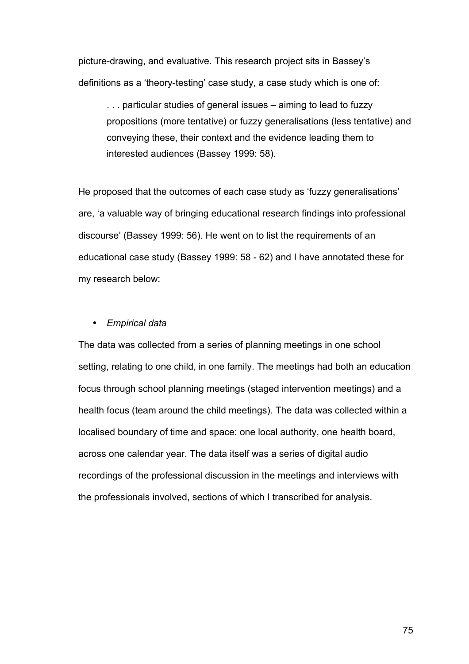picture-drawing, and evaluative. This research project sits in Bassey's definitions as a 'theory-testing' case study, a case study which is one of:

. . . particular studies of general issues – aiming to lead to fuzzy propositions (more tentative) or fuzzy generalisations (less tentative) and conveying these, their context and the evidence leading them to interested audiences (Bassey 1999: 58).

He proposed that the outcomes of each case study as 'fuzzy generalisations' are, 'a valuable way of bringing educational research findings into professional discourse' (Bassey 1999: 56). He went on to list the requirements of an educational case study (Bassey 1999: 58 - 62) and I have annotated these for my research below:

#### • *Empirical data*

The data was collected from a series of planning meetings in one school setting, relating to one child, in one family. The meetings had both an education focus through school planning meetings (staged intervention meetings) and a health focus (team around the child meetings). The data was collected within a localised boundary of time and space: one local authority, one health board, across one calendar year. The data itself was a series of digital audio recordings of the professional discussion in the meetings and interviews with the professionals involved, sections of which I transcribed for analysis.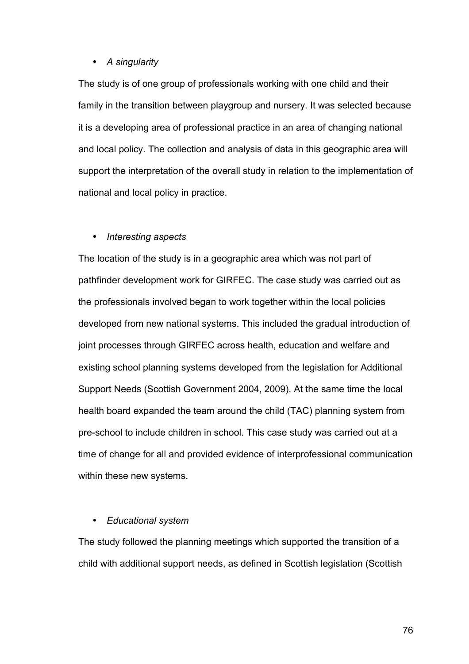#### • *A singularity*

The study is of one group of professionals working with one child and their family in the transition between playgroup and nursery. It was selected because it is a developing area of professional practice in an area of changing national and local policy. The collection and analysis of data in this geographic area will support the interpretation of the overall study in relation to the implementation of national and local policy in practice.

#### • *Interesting aspects*

The location of the study is in a geographic area which was not part of pathfinder development work for GIRFEC. The case study was carried out as the professionals involved began to work together within the local policies developed from new national systems. This included the gradual introduction of joint processes through GIRFEC across health, education and welfare and existing school planning systems developed from the legislation for Additional Support Needs (Scottish Government 2004, 2009). At the same time the local health board expanded the team around the child (TAC) planning system from pre-school to include children in school. This case study was carried out at a time of change for all and provided evidence of interprofessional communication within these new systems.

#### • *Educational system*

The study followed the planning meetings which supported the transition of a child with additional support needs, as defined in Scottish legislation (Scottish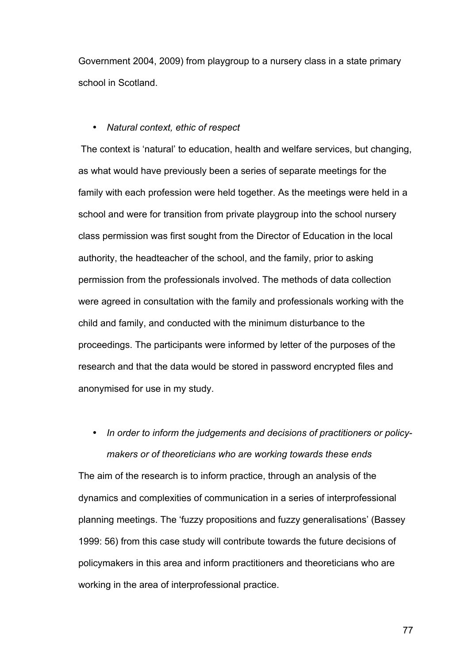Government 2004, 2009) from playgroup to a nursery class in a state primary school in Scotland.

#### • *Natural context, ethic of respect*

The context is 'natural' to education, health and welfare services, but changing, as what would have previously been a series of separate meetings for the family with each profession were held together. As the meetings were held in a school and were for transition from private playgroup into the school nursery class permission was first sought from the Director of Education in the local authority, the headteacher of the school, and the family, prior to asking permission from the professionals involved. The methods of data collection were agreed in consultation with the family and professionals working with the child and family, and conducted with the minimum disturbance to the proceedings. The participants were informed by letter of the purposes of the research and that the data would be stored in password encrypted files and anonymised for use in my study.

# • *In order to inform the judgements and decisions of practitioners or policymakers or of theoreticians who are working towards these ends*

The aim of the research is to inform practice, through an analysis of the dynamics and complexities of communication in a series of interprofessional planning meetings. The 'fuzzy propositions and fuzzy generalisations' (Bassey 1999: 56) from this case study will contribute towards the future decisions of policymakers in this area and inform practitioners and theoreticians who are working in the area of interprofessional practice.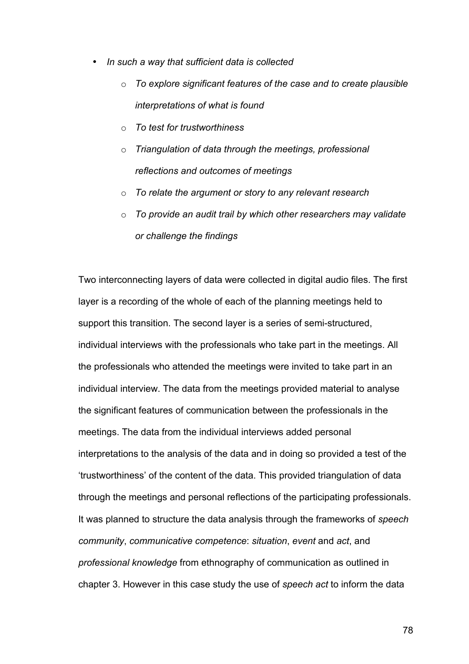- *In such a way that sufficient data is collected*
	- o *To explore significant features of the case and to create plausible interpretations of what is found*
	- o *To test for trustworthiness*
	- o *Triangulation of data through the meetings, professional reflections and outcomes of meetings*
	- o *To relate the argument or story to any relevant research*
	- o *To provide an audit trail by which other researchers may validate or challenge the findings*

Two interconnecting layers of data were collected in digital audio files. The first layer is a recording of the whole of each of the planning meetings held to support this transition. The second layer is a series of semi-structured, individual interviews with the professionals who take part in the meetings. All the professionals who attended the meetings were invited to take part in an individual interview. The data from the meetings provided material to analyse the significant features of communication between the professionals in the meetings. The data from the individual interviews added personal interpretations to the analysis of the data and in doing so provided a test of the 'trustworthiness' of the content of the data. This provided triangulation of data through the meetings and personal reflections of the participating professionals. It was planned to structure the data analysis through the frameworks of *speech community*, *communicative competence*: *situation*, *event* and *act*, and *professional knowledge* from ethnography of communication as outlined in chapter 3. However in this case study the use of *speech act* to inform the data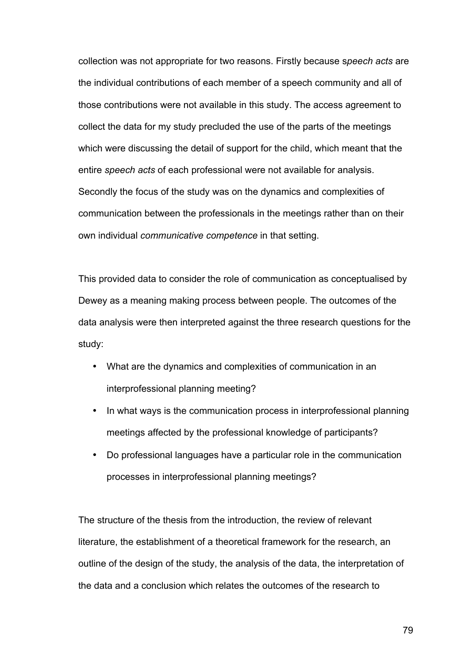collection was not appropriate for two reasons. Firstly because s*peech acts* are the individual contributions of each member of a speech community and all of those contributions were not available in this study. The access agreement to collect the data for my study precluded the use of the parts of the meetings which were discussing the detail of support for the child, which meant that the entire *speech acts* of each professional were not available for analysis. Secondly the focus of the study was on the dynamics and complexities of communication between the professionals in the meetings rather than on their own individual *communicative competence* in that setting.

This provided data to consider the role of communication as conceptualised by Dewey as a meaning making process between people. The outcomes of the data analysis were then interpreted against the three research questions for the study:

- What are the dynamics and complexities of communication in an interprofessional planning meeting?
- In what ways is the communication process in interprofessional planning meetings affected by the professional knowledge of participants?
- Do professional languages have a particular role in the communication processes in interprofessional planning meetings?

The structure of the thesis from the introduction, the review of relevant literature, the establishment of a theoretical framework for the research, an outline of the design of the study, the analysis of the data, the interpretation of the data and a conclusion which relates the outcomes of the research to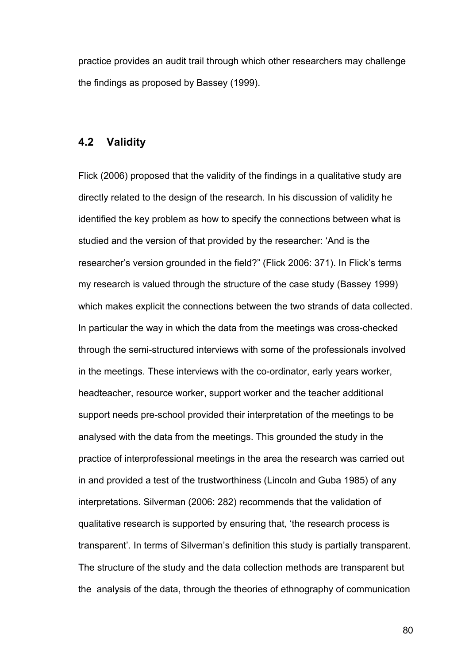practice provides an audit trail through which other researchers may challenge the findings as proposed by Bassey (1999).

#### **4.2 Validity**

Flick (2006) proposed that the validity of the findings in a qualitative study are directly related to the design of the research. In his discussion of validity he identified the key problem as how to specify the connections between what is studied and the version of that provided by the researcher: 'And is the researcher's version grounded in the field?" (Flick 2006: 371). In Flick's terms my research is valued through the structure of the case study (Bassey 1999) which makes explicit the connections between the two strands of data collected. In particular the way in which the data from the meetings was cross-checked through the semi-structured interviews with some of the professionals involved in the meetings. These interviews with the co-ordinator, early years worker, headteacher, resource worker, support worker and the teacher additional support needs pre-school provided their interpretation of the meetings to be analysed with the data from the meetings. This grounded the study in the practice of interprofessional meetings in the area the research was carried out in and provided a test of the trustworthiness (Lincoln and Guba 1985) of any interpretations. Silverman (2006: 282) recommends that the validation of qualitative research is supported by ensuring that, 'the research process is transparent'. In terms of Silverman's definition this study is partially transparent. The structure of the study and the data collection methods are transparent but the analysis of the data, through the theories of ethnography of communication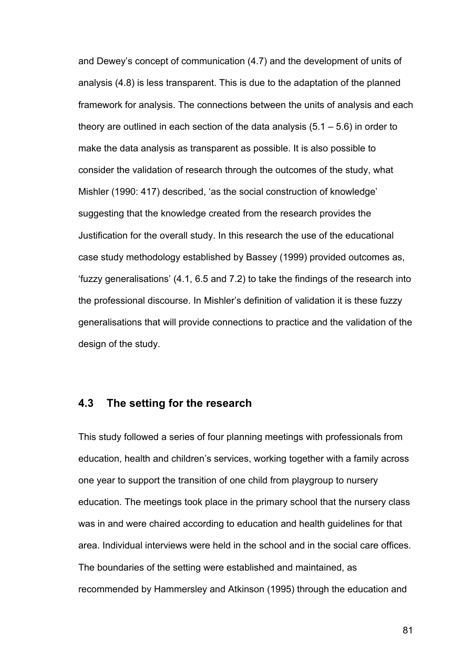and Dewey's concept of communication (4.7) and the development of units of analysis (4.8) is less transparent. This is due to the adaptation of the planned framework for analysis. The connections between the units of analysis and each theory are outlined in each section of the data analysis  $(5.1 - 5.6)$  in order to make the data analysis as transparent as possible. It is also possible to consider the validation of research through the outcomes of the study, what Mishler (1990: 417) described, 'as the social construction of knowledge' suggesting that the knowledge created from the research provides the Justification for the overall study. In this research the use of the educational case study methodology established by Bassey (1999) provided outcomes as, 'fuzzy generalisations' (4.1, 6.5 and 7.2) to take the findings of the research into the professional discourse. In Mishler's definition of validation it is these fuzzy generalisations that will provide connections to practice and the validation of the design of the study.

## **4.3 The setting for the research**

This study followed a series of four planning meetings with professionals from education, health and children's services, working together with a family across one year to support the transition of one child from playgroup to nursery education. The meetings took place in the primary school that the nursery class was in and were chaired according to education and health guidelines for that area. Individual interviews were held in the school and in the social care offices. The boundaries of the setting were established and maintained, as recommended by Hammersley and Atkinson (1995) through the education and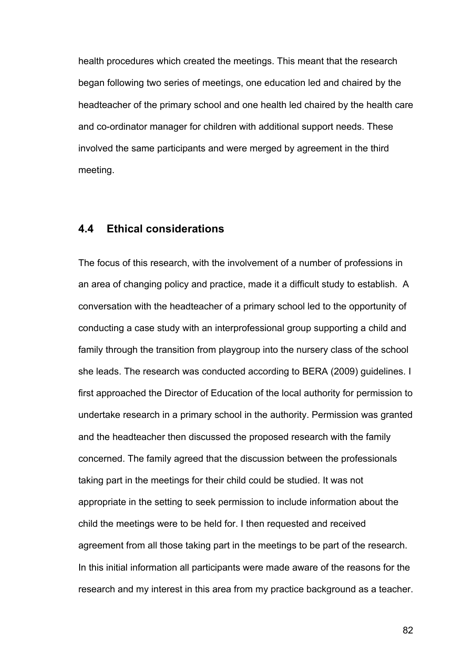health procedures which created the meetings. This meant that the research began following two series of meetings, one education led and chaired by the headteacher of the primary school and one health led chaired by the health care and co-ordinator manager for children with additional support needs. These involved the same participants and were merged by agreement in the third meeting.

## **4.4 Ethical considerations**

The focus of this research, with the involvement of a number of professions in an area of changing policy and practice, made it a difficult study to establish. A conversation with the headteacher of a primary school led to the opportunity of conducting a case study with an interprofessional group supporting a child and family through the transition from playgroup into the nursery class of the school she leads. The research was conducted according to BERA (2009) guidelines. I first approached the Director of Education of the local authority for permission to undertake research in a primary school in the authority. Permission was granted and the headteacher then discussed the proposed research with the family concerned. The family agreed that the discussion between the professionals taking part in the meetings for their child could be studied. It was not appropriate in the setting to seek permission to include information about the child the meetings were to be held for. I then requested and received agreement from all those taking part in the meetings to be part of the research. In this initial information all participants were made aware of the reasons for the research and my interest in this area from my practice background as a teacher.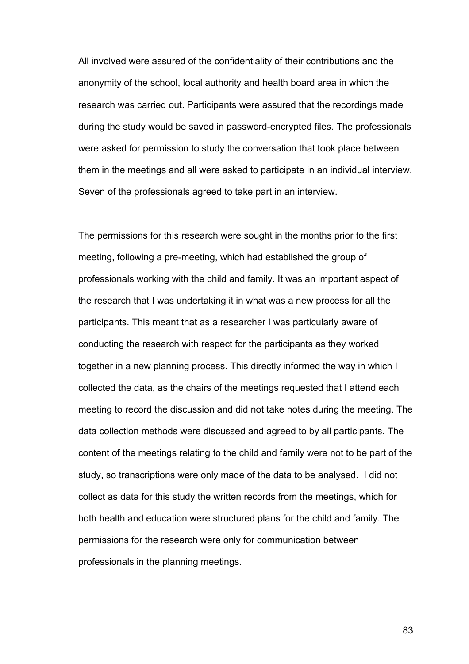All involved were assured of the confidentiality of their contributions and the anonymity of the school, local authority and health board area in which the research was carried out. Participants were assured that the recordings made during the study would be saved in password-encrypted files. The professionals were asked for permission to study the conversation that took place between them in the meetings and all were asked to participate in an individual interview. Seven of the professionals agreed to take part in an interview.

The permissions for this research were sought in the months prior to the first meeting, following a pre-meeting, which had established the group of professionals working with the child and family. It was an important aspect of the research that I was undertaking it in what was a new process for all the participants. This meant that as a researcher I was particularly aware of conducting the research with respect for the participants as they worked together in a new planning process. This directly informed the way in which I collected the data, as the chairs of the meetings requested that I attend each meeting to record the discussion and did not take notes during the meeting. The data collection methods were discussed and agreed to by all participants. The content of the meetings relating to the child and family were not to be part of the study, so transcriptions were only made of the data to be analysed. I did not collect as data for this study the written records from the meetings, which for both health and education were structured plans for the child and family. The permissions for the research were only for communication between professionals in the planning meetings.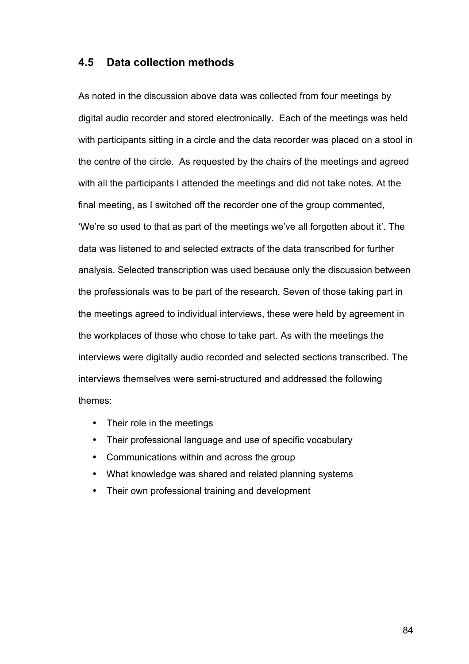## **4.5 Data collection methods**

As noted in the discussion above data was collected from four meetings by digital audio recorder and stored electronically. Each of the meetings was held with participants sitting in a circle and the data recorder was placed on a stool in the centre of the circle. As requested by the chairs of the meetings and agreed with all the participants I attended the meetings and did not take notes. At the final meeting, as I switched off the recorder one of the group commented, 'We're so used to that as part of the meetings we've all forgotten about it'. The data was listened to and selected extracts of the data transcribed for further analysis. Selected transcription was used because only the discussion between the professionals was to be part of the research. Seven of those taking part in the meetings agreed to individual interviews, these were held by agreement in the workplaces of those who chose to take part. As with the meetings the interviews were digitally audio recorded and selected sections transcribed. The interviews themselves were semi-structured and addressed the following themes:

- Their role in the meetings
- Their professional language and use of specific vocabulary
- Communications within and across the group
- What knowledge was shared and related planning systems
- Their own professional training and development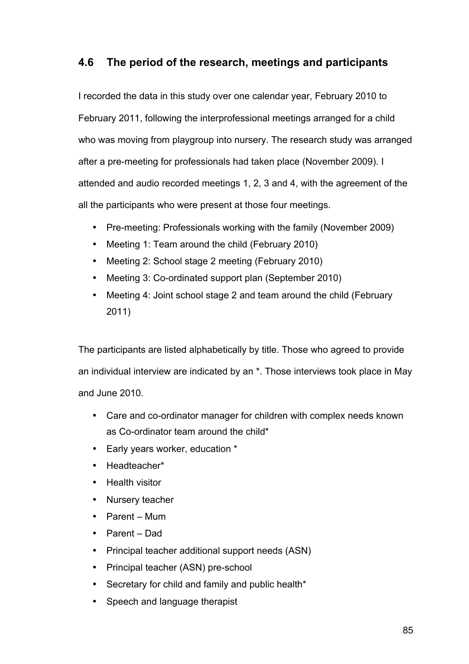# **4.6 The period of the research, meetings and participants**

I recorded the data in this study over one calendar year, February 2010 to February 2011, following the interprofessional meetings arranged for a child who was moving from playgroup into nursery. The research study was arranged after a pre-meeting for professionals had taken place (November 2009). I attended and audio recorded meetings 1, 2, 3 and 4, with the agreement of the all the participants who were present at those four meetings.

- Pre-meeting: Professionals working with the family (November 2009)
- Meeting 1: Team around the child (February 2010)
- Meeting 2: School stage 2 meeting (February 2010)
- Meeting 3: Co-ordinated support plan (September 2010)
- Meeting 4: Joint school stage 2 and team around the child (February 2011)

The participants are listed alphabetically by title. Those who agreed to provide an individual interview are indicated by an \*. Those interviews took place in May and June 2010.

- Care and co-ordinator manager for children with complex needs known as Co-ordinator team around the child\*
- Early years worker, education \*
- Headteacher\*
- Health visitor
- Nursery teacher
- Parent Mum
- Parent Dad
- Principal teacher additional support needs (ASN)
- Principal teacher (ASN) pre-school
- Secretary for child and family and public health\*
- Speech and language therapist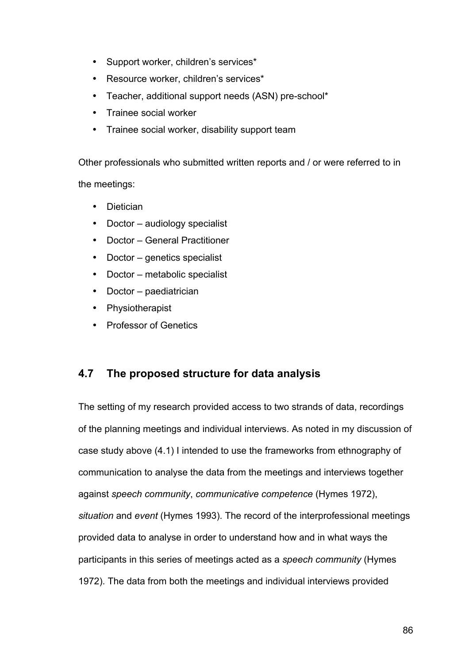- Support worker, children's services\*
- Resource worker, children's services\*
- Teacher, additional support needs (ASN) pre-school\*
- Trainee social worker
- Trainee social worker, disability support team

Other professionals who submitted written reports and / or were referred to in the meetings:

- Dietician
- Doctor audiology specialist
- Doctor General Practitioner
- Doctor genetics specialist
- Doctor metabolic specialist
- Doctor paediatrician
- Physiotherapist
- Professor of Genetics

# **4.7 The proposed structure for data analysis**

The setting of my research provided access to two strands of data, recordings of the planning meetings and individual interviews. As noted in my discussion of case study above (4.1) I intended to use the frameworks from ethnography of communication to analyse the data from the meetings and interviews together against *speech community*, *communicative competence* (Hymes 1972), *situation* and *event* (Hymes 1993). The record of the interprofessional meetings provided data to analyse in order to understand how and in what ways the participants in this series of meetings acted as a *speech community* (Hymes 1972). The data from both the meetings and individual interviews provided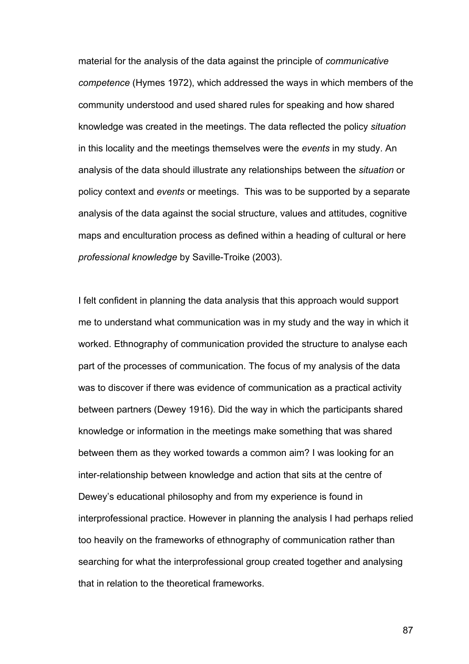material for the analysis of the data against the principle of *communicative competence* (Hymes 1972), which addressed the ways in which members of the community understood and used shared rules for speaking and how shared knowledge was created in the meetings. The data reflected the policy *situation* in this locality and the meetings themselves were the *events* in my study. An analysis of the data should illustrate any relationships between the *situation* or policy context and *events* or meetings. This was to be supported by a separate analysis of the data against the social structure, values and attitudes, cognitive maps and enculturation process as defined within a heading of cultural or here *professional knowledge* by Saville-Troike (2003).

I felt confident in planning the data analysis that this approach would support me to understand what communication was in my study and the way in which it worked. Ethnography of communication provided the structure to analyse each part of the processes of communication. The focus of my analysis of the data was to discover if there was evidence of communication as a practical activity between partners (Dewey 1916). Did the way in which the participants shared knowledge or information in the meetings make something that was shared between them as they worked towards a common aim? I was looking for an inter-relationship between knowledge and action that sits at the centre of Dewey's educational philosophy and from my experience is found in interprofessional practice. However in planning the analysis I had perhaps relied too heavily on the frameworks of ethnography of communication rather than searching for what the interprofessional group created together and analysing that in relation to the theoretical frameworks.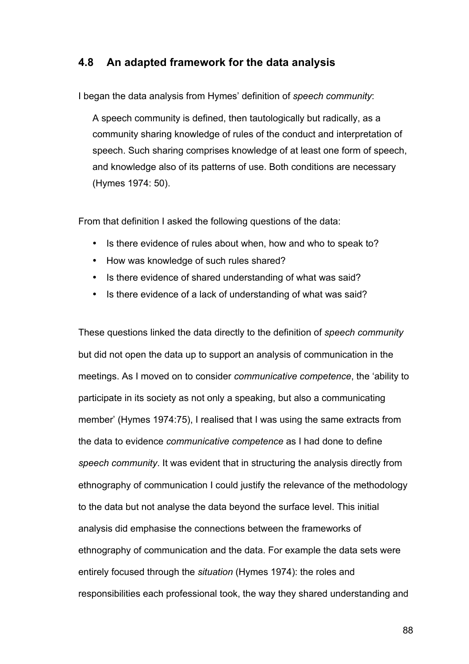## **4.8 An adapted framework for the data analysis**

I began the data analysis from Hymes' definition of *speech community*:

A speech community is defined, then tautologically but radically, as a community sharing knowledge of rules of the conduct and interpretation of speech. Such sharing comprises knowledge of at least one form of speech, and knowledge also of its patterns of use. Both conditions are necessary (Hymes 1974: 50).

From that definition I asked the following questions of the data:

- Is there evidence of rules about when, how and who to speak to?
- How was knowledge of such rules shared?
- Is there evidence of shared understanding of what was said?
- Is there evidence of a lack of understanding of what was said?

These questions linked the data directly to the definition of *speech community* but did not open the data up to support an analysis of communication in the meetings. As I moved on to consider *communicative competence*, the 'ability to participate in its society as not only a speaking, but also a communicating member' (Hymes 1974:75), I realised that I was using the same extracts from the data to evidence *communicative competence* as I had done to define *speech community*. It was evident that in structuring the analysis directly from ethnography of communication I could justify the relevance of the methodology to the data but not analyse the data beyond the surface level. This initial analysis did emphasise the connections between the frameworks of ethnography of communication and the data. For example the data sets were entirely focused through the *situation* (Hymes 1974): the roles and responsibilities each professional took, the way they shared understanding and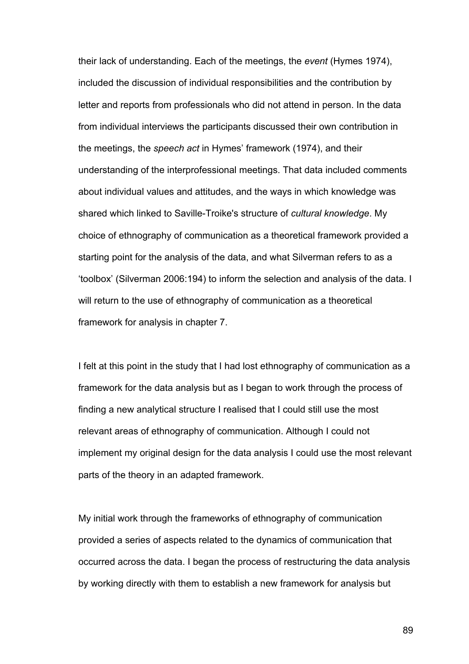their lack of understanding. Each of the meetings, the *event* (Hymes 1974), included the discussion of individual responsibilities and the contribution by letter and reports from professionals who did not attend in person. In the data from individual interviews the participants discussed their own contribution in the meetings, the *speech act* in Hymes' framework (1974), and their understanding of the interprofessional meetings. That data included comments about individual values and attitudes, and the ways in which knowledge was shared which linked to Saville-Troike's structure of *cultural knowledge*. My choice of ethnography of communication as a theoretical framework provided a starting point for the analysis of the data, and what Silverman refers to as a 'toolbox' (Silverman 2006:194) to inform the selection and analysis of the data. I will return to the use of ethnography of communication as a theoretical framework for analysis in chapter 7.

I felt at this point in the study that I had lost ethnography of communication as a framework for the data analysis but as I began to work through the process of finding a new analytical structure I realised that I could still use the most relevant areas of ethnography of communication. Although I could not implement my original design for the data analysis I could use the most relevant parts of the theory in an adapted framework.

My initial work through the frameworks of ethnography of communication provided a series of aspects related to the dynamics of communication that occurred across the data. I began the process of restructuring the data analysis by working directly with them to establish a new framework for analysis but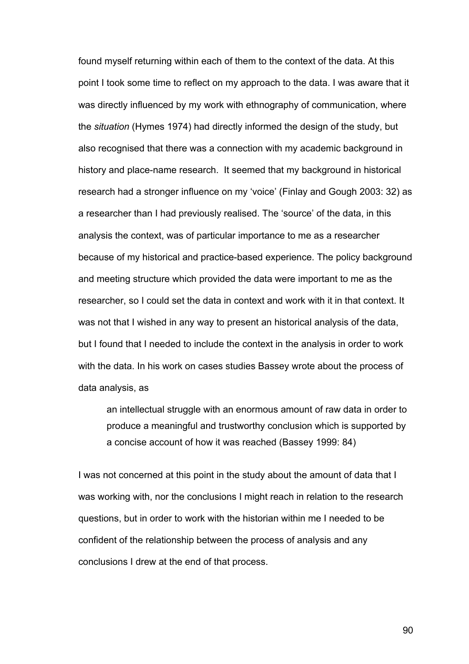found myself returning within each of them to the context of the data. At this point I took some time to reflect on my approach to the data. I was aware that it was directly influenced by my work with ethnography of communication, where the *situation* (Hymes 1974) had directly informed the design of the study, but also recognised that there was a connection with my academic background in history and place-name research. It seemed that my background in historical research had a stronger influence on my 'voice' (Finlay and Gough 2003: 32) as a researcher than I had previously realised. The 'source' of the data, in this analysis the context, was of particular importance to me as a researcher because of my historical and practice-based experience. The policy background and meeting structure which provided the data were important to me as the researcher, so I could set the data in context and work with it in that context. It was not that I wished in any way to present an historical analysis of the data, but I found that I needed to include the context in the analysis in order to work with the data. In his work on cases studies Bassey wrote about the process of data analysis, as

an intellectual struggle with an enormous amount of raw data in order to produce a meaningful and trustworthy conclusion which is supported by a concise account of how it was reached (Bassey 1999: 84)

I was not concerned at this point in the study about the amount of data that I was working with, nor the conclusions I might reach in relation to the research questions, but in order to work with the historian within me I needed to be confident of the relationship between the process of analysis and any conclusions I drew at the end of that process.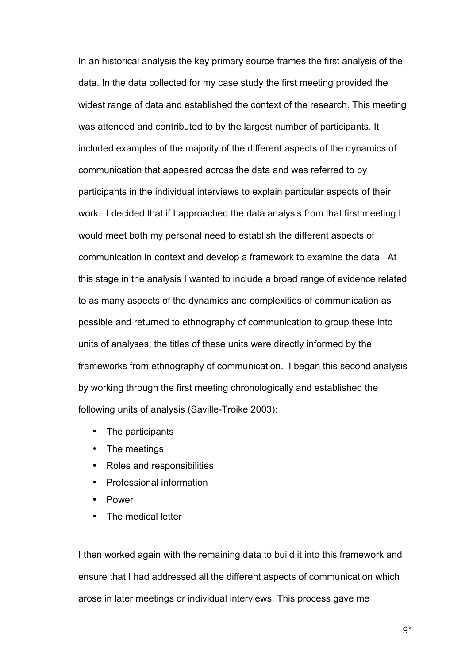In an historical analysis the key primary source frames the first analysis of the data. In the data collected for my case study the first meeting provided the widest range of data and established the context of the research. This meeting was attended and contributed to by the largest number of participants. It included examples of the majority of the different aspects of the dynamics of communication that appeared across the data and was referred to by participants in the individual interviews to explain particular aspects of their work. I decided that if I approached the data analysis from that first meeting I would meet both my personal need to establish the different aspects of communication in context and develop a framework to examine the data. At this stage in the analysis I wanted to include a broad range of evidence related to as many aspects of the dynamics and complexities of communication as possible and returned to ethnography of communication to group these into units of analyses, the titles of these units were directly informed by the frameworks from ethnography of communication. I began this second analysis by working through the first meeting chronologically and established the following units of analysis (Saville-Troike 2003):

- The participants
- The meetings
- Roles and responsibilities
- Professional information
- Power
- The medical letter

I then worked again with the remaining data to build it into this framework and ensure that I had addressed all the different aspects of communication which arose in later meetings or individual interviews. This process gave me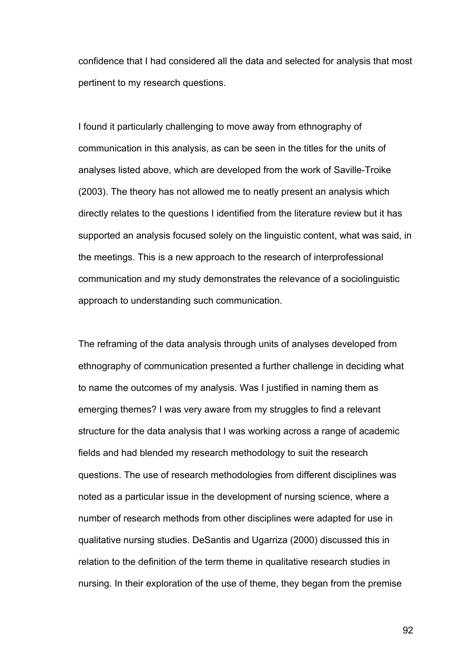confidence that I had considered all the data and selected for analysis that most pertinent to my research questions.

I found it particularly challenging to move away from ethnography of communication in this analysis, as can be seen in the titles for the units of analyses listed above, which are developed from the work of Saville-Troike (2003). The theory has not allowed me to neatly present an analysis which directly relates to the questions I identified from the literature review but it has supported an analysis focused solely on the linguistic content, what was said, in the meetings. This is a new approach to the research of interprofessional communication and my study demonstrates the relevance of a sociolinguistic approach to understanding such communication.

The reframing of the data analysis through units of analyses developed from ethnography of communication presented a further challenge in deciding what to name the outcomes of my analysis. Was I justified in naming them as emerging themes? I was very aware from my struggles to find a relevant structure for the data analysis that I was working across a range of academic fields and had blended my research methodology to suit the research questions. The use of research methodologies from different disciplines was noted as a particular issue in the development of nursing science, where a number of research methods from other disciplines were adapted for use in qualitative nursing studies. DeSantis and Ugarriza (2000) discussed this in relation to the definition of the term theme in qualitative research studies in nursing. In their exploration of the use of theme, they began from the premise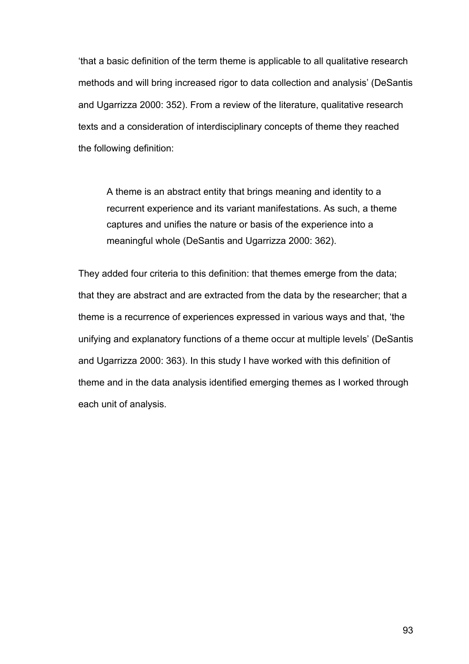'that a basic definition of the term theme is applicable to all qualitative research methods and will bring increased rigor to data collection and analysis' (DeSantis and Ugarrizza 2000: 352). From a review of the literature, qualitative research texts and a consideration of interdisciplinary concepts of theme they reached the following definition:

A theme is an abstract entity that brings meaning and identity to a recurrent experience and its variant manifestations. As such, a theme captures and unifies the nature or basis of the experience into a meaningful whole (DeSantis and Ugarrizza 2000: 362).

They added four criteria to this definition: that themes emerge from the data; that they are abstract and are extracted from the data by the researcher; that a theme is a recurrence of experiences expressed in various ways and that, 'the unifying and explanatory functions of a theme occur at multiple levels' (DeSantis and Ugarrizza 2000: 363). In this study I have worked with this definition of theme and in the data analysis identified emerging themes as I worked through each unit of analysis.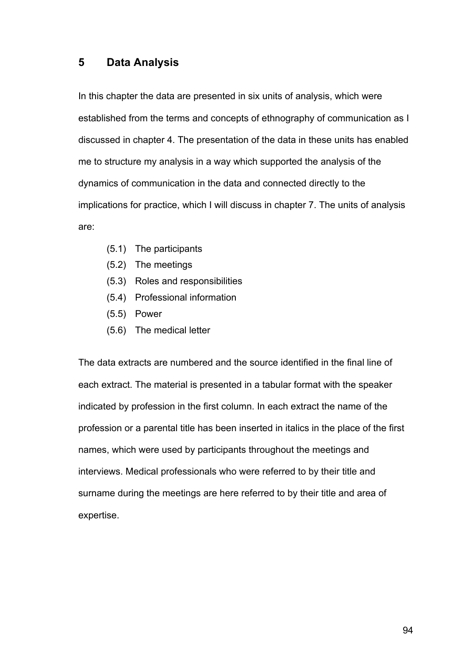# **5 Data Analysis**

In this chapter the data are presented in six units of analysis, which were established from the terms and concepts of ethnography of communication as I discussed in chapter 4. The presentation of the data in these units has enabled me to structure my analysis in a way which supported the analysis of the dynamics of communication in the data and connected directly to the implications for practice, which I will discuss in chapter 7. The units of analysis are:

- (5.1) The participants
- (5.2) The meetings
- (5.3) Roles and responsibilities
- (5.4) Professional information
- (5.5) Power
- (5.6) The medical letter

The data extracts are numbered and the source identified in the final line of each extract. The material is presented in a tabular format with the speaker indicated by profession in the first column. In each extract the name of the profession or a parental title has been inserted in italics in the place of the first names, which were used by participants throughout the meetings and interviews. Medical professionals who were referred to by their title and surname during the meetings are here referred to by their title and area of expertise.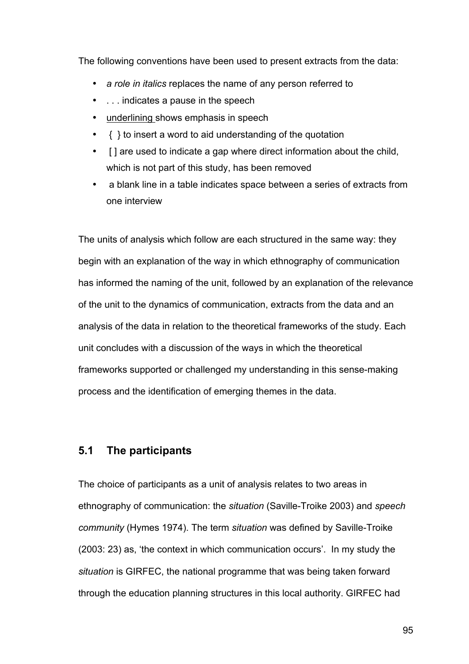The following conventions have been used to present extracts from the data:

- *a role in italics* replaces the name of any person referred to
- . . . indicates a pause in the speech
- underlining shows emphasis in speech
- { } to insert a word to aid understanding of the quotation
- [ ] are used to indicate a gap where direct information about the child, which is not part of this study, has been removed
- a blank line in a table indicates space between a series of extracts from one interview

The units of analysis which follow are each structured in the same way: they begin with an explanation of the way in which ethnography of communication has informed the naming of the unit, followed by an explanation of the relevance of the unit to the dynamics of communication, extracts from the data and an analysis of the data in relation to the theoretical frameworks of the study. Each unit concludes with a discussion of the ways in which the theoretical frameworks supported or challenged my understanding in this sense-making process and the identification of emerging themes in the data.

## **5.1 The participants**

The choice of participants as a unit of analysis relates to two areas in ethnography of communication: the *situation* (Saville-Troike 2003) and *speech community* (Hymes 1974). The term *situation* was defined by Saville-Troike (2003: 23) as, 'the context in which communication occurs'. In my study the *situation* is GIRFEC, the national programme that was being taken forward through the education planning structures in this local authority. GIRFEC had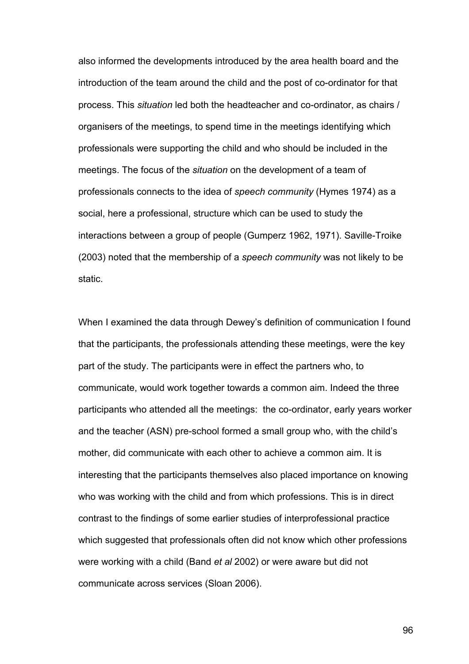also informed the developments introduced by the area health board and the introduction of the team around the child and the post of co-ordinator for that process. This *situation* led both the headteacher and co-ordinator, as chairs / organisers of the meetings, to spend time in the meetings identifying which professionals were supporting the child and who should be included in the meetings. The focus of the *situation* on the development of a team of professionals connects to the idea of *speech community* (Hymes 1974) as a social, here a professional, structure which can be used to study the interactions between a group of people (Gumperz 1962, 1971). Saville-Troike (2003) noted that the membership of a *speech community* was not likely to be static.

When I examined the data through Dewey's definition of communication I found that the participants, the professionals attending these meetings, were the key part of the study. The participants were in effect the partners who, to communicate, would work together towards a common aim. Indeed the three participants who attended all the meetings: the co-ordinator, early years worker and the teacher (ASN) pre-school formed a small group who, with the child's mother, did communicate with each other to achieve a common aim. It is interesting that the participants themselves also placed importance on knowing who was working with the child and from which professions. This is in direct contrast to the findings of some earlier studies of interprofessional practice which suggested that professionals often did not know which other professions were working with a child (Band *et al* 2002) or were aware but did not communicate across services (Sloan 2006).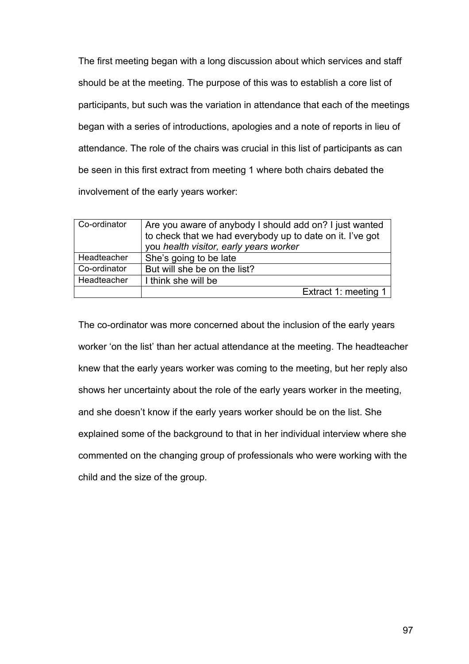The first meeting began with a long discussion about which services and staff should be at the meeting. The purpose of this was to establish a core list of participants, but such was the variation in attendance that each of the meetings began with a series of introductions, apologies and a note of reports in lieu of attendance. The role of the chairs was crucial in this list of participants as can be seen in this first extract from meeting 1 where both chairs debated the involvement of the early years worker:

| Co-ordinator       | Are you aware of anybody I should add on? I just wanted<br>to check that we had everybody up to date on it. I've got<br>you health visitor, early years worker |
|--------------------|----------------------------------------------------------------------------------------------------------------------------------------------------------------|
| <b>Headteacher</b> | She's going to be late                                                                                                                                         |
| Co-ordinator       | But will she be on the list?                                                                                                                                   |
| <b>Headteacher</b> | I think she will be                                                                                                                                            |
|                    | Extract 1: meeting 1                                                                                                                                           |

The co-ordinator was more concerned about the inclusion of the early years worker 'on the list' than her actual attendance at the meeting. The headteacher knew that the early years worker was coming to the meeting, but her reply also shows her uncertainty about the role of the early years worker in the meeting, and she doesn't know if the early years worker should be on the list. She explained some of the background to that in her individual interview where she commented on the changing group of professionals who were working with the child and the size of the group.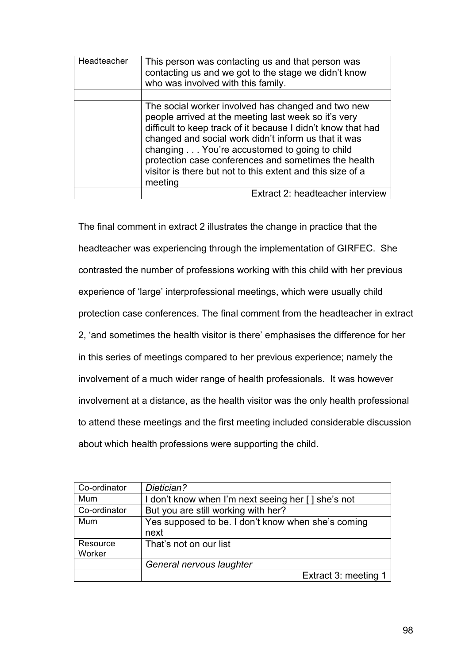| Headteacher | This person was contacting us and that person was<br>contacting us and we got to the stage we didn't know<br>who was involved with this family.                                                                                                                                                                                                                                                                     |
|-------------|---------------------------------------------------------------------------------------------------------------------------------------------------------------------------------------------------------------------------------------------------------------------------------------------------------------------------------------------------------------------------------------------------------------------|
|             | The social worker involved has changed and two new<br>people arrived at the meeting last week so it's very<br>difficult to keep track of it because I didn't know that had<br>changed and social work didn't inform us that it was<br>changing You're accustomed to going to child<br>protection case conferences and sometimes the health<br>visitor is there but not to this extent and this size of a<br>meeting |
|             | Extract 2: headteacher interview                                                                                                                                                                                                                                                                                                                                                                                    |

The final comment in extract 2 illustrates the change in practice that the headteacher was experiencing through the implementation of GIRFEC. She contrasted the number of professions working with this child with her previous experience of 'large' interprofessional meetings, which were usually child protection case conferences. The final comment from the headteacher in extract 2, 'and sometimes the health visitor is there' emphasises the difference for her in this series of meetings compared to her previous experience; namely the involvement of a much wider range of health professionals. It was however involvement at a distance, as the health visitor was the only health professional to attend these meetings and the first meeting included considerable discussion about which health professions were supporting the child.

| Co-ordinator       | Dietician?                                                 |
|--------------------|------------------------------------------------------------|
| Mum                | I don't know when I'm next seeing her [] she's not         |
| Co-ordinator       | But you are still working with her?                        |
| Mum                | Yes supposed to be. I don't know when she's coming<br>next |
| Resource<br>Worker | That's not on our list                                     |
|                    | General nervous laughter                                   |
|                    | Extract 3: meeting 1                                       |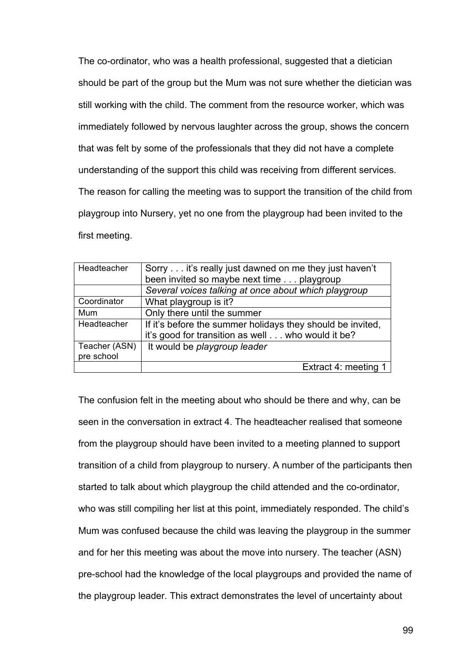The co-ordinator, who was a health professional, suggested that a dietician should be part of the group but the Mum was not sure whether the dietician was still working with the child. The comment from the resource worker, which was immediately followed by nervous laughter across the group, shows the concern that was felt by some of the professionals that they did not have a complete understanding of the support this child was receiving from different services. The reason for calling the meeting was to support the transition of the child from playgroup into Nursery, yet no one from the playgroup had been invited to the first meeting.

| Headteacher   | Sorry it's really just dawned on me they just haven't      |
|---------------|------------------------------------------------------------|
|               | been invited so maybe next time playgroup                  |
|               | Several voices talking at once about which playgroup       |
| Coordinator   | What playgroup is it?                                      |
| Mum           | Only there until the summer                                |
| Headteacher   | If it's before the summer holidays they should be invited, |
|               | it's good for transition as well who would it be?          |
| Teacher (ASN) | It would be playgroup leader                               |
| pre school    |                                                            |
|               | Extract 4: meeting 1                                       |

The confusion felt in the meeting about who should be there and why, can be seen in the conversation in extract 4. The headteacher realised that someone from the playgroup should have been invited to a meeting planned to support transition of a child from playgroup to nursery. A number of the participants then started to talk about which playgroup the child attended and the co-ordinator, who was still compiling her list at this point, immediately responded. The child's Mum was confused because the child was leaving the playgroup in the summer and for her this meeting was about the move into nursery. The teacher (ASN) pre-school had the knowledge of the local playgroups and provided the name of the playgroup leader. This extract demonstrates the level of uncertainty about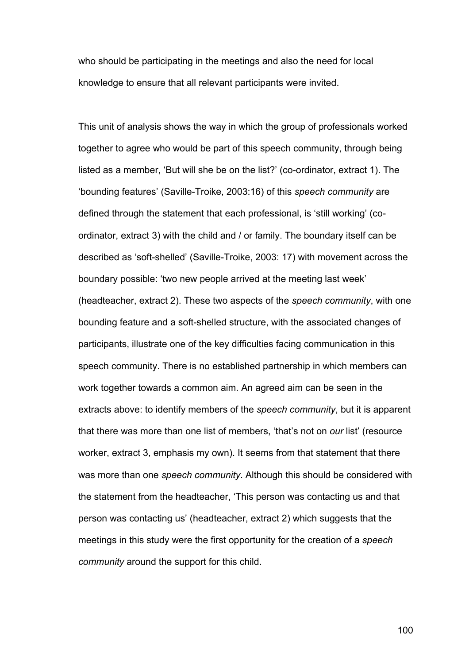who should be participating in the meetings and also the need for local knowledge to ensure that all relevant participants were invited.

This unit of analysis shows the way in which the group of professionals worked together to agree who would be part of this speech community, through being listed as a member, 'But will she be on the list?' (co-ordinator, extract 1). The 'bounding features' (Saville-Troike, 2003:16) of this *speech community* are defined through the statement that each professional, is 'still working' (coordinator, extract 3) with the child and / or family. The boundary itself can be described as 'soft-shelled' (Saville-Troike, 2003: 17) with movement across the boundary possible: 'two new people arrived at the meeting last week' (headteacher, extract 2). These two aspects of the *speech community*, with one bounding feature and a soft-shelled structure, with the associated changes of participants, illustrate one of the key difficulties facing communication in this speech community. There is no established partnership in which members can work together towards a common aim. An agreed aim can be seen in the extracts above: to identify members of the *speech community*, but it is apparent that there was more than one list of members, 'that's not on *our* list' (resource worker, extract 3, emphasis my own). It seems from that statement that there was more than one *speech community*. Although this should be considered with the statement from the headteacher, 'This person was contacting us and that person was contacting us' (headteacher, extract 2) which suggests that the meetings in this study were the first opportunity for the creation of a *speech community* around the support for this child.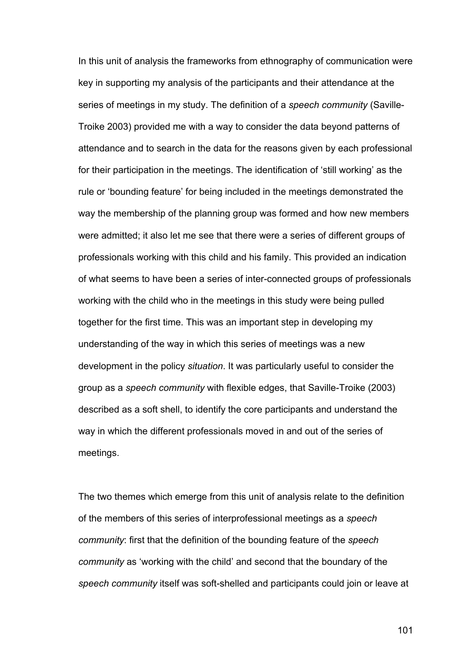In this unit of analysis the frameworks from ethnography of communication were key in supporting my analysis of the participants and their attendance at the series of meetings in my study. The definition of a *speech community* (Saville-Troike 2003) provided me with a way to consider the data beyond patterns of attendance and to search in the data for the reasons given by each professional for their participation in the meetings. The identification of 'still working' as the rule or 'bounding feature' for being included in the meetings demonstrated the way the membership of the planning group was formed and how new members were admitted; it also let me see that there were a series of different groups of professionals working with this child and his family. This provided an indication of what seems to have been a series of inter-connected groups of professionals working with the child who in the meetings in this study were being pulled together for the first time. This was an important step in developing my understanding of the way in which this series of meetings was a new development in the policy *situation*. It was particularly useful to consider the group as a *speech community* with flexible edges, that Saville-Troike (2003) described as a soft shell, to identify the core participants and understand the way in which the different professionals moved in and out of the series of meetings.

The two themes which emerge from this unit of analysis relate to the definition of the members of this series of interprofessional meetings as a *speech community*: first that the definition of the bounding feature of the *speech community* as 'working with the child' and second that the boundary of the *speech community* itself was soft-shelled and participants could join or leave at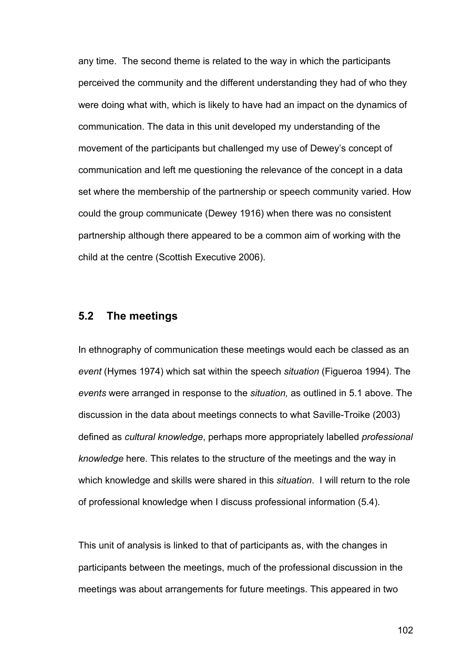any time. The second theme is related to the way in which the participants perceived the community and the different understanding they had of who they were doing what with, which is likely to have had an impact on the dynamics of communication. The data in this unit developed my understanding of the movement of the participants but challenged my use of Dewey's concept of communication and left me questioning the relevance of the concept in a data set where the membership of the partnership or speech community varied. How could the group communicate (Dewey 1916) when there was no consistent partnership although there appeared to be a common aim of working with the child at the centre (Scottish Executive 2006).

# **5.2 The meetings**

In ethnography of communication these meetings would each be classed as an *event* (Hymes 1974) which sat within the speech *situation* (Figueroa 1994). The *events* were arranged in response to the *situation,* as outlined in 5.1 above. The discussion in the data about meetings connects to what Saville-Troike (2003) defined as *cultural knowledge*, perhaps more appropriately labelled *professional knowledge* here. This relates to the structure of the meetings and the way in which knowledge and skills were shared in this *situation*. I will return to the role of professional knowledge when I discuss professional information (5.4).

This unit of analysis is linked to that of participants as, with the changes in participants between the meetings, much of the professional discussion in the meetings was about arrangements for future meetings. This appeared in two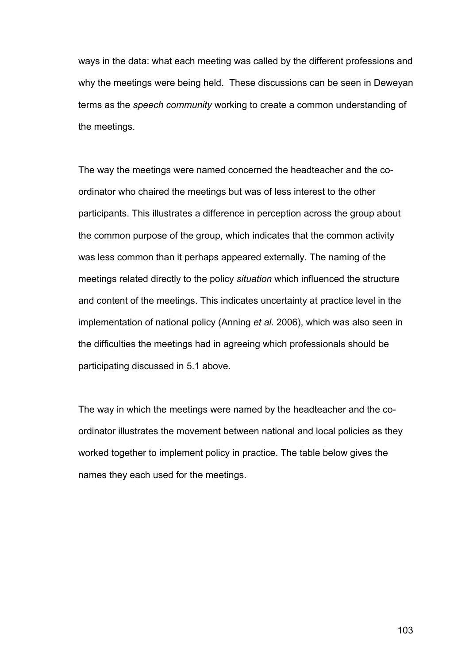ways in the data: what each meeting was called by the different professions and why the meetings were being held. These discussions can be seen in Deweyan terms as the *speech community* working to create a common understanding of the meetings.

The way the meetings were named concerned the headteacher and the coordinator who chaired the meetings but was of less interest to the other participants. This illustrates a difference in perception across the group about the common purpose of the group, which indicates that the common activity was less common than it perhaps appeared externally. The naming of the meetings related directly to the policy *situation* which influenced the structure and content of the meetings. This indicates uncertainty at practice level in the implementation of national policy (Anning *et al*. 2006), which was also seen in the difficulties the meetings had in agreeing which professionals should be participating discussed in 5.1 above.

The way in which the meetings were named by the headteacher and the coordinator illustrates the movement between national and local policies as they worked together to implement policy in practice. The table below gives the names they each used for the meetings.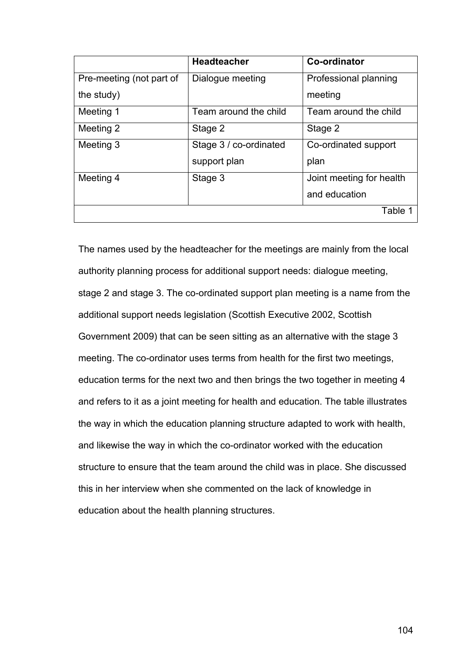|                          | <b>Headteacher</b>     | Co-ordinator             |
|--------------------------|------------------------|--------------------------|
| Pre-meeting (not part of | Dialogue meeting       | Professional planning    |
| the study)               |                        | meeting                  |
| Meeting 1                | Team around the child  | Team around the child    |
| Meeting 2                | Stage 2                | Stage 2                  |
| Meeting 3                | Stage 3 / co-ordinated | Co-ordinated support     |
|                          | support plan           | plan                     |
| Meeting 4                | Stage 3                | Joint meeting for health |
|                          |                        | and education            |
|                          |                        | Table 1                  |

The names used by the headteacher for the meetings are mainly from the local authority planning process for additional support needs: dialogue meeting, stage 2 and stage 3. The co-ordinated support plan meeting is a name from the additional support needs legislation (Scottish Executive 2002, Scottish Government 2009) that can be seen sitting as an alternative with the stage 3 meeting. The co-ordinator uses terms from health for the first two meetings, education terms for the next two and then brings the two together in meeting 4 and refers to it as a joint meeting for health and education. The table illustrates the way in which the education planning structure adapted to work with health, and likewise the way in which the co-ordinator worked with the education structure to ensure that the team around the child was in place. She discussed this in her interview when she commented on the lack of knowledge in education about the health planning structures.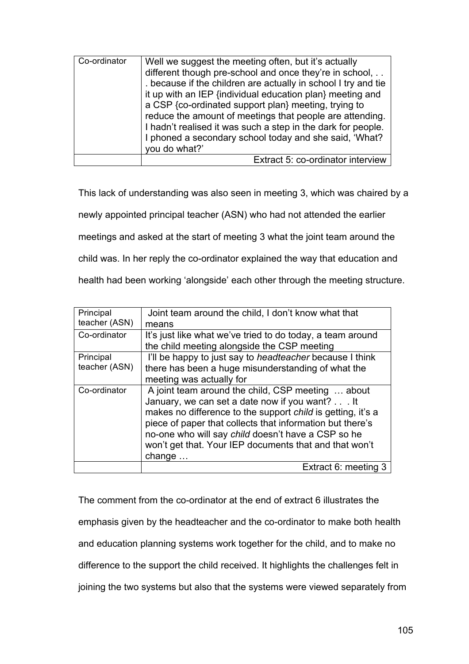| Co-ordinator | Well we suggest the meeting often, but it's actually<br>different though pre-school and once they're in school,<br>because if the children are actually in school I try and tie<br>it up with an IEP {individual education plan} meeting and<br>a CSP {co-ordinated support plan} meeting, trying to<br>reduce the amount of meetings that people are attending.<br>I hadn't realised it was such a step in the dark for people.<br>I phoned a secondary school today and she said, 'What?<br>you do what?' |
|--------------|-------------------------------------------------------------------------------------------------------------------------------------------------------------------------------------------------------------------------------------------------------------------------------------------------------------------------------------------------------------------------------------------------------------------------------------------------------------------------------------------------------------|
|              | Extract 5: co-ordinator interview                                                                                                                                                                                                                                                                                                                                                                                                                                                                           |

This lack of understanding was also seen in meeting 3, which was chaired by a newly appointed principal teacher (ASN) who had not attended the earlier meetings and asked at the start of meeting 3 what the joint team around the child was. In her reply the co-ordinator explained the way that education and health had been working 'alongside' each other through the meeting structure.

| Principal     | Joint team around the child, I don't know what that             |
|---------------|-----------------------------------------------------------------|
| teacher (ASN) | means                                                           |
| Co-ordinator  | It's just like what we've tried to do today, a team around      |
|               | the child meeting alongside the CSP meeting                     |
| Principal     | I'll be happy to just say to <i>headteacher</i> because I think |
| teacher (ASN) | there has been a huge misunderstanding of what the              |
|               | meeting was actually for                                        |
| Co-ordinator  | A joint team around the child, CSP meeting  about               |
|               | January, we can set a date now if you want? It                  |
|               | makes no difference to the support child is getting, it's a     |
|               | piece of paper that collects that information but there's       |
|               | no-one who will say child doesn't have a CSP so he              |
|               | won't get that. Your IEP documents that and that won't          |
|               | change                                                          |
|               | Extract 6: meeting 3                                            |

The comment from the co-ordinator at the end of extract 6 illustrates the emphasis given by the headteacher and the co-ordinator to make both health and education planning systems work together for the child, and to make no difference to the support the child received. It highlights the challenges felt in joining the two systems but also that the systems were viewed separately from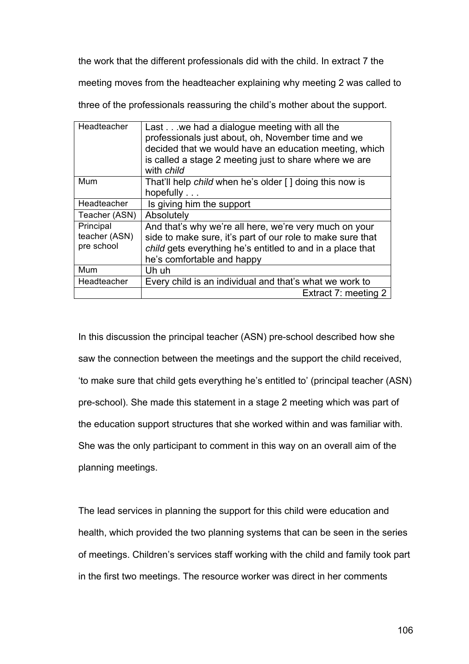the work that the different professionals did with the child. In extract 7 the

meeting moves from the headteacher explaining why meeting 2 was called to

Headteacher  $\vert$  Last  $\ldots$  we had a dialogue meeting with all the professionals just about, oh, November time and we decided that we would have an education meeting, which is called a stage 2 meeting just to share where we are with *child* Mum **That'll help** *child* when he's older [ ] doing this now is hopefully . . . Headteacher  $\vert$  is giving him the support Teacher (ASN) Absolutely **Principal** teacher (ASN) pre school And that's why we're all here, we're very much on your side to make sure, it's part of our role to make sure that *child* gets everything he's entitled to and in a place that he's comfortable and happy Mum Uh uh Headteacher  $\vert$  Every child is an individual and that's what we work to Extract 7: meeting 2

three of the professionals reassuring the child's mother about the support.

In this discussion the principal teacher (ASN) pre-school described how she saw the connection between the meetings and the support the child received, 'to make sure that child gets everything he's entitled to' (principal teacher (ASN) pre-school). She made this statement in a stage 2 meeting which was part of the education support structures that she worked within and was familiar with. She was the only participant to comment in this way on an overall aim of the planning meetings.

The lead services in planning the support for this child were education and health, which provided the two planning systems that can be seen in the series of meetings. Children's services staff working with the child and family took part in the first two meetings. The resource worker was direct in her comments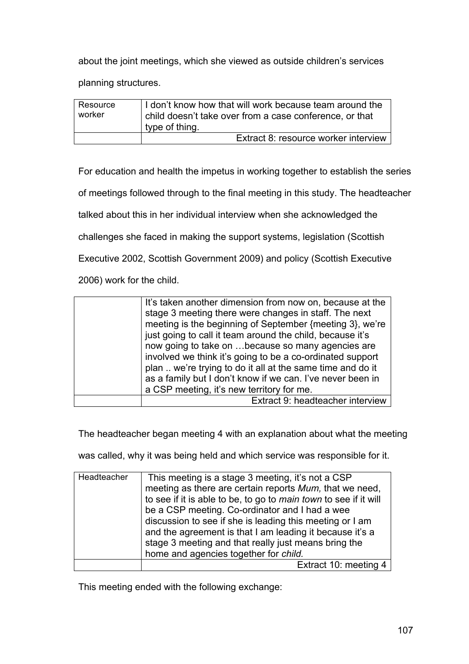about the joint meetings, which she viewed as outside children's services

planning structures.

| Resource<br>worker | I don't know how that will work because team around the<br>child doesn't take over from a case conference, or that<br>type of thing. |
|--------------------|--------------------------------------------------------------------------------------------------------------------------------------|
|                    | Extract 8: resource worker interview                                                                                                 |

For education and health the impetus in working together to establish the series

of meetings followed through to the final meeting in this study. The headteacher

talked about this in her individual interview when she acknowledged the

challenges she faced in making the support systems, legislation (Scottish

Executive 2002, Scottish Government 2009) and policy (Scottish Executive

2006) work for the child.

| It's taken another dimension from now on, because at the<br>stage 3 meeting there were changes in staff. The next |
|-------------------------------------------------------------------------------------------------------------------|
| meeting is the beginning of September {meeting 3}, we're                                                          |
| just going to call it team around the child, because it's                                                         |
| now going to take on because so many agencies are                                                                 |
| involved we think it's going to be a co-ordinated support                                                         |
| plan  we're trying to do it all at the same time and do it                                                        |
| as a family but I don't know if we can. I've never been in                                                        |
| a CSP meeting, it's new territory for me.                                                                         |
| Extract 9: headteacher interview                                                                                  |

The headteacher began meeting 4 with an explanation about what the meeting

was called, why it was being held and which service was responsible for it.

| Headteacher | This meeting is a stage 3 meeting, it's not a CSP<br>meeting as there are certain reports Mum, that we need,<br>to see if it is able to be, to go to main town to see if it will<br>be a CSP meeting. Co-ordinator and I had a wee<br>discussion to see if she is leading this meeting or I am<br>and the agreement is that I am leading it because it's a<br>stage 3 meeting and that really just means bring the |
|-------------|--------------------------------------------------------------------------------------------------------------------------------------------------------------------------------------------------------------------------------------------------------------------------------------------------------------------------------------------------------------------------------------------------------------------|
|             | home and agencies together for child.                                                                                                                                                                                                                                                                                                                                                                              |
|             | Extract 10: meeting 4                                                                                                                                                                                                                                                                                                                                                                                              |

This meeting ended with the following exchange: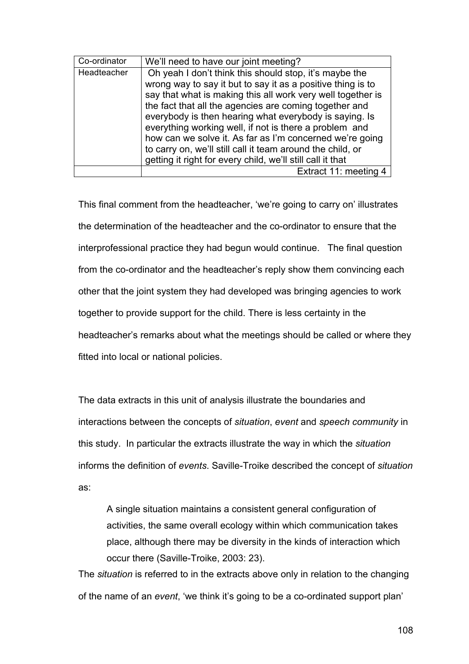| Co-ordinator | We'll need to have our joint meeting?                       |
|--------------|-------------------------------------------------------------|
| Headteacher  | Oh yeah I don't think this should stop, it's maybe the      |
|              | wrong way to say it but to say it as a positive thing is to |
|              | say that what is making this all work very well together is |
|              | the fact that all the agencies are coming together and      |
|              | everybody is then hearing what everybody is saying. Is      |
|              | everything working well, if not is there a problem and      |
|              | how can we solve it. As far as I'm concerned we're going    |
|              | to carry on, we'll still call it team around the child, or  |
|              | getting it right for every child, we'll still call it that  |
|              | Extract 11: meeting 4                                       |

This final comment from the headteacher, 'we're going to carry on' illustrates the determination of the headteacher and the co-ordinator to ensure that the interprofessional practice they had begun would continue. The final question from the co-ordinator and the headteacher's reply show them convincing each other that the joint system they had developed was bringing agencies to work together to provide support for the child. There is less certainty in the headteacher's remarks about what the meetings should be called or where they fitted into local or national policies.

The data extracts in this unit of analysis illustrate the boundaries and interactions between the concepts of *situation*, *event* and *speech community* in this study. In particular the extracts illustrate the way in which the *situation* informs the definition of *events*. Saville-Troike described the concept of *situation* as:

A single situation maintains a consistent general configuration of activities, the same overall ecology within which communication takes place, although there may be diversity in the kinds of interaction which occur there (Saville-Troike, 2003: 23).

The *situation* is referred to in the extracts above only in relation to the changing of the name of an *event*, 'we think it's going to be a co-ordinated support plan'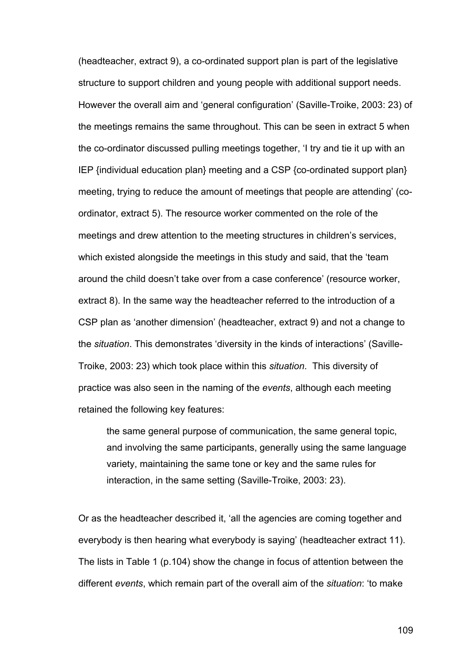(headteacher, extract 9), a co-ordinated support plan is part of the legislative structure to support children and young people with additional support needs. However the overall aim and 'general configuration' (Saville-Troike, 2003: 23) of the meetings remains the same throughout. This can be seen in extract 5 when the co-ordinator discussed pulling meetings together, 'I try and tie it up with an IEP {individual education plan} meeting and a CSP {co-ordinated support plan} meeting, trying to reduce the amount of meetings that people are attending' (coordinator, extract 5). The resource worker commented on the role of the meetings and drew attention to the meeting structures in children's services, which existed alongside the meetings in this study and said, that the 'team around the child doesn't take over from a case conference' (resource worker, extract 8). In the same way the headteacher referred to the introduction of a CSP plan as 'another dimension' (headteacher, extract 9) and not a change to the *situation*. This demonstrates 'diversity in the kinds of interactions' (Saville-Troike, 2003: 23) which took place within this *situation*. This diversity of practice was also seen in the naming of the *events*, although each meeting retained the following key features:

the same general purpose of communication, the same general topic, and involving the same participants, generally using the same language variety, maintaining the same tone or key and the same rules for interaction, in the same setting (Saville-Troike, 2003: 23).

Or as the headteacher described it, 'all the agencies are coming together and everybody is then hearing what everybody is saying' (headteacher extract 11). The lists in Table 1 (p.104) show the change in focus of attention between the different *events*, which remain part of the overall aim of the *situation*: 'to make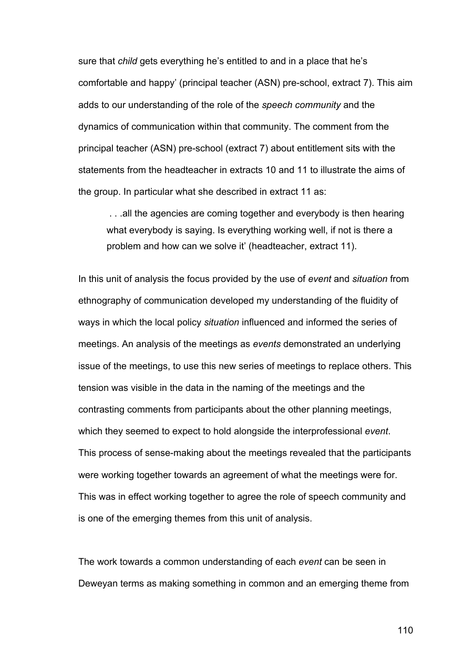sure that *child* gets everything he's entitled to and in a place that he's comfortable and happy' (principal teacher (ASN) pre-school, extract 7). This aim adds to our understanding of the role of the *speech community* and the dynamics of communication within that community. The comment from the principal teacher (ASN) pre-school (extract 7) about entitlement sits with the statements from the headteacher in extracts 10 and 11 to illustrate the aims of the group. In particular what she described in extract 11 as:

. . .all the agencies are coming together and everybody is then hearing what everybody is saying. Is everything working well, if not is there a problem and how can we solve it' (headteacher, extract 11).

In this unit of analysis the focus provided by the use of *event* and *situation* from ethnography of communication developed my understanding of the fluidity of ways in which the local policy *situation* influenced and informed the series of meetings. An analysis of the meetings as *events* demonstrated an underlying issue of the meetings, to use this new series of meetings to replace others. This tension was visible in the data in the naming of the meetings and the contrasting comments from participants about the other planning meetings, which they seemed to expect to hold alongside the interprofessional *event*. This process of sense-making about the meetings revealed that the participants were working together towards an agreement of what the meetings were for. This was in effect working together to agree the role of speech community and is one of the emerging themes from this unit of analysis.

The work towards a common understanding of each *event* can be seen in Deweyan terms as making something in common and an emerging theme from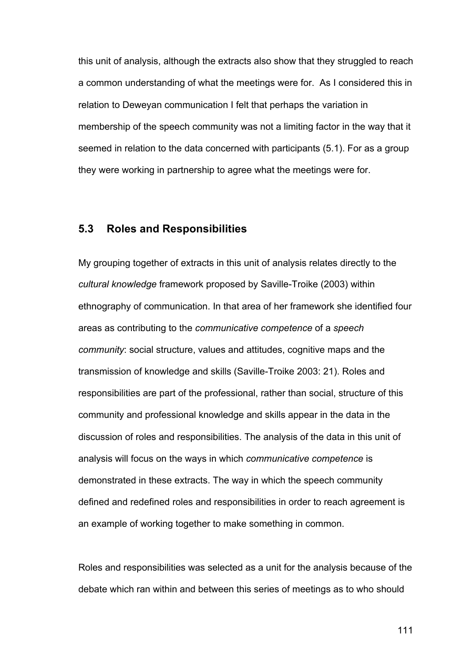this unit of analysis, although the extracts also show that they struggled to reach a common understanding of what the meetings were for. As I considered this in relation to Deweyan communication I felt that perhaps the variation in membership of the speech community was not a limiting factor in the way that it seemed in relation to the data concerned with participants (5.1). For as a group they were working in partnership to agree what the meetings were for.

## **5.3 Roles and Responsibilities**

My grouping together of extracts in this unit of analysis relates directly to the *cultural knowledge* framework proposed by Saville-Troike (2003) within ethnography of communication. In that area of her framework she identified four areas as contributing to the *communicative competence* of a *speech community*: social structure, values and attitudes, cognitive maps and the transmission of knowledge and skills (Saville-Troike 2003: 21). Roles and responsibilities are part of the professional, rather than social, structure of this community and professional knowledge and skills appear in the data in the discussion of roles and responsibilities. The analysis of the data in this unit of analysis will focus on the ways in which *communicative competence* is demonstrated in these extracts. The way in which the speech community defined and redefined roles and responsibilities in order to reach agreement is an example of working together to make something in common.

Roles and responsibilities was selected as a unit for the analysis because of the debate which ran within and between this series of meetings as to who should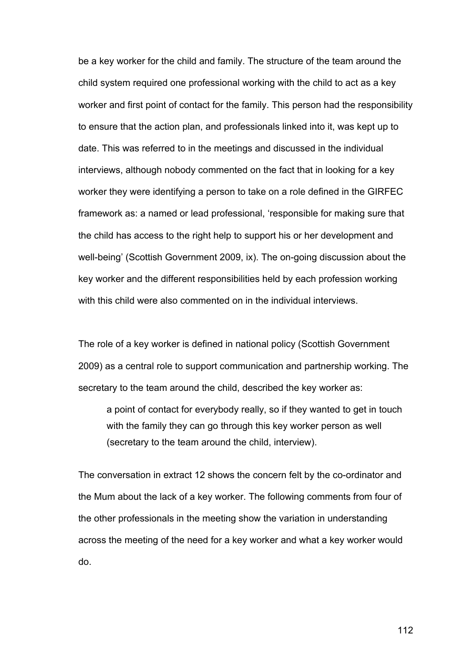be a key worker for the child and family. The structure of the team around the child system required one professional working with the child to act as a key worker and first point of contact for the family. This person had the responsibility to ensure that the action plan, and professionals linked into it, was kept up to date. This was referred to in the meetings and discussed in the individual interviews, although nobody commented on the fact that in looking for a key worker they were identifying a person to take on a role defined in the GIRFEC framework as: a named or lead professional, 'responsible for making sure that the child has access to the right help to support his or her development and well-being' (Scottish Government 2009, ix). The on-going discussion about the key worker and the different responsibilities held by each profession working with this child were also commented on in the individual interviews.

The role of a key worker is defined in national policy (Scottish Government 2009) as a central role to support communication and partnership working. The secretary to the team around the child, described the key worker as:

a point of contact for everybody really, so if they wanted to get in touch with the family they can go through this key worker person as well (secretary to the team around the child, interview).

The conversation in extract 12 shows the concern felt by the co-ordinator and the Mum about the lack of a key worker. The following comments from four of the other professionals in the meeting show the variation in understanding across the meeting of the need for a key worker and what a key worker would do.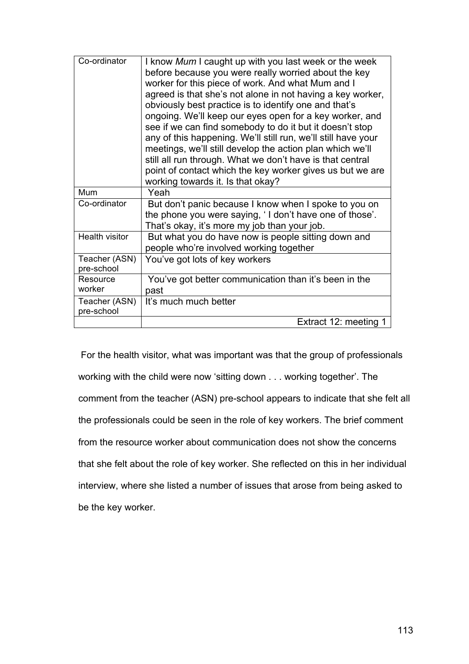| Co-ordinator                | I know Mum I caught up with you last week or the week<br>before because you were really worried about the key<br>worker for this piece of work. And what Mum and I<br>agreed is that she's not alone in not having a key worker,<br>obviously best practice is to identify one and that's<br>ongoing. We'll keep our eyes open for a key worker, and<br>see if we can find somebody to do it but it doesn't stop<br>any of this happening. We'll still run, we'll still have your<br>meetings, we'll still develop the action plan which we'll<br>still all run through. What we don't have is that central<br>point of contact which the key worker gives us but we are<br>working towards it. Is that okay? |
|-----------------------------|---------------------------------------------------------------------------------------------------------------------------------------------------------------------------------------------------------------------------------------------------------------------------------------------------------------------------------------------------------------------------------------------------------------------------------------------------------------------------------------------------------------------------------------------------------------------------------------------------------------------------------------------------------------------------------------------------------------|
| Mum                         | Yeah                                                                                                                                                                                                                                                                                                                                                                                                                                                                                                                                                                                                                                                                                                          |
| Co-ordinator                | But don't panic because I know when I spoke to you on<br>the phone you were saying, 'I don't have one of those'.<br>That's okay, it's more my job than your job.                                                                                                                                                                                                                                                                                                                                                                                                                                                                                                                                              |
| Health visitor              | But what you do have now is people sitting down and<br>people who're involved working together                                                                                                                                                                                                                                                                                                                                                                                                                                                                                                                                                                                                                |
| Teacher (ASN)<br>pre-school | You've got lots of key workers                                                                                                                                                                                                                                                                                                                                                                                                                                                                                                                                                                                                                                                                                |
| Resource                    | You've got better communication than it's been in the                                                                                                                                                                                                                                                                                                                                                                                                                                                                                                                                                                                                                                                         |
| worker                      | past                                                                                                                                                                                                                                                                                                                                                                                                                                                                                                                                                                                                                                                                                                          |
| Teacher (ASN)<br>pre-school | It's much much better                                                                                                                                                                                                                                                                                                                                                                                                                                                                                                                                                                                                                                                                                         |
|                             | Extract 12: meeting 1                                                                                                                                                                                                                                                                                                                                                                                                                                                                                                                                                                                                                                                                                         |

For the health visitor, what was important was that the group of professionals working with the child were now 'sitting down . . . working together'. The comment from the teacher (ASN) pre-school appears to indicate that she felt all the professionals could be seen in the role of key workers. The brief comment from the resource worker about communication does not show the concerns that she felt about the role of key worker. She reflected on this in her individual interview, where she listed a number of issues that arose from being asked to be the key worker.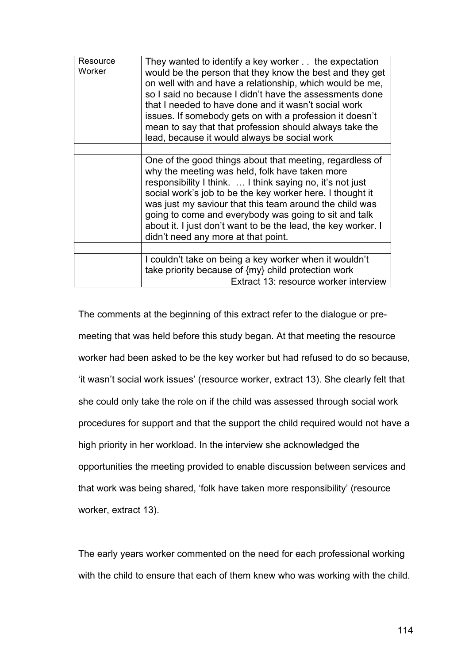| Resource<br>Worker | They wanted to identify a key worker the expectation<br>would be the person that they know the best and they get<br>on well with and have a relationship, which would be me,<br>so I said no because I didn't have the assessments done<br>that I needed to have done and it wasn't social work<br>issues. If somebody gets on with a profession it doesn't<br>mean to say that that profession should always take the<br>lead, because it would always be social work |
|--------------------|------------------------------------------------------------------------------------------------------------------------------------------------------------------------------------------------------------------------------------------------------------------------------------------------------------------------------------------------------------------------------------------------------------------------------------------------------------------------|
|                    |                                                                                                                                                                                                                                                                                                                                                                                                                                                                        |
|                    | One of the good things about that meeting, regardless of<br>why the meeting was held, folk have taken more<br>responsibility I think.  I think saying no, it's not just<br>social work's job to be the key worker here. I thought it<br>was just my saviour that this team around the child was<br>going to come and everybody was going to sit and talk<br>about it. I just don't want to be the lead, the key worker. I<br>didn't need any more at that point.       |
|                    |                                                                                                                                                                                                                                                                                                                                                                                                                                                                        |
|                    | I couldn't take on being a key worker when it wouldn't<br>take priority because of {my} child protection work                                                                                                                                                                                                                                                                                                                                                          |
|                    | Extract 13: resource worker interview                                                                                                                                                                                                                                                                                                                                                                                                                                  |

The comments at the beginning of this extract refer to the dialogue or premeeting that was held before this study began. At that meeting the resource worker had been asked to be the key worker but had refused to do so because, 'it wasn't social work issues' (resource worker, extract 13). She clearly felt that she could only take the role on if the child was assessed through social work procedures for support and that the support the child required would not have a high priority in her workload. In the interview she acknowledged the opportunities the meeting provided to enable discussion between services and that work was being shared, 'folk have taken more responsibility' (resource worker, extract 13).

The early years worker commented on the need for each professional working with the child to ensure that each of them knew who was working with the child.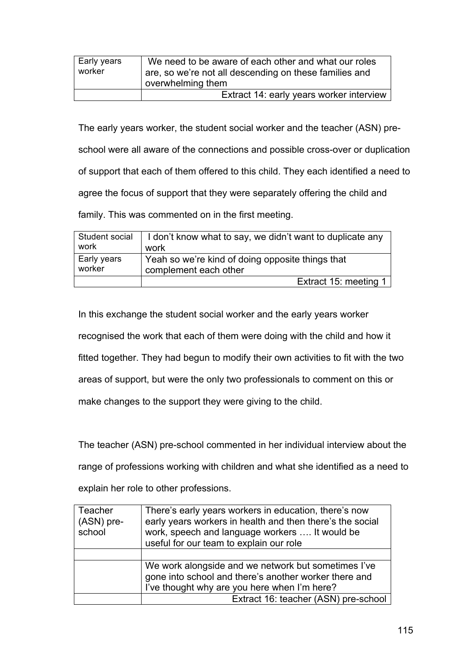| Early years<br>worker | We need to be aware of each other and what our roles<br>are, so we're not all descending on these families and<br>overwhelming them |
|-----------------------|-------------------------------------------------------------------------------------------------------------------------------------|
|                       | Extract 14: early years worker interview                                                                                            |

The early years worker, the student social worker and the teacher (ASN) preschool were all aware of the connections and possible cross-over or duplication of support that each of them offered to this child. They each identified a need to agree the focus of support that they were separately offering the child and family. This was commented on in the first meeting.

| Student social | I don't know what to say, we didn't want to duplicate any |
|----------------|-----------------------------------------------------------|
| work           | work                                                      |
| Early years    | Yeah so we're kind of doing opposite things that          |
| worker         | complement each other                                     |
|                | Extract 15: meeting 1                                     |

In this exchange the student social worker and the early years worker recognised the work that each of them were doing with the child and how it fitted together. They had begun to modify their own activities to fit with the two areas of support, but were the only two professionals to comment on this or make changes to the support they were giving to the child.

The teacher (ASN) pre-school commented in her individual interview about the range of professions working with children and what she identified as a need to explain her role to other professions.

| Teacher<br>(ASN) pre-<br>school | There's early years workers in education, there's now<br>early years workers in health and then there's the social<br>work, speech and language workers  It would be<br>useful for our team to explain our role |
|---------------------------------|-----------------------------------------------------------------------------------------------------------------------------------------------------------------------------------------------------------------|
|                                 |                                                                                                                                                                                                                 |
|                                 | We work alongside and we network but sometimes I've<br>gone into school and there's another worker there and<br>I've thought why are you here when I'm here?                                                    |
|                                 | Extract 16: teacher (ASN) pre-school                                                                                                                                                                            |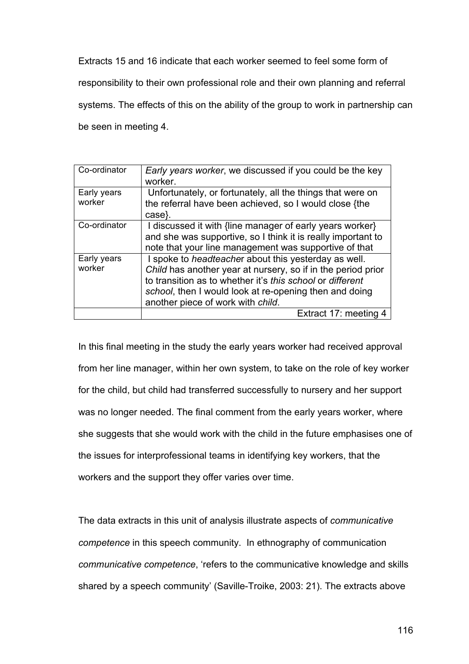Extracts 15 and 16 indicate that each worker seemed to feel some form of responsibility to their own professional role and their own planning and referral systems. The effects of this on the ability of the group to work in partnership can be seen in meeting 4.

| Co-ordinator          | <i>Early years worker, we discussed if you could be the key</i><br>worker.                                                     |
|-----------------------|--------------------------------------------------------------------------------------------------------------------------------|
|                       |                                                                                                                                |
| Early years<br>worker | Unfortunately, or fortunately, all the things that were on<br>the referral have been achieved, so I would close {the<br>case}. |
|                       |                                                                                                                                |
| Co-ordinator          | I discussed it with {line manager of early years worker}                                                                       |
|                       | and she was supportive, so I think it is really important to                                                                   |
|                       | note that your line management was supportive of that                                                                          |
| Early years           | I spoke to headteacher about this yesterday as well.                                                                           |
| worker                | Child has another year at nursery, so if in the period prior                                                                   |
|                       | to transition as to whether it's this school or different                                                                      |
|                       | school, then I would look at re-opening then and doing                                                                         |
|                       | another piece of work with child.                                                                                              |
|                       | Extract 17: meeting 4                                                                                                          |

In this final meeting in the study the early years worker had received approval from her line manager, within her own system, to take on the role of key worker for the child, but child had transferred successfully to nursery and her support was no longer needed. The final comment from the early years worker, where she suggests that she would work with the child in the future emphasises one of the issues for interprofessional teams in identifying key workers, that the workers and the support they offer varies over time.

The data extracts in this unit of analysis illustrate aspects of *communicative competence* in this speech community. In ethnography of communication *communicative competence*, 'refers to the communicative knowledge and skills shared by a speech community' (Saville-Troike, 2003: 21). The extracts above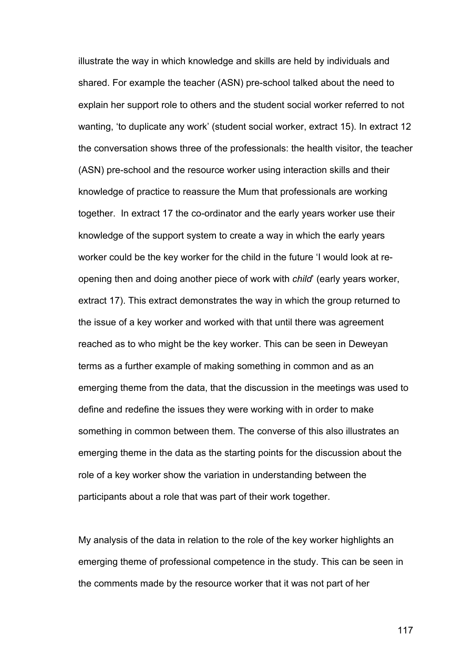illustrate the way in which knowledge and skills are held by individuals and shared. For example the teacher (ASN) pre-school talked about the need to explain her support role to others and the student social worker referred to not wanting, 'to duplicate any work' (student social worker, extract 15). In extract 12 the conversation shows three of the professionals: the health visitor, the teacher (ASN) pre-school and the resource worker using interaction skills and their knowledge of practice to reassure the Mum that professionals are working together. In extract 17 the co-ordinator and the early years worker use their knowledge of the support system to create a way in which the early years worker could be the key worker for the child in the future 'I would look at reopening then and doing another piece of work with *child*' (early years worker, extract 17). This extract demonstrates the way in which the group returned to the issue of a key worker and worked with that until there was agreement reached as to who might be the key worker. This can be seen in Deweyan terms as a further example of making something in common and as an emerging theme from the data, that the discussion in the meetings was used to define and redefine the issues they were working with in order to make something in common between them. The converse of this also illustrates an emerging theme in the data as the starting points for the discussion about the role of a key worker show the variation in understanding between the participants about a role that was part of their work together.

My analysis of the data in relation to the role of the key worker highlights an emerging theme of professional competence in the study. This can be seen in the comments made by the resource worker that it was not part of her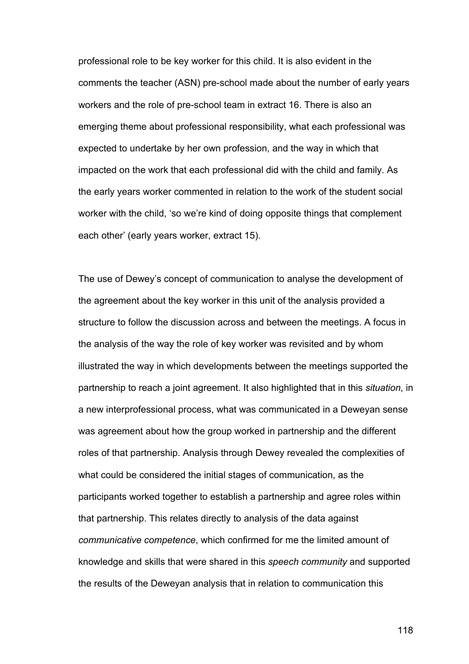professional role to be key worker for this child. It is also evident in the comments the teacher (ASN) pre-school made about the number of early years workers and the role of pre-school team in extract 16. There is also an emerging theme about professional responsibility, what each professional was expected to undertake by her own profession, and the way in which that impacted on the work that each professional did with the child and family. As the early years worker commented in relation to the work of the student social worker with the child, 'so we're kind of doing opposite things that complement each other' (early years worker, extract 15).

The use of Dewey's concept of communication to analyse the development of the agreement about the key worker in this unit of the analysis provided a structure to follow the discussion across and between the meetings. A focus in the analysis of the way the role of key worker was revisited and by whom illustrated the way in which developments between the meetings supported the partnership to reach a joint agreement. It also highlighted that in this *situation*, in a new interprofessional process, what was communicated in a Deweyan sense was agreement about how the group worked in partnership and the different roles of that partnership. Analysis through Dewey revealed the complexities of what could be considered the initial stages of communication, as the participants worked together to establish a partnership and agree roles within that partnership. This relates directly to analysis of the data against *communicative competence*, which confirmed for me the limited amount of knowledge and skills that were shared in this *speech community* and supported the results of the Deweyan analysis that in relation to communication this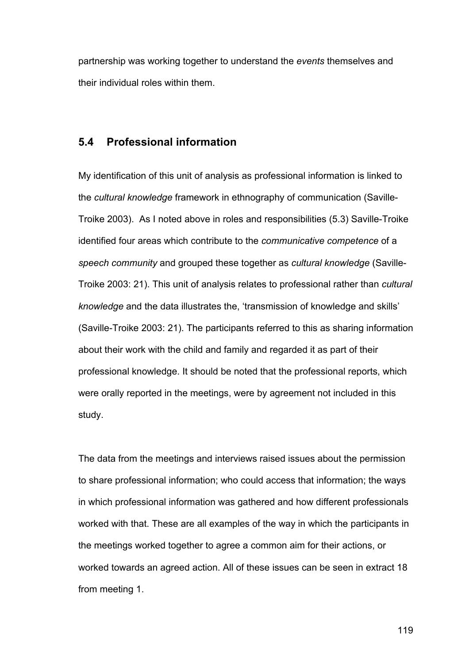partnership was working together to understand the *events* themselves and their individual roles within them.

## **5.4 Professional information**

My identification of this unit of analysis as professional information is linked to the *cultural knowledge* framework in ethnography of communication (Saville-Troike 2003). As I noted above in roles and responsibilities (5.3) Saville-Troike identified four areas which contribute to the *communicative competence* of a *speech community* and grouped these together as *cultural knowledge* (Saville-Troike 2003: 21). This unit of analysis relates to professional rather than *cultural knowledge* and the data illustrates the, 'transmission of knowledge and skills' (Saville-Troike 2003: 21). The participants referred to this as sharing information about their work with the child and family and regarded it as part of their professional knowledge. It should be noted that the professional reports, which were orally reported in the meetings, were by agreement not included in this study.

The data from the meetings and interviews raised issues about the permission to share professional information; who could access that information; the ways in which professional information was gathered and how different professionals worked with that. These are all examples of the way in which the participants in the meetings worked together to agree a common aim for their actions, or worked towards an agreed action. All of these issues can be seen in extract 18 from meeting 1.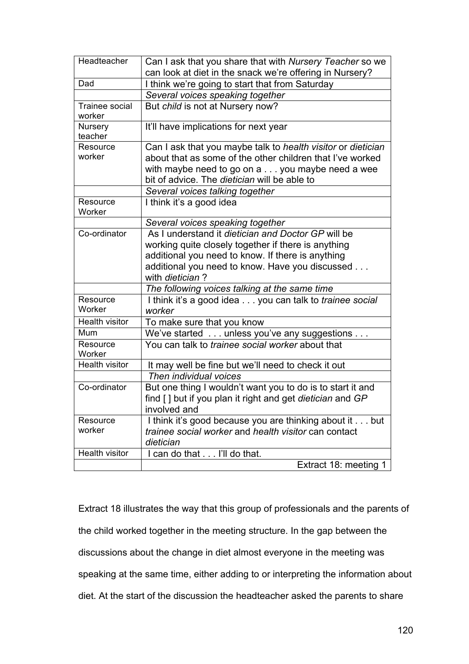| Headteacher                     | Can I ask that you share that with Nursery Teacher so we                                        |
|---------------------------------|-------------------------------------------------------------------------------------------------|
|                                 | can look at diet in the snack we're offering in Nursery?                                        |
| Dad                             | I think we're going to start that from Saturday                                                 |
|                                 | Several voices speaking together                                                                |
| <b>Trainee social</b><br>worker | But child is not at Nursery now?                                                                |
| Nursery<br>teacher              | It'll have implications for next year                                                           |
| Resource                        | Can I ask that you maybe talk to health visitor or dietician                                    |
| worker                          | about that as some of the other children that I've worked                                       |
|                                 | with maybe need to go on a you maybe need a wee<br>bit of advice. The dietician will be able to |
|                                 | Several voices talking together                                                                 |
| Resource<br>Worker              | I think it's a good idea                                                                        |
|                                 | Several voices speaking together                                                                |
| Co-ordinator                    | As I understand it dietician and Doctor GP will be                                              |
|                                 | working quite closely together if there is anything                                             |
|                                 | additional you need to know. If there is anything                                               |
|                                 | additional you need to know. Have you discussed<br>with dietician?                              |
|                                 | The following voices talking at the same time                                                   |
| Resource<br>Worker              | I think it's a good idea you can talk to <i>trainee social</i><br>worker                        |
| Health visitor                  | To make sure that you know                                                                      |
| Mum                             | We've started unless you've any suggestions                                                     |
| Resource<br>Worker              | You can talk to <i>trainee social worker</i> about that                                         |
| <b>Health visitor</b>           | It may well be fine but we'll need to check it out                                              |
|                                 | Then individual voices                                                                          |
| Co-ordinator                    | But one thing I wouldn't want you to do is to start it and                                      |
|                                 | find [] but if you plan it right and get dietician and GP                                       |
|                                 | involved and                                                                                    |
| Resource                        | I think it's good because you are thinking about it but                                         |
| worker                          | trainee social worker and health visitor can contact                                            |
|                                 | dietician                                                                                       |
| Health visitor                  | I can do that I'll do that.                                                                     |
|                                 | Extract 18: meeting 1                                                                           |

Extract 18 illustrates the way that this group of professionals and the parents of the child worked together in the meeting structure. In the gap between the discussions about the change in diet almost everyone in the meeting was speaking at the same time, either adding to or interpreting the information about diet. At the start of the discussion the headteacher asked the parents to share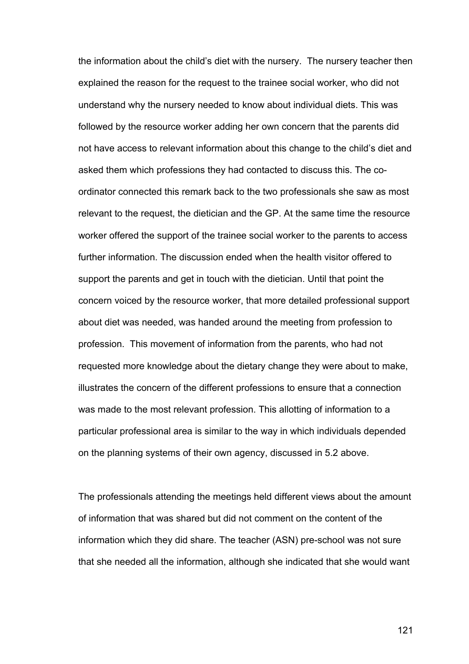the information about the child's diet with the nursery. The nursery teacher then explained the reason for the request to the trainee social worker, who did not understand why the nursery needed to know about individual diets. This was followed by the resource worker adding her own concern that the parents did not have access to relevant information about this change to the child's diet and asked them which professions they had contacted to discuss this. The coordinator connected this remark back to the two professionals she saw as most relevant to the request, the dietician and the GP. At the same time the resource worker offered the support of the trainee social worker to the parents to access further information. The discussion ended when the health visitor offered to support the parents and get in touch with the dietician. Until that point the concern voiced by the resource worker, that more detailed professional support about diet was needed, was handed around the meeting from profession to profession. This movement of information from the parents, who had not requested more knowledge about the dietary change they were about to make, illustrates the concern of the different professions to ensure that a connection was made to the most relevant profession. This allotting of information to a particular professional area is similar to the way in which individuals depended on the planning systems of their own agency, discussed in 5.2 above.

The professionals attending the meetings held different views about the amount of information that was shared but did not comment on the content of the information which they did share. The teacher (ASN) pre-school was not sure that she needed all the information, although she indicated that she would want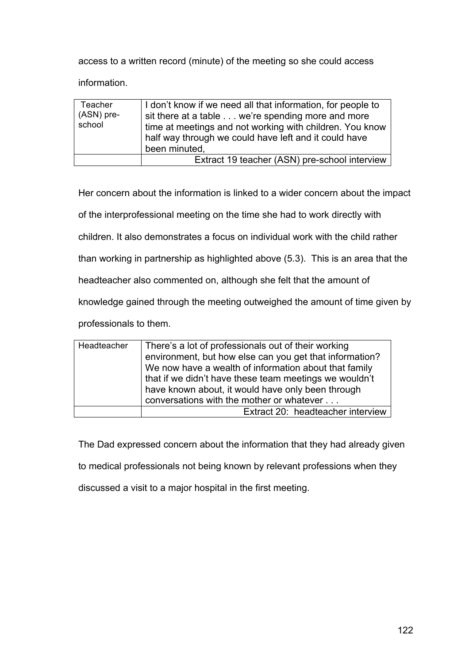access to a written record (minute) of the meeting so she could access

information.

| Teacher<br>(ASN) pre-<br>school | I don't know if we need all that information, for people to<br>sit there at a table we're spending more and more<br>time at meetings and not working with children. You know<br>half way through we could have left and it could have<br>been minuted, |
|---------------------------------|--------------------------------------------------------------------------------------------------------------------------------------------------------------------------------------------------------------------------------------------------------|
|                                 | Extract 19 teacher (ASN) pre-school interview                                                                                                                                                                                                          |

Her concern about the information is linked to a wider concern about the impact

of the interprofessional meeting on the time she had to work directly with

children. It also demonstrates a focus on individual work with the child rather

than working in partnership as highlighted above (5.3). This is an area that the

headteacher also commented on, although she felt that the amount of

knowledge gained through the meeting outweighed the amount of time given by

professionals to them.

| Headteacher | There's a lot of professionals out of their working<br>environment, but how else can you get that information?<br>We now have a wealth of information about that family<br>that if we didn't have these team meetings we wouldn't<br>have known about, it would have only been through<br>conversations with the mother or whatever |
|-------------|-------------------------------------------------------------------------------------------------------------------------------------------------------------------------------------------------------------------------------------------------------------------------------------------------------------------------------------|
|             | Extract 20: headteacher interview                                                                                                                                                                                                                                                                                                   |

The Dad expressed concern about the information that they had already given

to medical professionals not being known by relevant professions when they

discussed a visit to a major hospital in the first meeting.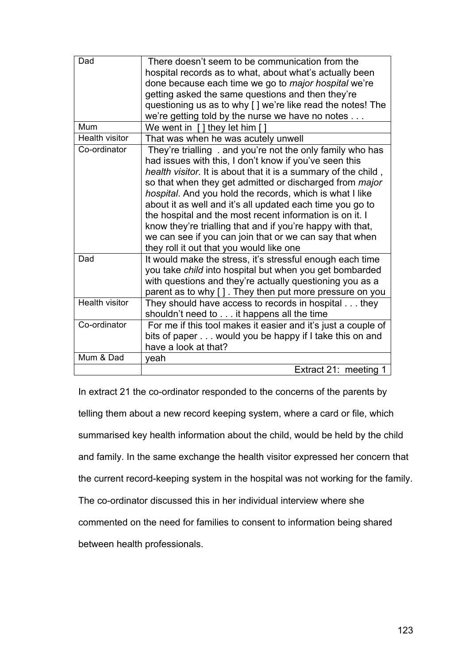| Dad                   | There doesn't seem to be communication from the<br>hospital records as to what, about what's actually been<br>done because each time we go to <i>major hospital</i> we're<br>getting asked the same questions and then they're<br>questioning us as to why [] we're like read the notes! The<br>we're getting told by the nurse we have no notes                                                                                                                                                                                                                                                            |
|-----------------------|-------------------------------------------------------------------------------------------------------------------------------------------------------------------------------------------------------------------------------------------------------------------------------------------------------------------------------------------------------------------------------------------------------------------------------------------------------------------------------------------------------------------------------------------------------------------------------------------------------------|
| Mum                   | We went in $\int$ they let him $\int$                                                                                                                                                                                                                                                                                                                                                                                                                                                                                                                                                                       |
| <b>Health visitor</b> | That was when he was acutely unwell                                                                                                                                                                                                                                                                                                                                                                                                                                                                                                                                                                         |
| Co-ordinator          | They're trialling . and you're not the only family who has<br>had issues with this, I don't know if you've seen this<br>health visitor. It is about that it is a summary of the child,<br>so that when they get admitted or discharged from major<br>hospital. And you hold the records, which is what I like<br>about it as well and it's all updated each time you go to<br>the hospital and the most recent information is on it. I<br>know they're trialling that and if you're happy with that,<br>we can see if you can join that or we can say that when<br>they roll it out that you would like one |
| Dad                   | It would make the stress, it's stressful enough each time<br>you take child into hospital but when you get bombarded<br>with questions and they're actually questioning you as a<br>parent as to why []. They then put more pressure on you                                                                                                                                                                                                                                                                                                                                                                 |
| <b>Health visitor</b> | They should have access to records in hospital they<br>shouldn't need to it happens all the time                                                                                                                                                                                                                                                                                                                                                                                                                                                                                                            |
| Co-ordinator          | For me if this tool makes it easier and it's just a couple of                                                                                                                                                                                                                                                                                                                                                                                                                                                                                                                                               |
|                       | bits of paper would you be happy if I take this on and<br>have a look at that?                                                                                                                                                                                                                                                                                                                                                                                                                                                                                                                              |
| Mum & Dad             | veah                                                                                                                                                                                                                                                                                                                                                                                                                                                                                                                                                                                                        |
|                       | Extract 21: meeting 1                                                                                                                                                                                                                                                                                                                                                                                                                                                                                                                                                                                       |

In extract 21 the co-ordinator responded to the concerns of the parents by telling them about a new record keeping system, where a card or file, which summarised key health information about the child, would be held by the child and family. In the same exchange the health visitor expressed her concern that the current record-keeping system in the hospital was not working for the family. The co-ordinator discussed this in her individual interview where she commented on the need for families to consent to information being shared between health professionals.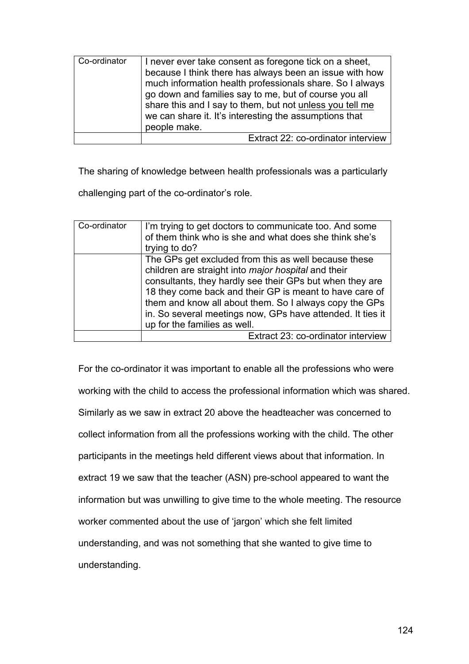| Co-ordinator | I never ever take consent as foregone tick on a sheet,<br>because I think there has always been an issue with how<br>much information health professionals share. So I always<br>go down and families say to me, but of course you all<br>share this and I say to them, but not unless you tell me<br>we can share it. It's interesting the assumptions that |
|--------------|--------------------------------------------------------------------------------------------------------------------------------------------------------------------------------------------------------------------------------------------------------------------------------------------------------------------------------------------------------------|
|              | people make.                                                                                                                                                                                                                                                                                                                                                 |
|              | Extract 22: co-ordinator interview                                                                                                                                                                                                                                                                                                                           |

The sharing of knowledge between health professionals was a particularly

challenging part of the co-ordinator's role.

| Co-ordinator | I'm trying to get doctors to communicate too. And some<br>of them think who is she and what does she think she's<br>trying to do? |
|--------------|-----------------------------------------------------------------------------------------------------------------------------------|
|              | The GPs get excluded from this as well because these<br>children are straight into <i>major hospital</i> and their                |
|              | consultants, they hardly see their GPs but when they are                                                                          |
|              | 18 they come back and their GP is meant to have care of                                                                           |
|              | them and know all about them. So I always copy the GPs                                                                            |
|              | in. So several meetings now, GPs have attended. It ties it                                                                        |
|              | up for the families as well.                                                                                                      |
|              | Extract 23: co-ordinator interview                                                                                                |

For the co-ordinator it was important to enable all the professions who were working with the child to access the professional information which was shared. Similarly as we saw in extract 20 above the headteacher was concerned to collect information from all the professions working with the child. The other participants in the meetings held different views about that information. In extract 19 we saw that the teacher (ASN) pre-school appeared to want the information but was unwilling to give time to the whole meeting. The resource worker commented about the use of 'jargon' which she felt limited understanding, and was not something that she wanted to give time to understanding.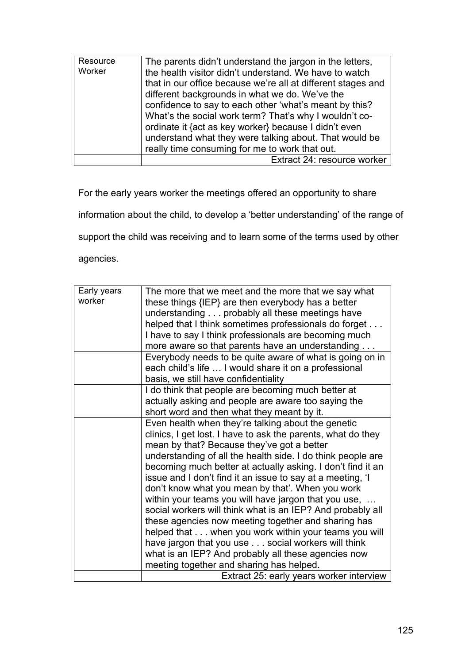| Resource<br>Worker | The parents didn't understand the jargon in the letters,<br>the health visitor didn't understand. We have to watch<br>that in our office because we're all at different stages and<br>different backgrounds in what we do. We've the<br>confidence to say to each other 'what's meant by this?<br>What's the social work term? That's why I wouldn't co-<br>ordinate it {act as key worker} because I didn't even<br>understand what they were talking about. That would be<br>really time consuming for me to work that out. |
|--------------------|-------------------------------------------------------------------------------------------------------------------------------------------------------------------------------------------------------------------------------------------------------------------------------------------------------------------------------------------------------------------------------------------------------------------------------------------------------------------------------------------------------------------------------|
|                    | Extract 24: resource worker                                                                                                                                                                                                                                                                                                                                                                                                                                                                                                   |

For the early years worker the meetings offered an opportunity to share

information about the child, to develop a 'better understanding' of the range of

support the child was receiving and to learn some of the terms used by other

agencies.

| Early years | The more that we meet and the more that we say what          |
|-------------|--------------------------------------------------------------|
| worker      | these things {IEP} are then everybody has a better           |
|             | understanding probably all these meetings have               |
|             | helped that I think sometimes professionals do forget        |
|             | I have to say I think professionals are becoming much        |
|             | more aware so that parents have an understanding             |
|             | Everybody needs to be quite aware of what is going on in     |
|             | each child's life  I would share it on a professional        |
|             | basis, we still have confidentiality                         |
|             | I do think that people are becoming much better at           |
|             | actually asking and people are aware too saying the          |
|             | short word and then what they meant by it.                   |
|             | Even health when they're talking about the genetic           |
|             | clinics, I get lost. I have to ask the parents, what do they |
|             | mean by that? Because they've got a better                   |
|             | understanding of all the health side. I do think people are  |
|             | becoming much better at actually asking. I don't find it an  |
|             | issue and I don't find it an issue to say at a meeting, 'I   |
|             | don't know what you mean by that'. When you work             |
|             | within your teams you will have jargon that you use,         |
|             | social workers will think what is an IEP? And probably all   |
|             | these agencies now meeting together and sharing has          |
|             | helped that when you work within your teams you will         |
|             | have jargon that you use social workers will think           |
|             | what is an IEP? And probably all these agencies now          |
|             | meeting together and sharing has helped.                     |
|             | Extract 25: early years worker interview                     |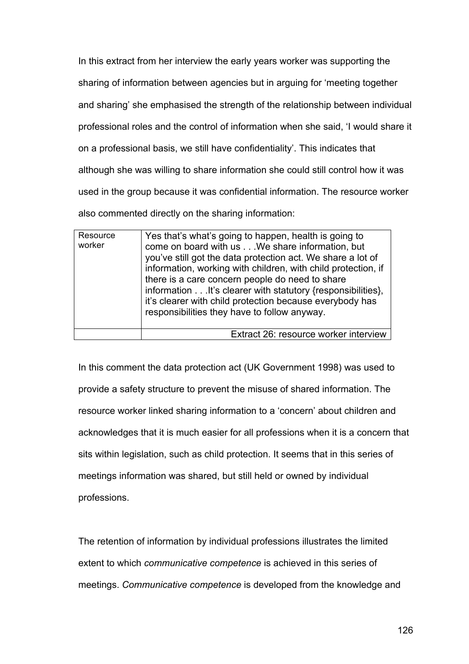In this extract from her interview the early years worker was supporting the sharing of information between agencies but in arguing for 'meeting together and sharing' she emphasised the strength of the relationship between individual professional roles and the control of information when she said, 'I would share it on a professional basis, we still have confidentiality'. This indicates that although she was willing to share information she could still control how it was used in the group because it was confidential information. The resource worker also commented directly on the sharing information:

| Resource<br>worker | Yes that's what's going to happen, health is going to<br>come on board with us We share information, but<br>you've still got the data protection act. We share a lot of<br>information, working with children, with child protection, if<br>there is a care concern people do need to share<br>information It's clearer with statutory {responsibilities},<br>it's clearer with child protection because everybody has<br>responsibilities they have to follow anyway. |
|--------------------|------------------------------------------------------------------------------------------------------------------------------------------------------------------------------------------------------------------------------------------------------------------------------------------------------------------------------------------------------------------------------------------------------------------------------------------------------------------------|
|                    | Extract 26: resource worker interview                                                                                                                                                                                                                                                                                                                                                                                                                                  |

In this comment the data protection act (UK Government 1998) was used to provide a safety structure to prevent the misuse of shared information. The resource worker linked sharing information to a 'concern' about children and acknowledges that it is much easier for all professions when it is a concern that sits within legislation, such as child protection. It seems that in this series of meetings information was shared, but still held or owned by individual professions.

The retention of information by individual professions illustrates the limited extent to which *communicative competence* is achieved in this series of meetings. *Communicative competence* is developed from the knowledge and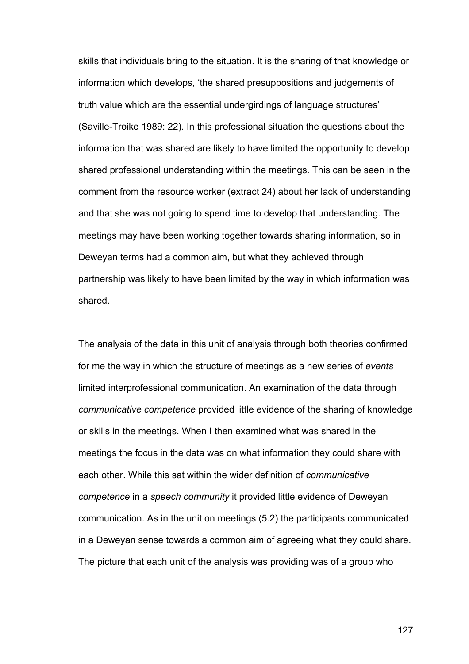skills that individuals bring to the situation. It is the sharing of that knowledge or information which develops, 'the shared presuppositions and judgements of truth value which are the essential undergirdings of language structures' (Saville-Troike 1989: 22). In this professional situation the questions about the information that was shared are likely to have limited the opportunity to develop shared professional understanding within the meetings. This can be seen in the comment from the resource worker (extract 24) about her lack of understanding and that she was not going to spend time to develop that understanding. The meetings may have been working together towards sharing information, so in Deweyan terms had a common aim, but what they achieved through partnership was likely to have been limited by the way in which information was shared.

The analysis of the data in this unit of analysis through both theories confirmed for me the way in which the structure of meetings as a new series of *events* limited interprofessional communication. An examination of the data through *communicative competence* provided little evidence of the sharing of knowledge or skills in the meetings. When I then examined what was shared in the meetings the focus in the data was on what information they could share with each other. While this sat within the wider definition of *communicative competence* in a *speech community* it provided little evidence of Deweyan communication. As in the unit on meetings (5.2) the participants communicated in a Deweyan sense towards a common aim of agreeing what they could share. The picture that each unit of the analysis was providing was of a group who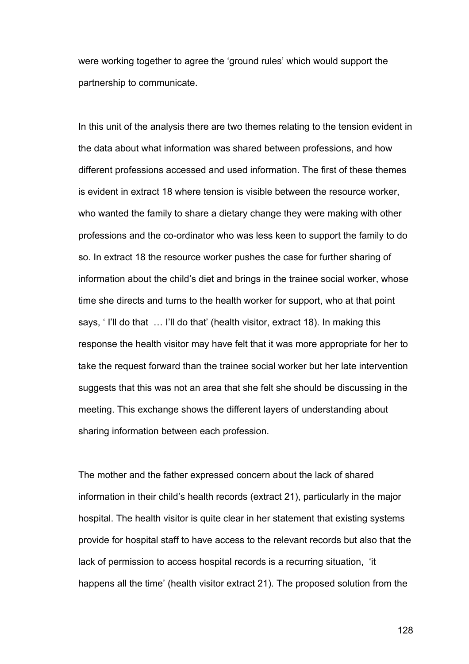were working together to agree the 'ground rules' which would support the partnership to communicate.

In this unit of the analysis there are two themes relating to the tension evident in the data about what information was shared between professions, and how different professions accessed and used information. The first of these themes is evident in extract 18 where tension is visible between the resource worker, who wanted the family to share a dietary change they were making with other professions and the co-ordinator who was less keen to support the family to do so. In extract 18 the resource worker pushes the case for further sharing of information about the child's diet and brings in the trainee social worker, whose time she directs and turns to the health worker for support, who at that point says, ' I'll do that … I'll do that' (health visitor, extract 18). In making this response the health visitor may have felt that it was more appropriate for her to take the request forward than the trainee social worker but her late intervention suggests that this was not an area that she felt she should be discussing in the meeting. This exchange shows the different layers of understanding about sharing information between each profession.

The mother and the father expressed concern about the lack of shared information in their child's health records (extract 21), particularly in the major hospital. The health visitor is quite clear in her statement that existing systems provide for hospital staff to have access to the relevant records but also that the lack of permission to access hospital records is a recurring situation, 'it happens all the time' (health visitor extract 21). The proposed solution from the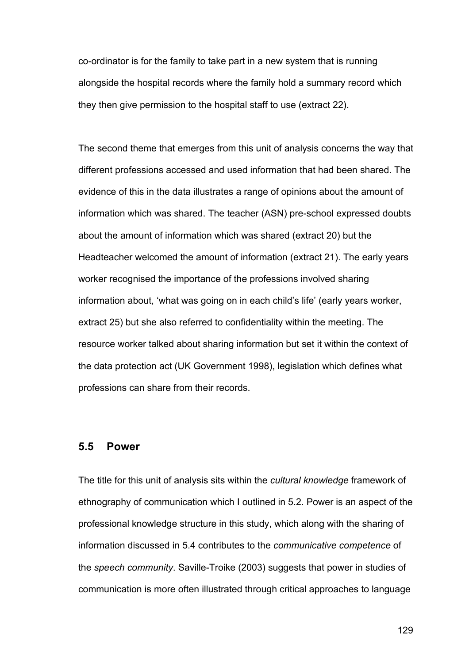co-ordinator is for the family to take part in a new system that is running alongside the hospital records where the family hold a summary record which they then give permission to the hospital staff to use (extract 22).

The second theme that emerges from this unit of analysis concerns the way that different professions accessed and used information that had been shared. The evidence of this in the data illustrates a range of opinions about the amount of information which was shared. The teacher (ASN) pre-school expressed doubts about the amount of information which was shared (extract 20) but the Headteacher welcomed the amount of information (extract 21). The early years worker recognised the importance of the professions involved sharing information about, 'what was going on in each child's life' (early years worker, extract 25) but she also referred to confidentiality within the meeting. The resource worker talked about sharing information but set it within the context of the data protection act (UK Government 1998), legislation which defines what professions can share from their records.

## **5.5 Power**

The title for this unit of analysis sits within the *cultural knowledge* framework of ethnography of communication which I outlined in 5.2. Power is an aspect of the professional knowledge structure in this study, which along with the sharing of information discussed in 5.4 contributes to the *communicative competence* of the *speech community*. Saville-Troike (2003) suggests that power in studies of communication is more often illustrated through critical approaches to language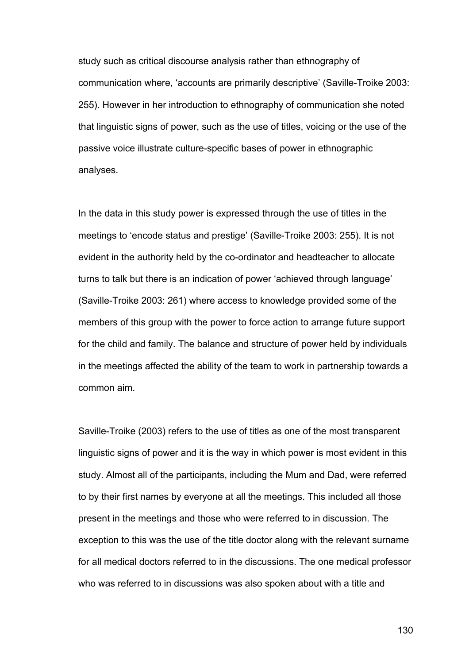study such as critical discourse analysis rather than ethnography of communication where, 'accounts are primarily descriptive' (Saville-Troike 2003: 255). However in her introduction to ethnography of communication she noted that linguistic signs of power, such as the use of titles, voicing or the use of the passive voice illustrate culture-specific bases of power in ethnographic analyses.

In the data in this study power is expressed through the use of titles in the meetings to 'encode status and prestige' (Saville-Troike 2003: 255). It is not evident in the authority held by the co-ordinator and headteacher to allocate turns to talk but there is an indication of power 'achieved through language' (Saville-Troike 2003: 261) where access to knowledge provided some of the members of this group with the power to force action to arrange future support for the child and family. The balance and structure of power held by individuals in the meetings affected the ability of the team to work in partnership towards a common aim.

Saville-Troike (2003) refers to the use of titles as one of the most transparent linguistic signs of power and it is the way in which power is most evident in this study. Almost all of the participants, including the Mum and Dad, were referred to by their first names by everyone at all the meetings. This included all those present in the meetings and those who were referred to in discussion. The exception to this was the use of the title doctor along with the relevant surname for all medical doctors referred to in the discussions. The one medical professor who was referred to in discussions was also spoken about with a title and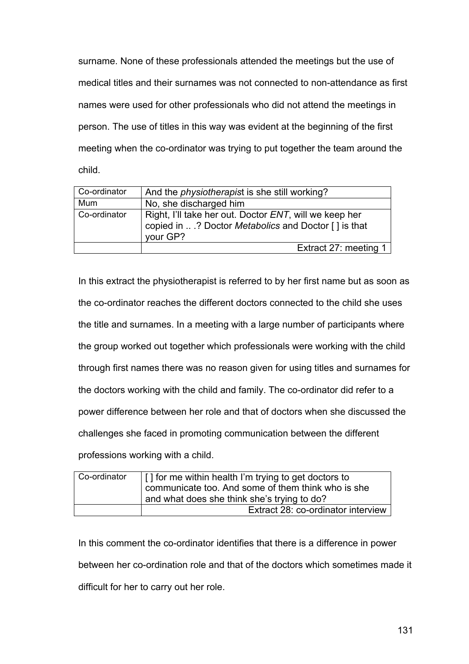surname. None of these professionals attended the meetings but the use of medical titles and their surnames was not connected to non-attendance as first names were used for other professionals who did not attend the meetings in person. The use of titles in this way was evident at the beginning of the first meeting when the co-ordinator was trying to put together the team around the child.

| Co-ordinator | And the <i>physiotherapist</i> is she still working?                                                                              |
|--------------|-----------------------------------------------------------------------------------------------------------------------------------|
| Mum          | No, she discharged him                                                                                                            |
| Co-ordinator | Right, I'll take her out. Doctor <i>ENT</i> , will we keep her<br>copied in ? Doctor Metabolics and Doctor [] is that<br>vour GP? |
|              | Extract 27: meeting 1                                                                                                             |

In this extract the physiotherapist is referred to by her first name but as soon as the co-ordinator reaches the different doctors connected to the child she uses the title and surnames. In a meeting with a large number of participants where the group worked out together which professionals were working with the child through first names there was no reason given for using titles and surnames for the doctors working with the child and family. The co-ordinator did refer to a power difference between her role and that of doctors when she discussed the challenges she faced in promoting communication between the different professions working with a child.

| Co-ordinator | [] for me within health I'm trying to get doctors to<br>communicate too. And some of them think who is she<br>and what does she think she's trying to do? |
|--------------|-----------------------------------------------------------------------------------------------------------------------------------------------------------|
|              | Extract 28: co-ordinator interview                                                                                                                        |

In this comment the co-ordinator identifies that there is a difference in power between her co-ordination role and that of the doctors which sometimes made it difficult for her to carry out her role.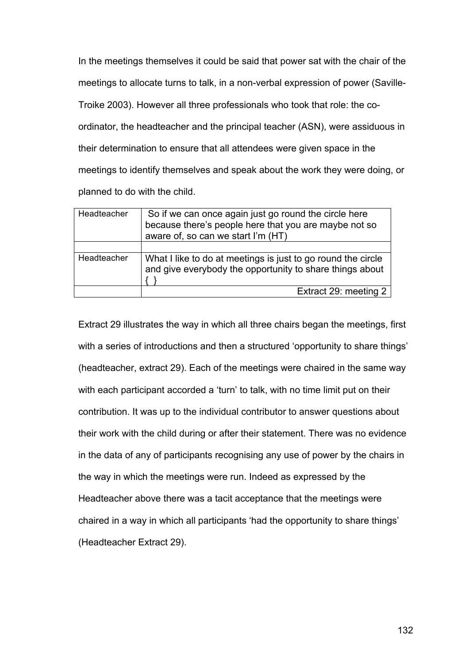In the meetings themselves it could be said that power sat with the chair of the meetings to allocate turns to talk, in a non-verbal expression of power (Saville-Troike 2003). However all three professionals who took that role: the coordinator, the headteacher and the principal teacher (ASN), were assiduous in their determination to ensure that all attendees were given space in the meetings to identify themselves and speak about the work they were doing, or planned to do with the child.

| Headteacher | So if we can once again just go round the circle here<br>because there's people here that you are maybe not so<br>aware of, so can we start I'm (HT) |
|-------------|------------------------------------------------------------------------------------------------------------------------------------------------------|
|             |                                                                                                                                                      |
| Headteacher | What I like to do at meetings is just to go round the circle<br>and give everybody the opportunity to share things about                             |
|             | Extract 29: meeting 2                                                                                                                                |

Extract 29 illustrates the way in which all three chairs began the meetings, first with a series of introductions and then a structured 'opportunity to share things' (headteacher, extract 29). Each of the meetings were chaired in the same way with each participant accorded a 'turn' to talk, with no time limit put on their contribution. It was up to the individual contributor to answer questions about their work with the child during or after their statement. There was no evidence in the data of any of participants recognising any use of power by the chairs in the way in which the meetings were run. Indeed as expressed by the Headteacher above there was a tacit acceptance that the meetings were chaired in a way in which all participants 'had the opportunity to share things' (Headteacher Extract 29).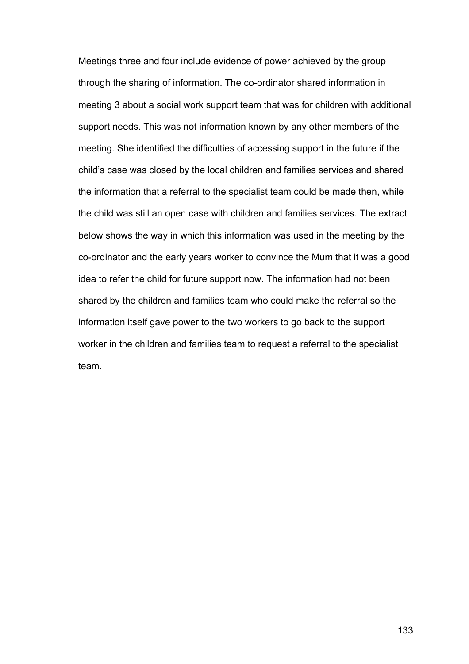Meetings three and four include evidence of power achieved by the group through the sharing of information. The co-ordinator shared information in meeting 3 about a social work support team that was for children with additional support needs. This was not information known by any other members of the meeting. She identified the difficulties of accessing support in the future if the child's case was closed by the local children and families services and shared the information that a referral to the specialist team could be made then, while the child was still an open case with children and families services. The extract below shows the way in which this information was used in the meeting by the co-ordinator and the early years worker to convince the Mum that it was a good idea to refer the child for future support now. The information had not been shared by the children and families team who could make the referral so the information itself gave power to the two workers to go back to the support worker in the children and families team to request a referral to the specialist team.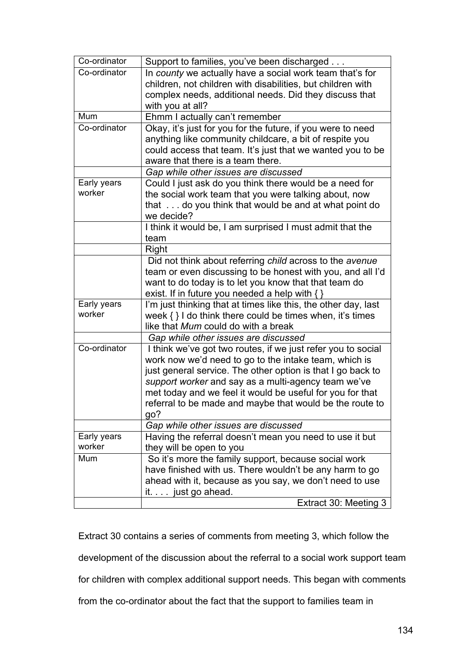| Co-ordinator          | Support to families, you've been discharged                    |
|-----------------------|----------------------------------------------------------------|
| Co-ordinator          | In county we actually have a social work team that's for       |
|                       | children, not children with disabilities, but children with    |
|                       | complex needs, additional needs. Did they discuss that         |
|                       | with you at all?                                               |
| Mum                   | Ehmm I actually can't remember                                 |
| Co-ordinator          | Okay, it's just for you for the future, if you were to need    |
|                       | anything like community childcare, a bit of respite you        |
|                       | could access that team. It's just that we wanted you to be     |
|                       | aware that there is a team there.                              |
|                       | Gap while other issues are discussed                           |
| Early years           | Could I just ask do you think there would be a need for        |
| worker                | the social work team that you were talking about, now          |
|                       | that do you think that would be and at what point do           |
|                       | we decide?                                                     |
|                       | I think it would be, I am surprised I must admit that the      |
|                       | team                                                           |
|                       | Right                                                          |
|                       | Did not think about referring child across to the avenue       |
|                       | team or even discussing to be honest with you, and all I'd     |
|                       | want to do today is to let you know that that team do          |
|                       | exist. If in future you needed a help with $\{ \}$             |
| Early years           | I'm just thinking that at times like this, the other day, last |
| worker                | week $\{\}$ I do think there could be times when, it's times   |
|                       | like that Mum could do with a break                            |
|                       | Gap while other issues are discussed                           |
| Co-ordinator          | I think we've got two routes, if we just refer you to social   |
|                       | work now we'd need to go to the intake team, which is          |
|                       | just general service. The other option is that I go back to    |
|                       | support worker and say as a multi-agency team we've            |
|                       | met today and we feel it would be useful for you for that      |
|                       | referral to be made and maybe that would be the route to       |
|                       | go?                                                            |
|                       | Gap while other issues are discussed                           |
| Early years<br>worker | Having the referral doesn't mean you need to use it but        |
|                       | they will be open to you                                       |
| Mum                   | So it's more the family support, because social work           |
|                       | have finished with us. There wouldn't be any harm to go        |
|                       | ahead with it, because as you say, we don't need to use        |
|                       | it. just go ahead.                                             |
|                       | Extract 30: Meeting 3                                          |

Extract 30 contains a series of comments from meeting 3, which follow the development of the discussion about the referral to a social work support team for children with complex additional support needs. This began with comments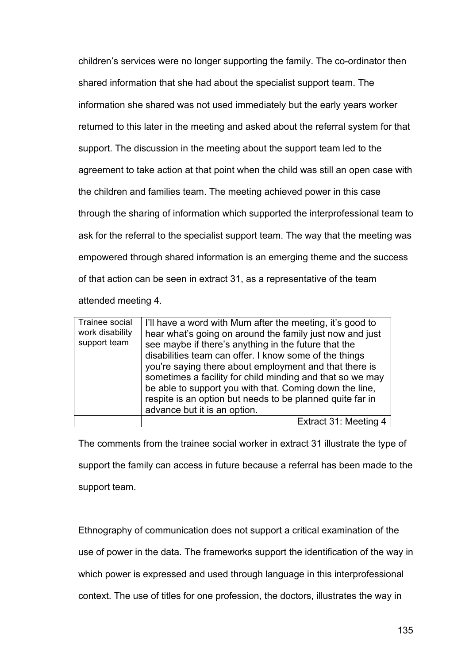children's services were no longer supporting the family. The co-ordinator then shared information that she had about the specialist support team. The information she shared was not used immediately but the early years worker returned to this later in the meeting and asked about the referral system for that support. The discussion in the meeting about the support team led to the agreement to take action at that point when the child was still an open case with the children and families team. The meeting achieved power in this case through the sharing of information which supported the interprofessional team to ask for the referral to the specialist support team. The way that the meeting was empowered through shared information is an emerging theme and the success of that action can be seen in extract 31, as a representative of the team attended meeting 4.

| Trainee social<br>work disability<br>support team | I'll have a word with Mum after the meeting, it's good to<br>hear what's going on around the family just now and just<br>see maybe if there's anything in the future that the<br>disabilities team can offer. I know some of the things<br>you're saying there about employment and that there is<br>sometimes a facility for child minding and that so we may<br>be able to support you with that. Coming down the line,<br>respite is an option but needs to be planned quite far in<br>advance but it is an option. |
|---------------------------------------------------|------------------------------------------------------------------------------------------------------------------------------------------------------------------------------------------------------------------------------------------------------------------------------------------------------------------------------------------------------------------------------------------------------------------------------------------------------------------------------------------------------------------------|
|                                                   | Extract 31: Meeting 4                                                                                                                                                                                                                                                                                                                                                                                                                                                                                                  |

The comments from the trainee social worker in extract 31 illustrate the type of support the family can access in future because a referral has been made to the support team.

Ethnography of communication does not support a critical examination of the use of power in the data. The frameworks support the identification of the way in which power is expressed and used through language in this interprofessional

context. The use of titles for one profession, the doctors, illustrates the way in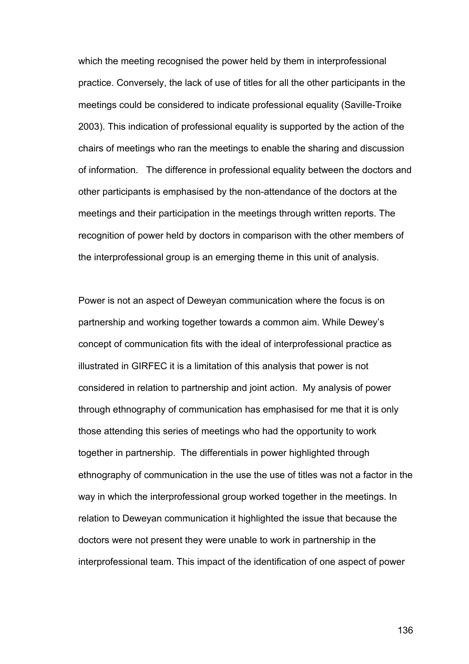which the meeting recognised the power held by them in interprofessional practice. Conversely, the lack of use of titles for all the other participants in the meetings could be considered to indicate professional equality (Saville-Troike 2003). This indication of professional equality is supported by the action of the chairs of meetings who ran the meetings to enable the sharing and discussion of information. The difference in professional equality between the doctors and other participants is emphasised by the non-attendance of the doctors at the meetings and their participation in the meetings through written reports. The recognition of power held by doctors in comparison with the other members of the interprofessional group is an emerging theme in this unit of analysis.

Power is not an aspect of Deweyan communication where the focus is on partnership and working together towards a common aim. While Dewey's concept of communication fits with the ideal of interprofessional practice as illustrated in GIRFEC it is a limitation of this analysis that power is not considered in relation to partnership and joint action. My analysis of power through ethnography of communication has emphasised for me that it is only those attending this series of meetings who had the opportunity to work together in partnership. The differentials in power highlighted through ethnography of communication in the use the use of titles was not a factor in the way in which the interprofessional group worked together in the meetings. In relation to Deweyan communication it highlighted the issue that because the doctors were not present they were unable to work in partnership in the interprofessional team. This impact of the identification of one aspect of power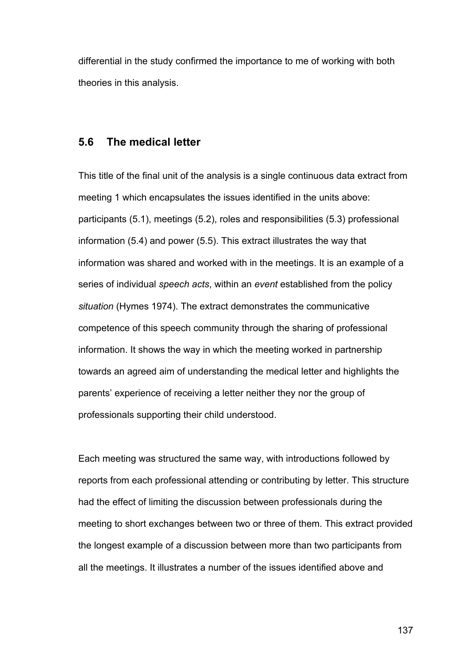differential in the study confirmed the importance to me of working with both theories in this analysis.

## **5.6 The medical letter**

This title of the final unit of the analysis is a single continuous data extract from meeting 1 which encapsulates the issues identified in the units above: participants (5.1), meetings (5.2), roles and responsibilities (5.3) professional information (5.4) and power (5.5). This extract illustrates the way that information was shared and worked with in the meetings. It is an example of a series of individual *speech acts*, within an *event* established from the policy *situation* (Hymes 1974). The extract demonstrates the communicative competence of this speech community through the sharing of professional information. It shows the way in which the meeting worked in partnership towards an agreed aim of understanding the medical letter and highlights the parents' experience of receiving a letter neither they nor the group of professionals supporting their child understood.

Each meeting was structured the same way, with introductions followed by reports from each professional attending or contributing by letter. This structure had the effect of limiting the discussion between professionals during the meeting to short exchanges between two or three of them. This extract provided the longest example of a discussion between more than two participants from all the meetings. It illustrates a number of the issues identified above and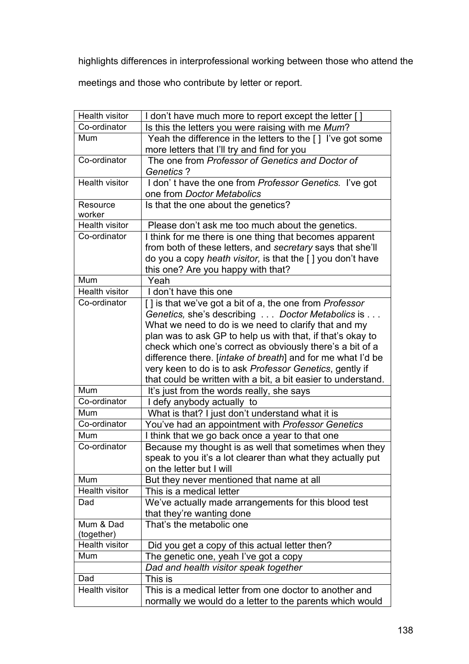highlights differences in interprofessional working between those who attend the

meetings and those who contribute by letter or report.

| Health visitor        | I don't have much more to report except the letter []         |
|-----------------------|---------------------------------------------------------------|
| Co-ordinator          | Is this the letters you were raising with me Mum?             |
| Mum                   | Yeah the difference in the letters to the [] I've got some    |
|                       | more letters that I'll try and find for you                   |
| Co-ordinator          | The one from Professor of Genetics and Doctor of              |
|                       | <b>Genetics?</b>                                              |
| <b>Health visitor</b> | I don't have the one from Professor Genetics. I've got        |
|                       | one from Doctor Metabolics                                    |
| Resource              | Is that the one about the genetics?                           |
| worker                |                                                               |
| <b>Health visitor</b> | Please don't ask me too much about the genetics.              |
| Co-ordinator          | I think for me there is one thing that becomes apparent       |
|                       | from both of these letters, and secretary says that she'll    |
|                       | do you a copy heath visitor, is that the [ ] you don't have   |
|                       | this one? Are you happy with that?                            |
| Mum                   | Yeah                                                          |
| <b>Health visitor</b> | I don't have this one                                         |
| Co-ordinator          | [] is that we've got a bit of a, the one from Professor       |
|                       | Genetics, she's describing Doctor Metabolics is               |
|                       | What we need to do is we need to clarify that and my          |
|                       | plan was to ask GP to help us with that, if that's okay to    |
|                       | check which one's correct as obviously there's a bit of a     |
|                       | difference there. [intake of breath] and for me what I'd be   |
|                       | very keen to do is to ask Professor Genetics, gently if       |
|                       | that could be written with a bit, a bit easier to understand. |
| Mum                   | It's just from the words really, she says                     |
| Co-ordinator          | I defy anybody actually to                                    |
| Mum                   | What is that? I just don't understand what it is              |
| Co-ordinator          | You've had an appointment with Professor Genetics             |
| Mum                   | I think that we go back once a year to that one               |
| Co-ordinator          | Because my thought is as well that sometimes when they        |
|                       | speak to you it's a lot clearer than what they actually put   |
|                       | on the letter but I will                                      |
| Mum                   | But they never mentioned that name at all                     |
| Health visitor        | This is a medical letter                                      |
| Dad                   | We've actually made arrangements for this blood test          |
|                       | that they're wanting done                                     |
| Mum & Dad             | That's the metabolic one                                      |
| (together)            |                                                               |
| <b>Health visitor</b> | Did you get a copy of this actual letter then?                |
| Mum                   | The genetic one, yeah I've got a copy                         |
|                       | Dad and health visitor speak together                         |
| Dad                   | This is                                                       |
| <b>Health visitor</b> | This is a medical letter from one doctor to another and       |
|                       | normally we would do a letter to the parents which would      |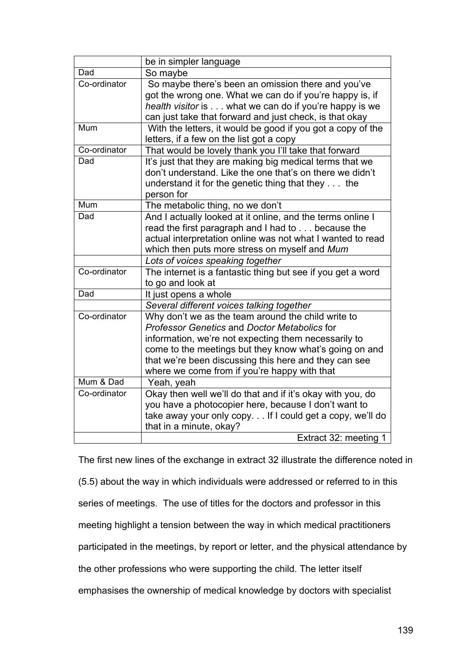|              | be in simpler language                                      |
|--------------|-------------------------------------------------------------|
| Dad          | So maybe                                                    |
| Co-ordinator | So maybe there's been an omission there and you've          |
|              | got the wrong one. What we can do if you're happy is, if    |
|              | health visitor is what we can do if you're happy is we      |
|              | can just take that forward and just check, is that okay     |
| Mum          | With the letters, it would be good if you got a copy of the |
|              | letters, if a few on the list got a copy                    |
| Co-ordinator | That would be lovely thank you I'll take that forward       |
| Dad          | It's just that they are making big medical terms that we    |
|              | don't understand. Like the one that's on there we didn't    |
|              | understand it for the genetic thing that they the           |
|              | person for                                                  |
| Mum          | The metabolic thing, no we don't                            |
| Dad          | And I actually looked at it online, and the terms online I  |
|              | read the first paragraph and I had to because the           |
|              | actual interpretation online was not what I wanted to read  |
|              | which then puts more stress on myself and Mum               |
|              | Lots of voices speaking together                            |
| Co-ordinator | The internet is a fantastic thing but see if you get a word |
|              | to go and look at                                           |
| Dad          | It just opens a whole                                       |
|              | Several different voices talking together                   |
| Co-ordinator | Why don't we as the team around the child write to          |
|              | <b>Professor Genetics and Doctor Metabolics for</b>         |
|              | information, we're not expecting them necessarily to        |
|              | come to the meetings but they know what's going on and      |
|              | that we're been discussing this here and they can see       |
|              | where we come from if you're happy with that                |
| Mum & Dad    | Yeah, yeah                                                  |
| Co-ordinator | Okay then well we'll do that and if it's okay with you, do  |
|              | you have a photocopier here, because I don't want to        |
|              | take away your only copy If I could get a copy, we'll do    |
|              | that in a minute, okay?                                     |
|              | Extract 32: meeting 1                                       |

The first new lines of the exchange in extract 32 illustrate the difference noted in

(5.5) about the way in which individuals were addressed or referred to in this

series of meetings. The use of titles for the doctors and professor in this

meeting highlight a tension between the way in which medical practitioners

participated in the meetings, by report or letter, and the physical attendance by

the other professions who were supporting the child. The letter itself

emphasises the ownership of medical knowledge by doctors with specialist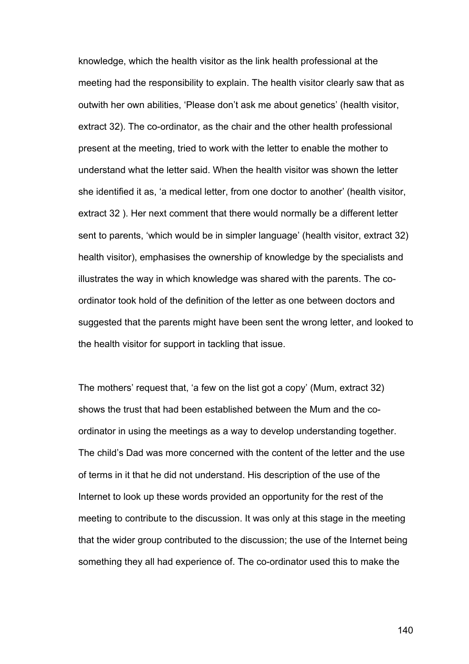knowledge, which the health visitor as the link health professional at the meeting had the responsibility to explain. The health visitor clearly saw that as outwith her own abilities, 'Please don't ask me about genetics' (health visitor, extract 32). The co-ordinator, as the chair and the other health professional present at the meeting, tried to work with the letter to enable the mother to understand what the letter said. When the health visitor was shown the letter she identified it as, 'a medical letter, from one doctor to another' (health visitor, extract 32 ). Her next comment that there would normally be a different letter sent to parents, 'which would be in simpler language' (health visitor, extract 32) health visitor), emphasises the ownership of knowledge by the specialists and illustrates the way in which knowledge was shared with the parents. The coordinator took hold of the definition of the letter as one between doctors and suggested that the parents might have been sent the wrong letter, and looked to the health visitor for support in tackling that issue.

The mothers' request that, 'a few on the list got a copy' (Mum, extract 32) shows the trust that had been established between the Mum and the coordinator in using the meetings as a way to develop understanding together. The child's Dad was more concerned with the content of the letter and the use of terms in it that he did not understand. His description of the use of the Internet to look up these words provided an opportunity for the rest of the meeting to contribute to the discussion. It was only at this stage in the meeting that the wider group contributed to the discussion; the use of the Internet being something they all had experience of. The co-ordinator used this to make the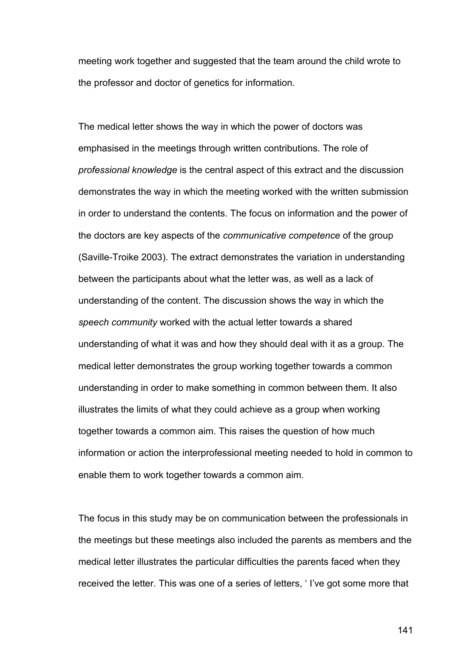meeting work together and suggested that the team around the child wrote to the professor and doctor of genetics for information.

The medical letter shows the way in which the power of doctors was emphasised in the meetings through written contributions. The role of *professional knowledge* is the central aspect of this extract and the discussion demonstrates the way in which the meeting worked with the written submission in order to understand the contents. The focus on information and the power of the doctors are key aspects of the *communicative competence* of the group (Saville-Troike 2003). The extract demonstrates the variation in understanding between the participants about what the letter was, as well as a lack of understanding of the content. The discussion shows the way in which the *speech community* worked with the actual letter towards a shared understanding of what it was and how they should deal with it as a group. The medical letter demonstrates the group working together towards a common understanding in order to make something in common between them. It also illustrates the limits of what they could achieve as a group when working together towards a common aim. This raises the question of how much information or action the interprofessional meeting needed to hold in common to enable them to work together towards a common aim.

The focus in this study may be on communication between the professionals in the meetings but these meetings also included the parents as members and the medical letter illustrates the particular difficulties the parents faced when they received the letter. This was one of a series of letters, ' I've got some more that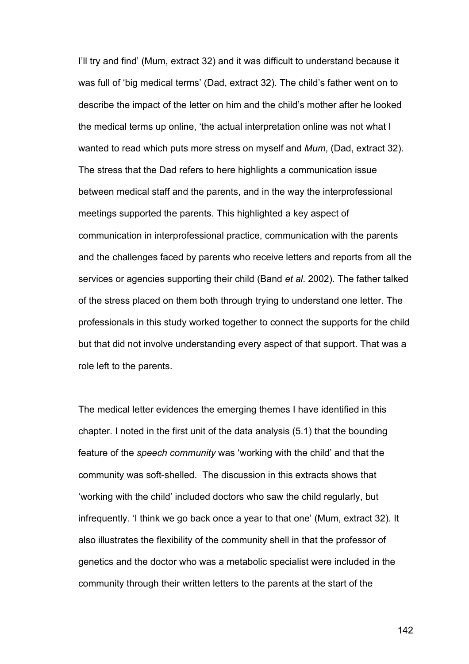I'll try and find' (Mum, extract 32) and it was difficult to understand because it was full of 'big medical terms' (Dad, extract 32). The child's father went on to describe the impact of the letter on him and the child's mother after he looked the medical terms up online, 'the actual interpretation online was not what I wanted to read which puts more stress on myself and *Mum*, (Dad, extract 32). The stress that the Dad refers to here highlights a communication issue between medical staff and the parents, and in the way the interprofessional meetings supported the parents. This highlighted a key aspect of communication in interprofessional practice, communication with the parents and the challenges faced by parents who receive letters and reports from all the services or agencies supporting their child (Band *et al*. 2002). The father talked of the stress placed on them both through trying to understand one letter. The professionals in this study worked together to connect the supports for the child but that did not involve understanding every aspect of that support. That was a role left to the parents.

The medical letter evidences the emerging themes I have identified in this chapter. I noted in the first unit of the data analysis (5.1) that the bounding feature of the *speech community* was 'working with the child' and that the community was soft-shelled. The discussion in this extracts shows that 'working with the child' included doctors who saw the child regularly, but infrequently. 'I think we go back once a year to that one' (Mum, extract 32). It also illustrates the flexibility of the community shell in that the professor of genetics and the doctor who was a metabolic specialist were included in the community through their written letters to the parents at the start of the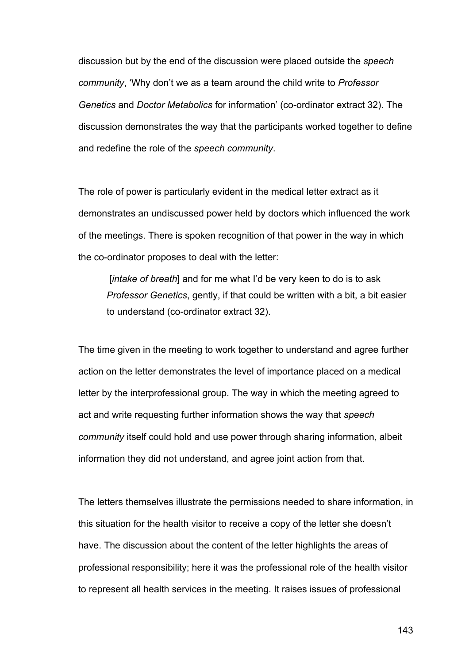discussion but by the end of the discussion were placed outside the *speech community*, 'Why don't we as a team around the child write to *Professor Genetics* and *Doctor Metabolics* for information' (co-ordinator extract 32). The discussion demonstrates the way that the participants worked together to define and redefine the role of the *speech community*.

The role of power is particularly evident in the medical letter extract as it demonstrates an undiscussed power held by doctors which influenced the work of the meetings. There is spoken recognition of that power in the way in which the co-ordinator proposes to deal with the letter:

[*intake of breath*] and for me what I'd be very keen to do is to ask *Professor Genetics*, gently, if that could be written with a bit, a bit easier to understand (co-ordinator extract 32).

The time given in the meeting to work together to understand and agree further action on the letter demonstrates the level of importance placed on a medical letter by the interprofessional group. The way in which the meeting agreed to act and write requesting further information shows the way that *speech community* itself could hold and use power through sharing information, albeit information they did not understand, and agree joint action from that.

The letters themselves illustrate the permissions needed to share information, in this situation for the health visitor to receive a copy of the letter she doesn't have. The discussion about the content of the letter highlights the areas of professional responsibility; here it was the professional role of the health visitor to represent all health services in the meeting. It raises issues of professional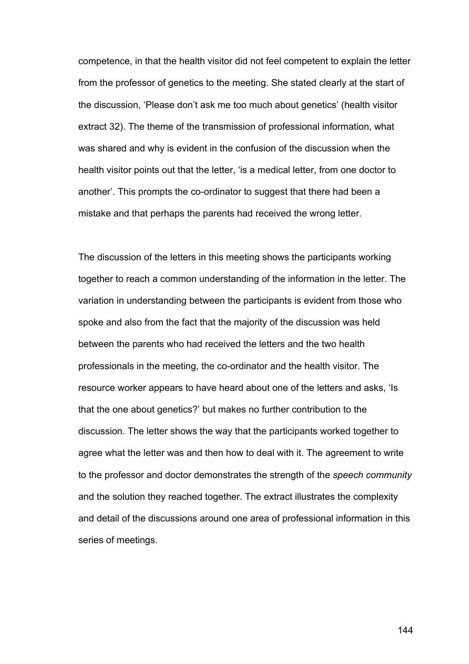competence, in that the health visitor did not feel competent to explain the letter from the professor of genetics to the meeting. She stated clearly at the start of the discussion, 'Please don't ask me too much about genetics' (health visitor extract 32). The theme of the transmission of professional information, what was shared and why is evident in the confusion of the discussion when the health visitor points out that the letter, 'is a medical letter, from one doctor to another'. This prompts the co-ordinator to suggest that there had been a mistake and that perhaps the parents had received the wrong letter.

The discussion of the letters in this meeting shows the participants working together to reach a common understanding of the information in the letter. The variation in understanding between the participants is evident from those who spoke and also from the fact that the majority of the discussion was held between the parents who had received the letters and the two health professionals in the meeting, the co-ordinator and the health visitor. The resource worker appears to have heard about one of the letters and asks, 'Is that the one about genetics?' but makes no further contribution to the discussion. The letter shows the way that the participants worked together to agree what the letter was and then how to deal with it. The agreement to write to the professor and doctor demonstrates the strength of the *speech community* and the solution they reached together. The extract illustrates the complexity and detail of the discussions around one area of professional information in this series of meetings.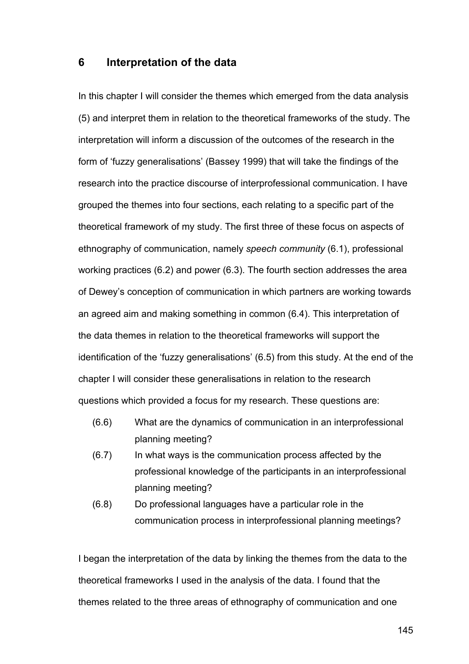#### **6 Interpretation of the data**

In this chapter I will consider the themes which emerged from the data analysis (5) and interpret them in relation to the theoretical frameworks of the study. The interpretation will inform a discussion of the outcomes of the research in the form of 'fuzzy generalisations' (Bassey 1999) that will take the findings of the research into the practice discourse of interprofessional communication. I have grouped the themes into four sections, each relating to a specific part of the theoretical framework of my study. The first three of these focus on aspects of ethnography of communication, namely *speech community* (6.1), professional working practices (6.2) and power (6.3). The fourth section addresses the area of Dewey's conception of communication in which partners are working towards an agreed aim and making something in common (6.4). This interpretation of the data themes in relation to the theoretical frameworks will support the identification of the 'fuzzy generalisations' (6.5) from this study. At the end of the chapter I will consider these generalisations in relation to the research questions which provided a focus for my research. These questions are:

- (6.6) What are the dynamics of communication in an interprofessional planning meeting?
- (6.7) In what ways is the communication process affected by the professional knowledge of the participants in an interprofessional planning meeting?
- (6.8) Do professional languages have a particular role in the communication process in interprofessional planning meetings?

I began the interpretation of the data by linking the themes from the data to the theoretical frameworks I used in the analysis of the data. I found that the themes related to the three areas of ethnography of communication and one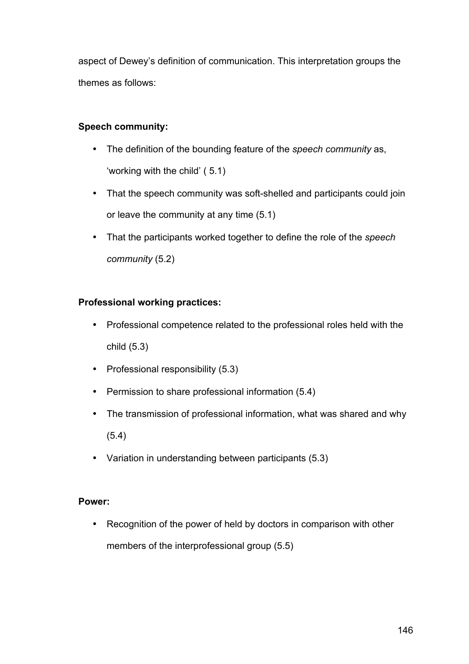aspect of Dewey's definition of communication. This interpretation groups the themes as follows:

## **Speech community:**

- The definition of the bounding feature of the *speech community* as, 'working with the child' ( 5.1)
- That the speech community was soft-shelled and participants could join or leave the community at any time (5.1)
- That the participants worked together to define the role of the *speech community* (5.2)

### **Professional working practices:**

- Professional competence related to the professional roles held with the child (5.3)
- Professional responsibility (5.3)
- Permission to share professional information (5.4)
- The transmission of professional information, what was shared and why (5.4)
- Variation in understanding between participants (5.3)

#### **Power:**

• Recognition of the power of held by doctors in comparison with other members of the interprofessional group (5.5)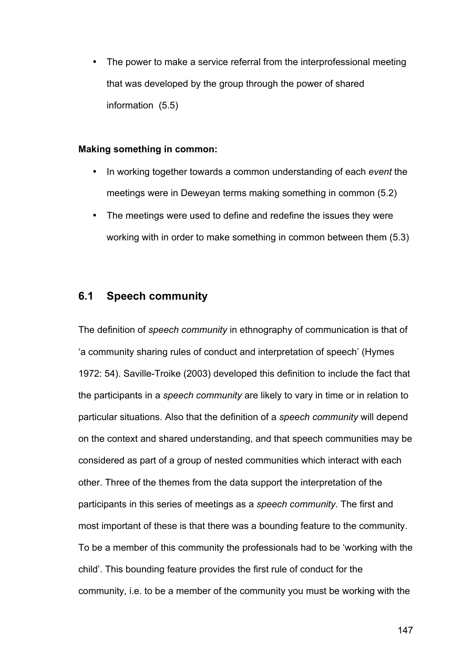• The power to make a service referral from the interprofessional meeting that was developed by the group through the power of shared information (5.5)

#### **Making something in common:**

- In working together towards a common understanding of each *event* the meetings were in Deweyan terms making something in common (5.2)
- The meetings were used to define and redefine the issues they were working with in order to make something in common between them (5.3)

# **6.1 Speech community**

The definition of *speech community* in ethnography of communication is that of 'a community sharing rules of conduct and interpretation of speech' (Hymes 1972: 54). Saville-Troike (2003) developed this definition to include the fact that the participants in a *speech community* are likely to vary in time or in relation to particular situations. Also that the definition of a *speech community* will depend on the context and shared understanding, and that speech communities may be considered as part of a group of nested communities which interact with each other. Three of the themes from the data support the interpretation of the participants in this series of meetings as a *speech community*. The first and most important of these is that there was a bounding feature to the community. To be a member of this community the professionals had to be 'working with the child'. This bounding feature provides the first rule of conduct for the community, i.e. to be a member of the community you must be working with the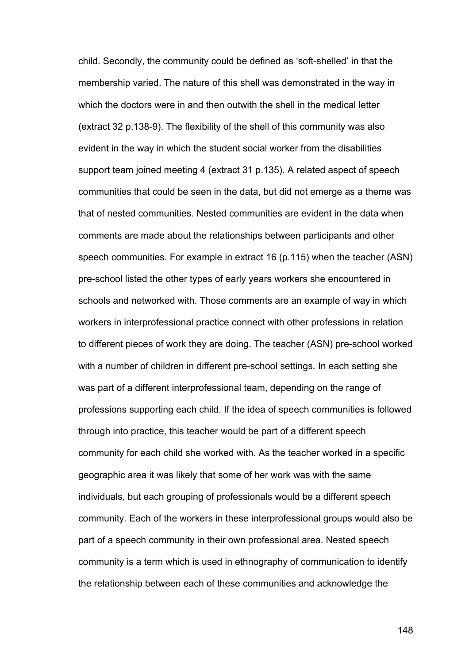child. Secondly, the community could be defined as 'soft-shelled' in that the membership varied. The nature of this shell was demonstrated in the way in which the doctors were in and then outwith the shell in the medical letter (extract 32 p.138-9). The flexibility of the shell of this community was also evident in the way in which the student social worker from the disabilities support team joined meeting 4 (extract 31 p.135). A related aspect of speech communities that could be seen in the data, but did not emerge as a theme was that of nested communities. Nested communities are evident in the data when comments are made about the relationships between participants and other speech communities. For example in extract 16 (p.115) when the teacher (ASN) pre-school listed the other types of early years workers she encountered in schools and networked with. Those comments are an example of way in which workers in interprofessional practice connect with other professions in relation to different pieces of work they are doing. The teacher (ASN) pre-school worked with a number of children in different pre-school settings. In each setting she was part of a different interprofessional team, depending on the range of professions supporting each child. If the idea of speech communities is followed through into practice, this teacher would be part of a different speech community for each child she worked with. As the teacher worked in a specific geographic area it was likely that some of her work was with the same individuals, but each grouping of professionals would be a different speech community. Each of the workers in these interprofessional groups would also be part of a speech community in their own professional area. Nested speech community is a term which is used in ethnography of communication to identify the relationship between each of these communities and acknowledge the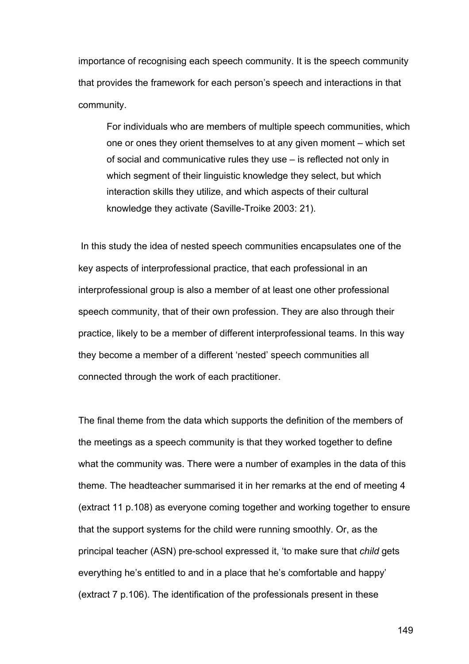importance of recognising each speech community. It is the speech community that provides the framework for each person's speech and interactions in that community.

For individuals who are members of multiple speech communities, which one or ones they orient themselves to at any given moment – which set of social and communicative rules they use – is reflected not only in which segment of their linguistic knowledge they select, but which interaction skills they utilize, and which aspects of their cultural knowledge they activate (Saville-Troike 2003: 21).

In this study the idea of nested speech communities encapsulates one of the key aspects of interprofessional practice, that each professional in an interprofessional group is also a member of at least one other professional speech community, that of their own profession. They are also through their practice, likely to be a member of different interprofessional teams. In this way they become a member of a different 'nested' speech communities all connected through the work of each practitioner.

The final theme from the data which supports the definition of the members of the meetings as a speech community is that they worked together to define what the community was. There were a number of examples in the data of this theme. The headteacher summarised it in her remarks at the end of meeting 4 (extract 11 p.108) as everyone coming together and working together to ensure that the support systems for the child were running smoothly. Or, as the principal teacher (ASN) pre-school expressed it, 'to make sure that *child* gets everything he's entitled to and in a place that he's comfortable and happy' (extract 7 p.106). The identification of the professionals present in these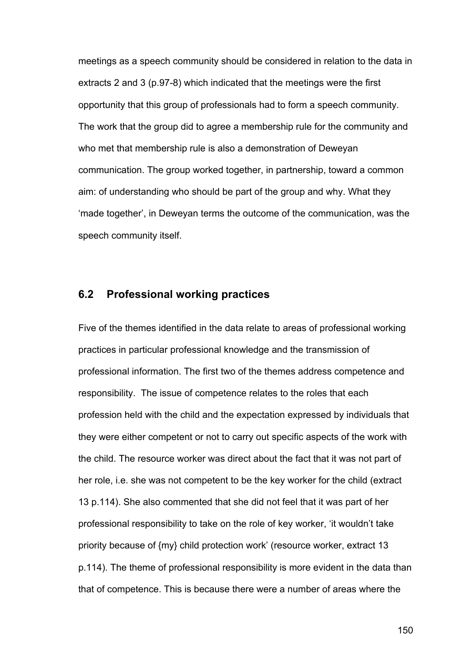meetings as a speech community should be considered in relation to the data in extracts 2 and 3 (p.97-8) which indicated that the meetings were the first opportunity that this group of professionals had to form a speech community. The work that the group did to agree a membership rule for the community and who met that membership rule is also a demonstration of Deweyan communication. The group worked together, in partnership, toward a common aim: of understanding who should be part of the group and why. What they 'made together', in Deweyan terms the outcome of the communication, was the speech community itself.

#### **6.2 Professional working practices**

Five of the themes identified in the data relate to areas of professional working practices in particular professional knowledge and the transmission of professional information. The first two of the themes address competence and responsibility. The issue of competence relates to the roles that each profession held with the child and the expectation expressed by individuals that they were either competent or not to carry out specific aspects of the work with the child. The resource worker was direct about the fact that it was not part of her role, i.e. she was not competent to be the key worker for the child (extract 13 p.114). She also commented that she did not feel that it was part of her professional responsibility to take on the role of key worker, 'it wouldn't take priority because of {my} child protection work' (resource worker, extract 13 p.114). The theme of professional responsibility is more evident in the data than that of competence. This is because there were a number of areas where the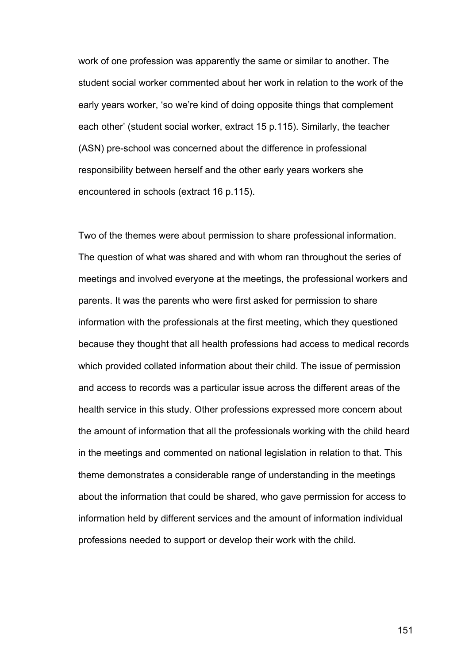work of one profession was apparently the same or similar to another. The student social worker commented about her work in relation to the work of the early years worker, 'so we're kind of doing opposite things that complement each other' (student social worker, extract 15 p.115). Similarly, the teacher (ASN) pre-school was concerned about the difference in professional responsibility between herself and the other early years workers she encountered in schools (extract 16 p.115).

Two of the themes were about permission to share professional information. The question of what was shared and with whom ran throughout the series of meetings and involved everyone at the meetings, the professional workers and parents. It was the parents who were first asked for permission to share information with the professionals at the first meeting, which they questioned because they thought that all health professions had access to medical records which provided collated information about their child. The issue of permission and access to records was a particular issue across the different areas of the health service in this study. Other professions expressed more concern about the amount of information that all the professionals working with the child heard in the meetings and commented on national legislation in relation to that. This theme demonstrates a considerable range of understanding in the meetings about the information that could be shared, who gave permission for access to information held by different services and the amount of information individual professions needed to support or develop their work with the child.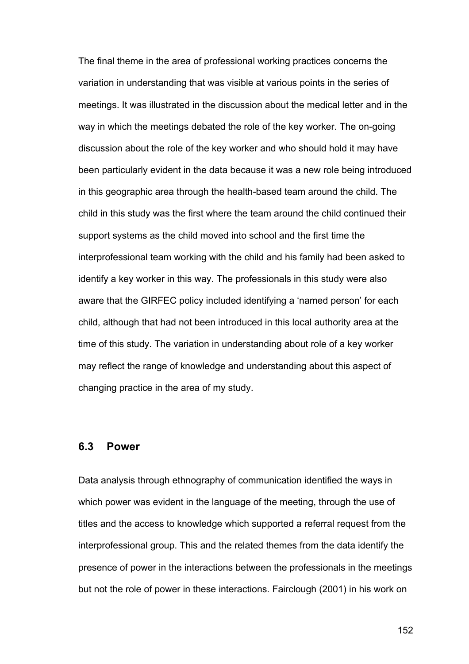The final theme in the area of professional working practices concerns the variation in understanding that was visible at various points in the series of meetings. It was illustrated in the discussion about the medical letter and in the way in which the meetings debated the role of the key worker. The on-going discussion about the role of the key worker and who should hold it may have been particularly evident in the data because it was a new role being introduced in this geographic area through the health-based team around the child. The child in this study was the first where the team around the child continued their support systems as the child moved into school and the first time the interprofessional team working with the child and his family had been asked to identify a key worker in this way. The professionals in this study were also aware that the GIRFEC policy included identifying a 'named person' for each child, although that had not been introduced in this local authority area at the time of this study. The variation in understanding about role of a key worker may reflect the range of knowledge and understanding about this aspect of changing practice in the area of my study.

#### **6.3 Power**

Data analysis through ethnography of communication identified the ways in which power was evident in the language of the meeting, through the use of titles and the access to knowledge which supported a referral request from the interprofessional group. This and the related themes from the data identify the presence of power in the interactions between the professionals in the meetings but not the role of power in these interactions. Fairclough (2001) in his work on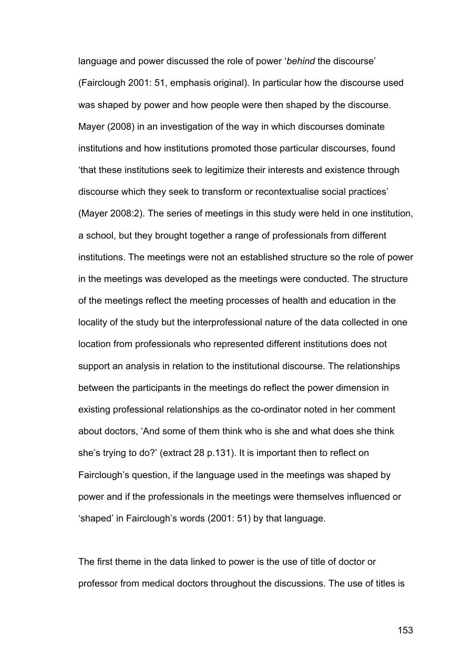language and power discussed the role of power '*behind* the discourse' (Fairclough 2001: 51, emphasis original). In particular how the discourse used was shaped by power and how people were then shaped by the discourse. Mayer (2008) in an investigation of the way in which discourses dominate institutions and how institutions promoted those particular discourses, found 'that these institutions seek to legitimize their interests and existence through discourse which they seek to transform or recontextualise social practices' (Mayer 2008:2). The series of meetings in this study were held in one institution, a school, but they brought together a range of professionals from different institutions. The meetings were not an established structure so the role of power in the meetings was developed as the meetings were conducted. The structure of the meetings reflect the meeting processes of health and education in the locality of the study but the interprofessional nature of the data collected in one location from professionals who represented different institutions does not support an analysis in relation to the institutional discourse. The relationships between the participants in the meetings do reflect the power dimension in existing professional relationships as the co-ordinator noted in her comment about doctors, 'And some of them think who is she and what does she think she's trying to do?' (extract 28 p.131). It is important then to reflect on Fairclough's question, if the language used in the meetings was shaped by power and if the professionals in the meetings were themselves influenced or 'shaped' in Fairclough's words (2001: 51) by that language.

The first theme in the data linked to power is the use of title of doctor or professor from medical doctors throughout the discussions. The use of titles is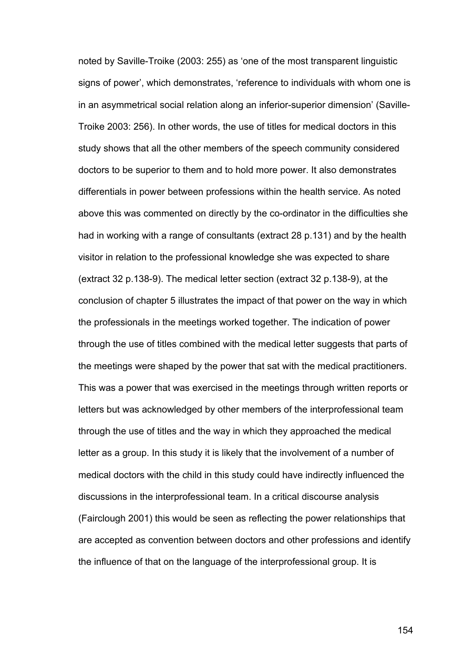noted by Saville-Troike (2003: 255) as 'one of the most transparent linguistic signs of power', which demonstrates, 'reference to individuals with whom one is in an asymmetrical social relation along an inferior-superior dimension' (Saville-Troike 2003: 256). In other words, the use of titles for medical doctors in this study shows that all the other members of the speech community considered doctors to be superior to them and to hold more power. It also demonstrates differentials in power between professions within the health service. As noted above this was commented on directly by the co-ordinator in the difficulties she had in working with a range of consultants (extract 28 p.131) and by the health visitor in relation to the professional knowledge she was expected to share (extract 32 p.138-9). The medical letter section (extract 32 p.138-9), at the conclusion of chapter 5 illustrates the impact of that power on the way in which the professionals in the meetings worked together. The indication of power through the use of titles combined with the medical letter suggests that parts of the meetings were shaped by the power that sat with the medical practitioners. This was a power that was exercised in the meetings through written reports or letters but was acknowledged by other members of the interprofessional team through the use of titles and the way in which they approached the medical letter as a group. In this study it is likely that the involvement of a number of medical doctors with the child in this study could have indirectly influenced the discussions in the interprofessional team. In a critical discourse analysis (Fairclough 2001) this would be seen as reflecting the power relationships that are accepted as convention between doctors and other professions and identify the influence of that on the language of the interprofessional group. It is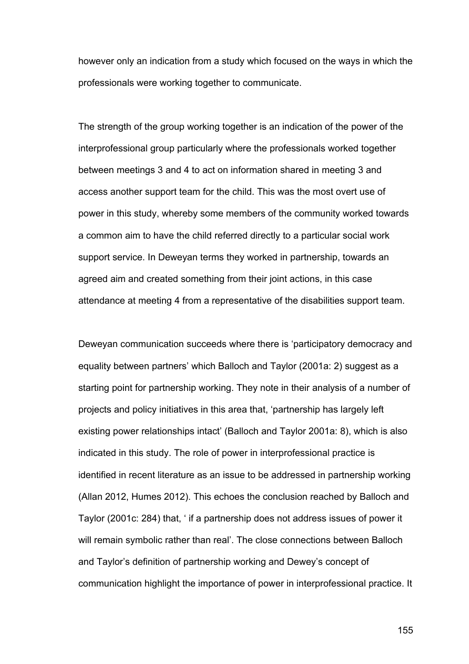however only an indication from a study which focused on the ways in which the professionals were working together to communicate.

The strength of the group working together is an indication of the power of the interprofessional group particularly where the professionals worked together between meetings 3 and 4 to act on information shared in meeting 3 and access another support team for the child. This was the most overt use of power in this study, whereby some members of the community worked towards a common aim to have the child referred directly to a particular social work support service. In Deweyan terms they worked in partnership, towards an agreed aim and created something from their joint actions, in this case attendance at meeting 4 from a representative of the disabilities support team.

Deweyan communication succeeds where there is 'participatory democracy and equality between partners' which Balloch and Taylor (2001a: 2) suggest as a starting point for partnership working. They note in their analysis of a number of projects and policy initiatives in this area that, 'partnership has largely left existing power relationships intact' (Balloch and Taylor 2001a: 8), which is also indicated in this study. The role of power in interprofessional practice is identified in recent literature as an issue to be addressed in partnership working (Allan 2012, Humes 2012). This echoes the conclusion reached by Balloch and Taylor (2001c: 284) that, ' if a partnership does not address issues of power it will remain symbolic rather than real'. The close connections between Balloch and Taylor's definition of partnership working and Dewey's concept of communication highlight the importance of power in interprofessional practice. It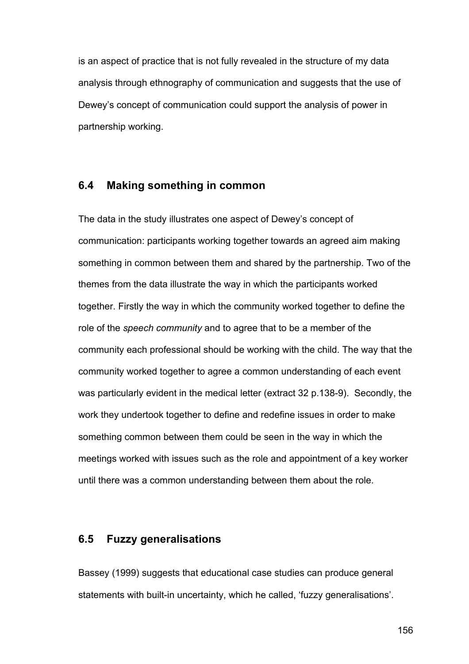is an aspect of practice that is not fully revealed in the structure of my data analysis through ethnography of communication and suggests that the use of Dewey's concept of communication could support the analysis of power in partnership working.

#### **6.4 Making something in common**

The data in the study illustrates one aspect of Dewey's concept of communication: participants working together towards an agreed aim making something in common between them and shared by the partnership. Two of the themes from the data illustrate the way in which the participants worked together. Firstly the way in which the community worked together to define the role of the *speech community* and to agree that to be a member of the community each professional should be working with the child. The way that the community worked together to agree a common understanding of each event was particularly evident in the medical letter (extract 32 p.138-9). Secondly, the work they undertook together to define and redefine issues in order to make something common between them could be seen in the way in which the meetings worked with issues such as the role and appointment of a key worker until there was a common understanding between them about the role.

#### **6.5 Fuzzy generalisations**

Bassey (1999) suggests that educational case studies can produce general statements with built-in uncertainty, which he called, 'fuzzy generalisations'.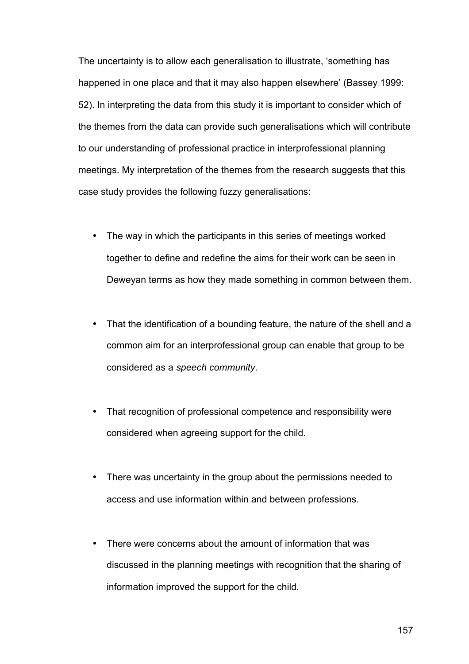The uncertainty is to allow each generalisation to illustrate, 'something has happened in one place and that it may also happen elsewhere' (Bassey 1999: 52). In interpreting the data from this study it is important to consider which of the themes from the data can provide such generalisations which will contribute to our understanding of professional practice in interprofessional planning meetings. My interpretation of the themes from the research suggests that this case study provides the following fuzzy generalisations:

- The way in which the participants in this series of meetings worked together to define and redefine the aims for their work can be seen in Deweyan terms as how they made something in common between them.
- That the identification of a bounding feature, the nature of the shell and a common aim for an interprofessional group can enable that group to be considered as a *speech community*.
- That recognition of professional competence and responsibility were considered when agreeing support for the child.
- There was uncertainty in the group about the permissions needed to access and use information within and between professions.
- There were concerns about the amount of information that was discussed in the planning meetings with recognition that the sharing of information improved the support for the child.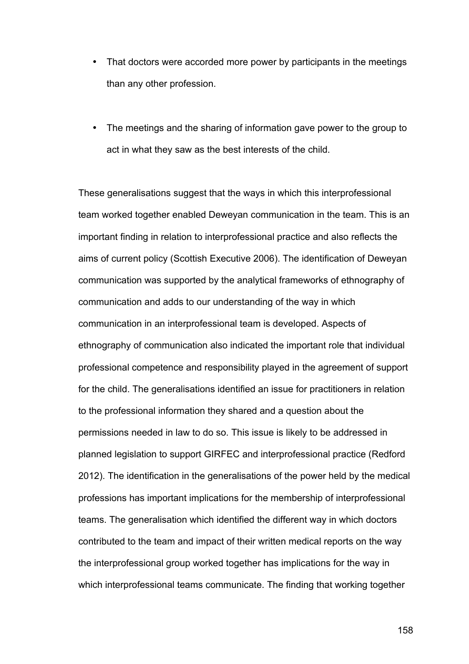- That doctors were accorded more power by participants in the meetings than any other profession.
- The meetings and the sharing of information gave power to the group to act in what they saw as the best interests of the child.

These generalisations suggest that the ways in which this interprofessional team worked together enabled Deweyan communication in the team. This is an important finding in relation to interprofessional practice and also reflects the aims of current policy (Scottish Executive 2006). The identification of Deweyan communication was supported by the analytical frameworks of ethnography of communication and adds to our understanding of the way in which communication in an interprofessional team is developed. Aspects of ethnography of communication also indicated the important role that individual professional competence and responsibility played in the agreement of support for the child. The generalisations identified an issue for practitioners in relation to the professional information they shared and a question about the permissions needed in law to do so. This issue is likely to be addressed in planned legislation to support GIRFEC and interprofessional practice (Redford 2012). The identification in the generalisations of the power held by the medical professions has important implications for the membership of interprofessional teams. The generalisation which identified the different way in which doctors contributed to the team and impact of their written medical reports on the way the interprofessional group worked together has implications for the way in which interprofessional teams communicate. The finding that working together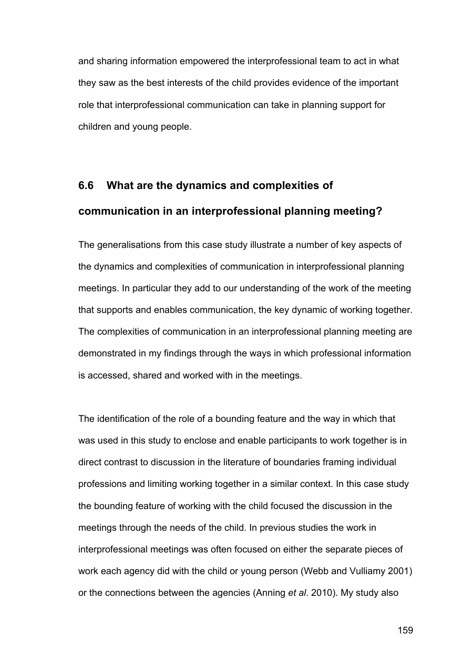and sharing information empowered the interprofessional team to act in what they saw as the best interests of the child provides evidence of the important role that interprofessional communication can take in planning support for children and young people.

# **6.6 What are the dynamics and complexities of communication in an interprofessional planning meeting?**

The generalisations from this case study illustrate a number of key aspects of the dynamics and complexities of communication in interprofessional planning meetings. In particular they add to our understanding of the work of the meeting that supports and enables communication, the key dynamic of working together. The complexities of communication in an interprofessional planning meeting are demonstrated in my findings through the ways in which professional information is accessed, shared and worked with in the meetings.

The identification of the role of a bounding feature and the way in which that was used in this study to enclose and enable participants to work together is in direct contrast to discussion in the literature of boundaries framing individual professions and limiting working together in a similar context. In this case study the bounding feature of working with the child focused the discussion in the meetings through the needs of the child. In previous studies the work in interprofessional meetings was often focused on either the separate pieces of work each agency did with the child or young person (Webb and Vulliamy 2001) or the connections between the agencies (Anning *et al*. 2010). My study also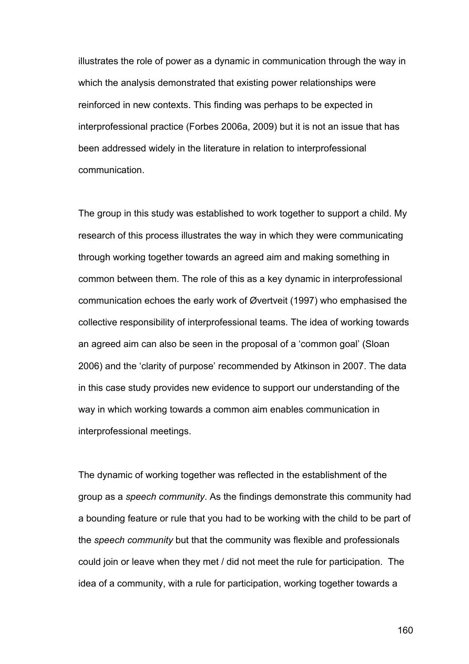illustrates the role of power as a dynamic in communication through the way in which the analysis demonstrated that existing power relationships were reinforced in new contexts. This finding was perhaps to be expected in interprofessional practice (Forbes 2006a, 2009) but it is not an issue that has been addressed widely in the literature in relation to interprofessional communication.

The group in this study was established to work together to support a child. My research of this process illustrates the way in which they were communicating through working together towards an agreed aim and making something in common between them. The role of this as a key dynamic in interprofessional communication echoes the early work of Øvertveit (1997) who emphasised the collective responsibility of interprofessional teams. The idea of working towards an agreed aim can also be seen in the proposal of a 'common goal' (Sloan 2006) and the 'clarity of purpose' recommended by Atkinson in 2007. The data in this case study provides new evidence to support our understanding of the way in which working towards a common aim enables communication in interprofessional meetings.

The dynamic of working together was reflected in the establishment of the group as a *speech community*. As the findings demonstrate this community had a bounding feature or rule that you had to be working with the child to be part of the *speech community* but that the community was flexible and professionals could join or leave when they met / did not meet the rule for participation. The idea of a community, with a rule for participation, working together towards a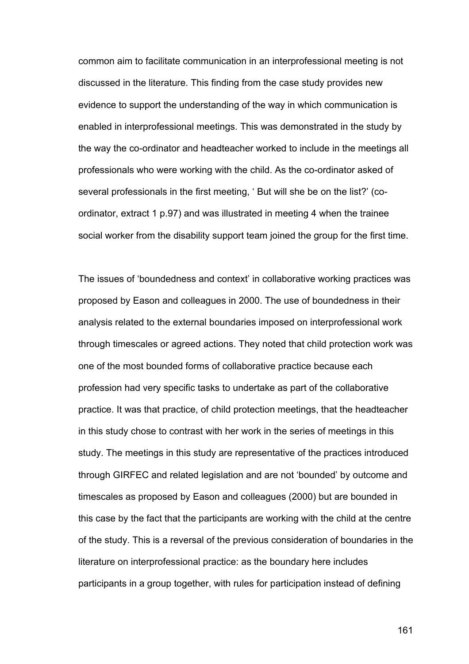common aim to facilitate communication in an interprofessional meeting is not discussed in the literature. This finding from the case study provides new evidence to support the understanding of the way in which communication is enabled in interprofessional meetings. This was demonstrated in the study by the way the co-ordinator and headteacher worked to include in the meetings all professionals who were working with the child. As the co-ordinator asked of several professionals in the first meeting, ' But will she be on the list?' (coordinator, extract 1 p.97) and was illustrated in meeting 4 when the trainee social worker from the disability support team joined the group for the first time.

The issues of 'boundedness and context' in collaborative working practices was proposed by Eason and colleagues in 2000. The use of boundedness in their analysis related to the external boundaries imposed on interprofessional work through timescales or agreed actions. They noted that child protection work was one of the most bounded forms of collaborative practice because each profession had very specific tasks to undertake as part of the collaborative practice. It was that practice, of child protection meetings, that the headteacher in this study chose to contrast with her work in the series of meetings in this study. The meetings in this study are representative of the practices introduced through GIRFEC and related legislation and are not 'bounded' by outcome and timescales as proposed by Eason and colleagues (2000) but are bounded in this case by the fact that the participants are working with the child at the centre of the study. This is a reversal of the previous consideration of boundaries in the literature on interprofessional practice: as the boundary here includes participants in a group together, with rules for participation instead of defining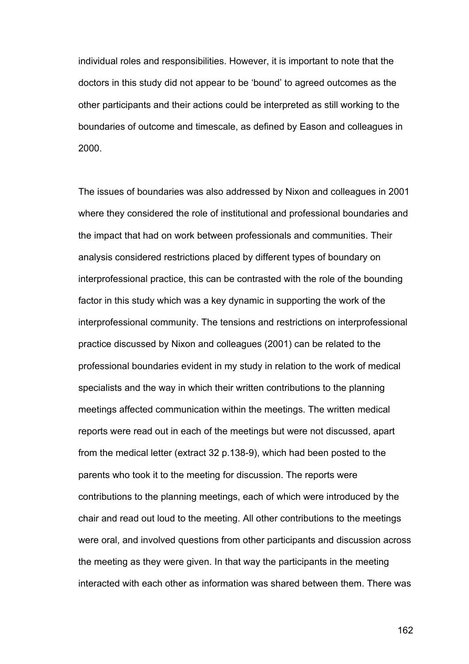individual roles and responsibilities. However, it is important to note that the doctors in this study did not appear to be 'bound' to agreed outcomes as the other participants and their actions could be interpreted as still working to the boundaries of outcome and timescale, as defined by Eason and colleagues in 2000.

The issues of boundaries was also addressed by Nixon and colleagues in 2001 where they considered the role of institutional and professional boundaries and the impact that had on work between professionals and communities. Their analysis considered restrictions placed by different types of boundary on interprofessional practice, this can be contrasted with the role of the bounding factor in this study which was a key dynamic in supporting the work of the interprofessional community. The tensions and restrictions on interprofessional practice discussed by Nixon and colleagues (2001) can be related to the professional boundaries evident in my study in relation to the work of medical specialists and the way in which their written contributions to the planning meetings affected communication within the meetings. The written medical reports were read out in each of the meetings but were not discussed, apart from the medical letter (extract 32 p.138-9), which had been posted to the parents who took it to the meeting for discussion. The reports were contributions to the planning meetings, each of which were introduced by the chair and read out loud to the meeting. All other contributions to the meetings were oral, and involved questions from other participants and discussion across the meeting as they were given. In that way the participants in the meeting interacted with each other as information was shared between them. There was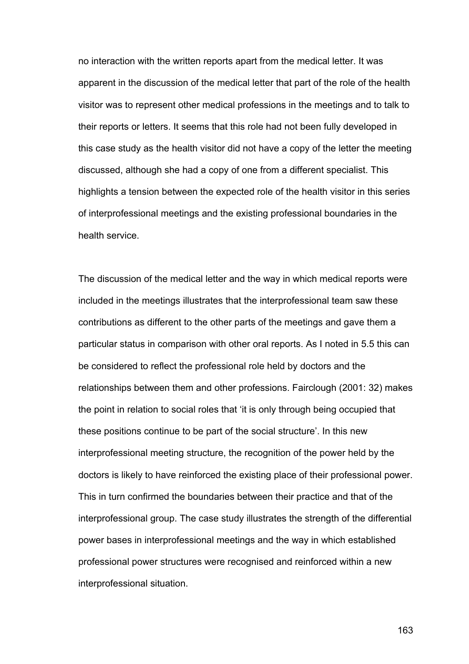no interaction with the written reports apart from the medical letter. It was apparent in the discussion of the medical letter that part of the role of the health visitor was to represent other medical professions in the meetings and to talk to their reports or letters. It seems that this role had not been fully developed in this case study as the health visitor did not have a copy of the letter the meeting discussed, although she had a copy of one from a different specialist. This highlights a tension between the expected role of the health visitor in this series of interprofessional meetings and the existing professional boundaries in the health service.

The discussion of the medical letter and the way in which medical reports were included in the meetings illustrates that the interprofessional team saw these contributions as different to the other parts of the meetings and gave them a particular status in comparison with other oral reports. As I noted in 5.5 this can be considered to reflect the professional role held by doctors and the relationships between them and other professions. Fairclough (2001: 32) makes the point in relation to social roles that 'it is only through being occupied that these positions continue to be part of the social structure'. In this new interprofessional meeting structure, the recognition of the power held by the doctors is likely to have reinforced the existing place of their professional power. This in turn confirmed the boundaries between their practice and that of the interprofessional group. The case study illustrates the strength of the differential power bases in interprofessional meetings and the way in which established professional power structures were recognised and reinforced within a new interprofessional situation.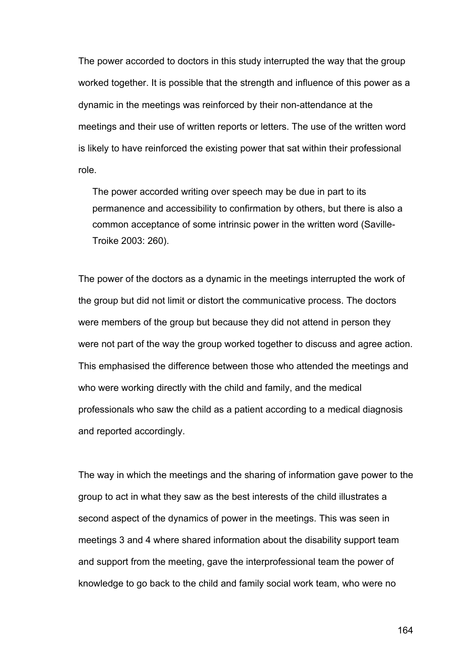The power accorded to doctors in this study interrupted the way that the group worked together. It is possible that the strength and influence of this power as a dynamic in the meetings was reinforced by their non-attendance at the meetings and their use of written reports or letters. The use of the written word is likely to have reinforced the existing power that sat within their professional role.

The power accorded writing over speech may be due in part to its permanence and accessibility to confirmation by others, but there is also a common acceptance of some intrinsic power in the written word (Saville-Troike 2003: 260).

The power of the doctors as a dynamic in the meetings interrupted the work of the group but did not limit or distort the communicative process. The doctors were members of the group but because they did not attend in person they were not part of the way the group worked together to discuss and agree action. This emphasised the difference between those who attended the meetings and who were working directly with the child and family, and the medical professionals who saw the child as a patient according to a medical diagnosis and reported accordingly.

The way in which the meetings and the sharing of information gave power to the group to act in what they saw as the best interests of the child illustrates a second aspect of the dynamics of power in the meetings. This was seen in meetings 3 and 4 where shared information about the disability support team and support from the meeting, gave the interprofessional team the power of knowledge to go back to the child and family social work team, who were no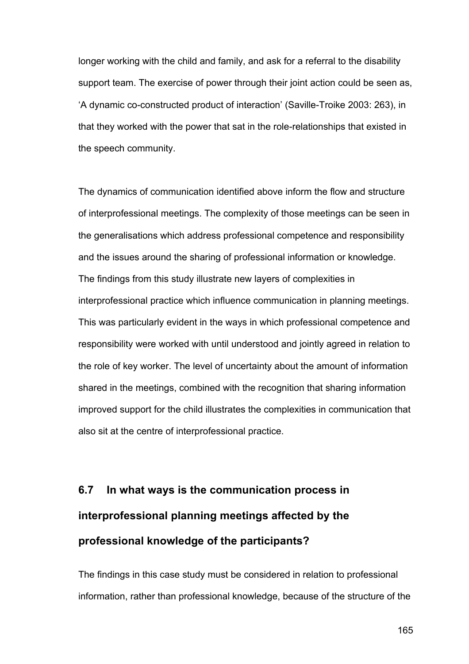longer working with the child and family, and ask for a referral to the disability support team. The exercise of power through their joint action could be seen as, 'A dynamic co-constructed product of interaction' (Saville-Troike 2003: 263), in that they worked with the power that sat in the role-relationships that existed in the speech community.

The dynamics of communication identified above inform the flow and structure of interprofessional meetings. The complexity of those meetings can be seen in the generalisations which address professional competence and responsibility and the issues around the sharing of professional information or knowledge. The findings from this study illustrate new layers of complexities in interprofessional practice which influence communication in planning meetings. This was particularly evident in the ways in which professional competence and responsibility were worked with until understood and jointly agreed in relation to the role of key worker. The level of uncertainty about the amount of information shared in the meetings, combined with the recognition that sharing information improved support for the child illustrates the complexities in communication that also sit at the centre of interprofessional practice.

# **6.7 In what ways is the communication process in interprofessional planning meetings affected by the professional knowledge of the participants?**

The findings in this case study must be considered in relation to professional information, rather than professional knowledge, because of the structure of the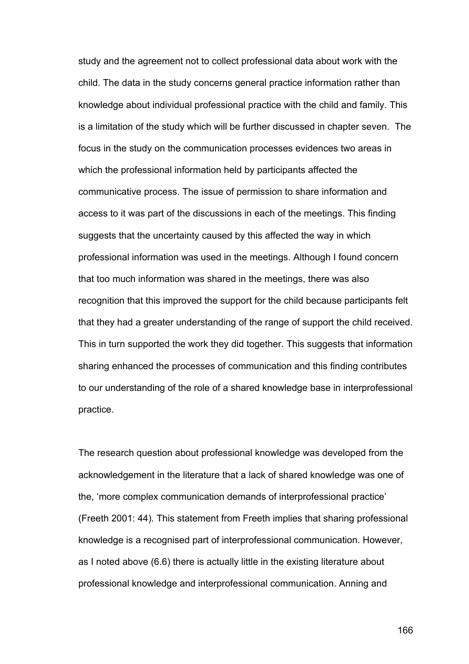study and the agreement not to collect professional data about work with the child. The data in the study concerns general practice information rather than knowledge about individual professional practice with the child and family. This is a limitation of the study which will be further discussed in chapter seven. The focus in the study on the communication processes evidences two areas in which the professional information held by participants affected the communicative process. The issue of permission to share information and access to it was part of the discussions in each of the meetings. This finding suggests that the uncertainty caused by this affected the way in which professional information was used in the meetings. Although I found concern that too much information was shared in the meetings, there was also recognition that this improved the support for the child because participants felt that they had a greater understanding of the range of support the child received. This in turn supported the work they did together. This suggests that information sharing enhanced the processes of communication and this finding contributes to our understanding of the role of a shared knowledge base in interprofessional practice.

The research question about professional knowledge was developed from the acknowledgement in the literature that a lack of shared knowledge was one of the, 'more complex communication demands of interprofessional practice' (Freeth 2001: 44). This statement from Freeth implies that sharing professional knowledge is a recognised part of interprofessional communication. However, as I noted above (6.6) there is actually little in the existing literature about professional knowledge and interprofessional communication. Anning and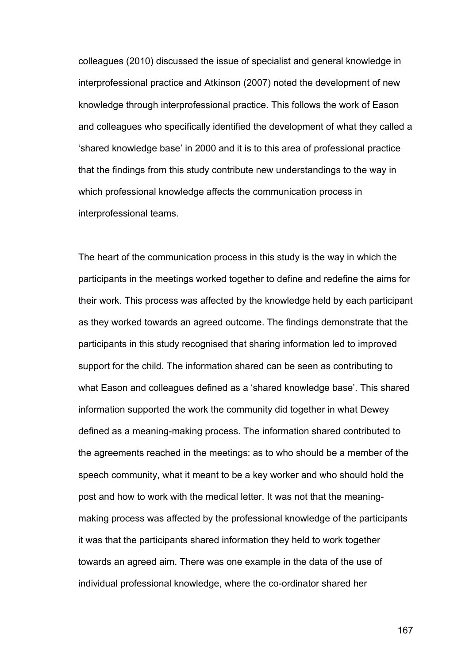colleagues (2010) discussed the issue of specialist and general knowledge in interprofessional practice and Atkinson (2007) noted the development of new knowledge through interprofessional practice. This follows the work of Eason and colleagues who specifically identified the development of what they called a 'shared knowledge base' in 2000 and it is to this area of professional practice that the findings from this study contribute new understandings to the way in which professional knowledge affects the communication process in interprofessional teams.

The heart of the communication process in this study is the way in which the participants in the meetings worked together to define and redefine the aims for their work. This process was affected by the knowledge held by each participant as they worked towards an agreed outcome. The findings demonstrate that the participants in this study recognised that sharing information led to improved support for the child. The information shared can be seen as contributing to what Eason and colleagues defined as a 'shared knowledge base'. This shared information supported the work the community did together in what Dewey defined as a meaning-making process. The information shared contributed to the agreements reached in the meetings: as to who should be a member of the speech community, what it meant to be a key worker and who should hold the post and how to work with the medical letter. It was not that the meaningmaking process was affected by the professional knowledge of the participants it was that the participants shared information they held to work together towards an agreed aim. There was one example in the data of the use of individual professional knowledge, where the co-ordinator shared her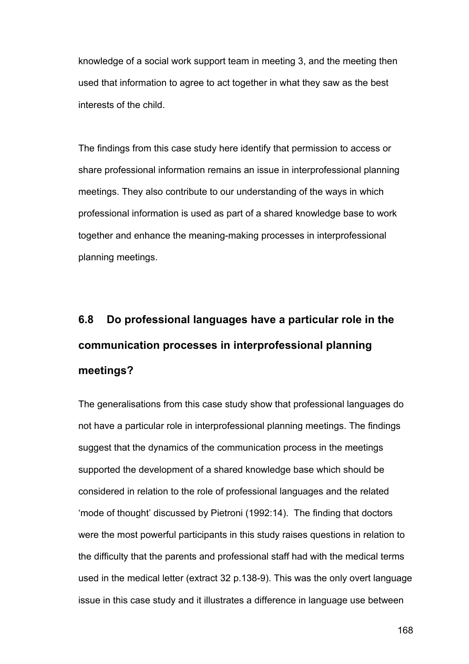knowledge of a social work support team in meeting 3, and the meeting then used that information to agree to act together in what they saw as the best interests of the child.

The findings from this case study here identify that permission to access or share professional information remains an issue in interprofessional planning meetings. They also contribute to our understanding of the ways in which professional information is used as part of a shared knowledge base to work together and enhance the meaning-making processes in interprofessional planning meetings.

# **6.8 Do professional languages have a particular role in the communication processes in interprofessional planning meetings?**

The generalisations from this case study show that professional languages do not have a particular role in interprofessional planning meetings. The findings suggest that the dynamics of the communication process in the meetings supported the development of a shared knowledge base which should be considered in relation to the role of professional languages and the related 'mode of thought' discussed by Pietroni (1992:14). The finding that doctors were the most powerful participants in this study raises questions in relation to the difficulty that the parents and professional staff had with the medical terms used in the medical letter (extract 32 p.138-9). This was the only overt language issue in this case study and it illustrates a difference in language use between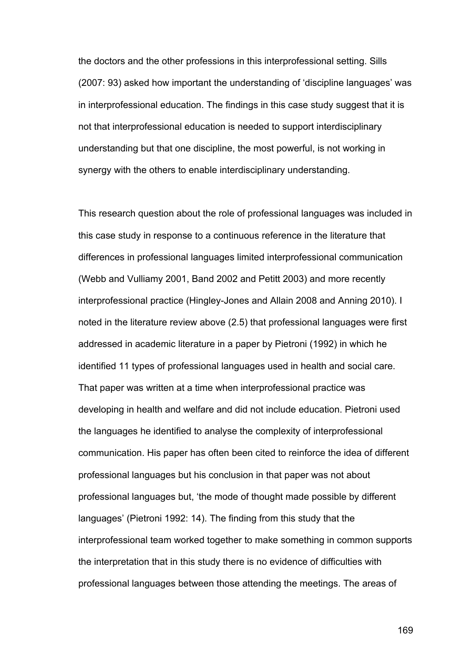the doctors and the other professions in this interprofessional setting. Sills (2007: 93) asked how important the understanding of 'discipline languages' was in interprofessional education. The findings in this case study suggest that it is not that interprofessional education is needed to support interdisciplinary understanding but that one discipline, the most powerful, is not working in synergy with the others to enable interdisciplinary understanding.

This research question about the role of professional languages was included in this case study in response to a continuous reference in the literature that differences in professional languages limited interprofessional communication (Webb and Vulliamy 2001, Band 2002 and Petitt 2003) and more recently interprofessional practice (Hingley-Jones and Allain 2008 and Anning 2010). I noted in the literature review above (2.5) that professional languages were first addressed in academic literature in a paper by Pietroni (1992) in which he identified 11 types of professional languages used in health and social care. That paper was written at a time when interprofessional practice was developing in health and welfare and did not include education. Pietroni used the languages he identified to analyse the complexity of interprofessional communication. His paper has often been cited to reinforce the idea of different professional languages but his conclusion in that paper was not about professional languages but, 'the mode of thought made possible by different languages' (Pietroni 1992: 14). The finding from this study that the interprofessional team worked together to make something in common supports the interpretation that in this study there is no evidence of difficulties with professional languages between those attending the meetings. The areas of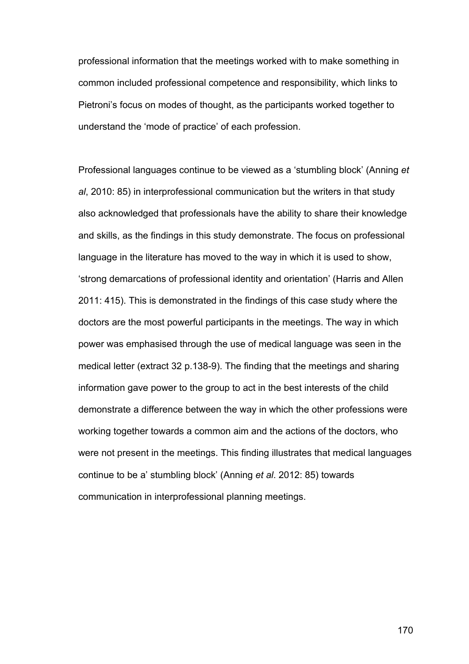professional information that the meetings worked with to make something in common included professional competence and responsibility, which links to Pietroni's focus on modes of thought, as the participants worked together to understand the 'mode of practice' of each profession.

Professional languages continue to be viewed as a 'stumbling block' (Anning *et al*, 2010: 85) in interprofessional communication but the writers in that study also acknowledged that professionals have the ability to share their knowledge and skills, as the findings in this study demonstrate. The focus on professional language in the literature has moved to the way in which it is used to show, 'strong demarcations of professional identity and orientation' (Harris and Allen 2011: 415). This is demonstrated in the findings of this case study where the doctors are the most powerful participants in the meetings. The way in which power was emphasised through the use of medical language was seen in the medical letter (extract 32 p.138-9). The finding that the meetings and sharing information gave power to the group to act in the best interests of the child demonstrate a difference between the way in which the other professions were working together towards a common aim and the actions of the doctors, who were not present in the meetings. This finding illustrates that medical languages continue to be a' stumbling block' (Anning *et al*. 2012: 85) towards communication in interprofessional planning meetings.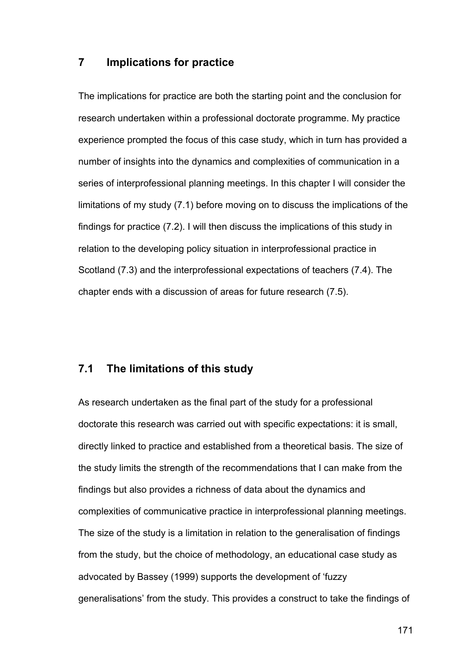#### **7 Implications for practice**

The implications for practice are both the starting point and the conclusion for research undertaken within a professional doctorate programme. My practice experience prompted the focus of this case study, which in turn has provided a number of insights into the dynamics and complexities of communication in a series of interprofessional planning meetings. In this chapter I will consider the limitations of my study (7.1) before moving on to discuss the implications of the findings for practice (7.2). I will then discuss the implications of this study in relation to the developing policy situation in interprofessional practice in Scotland (7.3) and the interprofessional expectations of teachers (7.4). The chapter ends with a discussion of areas for future research (7.5).

# **7.1 The limitations of this study**

As research undertaken as the final part of the study for a professional doctorate this research was carried out with specific expectations: it is small, directly linked to practice and established from a theoretical basis. The size of the study limits the strength of the recommendations that I can make from the findings but also provides a richness of data about the dynamics and complexities of communicative practice in interprofessional planning meetings. The size of the study is a limitation in relation to the generalisation of findings from the study, but the choice of methodology, an educational case study as advocated by Bassey (1999) supports the development of 'fuzzy generalisations' from the study. This provides a construct to take the findings of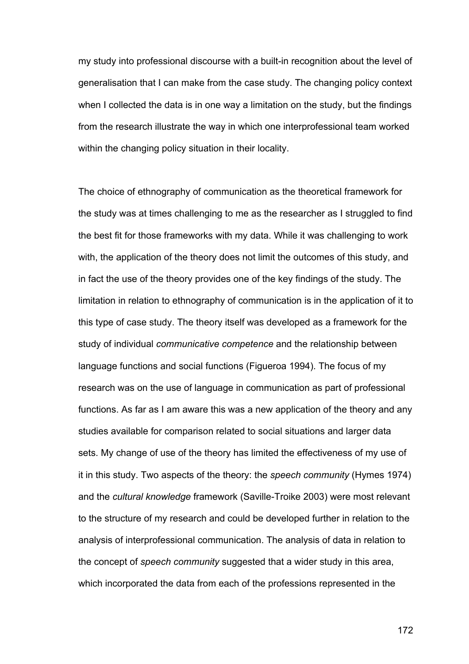my study into professional discourse with a built-in recognition about the level of generalisation that I can make from the case study. The changing policy context when I collected the data is in one way a limitation on the study, but the findings from the research illustrate the way in which one interprofessional team worked within the changing policy situation in their locality.

The choice of ethnography of communication as the theoretical framework for the study was at times challenging to me as the researcher as I struggled to find the best fit for those frameworks with my data. While it was challenging to work with, the application of the theory does not limit the outcomes of this study, and in fact the use of the theory provides one of the key findings of the study. The limitation in relation to ethnography of communication is in the application of it to this type of case study. The theory itself was developed as a framework for the study of individual *communicative competence* and the relationship between language functions and social functions (Figueroa 1994). The focus of my research was on the use of language in communication as part of professional functions. As far as I am aware this was a new application of the theory and any studies available for comparison related to social situations and larger data sets. My change of use of the theory has limited the effectiveness of my use of it in this study. Two aspects of the theory: the *speech community* (Hymes 1974) and the *cultural knowledge* framework (Saville-Troike 2003) were most relevant to the structure of my research and could be developed further in relation to the analysis of interprofessional communication. The analysis of data in relation to the concept of *speech community* suggested that a wider study in this area, which incorporated the data from each of the professions represented in the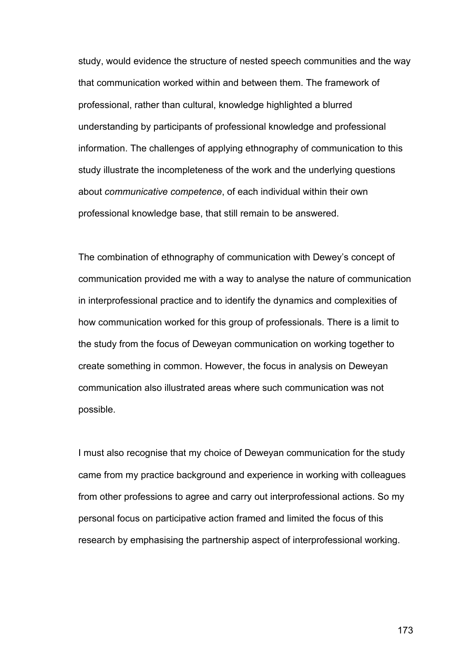study, would evidence the structure of nested speech communities and the way that communication worked within and between them. The framework of professional, rather than cultural, knowledge highlighted a blurred understanding by participants of professional knowledge and professional information. The challenges of applying ethnography of communication to this study illustrate the incompleteness of the work and the underlying questions about *communicative competence*, of each individual within their own professional knowledge base, that still remain to be answered.

The combination of ethnography of communication with Dewey's concept of communication provided me with a way to analyse the nature of communication in interprofessional practice and to identify the dynamics and complexities of how communication worked for this group of professionals. There is a limit to the study from the focus of Deweyan communication on working together to create something in common. However, the focus in analysis on Deweyan communication also illustrated areas where such communication was not possible.

I must also recognise that my choice of Deweyan communication for the study came from my practice background and experience in working with colleagues from other professions to agree and carry out interprofessional actions. So my personal focus on participative action framed and limited the focus of this research by emphasising the partnership aspect of interprofessional working.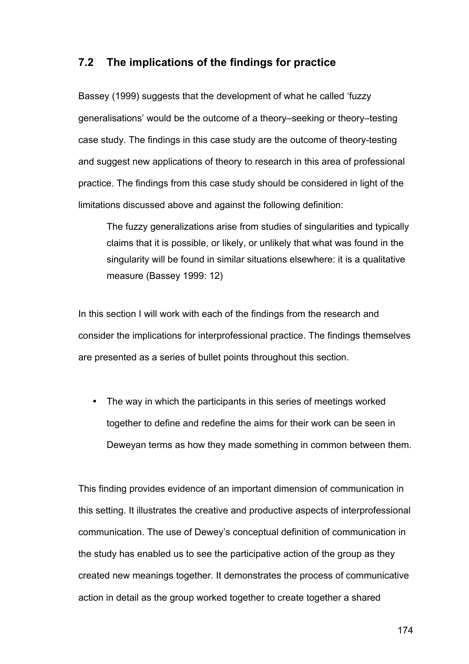## **7.2 The implications of the findings for practice**

Bassey (1999) suggests that the development of what he called 'fuzzy generalisations' would be the outcome of a theory–seeking or theory–testing case study. The findings in this case study are the outcome of theory-testing and suggest new applications of theory to research in this area of professional practice. The findings from this case study should be considered in light of the limitations discussed above and against the following definition:

The fuzzy generalizations arise from studies of singularities and typically claims that it is possible, or likely, or unlikely that what was found in the singularity will be found in similar situations elsewhere: it is a qualitative measure (Bassey 1999: 12)

In this section I will work with each of the findings from the research and consider the implications for interprofessional practice. The findings themselves are presented as a series of bullet points throughout this section.

• The way in which the participants in this series of meetings worked together to define and redefine the aims for their work can be seen in Deweyan terms as how they made something in common between them.

This finding provides evidence of an important dimension of communication in this setting. It illustrates the creative and productive aspects of interprofessional communication. The use of Dewey's conceptual definition of communication in the study has enabled us to see the participative action of the group as they created new meanings together. It demonstrates the process of communicative action in detail as the group worked together to create together a shared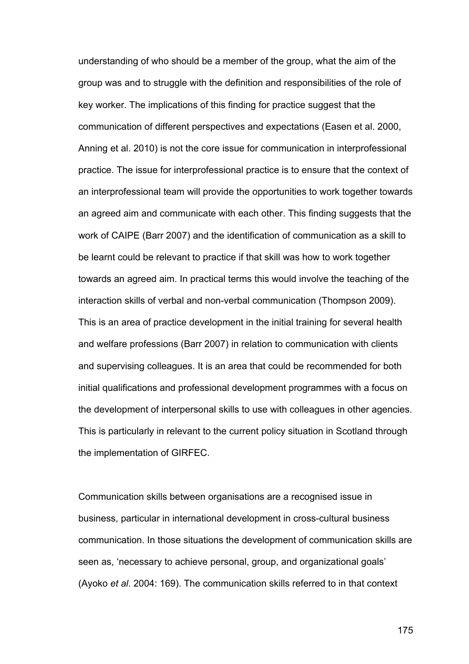understanding of who should be a member of the group, what the aim of the group was and to struggle with the definition and responsibilities of the role of key worker. The implications of this finding for practice suggest that the communication of different perspectives and expectations (Easen et al. 2000, Anning et al. 2010) is not the core issue for communication in interprofessional practice. The issue for interprofessional practice is to ensure that the context of an interprofessional team will provide the opportunities to work together towards an agreed aim and communicate with each other. This finding suggests that the work of CAIPE (Barr 2007) and the identification of communication as a skill to be learnt could be relevant to practice if that skill was how to work together towards an agreed aim. In practical terms this would involve the teaching of the interaction skills of verbal and non-verbal communication (Thompson 2009). This is an area of practice development in the initial training for several health and welfare professions (Barr 2007) in relation to communication with clients and supervising colleagues. It is an area that could be recommended for both initial qualifications and professional development programmes with a focus on the development of interpersonal skills to use with colleagues in other agencies. This is particularly in relevant to the current policy situation in Scotland through the implementation of GIRFEC.

Communication skills between organisations are a recognised issue in business, particular in international development in cross-cultural business communication. In those situations the development of communication skills are seen as, 'necessary to achieve personal, group, and organizational goals' (Ayoko *et al*. 2004: 169). The communication skills referred to in that context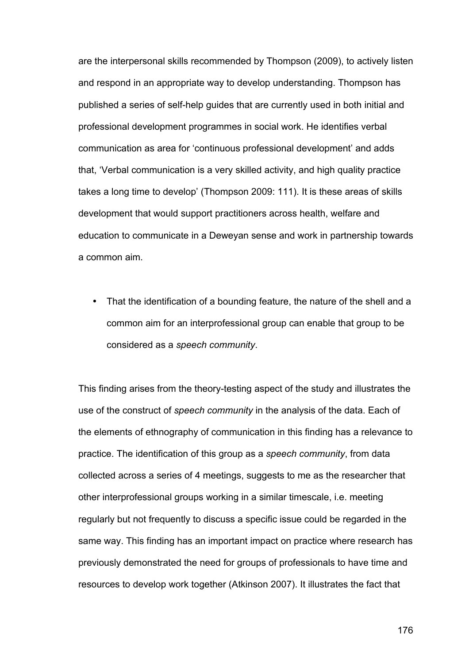are the interpersonal skills recommended by Thompson (2009), to actively listen and respond in an appropriate way to develop understanding. Thompson has published a series of self-help guides that are currently used in both initial and professional development programmes in social work. He identifies verbal communication as area for 'continuous professional development' and adds that, 'Verbal communication is a very skilled activity, and high quality practice takes a long time to develop' (Thompson 2009: 111). It is these areas of skills development that would support practitioners across health, welfare and education to communicate in a Deweyan sense and work in partnership towards a common aim.

• That the identification of a bounding feature, the nature of the shell and a common aim for an interprofessional group can enable that group to be considered as a *speech community*.

This finding arises from the theory-testing aspect of the study and illustrates the use of the construct of *speech community* in the analysis of the data. Each of the elements of ethnography of communication in this finding has a relevance to practice. The identification of this group as a *speech community*, from data collected across a series of 4 meetings, suggests to me as the researcher that other interprofessional groups working in a similar timescale, i.e. meeting regularly but not frequently to discuss a specific issue could be regarded in the same way. This finding has an important impact on practice where research has previously demonstrated the need for groups of professionals to have time and resources to develop work together (Atkinson 2007). It illustrates the fact that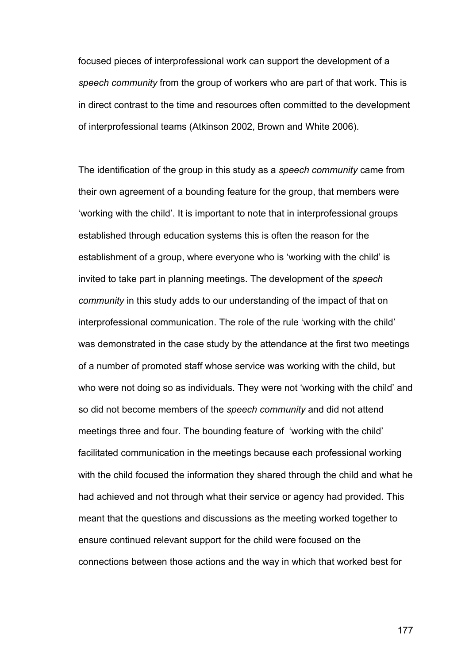focused pieces of interprofessional work can support the development of a *speech community* from the group of workers who are part of that work. This is in direct contrast to the time and resources often committed to the development of interprofessional teams (Atkinson 2002, Brown and White 2006).

The identification of the group in this study as a *speech community* came from their own agreement of a bounding feature for the group, that members were 'working with the child'. It is important to note that in interprofessional groups established through education systems this is often the reason for the establishment of a group, where everyone who is 'working with the child' is invited to take part in planning meetings. The development of the *speech community* in this study adds to our understanding of the impact of that on interprofessional communication. The role of the rule 'working with the child' was demonstrated in the case study by the attendance at the first two meetings of a number of promoted staff whose service was working with the child, but who were not doing so as individuals. They were not 'working with the child' and so did not become members of the *speech community* and did not attend meetings three and four. The bounding feature of 'working with the child' facilitated communication in the meetings because each professional working with the child focused the information they shared through the child and what he had achieved and not through what their service or agency had provided. This meant that the questions and discussions as the meeting worked together to ensure continued relevant support for the child were focused on the connections between those actions and the way in which that worked best for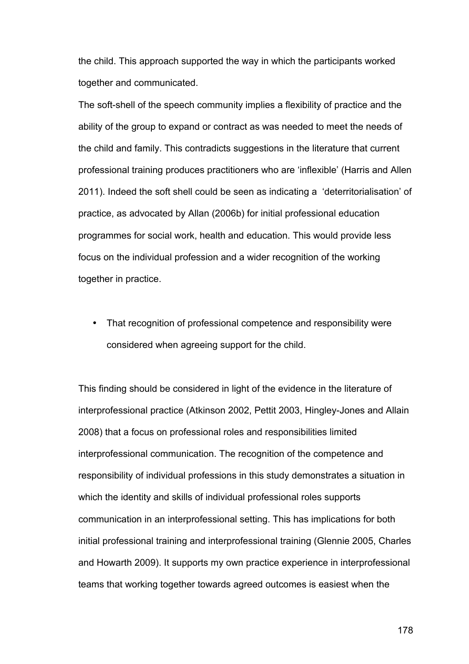the child. This approach supported the way in which the participants worked together and communicated.

The soft-shell of the speech community implies a flexibility of practice and the ability of the group to expand or contract as was needed to meet the needs of the child and family. This contradicts suggestions in the literature that current professional training produces practitioners who are 'inflexible' (Harris and Allen 2011). Indeed the soft shell could be seen as indicating a 'deterritorialisation' of practice, as advocated by Allan (2006b) for initial professional education programmes for social work, health and education. This would provide less focus on the individual profession and a wider recognition of the working together in practice.

• That recognition of professional competence and responsibility were considered when agreeing support for the child.

This finding should be considered in light of the evidence in the literature of interprofessional practice (Atkinson 2002, Pettit 2003, Hingley-Jones and Allain 2008) that a focus on professional roles and responsibilities limited interprofessional communication. The recognition of the competence and responsibility of individual professions in this study demonstrates a situation in which the identity and skills of individual professional roles supports communication in an interprofessional setting. This has implications for both initial professional training and interprofessional training (Glennie 2005, Charles and Howarth 2009). It supports my own practice experience in interprofessional teams that working together towards agreed outcomes is easiest when the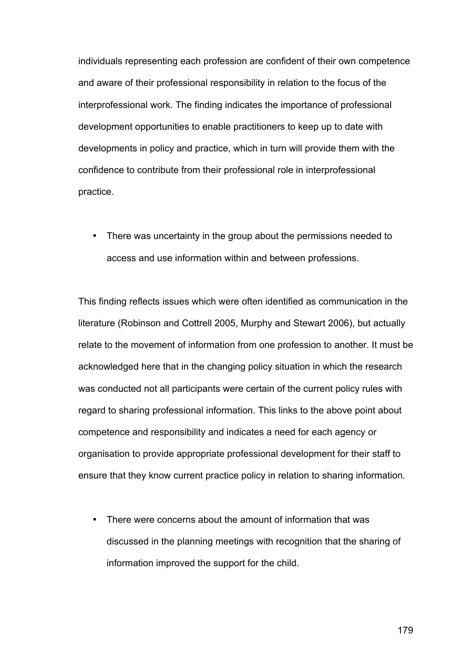individuals representing each profession are confident of their own competence and aware of their professional responsibility in relation to the focus of the interprofessional work. The finding indicates the importance of professional development opportunities to enable practitioners to keep up to date with developments in policy and practice, which in turn will provide them with the confidence to contribute from their professional role in interprofessional practice.

• There was uncertainty in the group about the permissions needed to access and use information within and between professions.

This finding reflects issues which were often identified as communication in the literature (Robinson and Cottrell 2005, Murphy and Stewart 2006), but actually relate to the movement of information from one profession to another. It must be acknowledged here that in the changing policy situation in which the research was conducted not all participants were certain of the current policy rules with regard to sharing professional information. This links to the above point about competence and responsibility and indicates a need for each agency or organisation to provide appropriate professional development for their staff to ensure that they know current practice policy in relation to sharing information.

• There were concerns about the amount of information that was discussed in the planning meetings with recognition that the sharing of information improved the support for the child.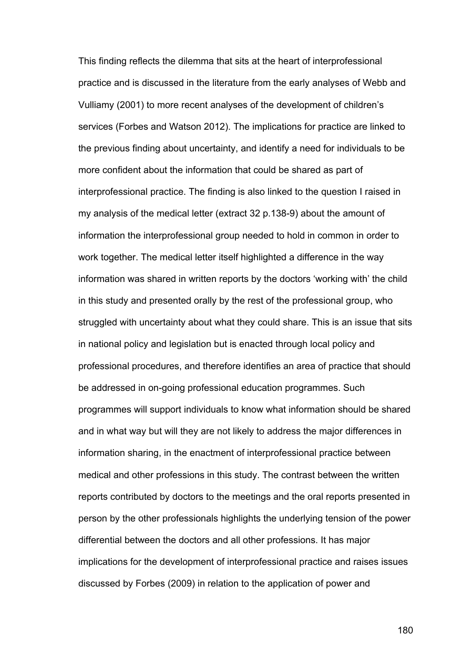This finding reflects the dilemma that sits at the heart of interprofessional practice and is discussed in the literature from the early analyses of Webb and Vulliamy (2001) to more recent analyses of the development of children's services (Forbes and Watson 2012). The implications for practice are linked to the previous finding about uncertainty, and identify a need for individuals to be more confident about the information that could be shared as part of interprofessional practice. The finding is also linked to the question I raised in my analysis of the medical letter (extract 32 p.138-9) about the amount of information the interprofessional group needed to hold in common in order to work together. The medical letter itself highlighted a difference in the way information was shared in written reports by the doctors 'working with' the child in this study and presented orally by the rest of the professional group, who struggled with uncertainty about what they could share. This is an issue that sits in national policy and legislation but is enacted through local policy and professional procedures, and therefore identifies an area of practice that should be addressed in on-going professional education programmes. Such programmes will support individuals to know what information should be shared and in what way but will they are not likely to address the major differences in information sharing, in the enactment of interprofessional practice between medical and other professions in this study. The contrast between the written reports contributed by doctors to the meetings and the oral reports presented in person by the other professionals highlights the underlying tension of the power differential between the doctors and all other professions. It has major implications for the development of interprofessional practice and raises issues discussed by Forbes (2009) in relation to the application of power and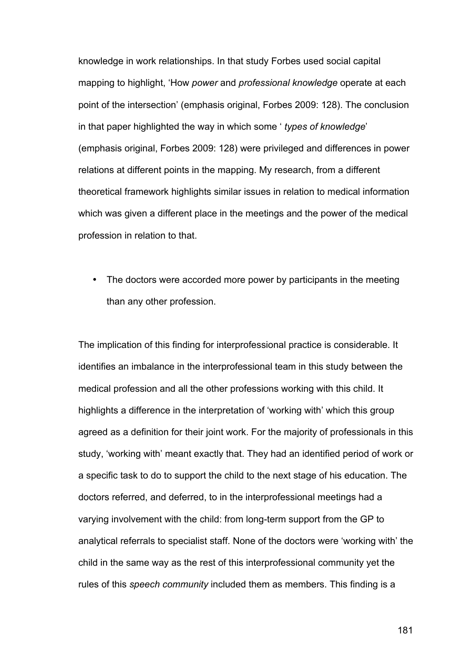knowledge in work relationships. In that study Forbes used social capital mapping to highlight, 'How *power* and *professional knowledge* operate at each point of the intersection' (emphasis original, Forbes 2009: 128). The conclusion in that paper highlighted the way in which some ' *types of knowledge*' (emphasis original, Forbes 2009: 128) were privileged and differences in power relations at different points in the mapping. My research, from a different theoretical framework highlights similar issues in relation to medical information which was given a different place in the meetings and the power of the medical profession in relation to that.

• The doctors were accorded more power by participants in the meeting than any other profession.

The implication of this finding for interprofessional practice is considerable. It identifies an imbalance in the interprofessional team in this study between the medical profession and all the other professions working with this child. It highlights a difference in the interpretation of 'working with' which this group agreed as a definition for their joint work. For the majority of professionals in this study, 'working with' meant exactly that. They had an identified period of work or a specific task to do to support the child to the next stage of his education. The doctors referred, and deferred, to in the interprofessional meetings had a varying involvement with the child: from long-term support from the GP to analytical referrals to specialist staff. None of the doctors were 'working with' the child in the same way as the rest of this interprofessional community yet the rules of this *speech community* included them as members. This finding is a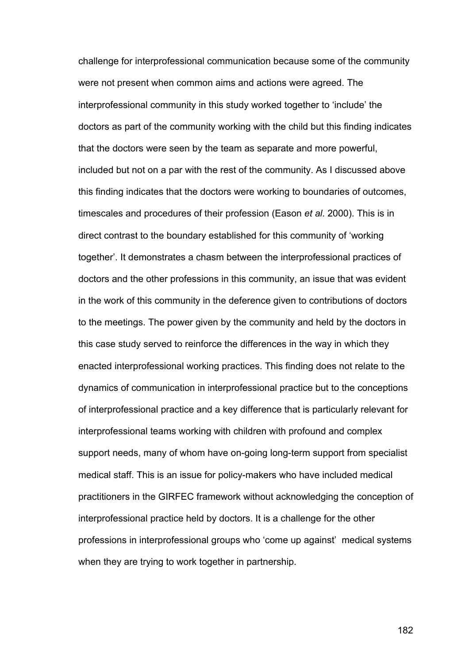challenge for interprofessional communication because some of the community were not present when common aims and actions were agreed. The interprofessional community in this study worked together to 'include' the doctors as part of the community working with the child but this finding indicates that the doctors were seen by the team as separate and more powerful, included but not on a par with the rest of the community. As I discussed above this finding indicates that the doctors were working to boundaries of outcomes, timescales and procedures of their profession (Eason *et al*. 2000). This is in direct contrast to the boundary established for this community of 'working together'. It demonstrates a chasm between the interprofessional practices of doctors and the other professions in this community, an issue that was evident in the work of this community in the deference given to contributions of doctors to the meetings. The power given by the community and held by the doctors in this case study served to reinforce the differences in the way in which they enacted interprofessional working practices. This finding does not relate to the dynamics of communication in interprofessional practice but to the conceptions of interprofessional practice and a key difference that is particularly relevant for interprofessional teams working with children with profound and complex support needs, many of whom have on-going long-term support from specialist medical staff. This is an issue for policy-makers who have included medical practitioners in the GIRFEC framework without acknowledging the conception of interprofessional practice held by doctors. It is a challenge for the other professions in interprofessional groups who 'come up against' medical systems when they are trying to work together in partnership.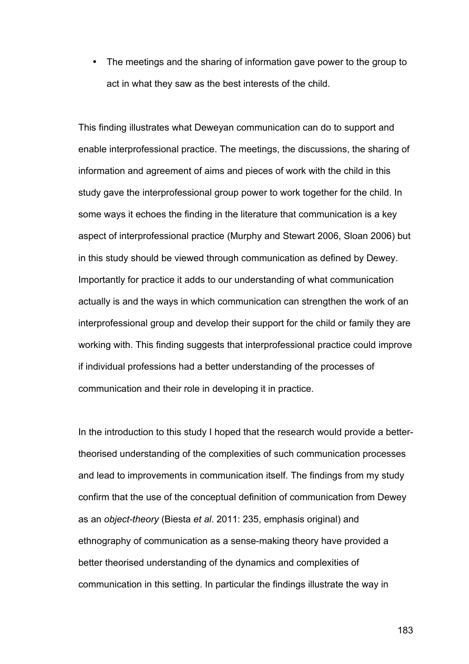• The meetings and the sharing of information gave power to the group to act in what they saw as the best interests of the child.

This finding illustrates what Deweyan communication can do to support and enable interprofessional practice. The meetings, the discussions, the sharing of information and agreement of aims and pieces of work with the child in this study gave the interprofessional group power to work together for the child. In some ways it echoes the finding in the literature that communication is a key aspect of interprofessional practice (Murphy and Stewart 2006, Sloan 2006) but in this study should be viewed through communication as defined by Dewey. Importantly for practice it adds to our understanding of what communication actually is and the ways in which communication can strengthen the work of an interprofessional group and develop their support for the child or family they are working with. This finding suggests that interprofessional practice could improve if individual professions had a better understanding of the processes of communication and their role in developing it in practice.

In the introduction to this study I hoped that the research would provide a bettertheorised understanding of the complexities of such communication processes and lead to improvements in communication itself. The findings from my study confirm that the use of the conceptual definition of communication from Dewey as an *object-theory* (Biesta *et al*. 2011: 235, emphasis original) and ethnography of communication as a sense-making theory have provided a better theorised understanding of the dynamics and complexities of communication in this setting. In particular the findings illustrate the way in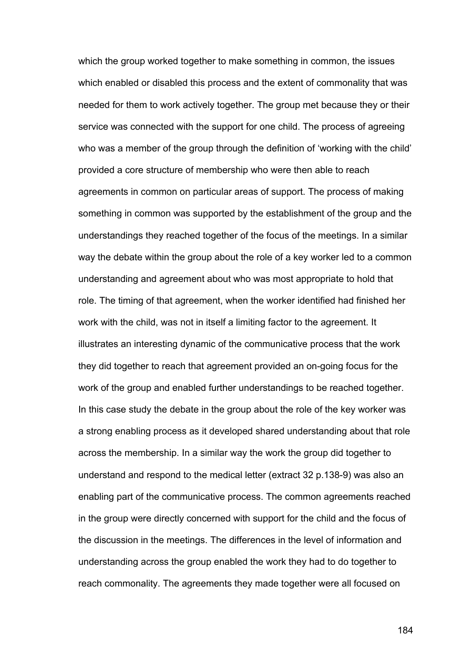which the group worked together to make something in common, the issues which enabled or disabled this process and the extent of commonality that was needed for them to work actively together. The group met because they or their service was connected with the support for one child. The process of agreeing who was a member of the group through the definition of 'working with the child' provided a core structure of membership who were then able to reach agreements in common on particular areas of support. The process of making something in common was supported by the establishment of the group and the understandings they reached together of the focus of the meetings. In a similar way the debate within the group about the role of a key worker led to a common understanding and agreement about who was most appropriate to hold that role. The timing of that agreement, when the worker identified had finished her work with the child, was not in itself a limiting factor to the agreement. It illustrates an interesting dynamic of the communicative process that the work they did together to reach that agreement provided an on-going focus for the work of the group and enabled further understandings to be reached together. In this case study the debate in the group about the role of the key worker was a strong enabling process as it developed shared understanding about that role across the membership. In a similar way the work the group did together to understand and respond to the medical letter (extract 32 p.138-9) was also an enabling part of the communicative process. The common agreements reached in the group were directly concerned with support for the child and the focus of the discussion in the meetings. The differences in the level of information and understanding across the group enabled the work they had to do together to reach commonality. The agreements they made together were all focused on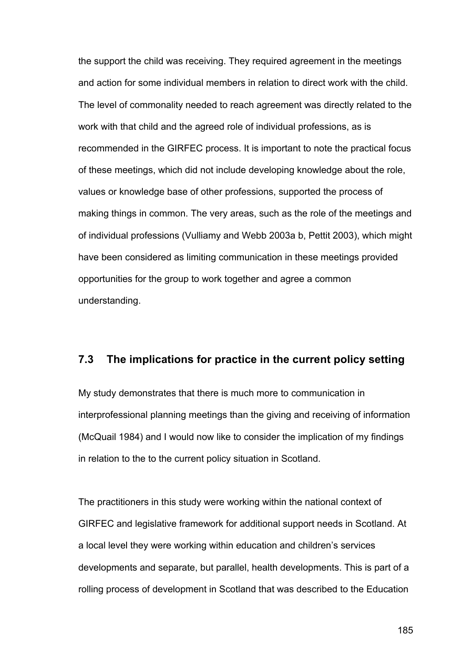the support the child was receiving. They required agreement in the meetings and action for some individual members in relation to direct work with the child. The level of commonality needed to reach agreement was directly related to the work with that child and the agreed role of individual professions, as is recommended in the GIRFEC process. It is important to note the practical focus of these meetings, which did not include developing knowledge about the role, values or knowledge base of other professions, supported the process of making things in common. The very areas, such as the role of the meetings and of individual professions (Vulliamy and Webb 2003a b, Pettit 2003), which might have been considered as limiting communication in these meetings provided opportunities for the group to work together and agree a common understanding.

### **7.3 The implications for practice in the current policy setting**

My study demonstrates that there is much more to communication in interprofessional planning meetings than the giving and receiving of information (McQuail 1984) and I would now like to consider the implication of my findings in relation to the to the current policy situation in Scotland.

The practitioners in this study were working within the national context of GIRFEC and legislative framework for additional support needs in Scotland. At a local level they were working within education and children's services developments and separate, but parallel, health developments. This is part of a rolling process of development in Scotland that was described to the Education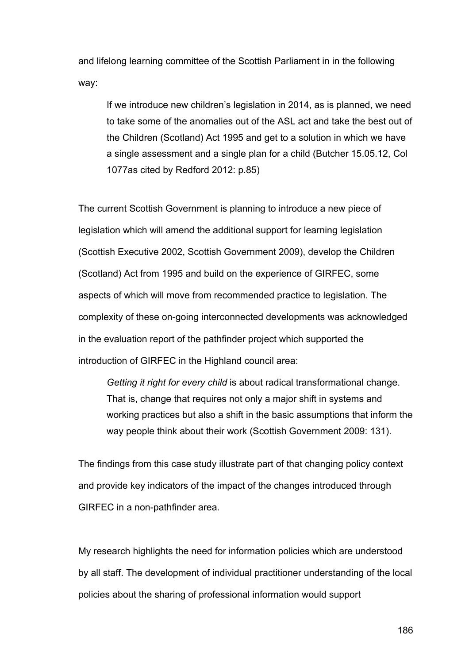and lifelong learning committee of the Scottish Parliament in in the following way:

If we introduce new children's legislation in 2014, as is planned, we need to take some of the anomalies out of the ASL act and take the best out of the Children (Scotland) Act 1995 and get to a solution in which we have a single assessment and a single plan for a child (Butcher 15.05.12, Col 1077as cited by Redford 2012: p.85)

The current Scottish Government is planning to introduce a new piece of legislation which will amend the additional support for learning legislation (Scottish Executive 2002, Scottish Government 2009), develop the Children (Scotland) Act from 1995 and build on the experience of GIRFEC, some aspects of which will move from recommended practice to legislation. The complexity of these on-going interconnected developments was acknowledged in the evaluation report of the pathfinder project which supported the introduction of GIRFEC in the Highland council area:

*Getting it right for every child* is about radical transformational change. That is, change that requires not only a major shift in systems and working practices but also a shift in the basic assumptions that inform the way people think about their work (Scottish Government 2009: 131).

The findings from this case study illustrate part of that changing policy context and provide key indicators of the impact of the changes introduced through GIRFEC in a non-pathfinder area.

My research highlights the need for information policies which are understood by all staff. The development of individual practitioner understanding of the local policies about the sharing of professional information would support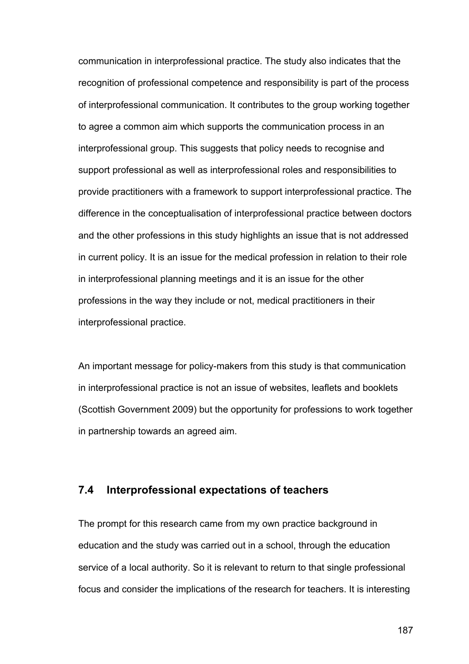communication in interprofessional practice. The study also indicates that the recognition of professional competence and responsibility is part of the process of interprofessional communication. It contributes to the group working together to agree a common aim which supports the communication process in an interprofessional group. This suggests that policy needs to recognise and support professional as well as interprofessional roles and responsibilities to provide practitioners with a framework to support interprofessional practice. The difference in the conceptualisation of interprofessional practice between doctors and the other professions in this study highlights an issue that is not addressed in current policy. It is an issue for the medical profession in relation to their role in interprofessional planning meetings and it is an issue for the other professions in the way they include or not, medical practitioners in their interprofessional practice.

An important message for policy-makers from this study is that communication in interprofessional practice is not an issue of websites, leaflets and booklets (Scottish Government 2009) but the opportunity for professions to work together in partnership towards an agreed aim.

# **7.4 Interprofessional expectations of teachers**

The prompt for this research came from my own practice background in education and the study was carried out in a school, through the education service of a local authority. So it is relevant to return to that single professional focus and consider the implications of the research for teachers. It is interesting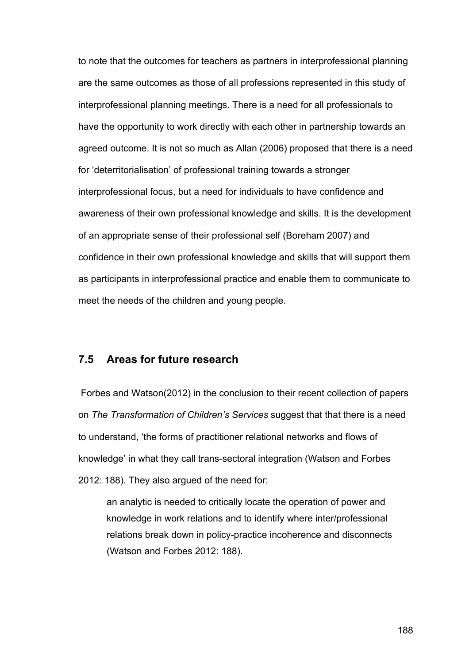to note that the outcomes for teachers as partners in interprofessional planning are the same outcomes as those of all professions represented in this study of interprofessional planning meetings. There is a need for all professionals to have the opportunity to work directly with each other in partnership towards an agreed outcome. It is not so much as Allan (2006) proposed that there is a need for 'deterritorialisation' of professional training towards a stronger interprofessional focus, but a need for individuals to have confidence and awareness of their own professional knowledge and skills. It is the development of an appropriate sense of their professional self (Boreham 2007) and confidence in their own professional knowledge and skills that will support them as participants in interprofessional practice and enable them to communicate to meet the needs of the children and young people.

## **7.5 Areas for future research**

Forbes and Watson(2012) in the conclusion to their recent collection of papers on *The Transformation of Children's Services* suggest that that there is a need to understand, 'the forms of practitioner relational networks and flows of knowledge' in what they call trans-sectoral integration (Watson and Forbes 2012: 188). They also argued of the need for:

an analytic is needed to critically locate the operation of power and knowledge in work relations and to identify where inter/professional relations break down in policy-practice incoherence and disconnects (Watson and Forbes 2012: 188).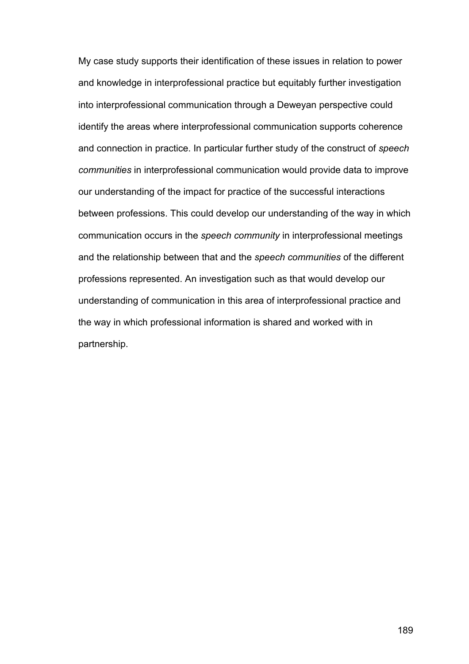My case study supports their identification of these issues in relation to power and knowledge in interprofessional practice but equitably further investigation into interprofessional communication through a Deweyan perspective could identify the areas where interprofessional communication supports coherence and connection in practice. In particular further study of the construct of *speech communities* in interprofessional communication would provide data to improve our understanding of the impact for practice of the successful interactions between professions. This could develop our understanding of the way in which communication occurs in the *speech community* in interprofessional meetings and the relationship between that and the *speech communities* of the different professions represented. An investigation such as that would develop our understanding of communication in this area of interprofessional practice and the way in which professional information is shared and worked with in partnership.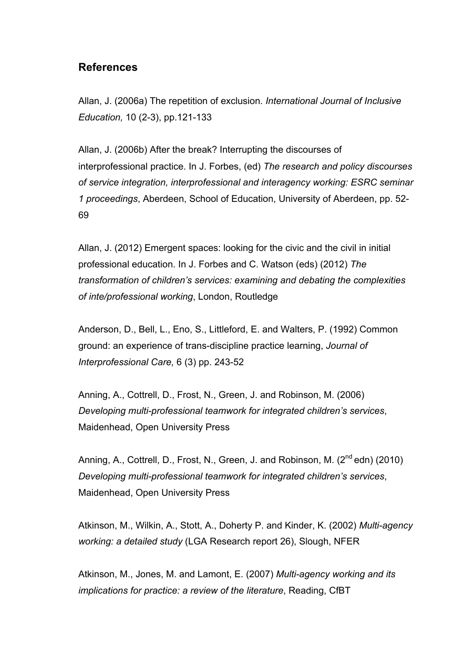## **References**

Allan, J. (2006a) The repetition of exclusion. *International Journal of Inclusive Education,* 10 (2-3), pp.121-133

Allan, J. (2006b) After the break? Interrupting the discourses of interprofessional practice. In J. Forbes, (ed) *The research and policy discourses of service integration, interprofessional and interagency working: ESRC seminar 1 proceedings*, Aberdeen, School of Education, University of Aberdeen, pp. 52- 69

Allan, J. (2012) Emergent spaces: looking for the civic and the civil in initial professional education. In J. Forbes and C. Watson (eds) (2012) *The transformation of children's services: examining and debating the complexities of inte/professional working*, London, Routledge

Anderson, D., Bell, L., Eno, S., Littleford, E. and Walters, P. (1992) Common ground: an experience of trans-discipline practice learning, *Journal of Interprofessional Care,* 6 (3) pp. 243-52

Anning, A., Cottrell, D., Frost, N., Green, J. and Robinson, M. (2006) *Developing multi-professional teamwork for integrated children's services*, Maidenhead, Open University Press

Anning, A., Cottrell, D., Frost, N., Green, J. and Robinson, M.  $(2^{nd}$ edn) (2010) *Developing multi-professional teamwork for integrated children's services*, Maidenhead, Open University Press

Atkinson, M., Wilkin, A., Stott, A., Doherty P. and Kinder, K. (2002) *Multi-agency working: a detailed study* (LGA Research report 26), Slough, NFER

Atkinson, M., Jones, M. and Lamont, E. (2007) *Multi-agency working and its implications for practice: a review of the literature*, Reading, CfBT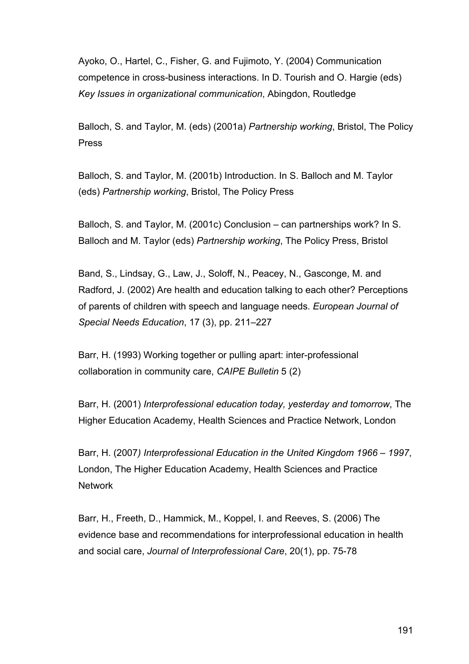Ayoko, O., Hartel, C., Fisher, G. and Fujimoto, Y. (2004) Communication competence in cross-business interactions. In D. Tourish and O. Hargie (eds) *Key Issues in organizational communication*, Abingdon, Routledge

Balloch, S. and Taylor, M. (eds) (2001a) *Partnership working*, Bristol, The Policy Press

Balloch, S. and Taylor, M. (2001b) Introduction. In S. Balloch and M. Taylor (eds) *Partnership working*, Bristol, The Policy Press

Balloch, S. and Taylor, M. (2001c) Conclusion – can partnerships work? In S. Balloch and M. Taylor (eds) *Partnership working*, The Policy Press, Bristol

Band, S., Lindsay, G., Law, J., Soloff, N., Peacey, N., Gasconge, M. and Radford, J. (2002) Are health and education talking to each other? Perceptions of parents of children with speech and language needs. *European Journal of Special Needs Education*, 17 (3), pp. 211–227

Barr, H. (1993) Working together or pulling apart: inter-professional collaboration in community care, *CAIPE Bulletin* 5 (2)

Barr, H. (2001) *Interprofessional education today, yesterday and tomorrow*, The Higher Education Academy, Health Sciences and Practice Network, London

Barr, H. (2007*) Interprofessional Education in the United Kingdom 1966 – 1997*, London, The Higher Education Academy, Health Sciences and Practice **Network** 

Barr, H., Freeth, D., Hammick, M., Koppel, I. and Reeves, S. (2006) The evidence base and recommendations for interprofessional education in health and social care, *Journal of Interprofessional Care*, 20(1), pp. 75-78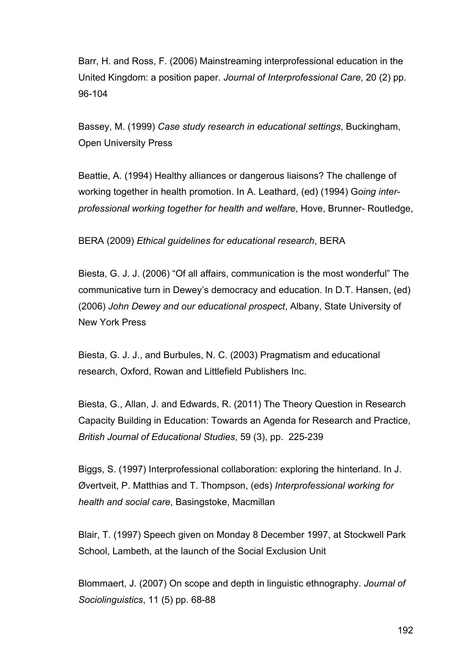Barr, H. and Ross, F. (2006) Mainstreaming interprofessional education in the United Kingdom: a position paper. *Journal of Interprofessional Care*, 20 (2) pp. 96-104

Bassey, M. (1999) *Case study research in educational settings*, Buckingham, Open University Press

Beattie, A. (1994) Healthy alliances or dangerous liaisons? The challenge of working together in health promotion. In A. Leathard, (ed) (1994) G*oing interprofessional working together for health and welfare*, Hove, Brunner- Routledge,

### BERA (2009) *Ethical guidelines for educational research*, BERA

Biesta, G. J. J. (2006) "Of all affairs, communication is the most wonderful" The communicative turn in Dewey's democracy and education. In D.T. Hansen, (ed) (2006) *John Dewey and our educational prospect*, Albany, State University of New York Press

Biesta, G. J. J., and Burbules, N. C. (2003) Pragmatism and educational research, Oxford, Rowan and Littlefield Publishers Inc.

Biesta, G., Allan, J. and Edwards, R. (2011) The Theory Question in Research Capacity Building in Education: Towards an Agenda for Research and Practice, *British Journal of Educational Studies*, 59 (3), pp. 225-239

Biggs, S. (1997) Interprofessional collaboration: exploring the hinterland. In J. Øvertveit, P. Matthias and T. Thompson, (eds) *Interprofessional working for health and social care*, Basingstoke, Macmillan

Blair, T. (1997) Speech given on Monday 8 December 1997, at Stockwell Park School, Lambeth, at the launch of the Social Exclusion Unit

Blommaert, J. (2007) On scope and depth in linguistic ethnography. *Journal of Sociolinguistics*, 11 (5) pp. 68-88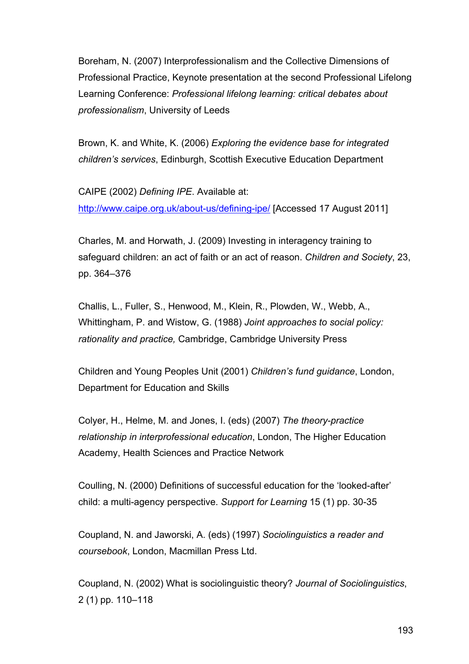Boreham, N. (2007) Interprofessionalism and the Collective Dimensions of Professional Practice, Keynote presentation at the second Professional Lifelong Learning Conference: *Professional lifelong learning: critical debates about professionalism*, University of Leeds

Brown, K. and White, K. (2006) *Exploring the evidence base for integrated children's services*, Edinburgh, Scottish Executive Education Department

CAIPE (2002) *Defining IPE*. Available at: http://www.caipe.org.uk/about-us/defining-ipe/ [Accessed 17 August 2011]

Charles, M. and Horwath, J. (2009) Investing in interagency training to safeguard children: an act of faith or an act of reason. *Children and Society*, 23, pp. 364–376

Challis, L., Fuller, S., Henwood, M., Klein, R., Plowden, W., Webb, A., Whittingham, P. and Wistow, G. (1988) *Joint approaches to social policy: rationality and practice,* Cambridge, Cambridge University Press

Children and Young Peoples Unit (2001) *Children's fund guidance*, London, Department for Education and Skills

Colyer, H., Helme, M. and Jones, I. (eds) (2007) *The theory-practice relationship in interprofessional education*, London, The Higher Education Academy, Health Sciences and Practice Network

Coulling, N. (2000) Definitions of successful education for the 'looked-after' child: a multi-agency perspective. *Support for Learning* 15 (1) pp. 30-35

Coupland, N. and Jaworski, A. (eds) (1997) *Sociolinguistics a reader and coursebook*, London, Macmillan Press Ltd.

Coupland, N. (2002) What is sociolinguistic theory? *Journal of Sociolinguistics*, 2 (1) pp. 110–118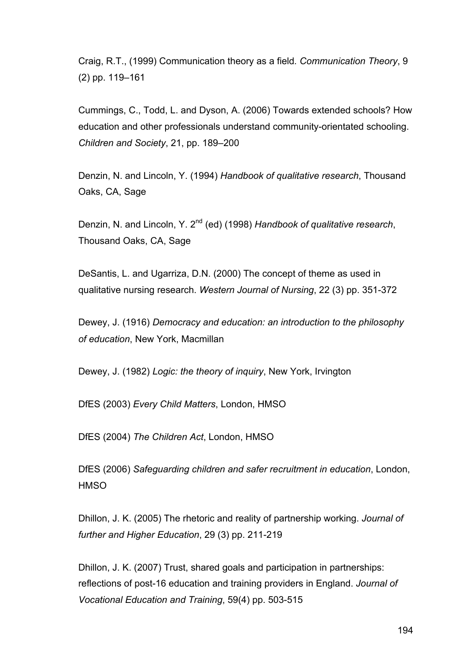Craig, R.T., (1999) Communication theory as a field*. Communication Theory*, 9 (2) pp. 119–161

Cummings, C., Todd, L. and Dyson, A. (2006) Towards extended schools? How education and other professionals understand community-orientated schooling. *Children and Society*, 21, pp. 189–200

Denzin, N. and Lincoln, Y. (1994) *Handbook of qualitative research*, Thousand Oaks, CA, Sage

Denzin, N. and Lincoln, Y. 2nd (ed) (1998) *Handbook of qualitative research*, Thousand Oaks, CA, Sage

DeSantis, L. and Ugarriza, D.N. (2000) The concept of theme as used in qualitative nursing research. *Western Journal of Nursing*, 22 (3) pp. 351-372

Dewey, J. (1916) *Democracy and education: an introduction to the philosophy of education*, New York, Macmillan

Dewey, J. (1982) *Logic: the theory of inquiry*, New York, Irvington

DfES (2003) *Every Child Matters*, London, HMSO

DfES (2004) *The Children Act*, London, HMSO

DfES (2006) *Safeguarding children and safer recruitment in education*, London, **HMSO** 

Dhillon, J. K. (2005) The rhetoric and reality of partnership working. *Journal of further and Higher Education*, 29 (3) pp. 211-219

Dhillon, J. K. (2007) Trust, shared goals and participation in partnerships: reflections of post-16 education and training providers in England. *Journal of Vocational Education and Training*, 59(4) pp. 503-515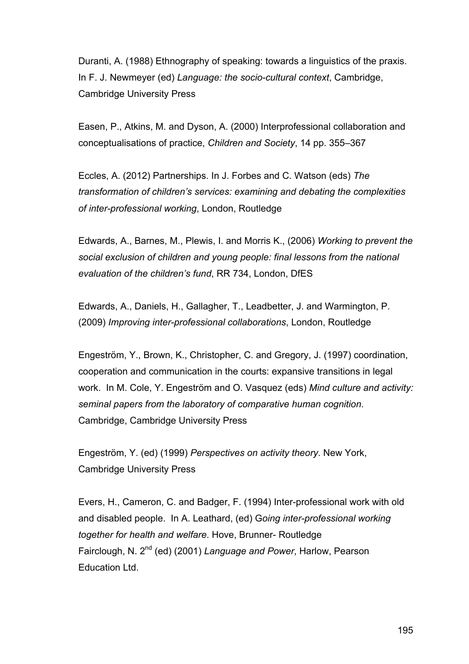Duranti, A. (1988) Ethnography of speaking: towards a linguistics of the praxis. In F. J. Newmeyer (ed) *Language: the socio-cultural context*, Cambridge, Cambridge University Press

Easen, P., Atkins, M. and Dyson, A. (2000) Interprofessional collaboration and conceptualisations of practice, *Children and Society*, 14 pp. 355–367

Eccles, A. (2012) Partnerships. In J. Forbes and C. Watson (eds) *The transformation of children's services: examining and debating the complexities of inter-professional working*, London, Routledge

Edwards, A., Barnes, M., Plewis, I. and Morris K., (2006) *Working to prevent the social exclusion of children and young people: final lessons from the national evaluation of the children's fund*, RR 734, London, DfES

Edwards, A., Daniels, H., Gallagher, T., Leadbetter, J. and Warmington, P. (2009) *Improving inter-professional collaborations*, London, Routledge

Engeström, Y., Brown, K., Christopher, C. and Gregory, J. (1997) coordination, cooperation and communication in the courts: expansive transitions in legal work. In M. Cole, Y. Engeström and O. Vasquez (eds) *Mind culture and activity: seminal papers from the laboratory of comparative human cognition*. Cambridge, Cambridge University Press

Engeström, Y. (ed) (1999) *Perspectives on activity theory*. New York, Cambridge University Press

Evers, H., Cameron, C. and Badger, F. (1994) Inter-professional work with old and disabled people. In A. Leathard, (ed) G*oing inter-professional working together for health and welfare*. Hove, Brunner- Routledge Fairclough, N. 2nd (ed) (2001) *Language and Power*, Harlow, Pearson **Education Ltd.**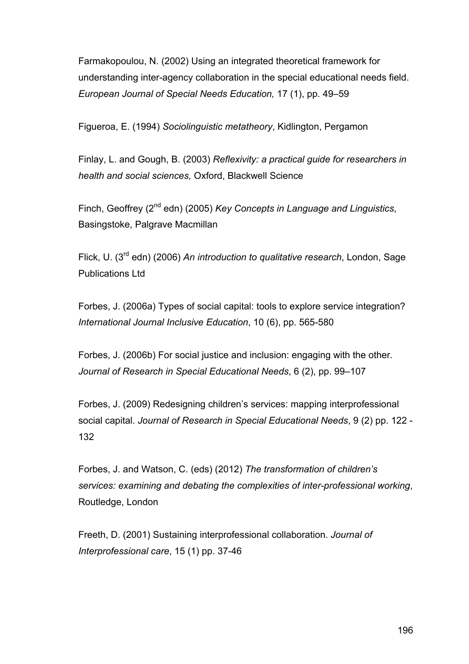Farmakopoulou, N. (2002) Using an integrated theoretical framework for understanding inter-agency collaboration in the special educational needs field. *European Journal of Special Needs Education,* 17 (1), pp. 49–59

Figueroa, E. (1994) *Sociolinguistic metatheory*, Kidlington, Pergamon

Finlay, L. and Gough, B. (2003) *Reflexivity: a practical guide for researchers in health and social sciences,* Oxford, Blackwell Science

Finch, Geoffrey (2nd edn) (2005) *Key Concepts in Language and Linguistics*, Basingstoke, Palgrave Macmillan

Flick, U. (3rd edn) (2006) *An introduction to qualitative research*, London, Sage Publications Ltd

Forbes, J. (2006a) Types of social capital: tools to explore service integration? *International Journal Inclusive Education*, 10 (6), pp. 565-580

Forbes, J. (2006b) For social justice and inclusion: engaging with the other*. Journal of Research in Special Educational Needs*, 6 (2), pp. 99–107

Forbes, J. (2009) Redesigning children's services: mapping interprofessional social capital. *Journal of Research in Special Educational Needs*, 9 (2) pp. 122 - 132

Forbes, J. and Watson, C. (eds) (2012) *The transformation of children's services: examining and debating the complexities of inter-professional working*, Routledge, London

Freeth, D. (2001) Sustaining interprofessional collaboration. *Journal of Interprofessional care*, 15 (1) pp. 37-46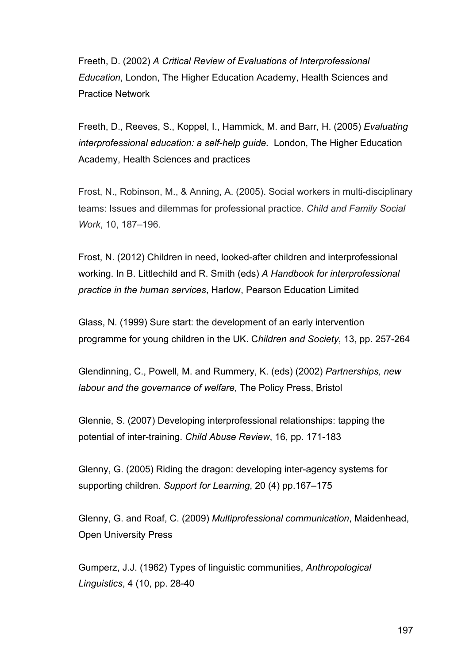Freeth, D. (2002) *A Critical Review of Evaluations of Interprofessional Education*, London, The Higher Education Academy, Health Sciences and Practice Network

Freeth, D., Reeves, S., Koppel, I., Hammick, M. and Barr, H. (2005) *Evaluating interprofessional education: a self-help guide.* London, The Higher Education Academy, Health Sciences and practices

Frost, N., Robinson, M., & Anning, A. (2005). Social workers in multi-disciplinary teams: Issues and dilemmas for professional practice. *Child and Family Social Work*, 10, 187–196.

Frost, N. (2012) Children in need, looked-after children and interprofessional working. In B. Littlechild and R. Smith (eds) *A Handbook for interprofessional practice in the human services*, Harlow, Pearson Education Limited

Glass, N. (1999) Sure start: the development of an early intervention programme for young children in the UK. C*hildren and Society*, 13, pp. 257-264

Glendinning, C., Powell, M. and Rummery, K. (eds) (2002) *Partnerships, new labour and the governance of welfare*, The Policy Press, Bristol

Glennie, S. (2007) Developing interprofessional relationships: tapping the potential of inter-training. *Child Abuse Review*, 16, pp. 171-183

Glenny, G. (2005) Riding the dragon: developing inter-agency systems for supporting children. *Support for Learning*, 20 (4) pp.167–175

Glenny, G. and Roaf, C. (2009) *Multiprofessional communication*, Maidenhead, Open University Press

Gumperz, J.J. (1962) Types of linguistic communities, *Anthropological Linguistics*, 4 (10, pp. 28-40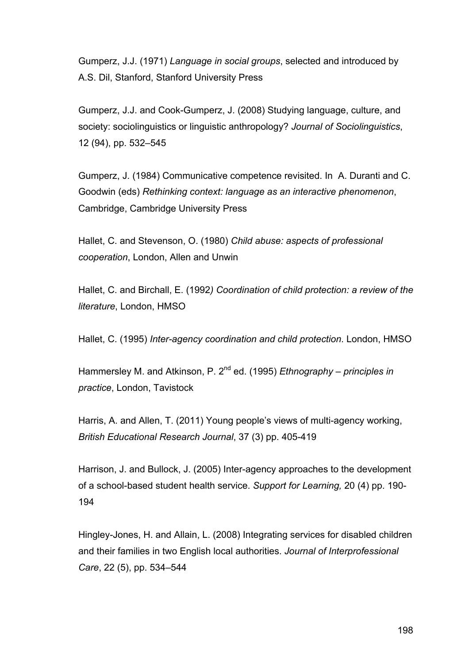Gumperz, J.J. (1971) *Language in social groups*, selected and introduced by A.S. Dil, Stanford, Stanford University Press

Gumperz, J.J. and Cook-Gumperz, J. (2008) Studying language, culture, and society: sociolinguistics or linguistic anthropology? *Journal of Sociolinguistics*, 12 (94), pp. 532–545

Gumperz, J. (1984) Communicative competence revisited. In A. Duranti and C. Goodwin (eds) *Rethinking context: language as an interactive phenomenon*, Cambridge, Cambridge University Press

Hallet, C. and Stevenson, O. (1980) *Child abuse: aspects of professional cooperation*, London, Allen and Unwin

Hallet, C. and Birchall, E. (1992*) Coordination of child protection: a review of the literature*, London, HMSO

Hallet, C. (1995) *Inter-agency coordination and child protection*. London, HMSO

Hammersley M. and Atkinson, P. 2nd ed. (1995) *Ethnography – principles in practice*, London, Tavistock

Harris, A. and Allen, T. (2011) Young people's views of multi-agency working, *British Educational Research Journal*, 37 (3) pp. 405-419

Harrison, J. and Bullock, J. (2005) Inter-agency approaches to the development of a school-based student health service. *Support for Learning,* 20 (4) pp. 190- 194

Hingley-Jones, H. and Allain, L. (2008) Integrating services for disabled children and their families in two English local authorities. *Journal of Interprofessional Care*, 22 (5), pp. 534–544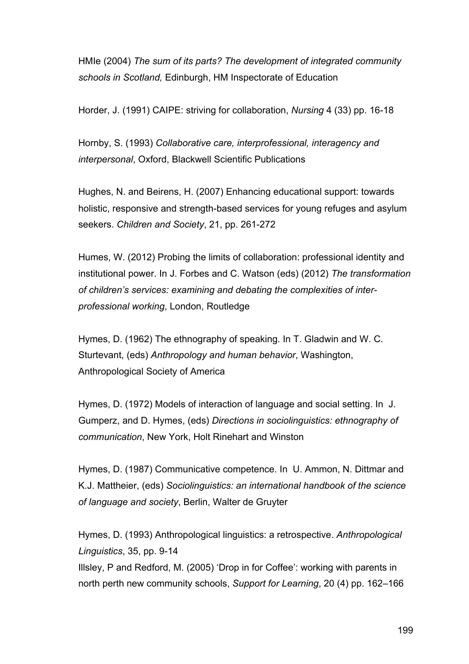HMIe (2004) *The sum of its parts? The development of integrated community schools in Scotland,* Edinburgh, HM Inspectorate of Education

Horder, J. (1991) CAIPE: striving for collaboration, *Nursing* 4 (33) pp. 16-18

Hornby, S. (1993) *Collaborative care, interprofessional, interagency and interpersonal*, Oxford, Blackwell Scientific Publications

Hughes, N. and Beirens, H. (2007) Enhancing educational support: towards holistic, responsive and strength-based services for young refuges and asylum seekers. *Children and Society*, 21, pp. 261-272

Humes, W. (2012) Probing the limits of collaboration: professional identity and institutional power. In J. Forbes and C. Watson (eds) (2012) *The transformation of children's services: examining and debating the complexities of interprofessional working*, London, Routledge

Hymes, D. (1962) The ethnography of speaking. In T. Gladwin and W. C. Sturtevant, (eds) *Anthropology and human behavior*, Washington, Anthropological Society of America

Hymes, D. (1972) Models of interaction of language and social setting. In J. Gumperz, and D. Hymes, (eds) *Directions in sociolinguistics: ethnography of communication*, New York, Holt Rinehart and Winston

Hymes, D. (1987) Communicative competence. In U. Ammon, N. Dittmar and K.J. Mattheier, (eds) *Sociolinguistics: an international handbook of the science of language and society*, Berlin, Walter de Gruyter

Hymes, D. (1993) Anthropological linguistics: a retrospective. *Anthropological Linguistics*, 35, pp. 9-14 Illsley, P and Redford, M. (2005) 'Drop in for Coffee': working with parents in north perth new community schools, *Support for Learning*, 20 (4) pp. 162–166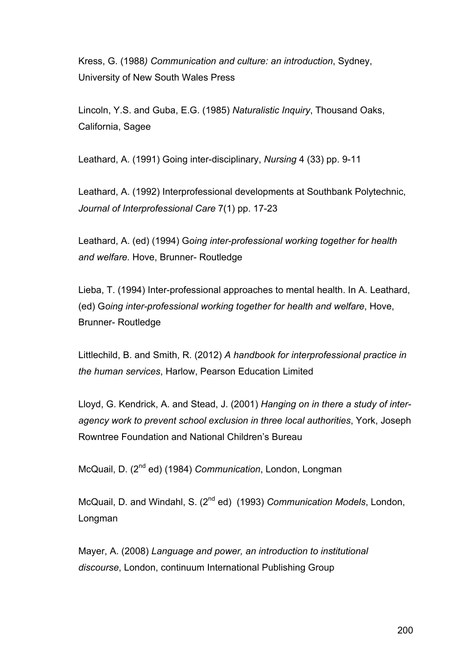Kress, G. (1988*) Communication and culture: an introduction*, Sydney, University of New South Wales Press

Lincoln, Y.S. and Guba, E.G. (1985) *Naturalistic Inquiry*, Thousand Oaks, California, Sagee

Leathard, A. (1991) Going inter-disciplinary, *Nursing* 4 (33) pp. 9-11

Leathard, A. (1992) Interprofessional developments at Southbank Polytechnic, *Journal of Interprofessional Care* 7(1) pp. 17-23

Leathard, A. (ed) (1994) G*oing inter-professional working together for health and welfare.* Hove, Brunner- Routledge

Lieba, T. (1994) Inter-professional approaches to mental health. In A. Leathard, (ed) G*oing inter-professional working together for health and welfare*, Hove, Brunner- Routledge

Littlechild, B. and Smith, R. (2012) *A handbook for interprofessional practice in the human services*, Harlow, Pearson Education Limited

Lloyd, G. Kendrick, A. and Stead, J. (2001) *Hanging on in there a study of interagency work to prevent school exclusion in three local authorities*, York, Joseph Rowntree Foundation and National Children's Bureau

McQuail, D. (2nd ed) (1984) *Communication*, London, Longman

McQuail, D. and Windahl, S. (2nd ed) (1993) *Communication Models*, London, Longman

Mayer, A. (2008) *Language and power, an introduction to institutional discourse*, London, continuum International Publishing Group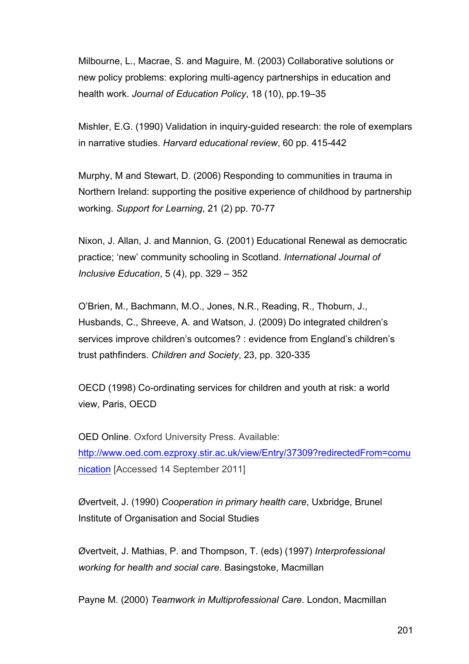Milbourne, L., Macrae, S. and Maguire, M. (2003) Collaborative solutions or new policy problems: exploring multi-agency partnerships in education and health work. *Journal of Education Policy*, 18 (10), pp.19–35

Mishler, E.G. (1990) Validation in inquiry-guided research: the role of exemplars in narrative studies. *Harvard educational review*, 60 pp. 415-442

Murphy, M and Stewart, D. (2006) Responding to communities in trauma in Northern Ireland: supporting the positive experience of childhood by partnership working. *Support for Learning*, 21 (2) pp. 70-77

Nixon, J. Allan, J. and Mannion, G. (2001) Educational Renewal as democratic practice; 'new' community schooling in Scotland. *International Journal of Inclusive Education*, 5 (4), pp. 329 – 352

O'Brien, M., Bachmann, M.O., Jones, N.R., Reading, R., Thoburn, J., Husbands, C., Shreeve, A. and Watson, J. (2009) Do integrated children's services improve children's outcomes? : evidence from England's children's trust pathfinders. *Children and Society*, 23, pp. 320-335

OECD (1998) Co-ordinating services for children and youth at risk: a world view, Paris, OECD

OED Online. Oxford University Press. Available: http://www.oed.com.ezproxy.stir.ac.uk/view/Entry/37309?redirectedFrom=comu nication [Accessed 14 September 2011]

Øvertveit, J. (1990) *Cooperation in primary health care*, Uxbridge, Brunel Institute of Organisation and Social Studies

Øvertveit, J. Mathias, P. and Thompson, T. (eds) (1997) *Interprofessional working for health and social care*. Basingstoke, Macmillan

Payne M. (2000) *Teamwork in Multiprofessional Care*. London, Macmillan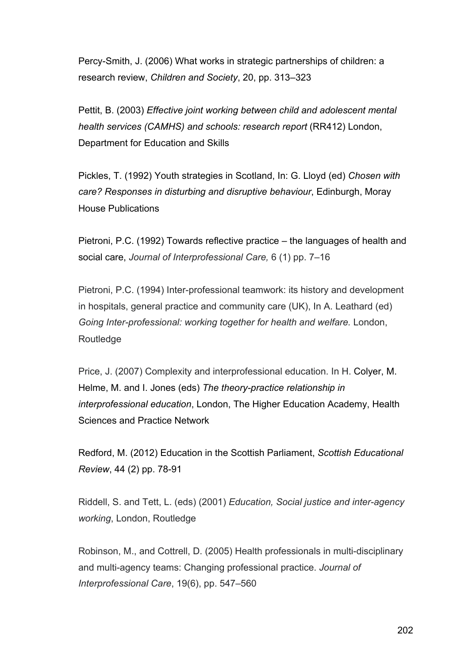Percy-Smith, J. (2006) What works in strategic partnerships of children: a research review, *Children and Society*, 20, pp. 313–323

Pettit, B. (2003) *Effective joint working between child and adolescent mental health services (CAMHS) and schools: research report* (RR412) London, Department for Education and Skills

Pickles, T. (1992) Youth strategies in Scotland, In: G. Lloyd (ed) *Chosen with care? Responses in disturbing and disruptive behaviour*, Edinburgh, Moray House Publications

Pietroni, P.C. (1992) Towards reflective practice – the languages of health and social care, *Journal of Interprofessional Care,* 6 (1) pp. 7–16

Pietroni, P.C. (1994) Inter-professional teamwork: its history and development in hospitals, general practice and community care (UK), In A. Leathard (ed) *Going Inter-professional: working together for health and welfare.* London, Routledge

Price, J. (2007) Complexity and interprofessional education. In H. Colyer, M. Helme, M. and I. Jones (eds) *The theory-practice relationship in interprofessional education*, London, The Higher Education Academy, Health Sciences and Practice Network

Redford, M. (2012) Education in the Scottish Parliament, *Scottish Educational Review*, 44 (2) pp. 78-91

Riddell, S. and Tett, L. (eds) (2001) *Education, Social justice and inter-agency working*, London, Routledge

Robinson, M., and Cottrell, D. (2005) Health professionals in multi-disciplinary and multi-agency teams: Changing professional practice. *Journal of Interprofessional Care*, 19(6), pp. 547–560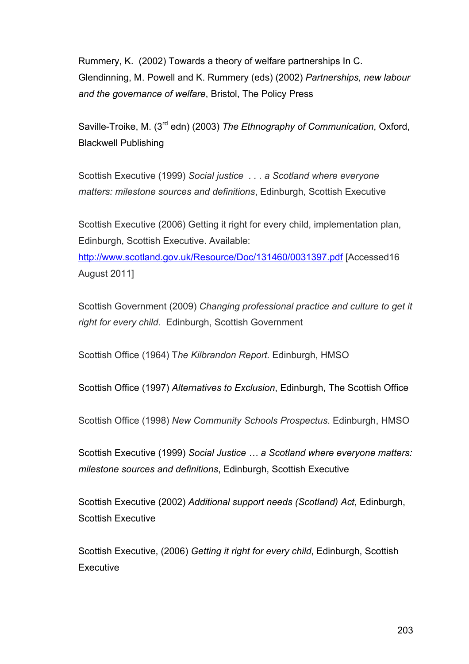Rummery, K. (2002) Towards a theory of welfare partnerships In C. Glendinning, M. Powell and K. Rummery (eds) (2002) *Partnerships, new labour and the governance of welfare*, Bristol, The Policy Press

Saville-Troike, M. (3rd edn) (2003) *The Ethnography of Communication*, Oxford, Blackwell Publishing

Scottish Executive (1999) *Social justice . . . a Scotland where everyone matters: milestone sources and definitions*, Edinburgh, Scottish Executive

Scottish Executive (2006) Getting it right for every child, implementation plan, Edinburgh, Scottish Executive. Available:

http://www.scotland.gov.uk/Resource/Doc/131460/0031397.pdf [Accessed16 August 2011]

Scottish Government (2009) *Changing professional practice and culture to get it right for every child*. Edinburgh, Scottish Government

Scottish Office (1964) T*he Kilbrandon Report.* Edinburgh, HMSO

Scottish Office (1997) *Alternatives to Exclusion*, Edinburgh, The Scottish Office

Scottish Office (1998) *New Community Schools Prospectus*. Edinburgh, HMSO

Scottish Executive (1999) *Social Justice … a Scotland where everyone matters: milestone sources and definitions*, Edinburgh, Scottish Executive

Scottish Executive (2002) *Additional support needs (Scotland) Act*, Edinburgh, Scottish Executive

Scottish Executive, (2006) *Getting it right for every child*, Edinburgh, Scottish **Executive**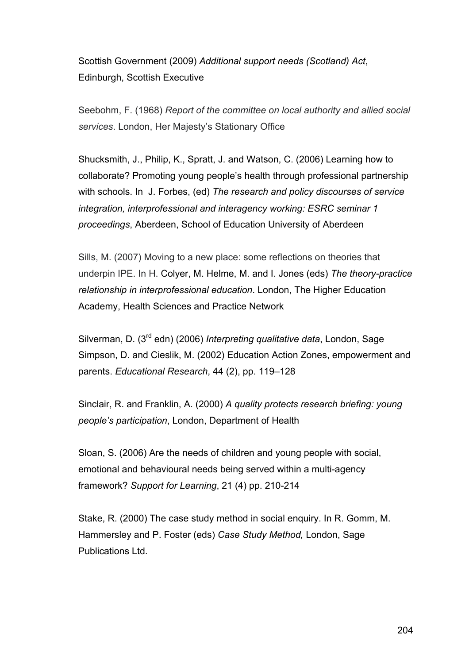Scottish Government (2009) *Additional support needs (Scotland) Act*, Edinburgh, Scottish Executive

Seebohm, F. (1968) *Report of the committee on local authority and allied social services*. London, Her Majesty's Stationary Office

Shucksmith, J., Philip, K., Spratt, J. and Watson, C. (2006) Learning how to collaborate? Promoting young people's health through professional partnership with schools. In J. Forbes, (ed) *The research and policy discourses of service integration, interprofessional and interagency working: ESRC seminar 1 proceedings*, Aberdeen, School of Education University of Aberdeen

Sills, M. (2007) Moving to a new place: some reflections on theories that underpin IPE. In H. Colyer, M. Helme, M. and I. Jones (eds) *The theory-practice relationship in interprofessional education*. London, The Higher Education Academy, Health Sciences and Practice Network

Silverman, D. (3rd edn) (2006) *Interpreting qualitative data*, London, Sage Simpson, D. and Cieslik, M. (2002) Education Action Zones, empowerment and parents. *Educational Research*, 44 (2), pp. 119–128

Sinclair, R. and Franklin, A. (2000) *A quality protects research briefing: young people's participation*, London, Department of Health

Sloan, S. (2006) Are the needs of children and young people with social, emotional and behavioural needs being served within a multi-agency framework? *Support for Learning*, 21 (4) pp. 210-214

Stake, R. (2000) The case study method in social enquiry. In R. Gomm, M. Hammersley and P. Foster (eds) *Case Study Method,* London, Sage Publications Ltd.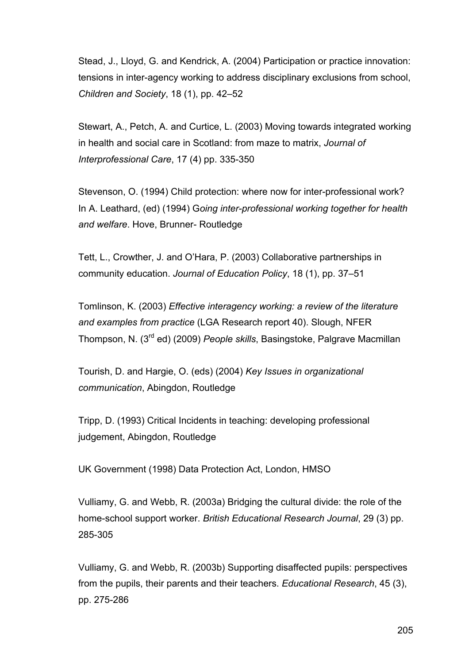Stead, J., Lloyd, G. and Kendrick, A. (2004) Participation or practice innovation: tensions in inter-agency working to address disciplinary exclusions from school, *Children and Society*, 18 (1), pp. 42–52

Stewart, A., Petch, A. and Curtice, L. (2003) Moving towards integrated working in health and social care in Scotland: from maze to matrix, *Journal of Interprofessional Care*, 17 (4) pp. 335-350

Stevenson, O. (1994) Child protection: where now for inter-professional work? In A. Leathard, (ed) (1994) G*oing inter-professional working together for health and welfare*. Hove, Brunner- Routledge

Tett, L., Crowther, J. and O'Hara, P. (2003) Collaborative partnerships in community education. *Journal of Education Policy*, 18 (1), pp. 37–51

Tomlinson, K. (2003) *Effective interagency working: a review of the literature and examples from practice* (LGA Research report 40). Slough, NFER Thompson, N. (3rd ed) (2009) *People skills*, Basingstoke, Palgrave Macmillan

Tourish, D. and Hargie, O. (eds) (2004) *Key Issues in organizational communication*, Abingdon, Routledge

Tripp, D. (1993) Critical Incidents in teaching: developing professional judgement, Abingdon, Routledge

UK Government (1998) Data Protection Act, London, HMSO

Vulliamy, G. and Webb, R. (2003a) Bridging the cultural divide: the role of the home-school support worker. *British Educational Research Journal*, 29 (3) pp. 285-305

Vulliamy, G. and Webb, R. (2003b) Supporting disaffected pupils: perspectives from the pupils, their parents and their teachers. *Educational Research*, 45 (3), pp. 275-286